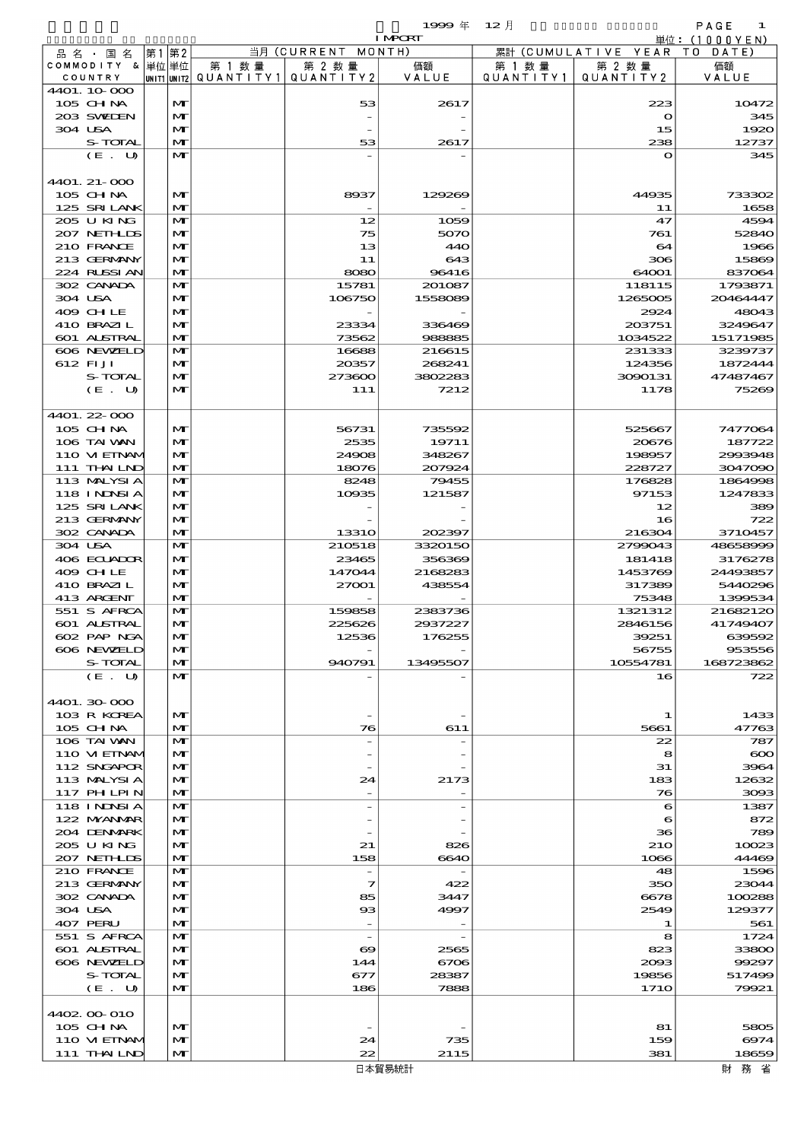|                            |              |                                 |                    | 1999年           | $12$ 月    |                              | PAGE<br>1          |
|----------------------------|--------------|---------------------------------|--------------------|-----------------|-----------|------------------------------|--------------------|
|                            |              |                                 |                    | <b>I MPORT</b>  |           |                              | 単位: $(1000YEN)$    |
| 品名・国名                      | 第2<br> 第1    |                                 | 当月 (CURRENT MONTH) |                 |           | 累計 (CUMULATIVE YEAR TO DATE) |                    |
| COMMODITY & 単位単位           |              | 第 1 数 量                         | 第 2 数量             | 価額              | 第 1 数 量   | 第 2 数量                       | 価額                 |
| COUNTRY                    |              | UNIT1 UNIT2   Q U A N T I T Y 1 | QUANTITY2          | VALUE           | QUANTITY1 | QUANTITY2                    | VALUE              |
| 4401. 10 000               |              |                                 |                    |                 |           |                              |                    |
| 105 CH NA                  | $\mathbf{M}$ |                                 | 53                 | 2617            |           | 223                          | 10472              |
| 203 SWEDEN                 | M            |                                 |                    |                 |           | $\mathbf o$                  | 345                |
| 304 USA                    | M            |                                 |                    |                 |           | 15                           | 1920               |
| S-TOTAL                    | M            |                                 | 53                 | 2617            |           | 238                          | 12737              |
| (E. U)                     | M            |                                 |                    |                 |           | $\mathbf{o}$                 | 345                |
|                            |              |                                 |                    |                 |           |                              |                    |
| $4401.21 - 000$            |              |                                 |                    |                 |           |                              |                    |
| $105$ CHNA                 | $\mathbf{M}$ |                                 | 8937               | 129269          |           | 44935                        | 733302             |
| 125 SRILANK                | M            |                                 |                    |                 |           | 11                           | 1658               |
| 205 U KING                 | M            |                                 | 12                 | 1059            |           | 47                           | 4594               |
| 207 NETHLIS                | M            |                                 | 75                 | 5070            |           | 761                          | 52840              |
| 210 FRANCE                 | M            |                                 | 13                 | 440             |           | 64                           | 1966               |
| 213 GERMANY                | M            |                                 | 11                 | 643             |           | 306                          | 15869              |
| 224 RLSSIAN                | M            |                                 | 8080               | 96416           |           | 64001                        | 837064             |
| 302 CANADA                 | M            |                                 | 15781              | 201087          |           | 118115                       | 1793871            |
| 304 USA                    | $\mathbf{M}$ |                                 | 106750             | 1558089         |           | 1265005                      | 20464447           |
| 409 CHLE                   | M            |                                 |                    |                 |           | 2924                         | 48043              |
| 410 BRAZIL                 | M            |                                 | 23334              | 336469          |           | 203751                       | 3249647            |
| <b>601 ALSTRAL</b>         | M            |                                 | 73562              | 988885          |           | 1034522                      | 15171985           |
| 606 NEWELD                 | M            |                                 | 16688              | 216615          |           | 231333                       | 3239737            |
| 612 FIJI                   | $\mathbf{M}$ |                                 | 20357              | 268241          |           | 124356                       | 1872444            |
| <b>S-TOTAL</b>             | M            |                                 | 273600             | 3802283         |           | 3090131                      | 47487467           |
| (E. U)                     | M            |                                 | 111                | 7212            |           | 1178                         | 75269              |
|                            |              |                                 |                    |                 |           |                              |                    |
| 4401. 22-000<br>$105$ CHNA | $\mathbf{M}$ |                                 |                    |                 |           |                              |                    |
| 106 TAI WAN                | M            |                                 | 56731<br>2535      | 735592<br>19711 |           | 525667<br>20676              | 7477064<br>187722  |
| 110 VIEINAM                | M            |                                 |                    | 348267          |           |                              |                    |
| 111 THAILND                | M            |                                 | 24908<br>18076     | 207924          |           | 198957<br>228727             | 2993948<br>3047090 |
| 113 MALYSIA                | M            |                                 | 8248               | 79455           |           | 176828                       | 1864998            |
| <b>118 INNSIA</b>          | M            |                                 | 10935              | 121587          |           | 97153                        | 1247833            |
| 125 SRILANK                | M            |                                 |                    |                 |           | 12                           | 389                |
| 213 GERMANY                | M            |                                 |                    |                 |           | 16                           | 722                |
| 302 CANADA                 | M            |                                 | <b>13310</b>       | 202397          |           | 216304                       | 3710457            |
| 304 USA                    | M            |                                 | 210518             | 3320150         |           | 2799043                      | 48658999           |
| 406 ECUADOR                | M            |                                 | 23465              | 356369          |           | 181418                       | 3176278            |
| 409 CHLE                   | M            |                                 | 147044             | 2168283         |           | 1453769                      | 24493857           |
| 410 BRAZIL                 | M            |                                 | 27001              | 438554          |           | 317389                       | 5440296            |
| 413 ARCENT                 | $\mathbf{M}$ |                                 |                    |                 |           | 75348                        | 1399534            |
| 551 S AFRCA                | M            |                                 | 159858             | 2383736         |           | 1321312                      | 21682120           |
| 601 ALSTRAL                | M            |                                 | 225626             | 2937227         |           | 2846156                      | 41749407           |
| 602 PAP NGA                | M            |                                 | 12536              | 176255          |           | 39251                        | 639592             |
| 606 NEWELD                 | M            |                                 |                    |                 |           | 56755                        | 953556             |
| S-TOTAL                    | M            |                                 | 940791             | 13495507        |           | 10554781                     | 168723862          |
| (E. U)                     | $\mathbf{M}$ |                                 |                    |                 |           | 16                           | 722                |
|                            |              |                                 |                    |                 |           |                              |                    |
| 4401.30 000                |              |                                 |                    |                 |           |                              |                    |
| 103 R KOREA                | M            |                                 |                    |                 |           |                              | 1433               |
| 105 CHNA                   | $\mathbf{M}$ |                                 | 76                 | 611             |           | 5661                         | 47763              |

| 4401.30 000       |              |                       |        |             |          |
|-------------------|--------------|-----------------------|--------|-------------|----------|
| 103 R KOREA       | $\mathbf{M}$ |                       |        | 1           | 1433     |
| $105$ CHNA        | $\mathbf{M}$ | 76                    | 611    | 5661        | 47763    |
| 106 TAI VAN       | $\mathbf{M}$ |                       |        | 22          | 787      |
| 110 VIEINAM       | $\mathbf{M}$ |                       |        | 8           | $\infty$ |
| 112 SNGAPOR       | $\mathbf{M}$ |                       |        | 31          | 3964     |
| 113 MALYSIA       | $\mathbf{M}$ | 24                    | 2173   | 183         | 12632    |
| <b>117 PHLPIN</b> | $\mathbf{M}$ |                       |        | 76          | 3093     |
| <b>118 INNSIA</b> | $\mathbf{M}$ |                       |        | 6           | 1387     |
| 122 NYANAR        | $\mathbf{M}$ |                       |        | 6           | 872      |
| 204 DENMARK       | $\mathbf{M}$ |                       |        | 36          | 789      |
| 205 U KING        | $\mathbf{M}$ | 21                    | 826    | <b>210</b>  | 10023    |
| 207 NETHLIS       | $\mathbf{M}$ | 158                   | 6640   | 1066        | 44469    |
| 210 FRANCE        | $\mathbf{M}$ |                       |        | 48          | 1596     |
| 213 GERMANY       | $\mathbf{M}$ | 7                     | 422    | 350         | 23044    |
| 302 CANADA        | $\mathbf{M}$ | 85                    | 3447   | 6678        | 100288   |
| 304 USA           | $\mathbf{M}$ | $_{\rm ss}$           | 4997   | 2549        | 129377   |
| 407 PERU          | $\mathbf{M}$ |                       |        |             | 561      |
| 551 S AFRCA       | $\mathbf{M}$ |                       |        | 8           | 1724     |
| 601 ALSTRAL       | $\mathbf{M}$ | $\boldsymbol{\infty}$ | 2565   | 823         | 33800    |
| 606 NEWELD        | $\mathbf{M}$ | 144                   | 6706   | 2093        | 99297    |
| S-TOTAL           | $\mathbf{M}$ | 677                   | 28387  | 19856       | 517499   |
| (E. U)            | $\mathbf{M}$ | 186                   | 7888   | <b>1710</b> | 79921    |
|                   |              |                       |        |             |          |
| 4402 00 010       |              |                       |        |             |          |
| $105$ CHNA        | $\mathbf{M}$ |                       |        | 81          | 5805     |
| 110 VIEINAM       | $\mathbf{M}$ | 24                    | 735    | 159         | 6974     |
| 111 THAIND        | $\mathbf{M}$ | 22                    | 2115   | 381         | 18659    |
|                   |              |                       | 日本貿易統計 |             | 財<br>務 省 |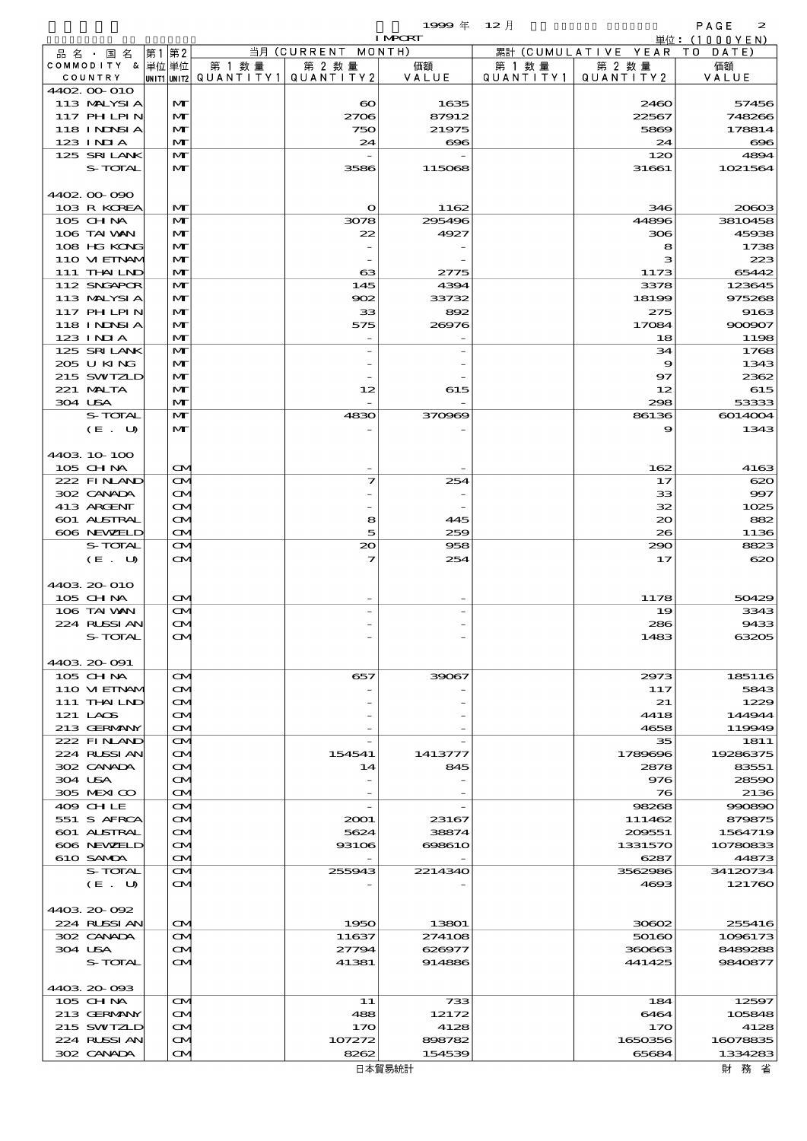$1999 \& 12 \&$ 

|         |                                   |      |                                        |        |                                                  | <b>I MPORT</b>   |                      |                              | 単位: (1000YEN)      |
|---------|-----------------------------------|------|----------------------------------------|--------|--------------------------------------------------|------------------|----------------------|------------------------------|--------------------|
|         | 品名・国名                             | 第1第2 |                                        |        | 当月 (CURRENT MONTH)                               |                  |                      | 累計 (CUMULATIVE YEAR TO DATE) |                    |
|         | COMMODITY & 単位単位<br>COUNTRY       |      |                                        | 第 1 数量 | 第 2 数量<br> UNIT1 UNIT2  Q∪ANT   TY1  Q∪ANT   TY2 | 価額<br>VALUE      | 第 1 数 量<br>QUANTITY1 | 第 2 数量<br>QUANTITY 2         | 価額<br>VALUE        |
|         | 4402.00-010                       |      |                                        |        |                                                  |                  |                      |                              |                    |
|         | 113 MALYSIA                       |      | M                                      |        | $\boldsymbol{\infty}$                            | 1635             |                      | 2460                         | 57456              |
|         | 117 PH LPIN                       |      | M                                      |        | 2706                                             | 87912            |                      | 22567                        | 748266             |
|         | 118 I NJNSI A                     |      | M                                      |        | 750                                              | 21975            |                      | 5869                         | 178814             |
|         | $123$ INIA                        |      | M                                      |        | 24                                               | $\infty$         |                      | 24                           | $\bf{696}$         |
|         | 125 SRILANK<br>S-TOTAL            |      | M<br>M                                 |        | 3586                                             | 115068           |                      | 120<br>31661                 | 4894<br>1021564    |
|         |                                   |      |                                        |        |                                                  |                  |                      |                              |                    |
|         | 4402.00-090                       |      |                                        |        |                                                  |                  |                      |                              |                    |
|         | 103 R KOREA                       |      | M                                      |        | $\mathbf o$                                      | 1162             |                      | 346                          | 20603              |
|         | 105 CH NA                         |      | M                                      |        | 3078                                             | 295496           |                      | 44896                        | 3810458            |
|         | 106 TAI VAN                       |      | M                                      |        | 22                                               | 4927             |                      | 306                          | 45938              |
|         | 108 HG KONG<br>110 VI EINAM       |      | M<br>M                                 |        |                                                  |                  |                      | 8<br>з                       | 1738<br>223        |
|         | 111 THAILND                       |      | M                                      |        | 63                                               | 2775             |                      | 1173                         | 65442              |
|         | 112 SNGAPOR                       |      | M                                      |        | 145                                              | 4394             |                      | 3378                         | 123645             |
|         | 113 MALYSIA                       |      | M                                      |        | 902                                              | 33732            |                      | 18199                        | 975268             |
|         | 117 PH LPIN                       |      | M                                      |        | 33                                               | 892              |                      | 275                          | 9163               |
|         | 118 I NDSI A                      |      | M                                      |        | 575                                              | 26976            |                      | 17084                        | 900907             |
|         | 123 INIA                          |      | M                                      |        |                                                  |                  |                      | 18                           | 1198               |
|         | 125 SRILANK                       |      | M                                      |        |                                                  |                  |                      | 34                           | 1768               |
|         | 205 U KING<br>215 SWIZLD          |      | M<br>M                                 |        |                                                  |                  |                      | 9<br>97                      | 1343<br>2362       |
|         | 221 MALTA                         |      | M                                      |        | 12                                               | 615              |                      | 12                           | 615                |
| 304 USA |                                   |      | M                                      |        |                                                  |                  |                      | 298                          | 53333              |
|         | S-TOTAL                           |      | $\mathbf{M}$                           |        | 4830                                             | 370969           |                      | 86136                        | 6014004            |
|         | (E. U)                            |      | M                                      |        |                                                  |                  |                      | 9                            | 1343               |
|         |                                   |      |                                        |        |                                                  |                  |                      |                              |                    |
|         | 4403.10-100                       |      |                                        |        |                                                  |                  |                      |                              |                    |
|         | 105 CH NA                         |      | $\mathbf{\alpha}$                      |        |                                                  |                  |                      | 162                          | 4163               |
|         | 222 FINAND<br>302 CANADA          |      | <b>CM</b><br>ŒИ                        |        | 7                                                | 254              |                      | 17<br>33                     | 620<br>997         |
|         | 413 ARGENT                        |      | $\mathbf{\alpha}$                      |        |                                                  |                  |                      | 32                           | 1025               |
|         | 601 ALSTRAL                       |      | ŒИ                                     |        | 8                                                | 445              |                      | $\infty$                     | 882                |
|         | 606 NEWELD                        |      | $\mathbf{\alpha}$                      |        | 5                                                | 259              |                      | 26                           | 1136               |
|         | S-TOTAL                           |      | $\mathbf{\alpha}$                      |        | 20                                               | 958              |                      | 290                          | 8823               |
|         | (E. U)                            |      | $\mathbf{\alpha}$                      |        | 7                                                | 254              |                      | 17                           | 620                |
|         |                                   |      |                                        |        |                                                  |                  |                      |                              |                    |
|         | 4403.20-010                       |      |                                        |        |                                                  |                  |                      |                              |                    |
|         | 105 CH NA<br>106 TAI VAN          |      | $\mathbf{\alpha}$<br>$\mathbf{\Omega}$ |        |                                                  |                  |                      | 1178<br>19                   | 50429<br>3343      |
|         | 224 RUSSI AN                      |      | $\mathbf{\alpha}$                      |        |                                                  |                  |                      | 286                          | 9433               |
|         | S-TOTAL                           |      | $\sigma$                               |        |                                                  |                  |                      | 1483                         | 63205              |
|         |                                   |      |                                        |        |                                                  |                  |                      |                              |                    |
|         | 4403.20-091                       |      |                                        |        |                                                  |                  |                      |                              |                    |
|         | $105$ CHNA                        |      | <b>CM</b>                              |        | 657                                              | 39067            |                      | 2973                         | 185116             |
|         | 110 VIEINAM                       |      | ŒМ                                     |        |                                                  |                  |                      | 117                          | 5843               |
|         | 111 THAILND                       |      | ŒИ                                     |        |                                                  |                  |                      | 21                           | 1229               |
|         | 121 LACS<br>213 GERMANY           |      | ŒИ<br>ŒИ                               |        |                                                  |                  |                      | 4418<br>4658                 | 144944<br>119949   |
|         | 222 FINAND                        |      | ŒИ                                     |        |                                                  |                  |                      | 35                           | 1811               |
|         | 224 RUSSI AN                      |      | ŒИ                                     |        | 154541                                           | 1413777          |                      | 1789696                      | 19286375           |
|         | 302 CANADA                        |      | $\mathbf{\alpha}$                      |        | 14                                               | 845              |                      | 2878                         | 83551              |
| 304 USA |                                   |      | ŒИ                                     |        |                                                  |                  |                      | 976                          | 28590              |
|         | 305 MEXICO                        |      | ŒИ                                     |        |                                                  |                  |                      | 76                           | 2136               |
|         | 409 CHLE                          |      | ŒИ                                     |        |                                                  |                  |                      | 98268                        | 990890             |
|         | 551 S AFRCA<br><b>601 ALSTRAL</b> |      | ŒИ<br>ŒИ                               |        | 2001<br>5624                                     | 23167<br>38874   |                      | 111462<br>209551             | 879875<br>1564719  |
|         | 606 NEWELD                        |      | ŒИ                                     |        | 93106                                            | 698610           |                      | 1331570                      | 10780833           |
|         | 610 SAMDA                         |      | <b>CM</b>                              |        |                                                  |                  |                      | 6287                         | 44873              |
|         | S-TOTAL                           |      | ŒИ                                     |        | 255943                                           | 2214340          |                      | 3562986                      | 34120734           |
|         | (E. U)                            |      | ŒМ                                     |        |                                                  |                  |                      | 4693                         | 121760             |
|         |                                   |      |                                        |        |                                                  |                  |                      |                              |                    |
|         | 4403.20-092                       |      |                                        |        |                                                  |                  |                      |                              |                    |
|         | 224 RUSSIAN                       |      | ŒИ                                     |        | 1950                                             | 13801            |                      | 30602                        | 255416             |
| 304 USA | 302 CANADA                        |      | ŒМ<br>ŒИ                               |        | 11637<br>27794                                   | 274108<br>626977 |                      | 50160<br>360663              | 1096173<br>8489288 |
|         | S-TOTAL                           |      | ŒИ                                     |        | 41381                                            | 914886           |                      | 441425                       | 9840877            |
|         |                                   |      |                                        |        |                                                  |                  |                      |                              |                    |
|         | 4403.20-093                       |      |                                        |        |                                                  |                  |                      |                              |                    |
|         | $105$ CHNA                        |      | ŒИ                                     |        | 11                                               | 733              |                      | 184                          | 12597              |
|         | 213 GERMANY                       |      | ŒИ                                     |        | 488                                              | 12172            |                      | 6464                         | 105848             |
|         | 215 SWIZLD                        |      | ŒИ                                     |        | 170                                              | 4128             |                      | 170                          | 4128               |
|         | 224 RUSSI AN                      |      | ŒИ                                     |        | 107272                                           | 898782           |                      | 1650356                      | 16078835           |
|         | 302 CANADA                        |      | <b>CM</b>                              |        | 8262                                             | 154539           |                      | 65684                        | 1334283            |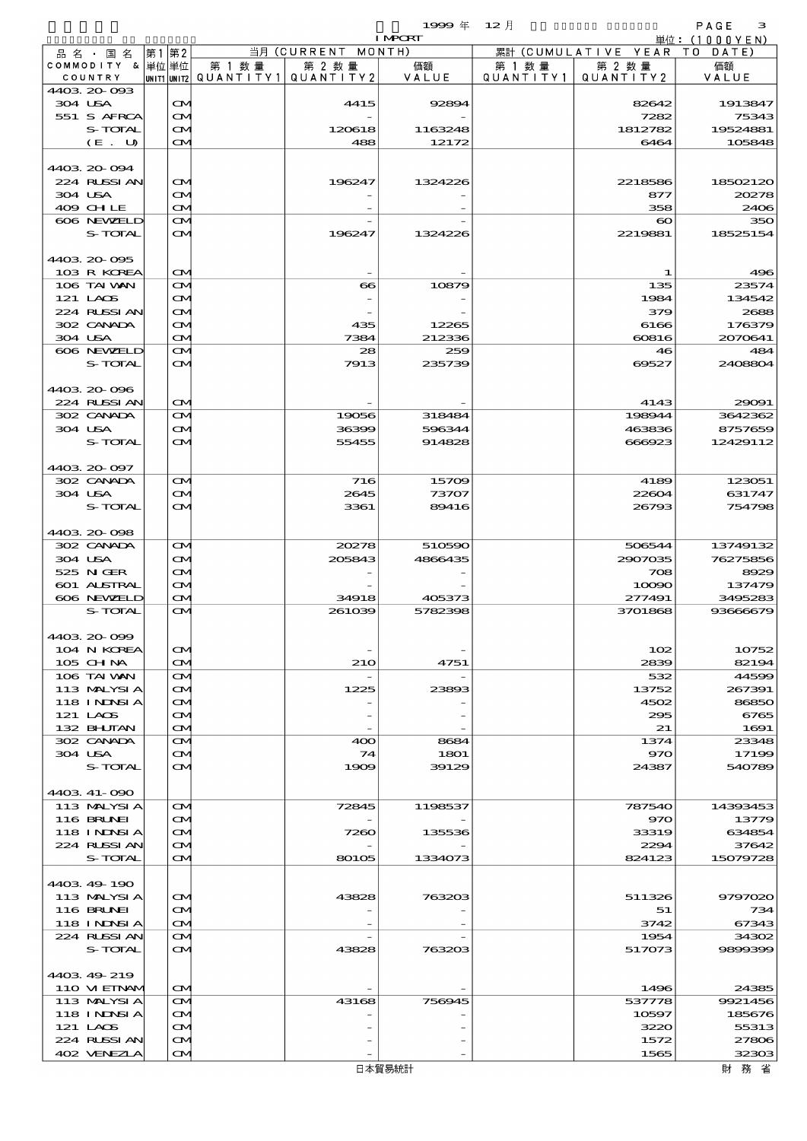$\begin{array}{ccccccccc}\n 1999 & \# & 12 \end{array}$ 

|                               |       |                         |        |                                       | <b>I MPORT</b> |        |                              | 単位: (1000YEN)    |
|-------------------------------|-------|-------------------------|--------|---------------------------------------|----------------|--------|------------------------------|------------------|
| 品名・国名                         | 第1 第2 |                         |        | 当月 (CURRENT MONTH)                    |                |        | 累計 (CUMULATIVE YEAR TO DATE) |                  |
| COMMODITY & 単位単位              |       |                         | 第 1 数量 | 第 2 数量                                | 価額             | 第 1 数量 | 第 2 数量                       | 価額               |
| COUNTRY<br>4403 20 093        |       |                         |        | UNIT1 UNIT2  QUANT I TY1  QUANT I TY2 | VALUE          |        | QUANTITY1   QUANTITY2        | VALUE            |
| 304 USA                       |       | $\mathbf{\Omega}$       |        | 4415                                  | 92894          |        | 82642                        | 1913847          |
| 551 S AFRCA                   |       | ŒM)                     |        |                                       |                |        | 7282                         | 75343            |
| S-TOTAL                       |       | ŒM)                     |        | 120618                                | 1163248        |        | 1812782                      | 19524881         |
| (E. U)                        |       | ŒИ                      |        | 488                                   | 12172          |        | 6464                         | 105848           |
|                               |       |                         |        |                                       |                |        |                              |                  |
| 4403 20 094                   |       |                         |        |                                       |                |        |                              |                  |
| 224 RUSSI AN                  |       | $\mathbf{\Omega}$       |        | 196247                                | 1324226        |        | 2218586                      | 18502120         |
| 304 USA                       |       | M                       |        |                                       |                |        | 877                          | 20278            |
| 409 CHLE<br>606 NEWELD        |       | ŒM)<br>ŒM.              |        |                                       |                |        | 358<br>$\boldsymbol{\infty}$ | 2406<br>350      |
| S-TOTAL                       |       | ŒМ                      |        | 196247                                | 1324226        |        | 2219881                      | 18525154         |
|                               |       |                         |        |                                       |                |        |                              |                  |
| 4403 20 095                   |       |                         |        |                                       |                |        |                              |                  |
| 103 R KOREA                   |       | $\mathbf{\Omega}$       |        |                                       |                |        | -1                           | 496              |
| 106 TAI VAN                   |       | ŒM)                     |        | $\bf{66}$                             | 10879          |        | 135                          | 23574            |
| 121 LAOS                      |       | ŒИ                      |        |                                       |                |        | 1984                         | 134542           |
| 224 RLSSIAN                   |       | <b>CM</b>               |        |                                       |                |        | 379                          | 2688             |
| 302 CANADA                    |       | M                       |        | 435                                   | 12265          |        | 6166                         | 176379           |
| 304 USA<br>606 NEWELD         |       | ŒM)                     |        | 7384<br>28                            | 212336<br>259  |        | 60816<br>46                  | 2070641<br>484   |
| S-TOTAL                       |       | ŒM.<br>ŒМ               |        | 7913                                  | 235739         |        | 69527                        | 2408804          |
|                               |       |                         |        |                                       |                |        |                              |                  |
| 4403 20 096                   |       |                         |        |                                       |                |        |                              |                  |
| 224 RUSSI AN                  |       | $\mathbf{\Omega}$       |        |                                       |                |        | 4143                         | 29091            |
| 302 CANADA                    |       | M                       |        | 19056                                 | 318484         |        | 198944                       | 3642362          |
| 304 USA                       |       | <b>CM</b>               |        | 36399                                 | 596344         |        | 463836                       | 8757659          |
| S-TOTAL                       |       | <b>CM</b>               |        | 55455                                 | 914828         |        | 666923                       | 12429112         |
|                               |       |                         |        |                                       |                |        |                              |                  |
| 4403 20 097                   |       |                         |        |                                       |                |        |                              |                  |
| 302 CANADA                    |       | ŒM.                     |        | 716                                   | 15709          |        | 4189                         | 123051           |
| 304 USA<br>S-TOTAL            |       | <b>CM</b><br><b>CM</b>  |        | 2645<br>3361                          | 73707<br>89416 |        | 22604<br>26793               | 631747<br>754798 |
|                               |       |                         |        |                                       |                |        |                              |                  |
| 4403 20 098                   |       |                         |        |                                       |                |        |                              |                  |
| 302 CANADA                    |       | ŒM.                     |        | 20278                                 | 510590         |        | 506544                       | 13749132         |
| 304 USA                       |       | <b>CM</b>               |        | 205843                                | 4866435        |        | 2907035                      | 76275856         |
| 525 N GER                     |       | <b>CM</b>               |        |                                       |                |        | 708                          | 8929             |
| 601 ALSTRAL                   |       | ŒM)                     |        |                                       |                |        | 10090                        | 137479           |
| 606 NEWELD                    |       | ŒM)                     |        | 34918                                 | 405373         |        | 277491                       | 3495283          |
| S-TOTAL                       |       | ŒИ                      |        | 261039                                | 5782398        |        | 3701868                      | 93666679         |
|                               |       |                         |        |                                       |                |        |                              |                  |
| 4403.20-099                   |       |                         |        |                                       |                |        |                              |                  |
| 104 N KOREA<br>105 CHNA       |       | M<br>ŒM)                |        | <b>210</b>                            | 4751           |        | 102<br>2839                  | 10752<br>82194   |
| 106 TAI VAN                   |       | ŒM.                     |        |                                       |                |        | 532                          | 44599            |
| 113 MALYSIA                   |       | ŒИ                      |        | 1225                                  | 23893          |        | 13752                        | 267391           |
| <b>118 INNSIA</b>             |       | ŒИ                      |        |                                       |                |        | 4502                         | 86850            |
| 121 LAOS                      |       | ŒM.                     |        |                                       |                |        | 295                          | 6765             |
| 132 BHUTAN                    |       | ŒM.                     |        |                                       |                |        | 21                           | 1691             |
| 302 CANADA                    |       | ŒM.                     |        | 400                                   | 8684           |        | 1374                         | 23348            |
| 304 USA                       |       | ŒИ                      |        | 74                                    | 1801           |        | 970                          | 17199            |
| S-TOTAL                       |       | <b>CM</b>               |        | 1909                                  | 39129          |        | 24387                        | 540789           |
|                               |       |                         |        |                                       |                |        |                              |                  |
| 4403 41-090<br>113 MALYSIA    |       | ŒИ                      |        | 72845                                 | 1198537        |        | 787540                       | 14393453         |
| 116 BRUNEI                    |       | <b>CM</b>               |        |                                       |                |        | 970                          | 13779            |
| 118 I NJNSI A                 |       | ŒM.                     |        | 7260                                  | 135536         |        | 33319                        | 634854           |
| 224 RUSSI AN                  |       | ŒM.                     |        |                                       |                |        | 2294                         | 37642            |
| S-TOTAL                       |       | ŒИ                      |        | 80105                                 | 1334073        |        | 824123                       | 15079728         |
|                               |       |                         |        |                                       |                |        |                              |                  |
| 4403 49 190                   |       |                         |        |                                       |                |        |                              |                  |
| 113 MALYSIA                   |       | M                       |        | 43828                                 | 763203         |        | 511326                       | 9797020          |
| 116 BRUNEI                    |       | ŒM.                     |        |                                       |                |        | 51                           | 734              |
| <b>118 INNSIA</b>             |       | ŒM.                     |        |                                       |                |        | 3742                         | 67343            |
| 224 RUSSIAN<br><b>S-TOTAL</b> |       | ŒИ<br>$\mathbf{\alpha}$ |        |                                       |                |        | 1954                         | 34302            |
|                               |       |                         |        | 43828                                 | 763203         |        | 517073                       | 9899399          |
| 4403 49 219                   |       |                         |        |                                       |                |        |                              |                  |
| 110 VIEINAM                   |       | $\mathbf{\Omega}$       |        |                                       |                |        | 1496                         | 24385            |
| 113 MALYSIA                   |       | ŒИ                      |        | 43168                                 | 756945         |        | 537778                       | 9921456          |
| 118 I NDSI A                  |       | ŒM)                     |        |                                       |                |        | 10597                        | 185676           |
| 121 LAOS                      |       | M                       |        |                                       |                |        | 3220                         | 55313            |
| 224 RUSSI AN                  |       | ŒM.                     |        |                                       |                |        | 1572                         | 27806            |
| 402 VENEZLA                   |       | $\sim$                  |        |                                       |                |        | 1565                         | 32303            |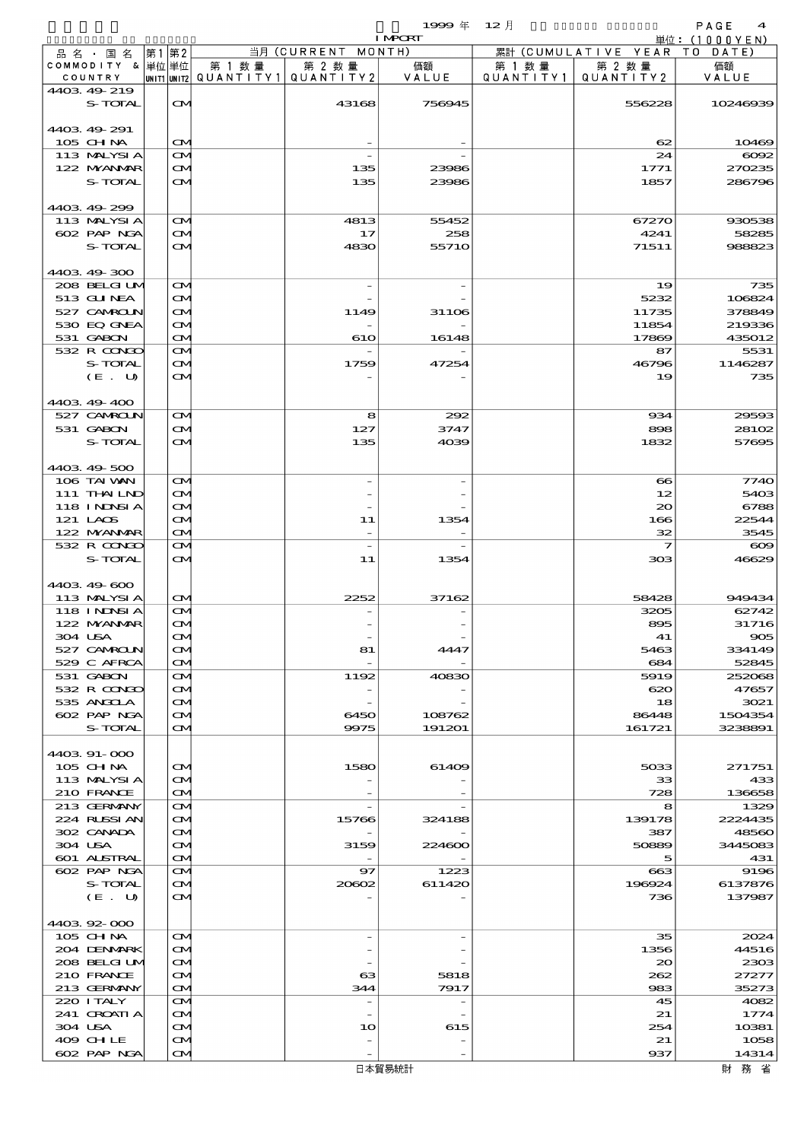$1999 \oplus 12 \uparrow$ 

|                              |    |                        |        |                                                  | <b>I MPORT</b> |        |                                 | 単位: (1000YEN)   |
|------------------------------|----|------------------------|--------|--------------------------------------------------|----------------|--------|---------------------------------|-----------------|
| 品名・国名                        | 第1 | 第2                     |        | 当月 (CURRENT MONTH)                               |                |        | 累計 (CUMULATIVE YEAR TO DATE)    |                 |
| COMMODITY & 単位単位<br>COUNTRY  |    |                        | 第 1 数量 | 第 2 数量<br> UNIT1 UNIT2  QUANT   TY1  QUANT   TY2 | 価額<br>VALUE    | 第 1 数量 | 第 2 数量<br>QUANTITY1   QUANTITY2 | 価額<br>VALUE     |
| 4403 49 219<br>S-TOTAL       |    | <b>CM</b>              |        | 43168                                            | 756945         |        | 556228                          | 10246939        |
| 4403 49 291<br>105 CHNA      |    | $\mathbf{\Omega}$      |        |                                                  |                |        | 62                              | 10469           |
| 113 MALYSIA                  |    | M                      |        |                                                  |                |        | 24                              | $\cos z$        |
| 122 NYANAR                   |    | ŒИ                     |        | 135                                              | 23986          |        | 1771                            | 270235          |
| S-TOTAL                      |    | $\mathbf{\alpha}$      |        | 135                                              | 23986          |        | 1857                            | 286796          |
| 4403.49-299                  |    |                        |        |                                                  |                |        |                                 |                 |
| 113 MALYSIA                  |    | M                      |        | 4813                                             | 55452          |        | 67270                           | 930538          |
| 602 PAP NGA                  |    | ŒИ                     |        | 17                                               | 258            |        | 4241                            | 58285           |
| S-TOTAL<br>4403.49-300       |    | $\mathbf{\alpha}$      |        | 4830                                             | 55710          |        | 71511                           | 988823          |
| 208 BELGI UM                 |    | M                      |        |                                                  |                |        | 19                              | 735             |
| 513 GUNEA                    |    | <b>CM</b>              |        |                                                  |                |        | 5232                            | 106824          |
| 527 CAMROLN                  |    | Œ4                     |        | 1149                                             | 31106          |        | 11735                           | 378849          |
| 530 EQ GNEA                  |    | ŒИ                     |        |                                                  |                |        | 11854                           | 219336          |
| 531 GABON                    |    | $\mathbf{\Omega}$      |        | 610                                              | 16148          |        | 17869                           | 435012          |
| 532 R CONCO                  |    | <b>CM</b>              |        |                                                  |                |        | 87                              | 5531            |
| S-TOTAL                      |    | ŒИ                     |        | 1759                                             | 47254          |        | 46796                           | 1146287         |
| (E. U)                       |    | $\mathbf{\alpha}$      |        |                                                  |                |        | 19                              | 735             |
| 4403 49 400                  |    |                        |        |                                                  |                |        |                                 |                 |
| 527 CAMROLN                  |    | M                      |        | 8                                                | 292            |        | 934                             | 29593           |
| 531 GABON<br>S-TOTAL         |    | <b>CM</b>              |        | 127<br>135                                       | 3747           |        | 898                             | 28102           |
|                              |    | $\mathbf{\alpha}$      |        |                                                  | 4039           |        | 1832                            | 57695           |
| 4403 49 500                  |    |                        |        |                                                  |                |        |                                 |                 |
| 106 TAI VAN                  |    | M                      |        |                                                  |                |        | $\infty$                        | 7740            |
| 111 THAILND                  |    | <b>CM</b>              |        |                                                  |                |        | 12                              | 5403            |
| 118 INNSI A                  |    | Œ4                     |        |                                                  |                |        | 20                              | 6788            |
| 121 LAOS                     |    | ŒИ                     |        | 11                                               | 1354           |        | 166                             | 22544           |
| 122 NYANAR                   |    | $\mathbf{\Omega}$      |        |                                                  |                |        | 32                              | 3545            |
| 532 R CONGO                  |    | M                      |        | $\overline{\phantom{0}}$                         |                |        | $\overline{\mathbf{z}}$         | $\infty$        |
| S-TOTAL                      |    | $\mathbf{\alpha}$      |        | 11                                               | 1354           |        | 303                             | 46629           |
| 4403 49 600                  |    |                        |        |                                                  |                |        |                                 |                 |
| 113 MALYSIA<br>118 I NJNSI A |    | $\mathbf{\Omega}$      |        | 2252                                             | 37162          |        | 58428<br>3205                   | 949434<br>62742 |
| 122 NYANAR                   |    | M<br>$\mathbf{\alpha}$ |        |                                                  |                |        | 895                             | 31716           |
| 304 USA                      |    | $\mathbf{\Omega}$      |        |                                                  |                |        | 41                              | 905             |
| 527 CAMROLN                  |    | ŒИ                     |        | 81                                               | 4447           |        | 5463                            | 334149          |
| 529 C AFRCA                  |    | M                      |        |                                                  |                |        | 684                             | 52845           |
| 531 GABON                    |    | ŒИ                     |        | 1192                                             | 40830          |        | 5919                            | 252068          |
| 532 R CONDO                  |    | <b>CM</b>              |        |                                                  |                |        | 620                             | 47657           |
| 535 ANGOLA                   |    | M                      |        |                                                  |                |        | 18                              | 3021            |
| 602 PAP NGA                  |    | ŒИ                     |        | 6450                                             | 108762         |        | 86448                           | 1504354         |
| S-TOTAL                      |    | $\mathbf{\alpha}$      |        | 9975                                             | 191201         |        | 161721                          | 3238891         |
| 4403.91-000                  |    |                        |        |                                                  |                |        |                                 |                 |
| 105 CH NA                    |    | $\mathbf{\alpha}$      |        | 1580                                             | 61409          |        | 5033                            | 271751          |
| 113 MALYSIA                  |    | ŒИ                     |        |                                                  |                |        | 33                              | 433             |
| 210 FRANCE                   |    | <b>CM</b>              |        |                                                  |                |        | 728                             | 136658          |
| 213 GERMANY<br>224 RUSSI AN  |    | ŒМ<br>ŒИ               |        | 15766                                            | 324188         |        | 8<br>139178                     | 1329<br>2224435 |
| 302 CANADA                   |    | M                      |        |                                                  |                |        | 387                             | 48560           |
| 304 USA                      |    | ŒИ                     |        | 3159                                             | 224600         |        | 50889                           | 3445083         |
| 601 ALSTRAL                  |    | ŒИ                     |        |                                                  |                |        | 5                               | 431             |
| 602 PAP NGA                  |    | ŒМ                     |        | 97                                               | 1223           |        | 663                             | 9196            |
| S-TOTAL                      |    | ŒИ                     |        | 20602                                            | 611420         |        | 196924                          | 6137876         |
| (E. U)                       |    | M                      |        |                                                  |                |        | 736                             | 137987          |
| 4403.92-000                  |    |                        |        |                                                  |                |        |                                 |                 |
| 105 CH NA                    |    | ŒИ                     |        |                                                  |                |        | 35                              | 2024            |
| 204 DENMARK                  |    | <b>CM</b>              |        |                                                  |                |        | 1356                            | 44516           |
| 208 BELGI UM                 |    | Œ.                     |        |                                                  |                |        | $\infty$                        | 2303            |
| 210 FRANCE                   |    | ŒИ                     |        | $_{\rm \alpha}$                                  | 5818           |        | 262                             | 27277           |
| 213 GERMANY                  |    | ŒИ                     |        | 344                                              | 7917           |        | 983                             | 35273           |
| 220 I TALY<br>241 CROATIA    |    | ŒМ                     |        | $\overline{\phantom{0}}$                         |                |        | 45<br>21                        | 4082<br>1774    |
| 304 USA                      |    | <b>CM</b><br>Œ.        |        | 10                                               | 615            |        | 254                             | 10381           |
| 409 CHLE                     |    | ŒИ                     |        |                                                  |                |        | 21                              | 1058            |
| 602 PAP NGA                  |    | ŒИ                     |        |                                                  |                |        | 937                             | 14314           |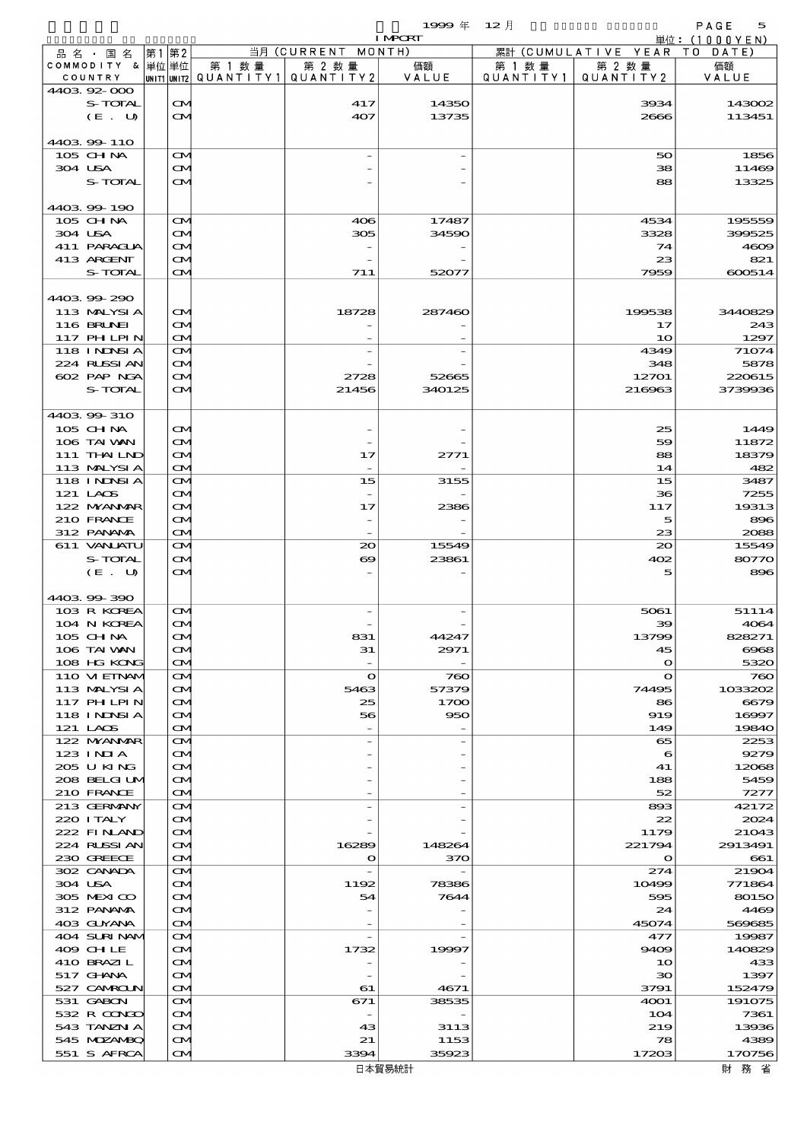$1999 \& 12 \& 12 \&$ 

|                                  |       |                        |        |                                                  | <b>I MPCRT</b> |                      |                              | 単位: (1000YEN)    |
|----------------------------------|-------|------------------------|--------|--------------------------------------------------|----------------|----------------------|------------------------------|------------------|
| 品 名 ・ 国 名                        | 第1 第2 |                        |        | 当月 (CURRENT MONTH)                               |                |                      | 累計 (CUMULATIVE YEAR TO DATE) |                  |
| COMMODITY & 単位単位<br>COUNTRY      |       |                        | 第 1 数量 | 第 2 数量<br> UNIT1 UNIT2  QUANT   TY1  QUANT   TY2 | 価額<br>VALUE    | 第 1 数 量<br>QUANTITY1 | 第 2 数量<br>QUANTITY 2         | 価額<br>VALUE      |
| 440392000                        |       |                        |        |                                                  |                |                      |                              |                  |
| S-TOTAL                          |       | $\mathbf{\Omega}$      |        | 417                                              | 14350          |                      | 3934                         | 143002           |
| (E. U)                           |       | ŒИ                     |        | 407                                              | 13735          |                      | 2666                         | 113451           |
|                                  |       |                        |        |                                                  |                |                      |                              |                  |
| 4403 99 110<br>$105$ CHNA        |       | M                      |        |                                                  |                |                      | 50                           | 1856             |
| 304 USA                          |       | M                      |        |                                                  |                |                      | 38                           | 11469            |
| S-TOTAL                          |       | <b>CM</b>              |        |                                                  |                |                      | 88                           | 13325            |
|                                  |       |                        |        |                                                  |                |                      |                              |                  |
| 4403 99 190                      |       |                        |        |                                                  |                |                      |                              |                  |
| $105$ CHNA<br>304 USA            |       | $\mathbf{\Omega}$<br>M |        | 406<br>305                                       | 17487<br>34590 |                      | 4534<br>3328                 | 195559<br>399525 |
| 411 PARAGUA                      |       | $\mathbf{\Omega}$      |        |                                                  |                |                      | 74                           | 4609             |
| 413 ARGENT                       |       | ŒИ                     |        |                                                  |                |                      | 23                           | 821              |
| S-TOTAL                          |       | ŒИ                     |        | 711                                              | 52077          |                      | 7959                         | 600514           |
|                                  |       |                        |        |                                                  |                |                      |                              |                  |
| 440399290                        |       |                        |        |                                                  |                |                      | 199538                       |                  |
| 113 MALYSIA<br><b>116 BRUNEI</b> |       | $\infty$<br>M          |        | 18728                                            | 287460         |                      | 17                           | 3440829<br>243   |
| 117 PHLPIN                       |       | M                      |        |                                                  |                |                      | 10                           | 1297             |
| 118 I NDSI A                     |       | M                      |        |                                                  |                |                      | 4349                         | 71074            |
| 224 RUSSI AN                     |       | M                      |        |                                                  |                |                      | 348                          | 5878             |
| 602 PAP NGA                      |       | $\mathbf{\Omega}$      |        | 2728                                             | 52665          |                      | 12701                        | 220615           |
| S-TOTAL                          |       | <b>CM</b>              |        | 21456                                            | 340125         |                      | 216963                       | 3739936          |
| 4403 99 310                      |       |                        |        |                                                  |                |                      |                              |                  |
| 105 CH NA                        |       | M                      |        |                                                  |                |                      | 25                           | 1449             |
| 106 TAI VAN                      |       | M                      |        |                                                  |                |                      | 59                           | 11872            |
| 111 THAILND                      |       | ŒИ                     |        | 17                                               | 2771           |                      | 88                           | 18379            |
| 113 MALYSIA                      |       | M                      |        |                                                  |                |                      | 14                           | 482              |
| 118 I NDSI A<br>121 LAOS         |       | M<br>M                 |        | 15                                               | 3155           |                      | 15<br>36                     | 3487<br>7255     |
| 122 NYANAR                       |       | $\mathbf{\Omega}$      |        | 17                                               | 2386           |                      | 117                          | 19313            |
| 210 FRANCE                       |       | M                      |        |                                                  |                |                      | 5                            | 896              |
| 312 PANAMA                       |       | M                      |        |                                                  |                |                      | 23                           | 2088             |
| 611 VANJATU                      |       | $\mathbf{\Omega}$      |        | $\infty$                                         | 15549          |                      | $20^{\circ}$                 | 15549            |
| S-TOTAL                          |       | M                      |        | $\boldsymbol{\infty}$                            | 23861          |                      | 402                          | 80770            |
| (E. U)                           |       | M                      |        |                                                  |                |                      | 5                            | 896              |
| 4403 99 390                      |       |                        |        |                                                  |                |                      |                              |                  |
| 103 R KOREA                      |       | M                      |        |                                                  |                |                      | 5061                         | 51114            |
| 104 N KOREA                      |       | <b>CM</b>              |        |                                                  |                |                      | 39                           | 4064             |
| 105 CH NA                        |       | $\mathbf{\Omega}$      |        | 831                                              | 44247          |                      | 13799                        | 828271           |
| 106 TAI VAN<br>108 HG KONG       |       | M                      |        | 31                                               | 2971           |                      | 45<br>$\mathbf{o}$           | 6068<br>5320     |
| 110 VIEINAM                      |       | M<br>M                 |        | $\mathbf o$                                      | 760            |                      | $\mathbf{o}$                 | 760              |
| 113 MALYSIA                      |       | M                      |        | 5463                                             | 57379          |                      | 74495                        | 1033202          |
| 117 PHLPIN                       |       | M                      |        | 25                                               | 1700           |                      | 86                           | 6679             |
| 118 I NDSI A                     |       | M                      |        | 56                                               | 950            |                      | 919                          | 16997            |
| 121 LAOS                         |       | M                      |        |                                                  |                |                      | 149                          | 19840            |
| 122 NYANAR<br>$123$ INIA         |       | $\mathbf{\Omega}$<br>M |        |                                                  |                |                      | 65<br>6                      | 2253<br>9279     |
| 205 U KING                       |       | Œ4                     |        |                                                  |                |                      | 41                           | 12068            |
| 208 BELGI UM                     |       | M                      |        |                                                  |                |                      | 188                          | 5459             |
| 210 FRANCE                       |       | M                      |        |                                                  |                |                      | 52                           | 7277             |
| 213 GERMANY                      |       | M                      |        |                                                  |                |                      | 893                          | 42172            |
| 220 I TALY<br>222 FINAND         |       | M<br>M                 |        |                                                  |                |                      | 22<br>1179                   | 2024<br>21043    |
| 224 RUSSI AN                     |       | M                      |        | 16289                                            | 148264         |                      | 221794                       | 2913491          |
| 230 GREECE                       |       | M                      |        | o                                                | 370            |                      | $\mathbf o$                  | 661              |
| 302 CANADA                       |       | M                      |        | $\overline{\phantom{a}}$                         |                |                      | 274                          | 21904            |
| 304 USA                          |       | M                      |        | 1192                                             | 78386          |                      | 10499                        | 771864           |
| 305 MEXICO<br>312 PANAMA         |       | M<br>M                 |        | 54                                               | 7644           |                      | 595<br>24                    | 80150<br>4469    |
| 403 GUYANA                       |       | M                      |        |                                                  |                |                      | 45074                        | 569685           |
| 404 SURINAMI                     |       | $\mathbf{\Omega}$      |        | $\overline{\phantom{a}}$                         |                |                      | 477                          | 19987            |
| 409 CHLE                         |       | $\mathbf{\Omega}$      |        | 1732                                             | 19997          |                      | 9409                         | 140829           |
| 410 BRAZIL                       |       | M                      |        |                                                  |                |                      | 10                           | 433              |
| 517 GHNA                         |       | ŒИ                     |        |                                                  |                |                      | 30                           | 1397             |
| 527 CAMROLN<br>531 GABON         |       | M<br>M                 |        | 61<br>671                                        | 4671<br>38535  |                      | 3791<br>4001                 | 152479<br>191075 |
| 532 R CONGO                      |       | M                      |        | $\overline{\phantom{a}}$                         |                |                      | 104                          | 7361             |
| 543 TANZN A                      |       | M                      |        | 43                                               | 3113           |                      | 219                          | 13936            |
| 545 MDZANBQ                      |       | M                      |        | 21                                               | 1153           |                      | 78                           | 4389             |
| 551 S AFRCA                      |       | M                      |        | 3394                                             | 35923          |                      | 17203                        | 170756           |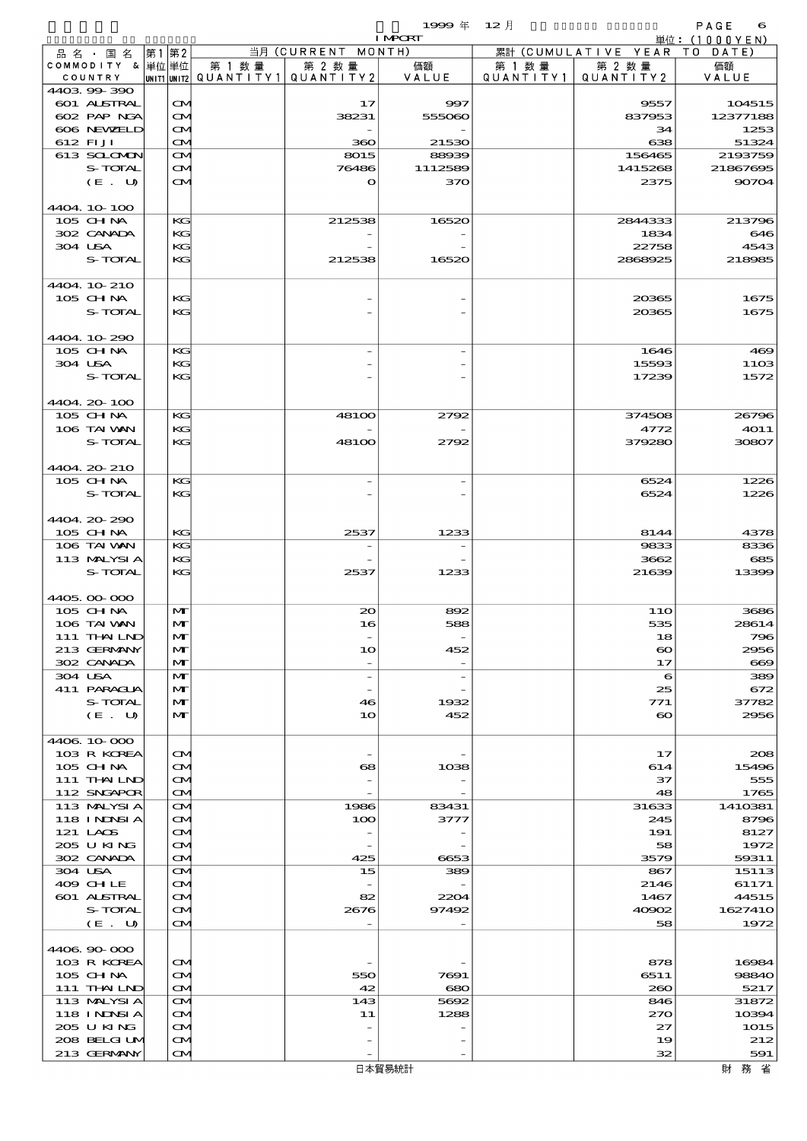$1999 \& 12 \& 12 \&$ 

|                             |      |                                        |        |                                                  | <b>I MPORT</b> |           |                              | 単位: (1000YEN)     |
|-----------------------------|------|----------------------------------------|--------|--------------------------------------------------|----------------|-----------|------------------------------|-------------------|
| 品名・国名                       | 第1第2 |                                        |        | 当月 (CURRENT MONTH)                               |                |           | 累計 (CUMULATIVE YEAR TO DATE) |                   |
| COMMODITY & 単位単位<br>COUNTRY |      |                                        | 第 1 数量 | 第 2 数量<br> UNIT1 UNIT2  QUANT   TY1  QUANT   TY2 | 価額<br>VALUE    | 第 1 数量    | 第 2 数量<br>QUANTITY 2         | 価額                |
| 440399-390                  |      |                                        |        |                                                  |                | QUANTITY1 |                              | VALUE             |
| 601 ALSTRAL                 |      | $\mathbf{\Omega}$                      |        | 17                                               | 997            |           | 9557                         | 104515            |
| 602 PAP NGA                 |      | $\mathbf{\Omega}$                      |        | 38231                                            | 555060         |           | 837953                       | 12377188          |
| 606 NEWELD                  |      | $\mathbf{\Omega}$                      |        |                                                  |                |           | 34                           | 1253              |
| 612 FIJI                    |      | M                                      |        | 360                                              | 21530          |           | 638                          | 51324             |
| 613 SCLOMON<br>S-TOTAL      |      | $\mathbf{\Omega}$<br>$\mathbf{\Omega}$ |        | 8015                                             | 88939          |           | 156465<br>1415268            | 2193759           |
| (E. U)                      |      | $\mathbf{\Omega}$                      |        | 76486<br>$\bullet$                               | 1112589<br>370 |           | 2375                         | 21867695<br>90704 |
|                             |      |                                        |        |                                                  |                |           |                              |                   |
| 4404.10-100                 |      |                                        |        |                                                  |                |           |                              |                   |
| 105 CH NA                   |      | KG                                     |        | 212538                                           | 16520          |           | 2844333                      | 213796            |
| 302 CANADA                  |      | KG                                     |        |                                                  |                |           | 1834                         | 646               |
| 304 USA                     |      | KG                                     |        |                                                  |                |           | 22758                        | 4543              |
| S-TOTAL                     |      | KG                                     |        | 212538                                           | 16520          |           | 2868925                      | 218985            |
| 4404 10 210                 |      |                                        |        |                                                  |                |           |                              |                   |
| 105 CHNA                    |      | KG                                     |        |                                                  |                |           | 20365                        | 1675              |
| S-TOTAL                     |      | KG                                     |        |                                                  |                |           | 20365                        | 1675              |
|                             |      |                                        |        |                                                  |                |           |                              |                   |
| 4404.10-290                 |      |                                        |        |                                                  |                |           |                              |                   |
| 105 CHNA<br>304 USA         |      | KG<br>KG                               |        |                                                  |                |           | 1646<br>15593                | 469<br>1103       |
| S-TOTAL                     |      | KG                                     |        |                                                  |                |           | 17239                        | 1572              |
|                             |      |                                        |        |                                                  |                |           |                              |                   |
| 4404.20-100                 |      |                                        |        |                                                  |                |           |                              |                   |
| 105 CH NA                   |      | KG                                     |        | 48100                                            | 2792           |           | 374508                       | 26796             |
| 106 TAI VAN                 |      | KG                                     |        |                                                  |                |           | 4772                         | <b>4011</b>       |
| S-TOTAL                     |      | KG                                     |        | 48100                                            | 2792           |           | 379280                       | 30807             |
|                             |      |                                        |        |                                                  |                |           |                              |                   |
| 4404.20-210<br>105 CH NA    |      | KG                                     |        |                                                  |                |           | 6524                         | 1226              |
| S-TOTAL                     |      | KG                                     |        |                                                  |                |           | 6524                         | 1226              |
|                             |      |                                        |        |                                                  |                |           |                              |                   |
| 4404.20.290                 |      |                                        |        |                                                  |                |           |                              |                   |
| 105 CH NA                   |      | KG                                     |        | 2537                                             | 1233           |           | 8144                         | 4378              |
| 106 TAI VAN                 |      | KG                                     |        |                                                  |                |           | 9833                         | 8336              |
| 113 MALYSIA                 |      | KG                                     |        |                                                  |                |           | 3662                         | 685               |
| S-TOTAL                     |      | KG                                     |        | 2537                                             | 1233           |           | 21639                        | 13399             |
| 4405.00-000                 |      |                                        |        |                                                  |                |           |                              |                   |
| 105 CHNA                    |      | $\mathbf{M}$                           |        | $\infty$                                         | 892            |           | 11O                          | 3686              |
| 106 TAI VAN                 |      | $\mathbf{M}$                           |        | 16                                               | 588            |           | 535                          | 28614             |
| 111 THAILND                 |      | $\mathbf{M}$                           |        |                                                  |                |           | 18                           | 796               |
| 213 GERMANY                 |      | $\mathbf{M}$                           |        | 10                                               | 452            |           | $\boldsymbol{\infty}$        | 2956              |
| 302 CANADA<br>304 USA       |      | M<br>$\mathbf{M}$                      |        | $\overline{\phantom{a}}$                         |                |           | 17                           | $\bf{669}$<br>389 |
| 411 PARAGUA                 |      | M                                      |        |                                                  |                |           | 6<br>25                      | 672               |
| S-TOTAL                     |      | M                                      |        | 46                                               | 1932           |           | 771                          | 37782             |
| (E. U)                      |      | M                                      |        | 10                                               | 452            |           | $\boldsymbol{\infty}$        | 2956              |
|                             |      |                                        |        |                                                  |                |           |                              |                   |
| 4406.10.000                 |      |                                        |        |                                                  |                |           |                              |                   |
| 103 R KOREA<br>105 CH NA    |      | $\mathbf{\Omega}$<br>M                 |        | 68                                               | 1038           |           | 17<br>614                    | 208<br>15496      |
| 111 THAILND                 |      | M                                      |        |                                                  |                |           | 37                           | 555               |
| 112 SNGAPOR                 |      | M                                      |        |                                                  |                |           | 48                           | 1765              |
| 113 MALYSIA                 |      | $\mathbf{\Omega}$                      |        | 1986                                             | 83431          |           | 31633                        | 1410381           |
| <b>118 INNSIA</b>           |      | $\mathbf{\Omega}$                      |        | 100                                              | 3777           |           | 245                          | 8796              |
| 121 LAOS                    |      | $\mathbf{\alpha}$                      |        |                                                  |                |           | 191                          | 8127              |
| 205 U KING                  |      | M                                      |        | $\overline{\phantom{m}}$                         |                |           | 58                           | 1972              |
| 302 CANADA<br>304 USA       |      | $\mathbf{\Omega}$<br>M                 |        | 425<br>15                                        | 6653<br>389    |           | 3579<br>867                  | 59311<br>15113    |
| 409 CHLE                    |      | $\mathbf{\Omega}$                      |        |                                                  |                |           | 2146                         | 61171             |
| 601 ALSTRAL                 |      | $\mathbf{\infty}$                      |        | 82                                               | 2204           |           | 1467                         | 44515             |
| S-TOTAL                     |      | M                                      |        | 2676                                             | 97492          |           | 40902                        | 1627410           |
| (E. U)                      |      | $\mathbf{\Omega}$                      |        |                                                  |                |           | 58                           | 1972              |
|                             |      |                                        |        |                                                  |                |           |                              |                   |
| 4406.90-000<br>103 R KOREA  |      | $\mathbf{\Omega}$                      |        |                                                  |                |           |                              |                   |
| 105 CH NA                   |      | M                                      |        | 550                                              | 7691           |           | 878<br>6511                  | 16984<br>98840    |
| 111 THAILND                 |      | $\mathbf{\Omega}$                      |        | 42                                               | 680            |           | 260                          | 5217              |
| 113 MALYSIA                 |      | $\mathbf{\Omega}$                      |        | 143                                              | 5692           |           | 846                          | 31872             |
| 118 INNSI A                 |      | $\mathbf{\Omega}$                      |        | 11                                               | 1288           |           | 270                          | 10394             |
| 205 U KING                  |      | $\mathbf{\infty}$                      |        |                                                  |                |           | 27                           | 1015              |
| 208 BELGI UM                |      | M                                      |        |                                                  |                |           | 19                           | 212               |
| 213 GERMANY                 |      | $\mathbf{\Omega}$                      |        |                                                  |                |           | 32                           | 591               |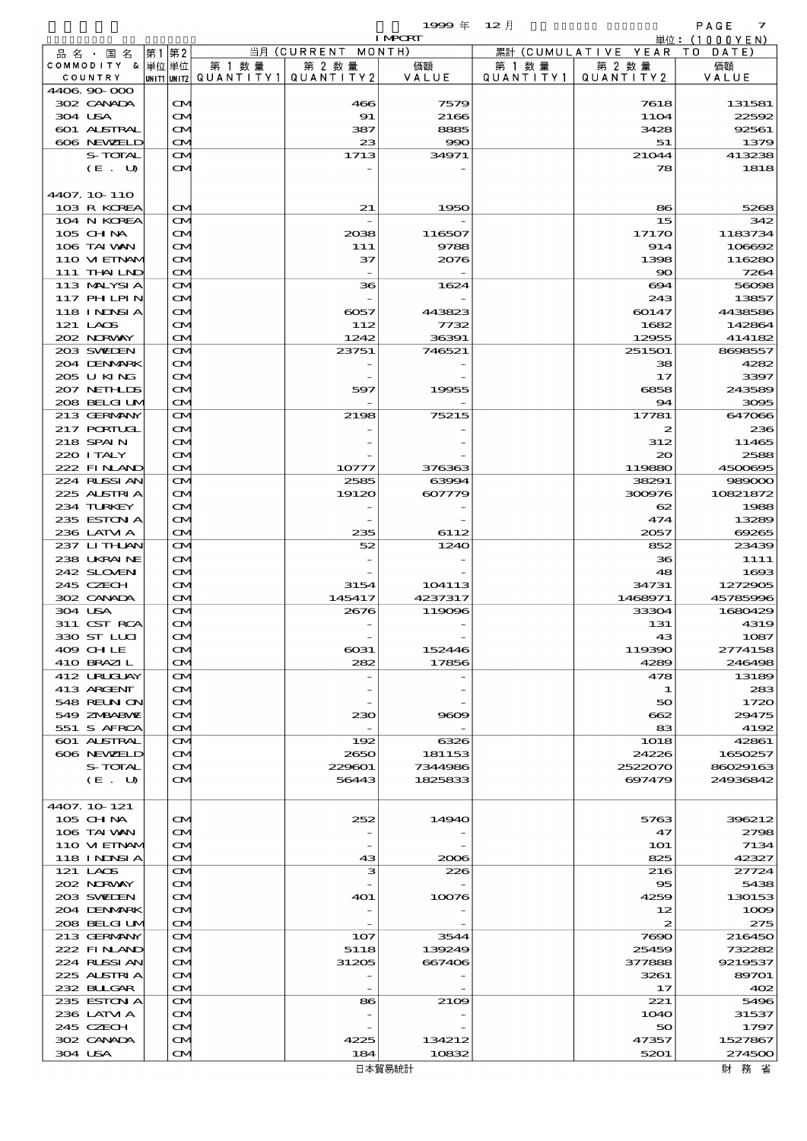I MPORT

| 品名・国名              | 第2<br> 第1 |                   |                                       | 当月 (CURRENT MONTH) |         |           | 累計 (CUMULATIVE YEAR TO DATE) |          |
|--------------------|-----------|-------------------|---------------------------------------|--------------------|---------|-----------|------------------------------|----------|
| COMMODITY &  単位 単位 |           |                   | 第 1 数量                                | 第 2 数量             | 価額      | 第 1 数 量   | 第 2 数量                       | 価額       |
| COUNTRY            |           |                   | UNIT1 UNIT2  QUANT   TY1  QUANT   TY2 |                    | VALUE   | QUANTITY1 | QUANTITY 2                   | VALUE    |
| 4406 90 000        |           |                   |                                       |                    |         |           |                              |          |
| 302 CANADA         |           | $\mathbf{\Omega}$ |                                       | 466                | 7579    |           | 7618                         | 131581   |
| 304 USA            |           | $\mathbf{\Omega}$ |                                       | 91                 | 2166    |           | <b>11O4</b>                  | 22592    |
| 601 ALSTRAL        |           | <b>CM</b>         |                                       | 387                | 8885    |           | 3428                         | 92561    |
| 606 NEWELD         |           | $\mathbf{\Omega}$ |                                       | 23                 | 990     |           | 51                           | 1379     |
| S-TOTAL            |           | ŒM.               |                                       | 1713               | 34971   |           | 21044                        | 413238   |
| (E. U)             |           | ŒМ                |                                       |                    |         |           | 78                           | 1818     |
|                    |           |                   |                                       |                    |         |           |                              |          |
| 4407. 10 110       |           |                   |                                       |                    |         |           |                              |          |
| 103 R KOREA        |           | <b>CM</b>         |                                       | 21                 | 1950    |           | 86                           | 5268     |
| 104 N KOREA        |           | ŒM.               |                                       |                    |         |           | 15                           | 342      |
| 105 CHNA           |           | M                 |                                       | 2038               | 116507  |           | 17170                        | 1183734  |
| 106 TAI VAN        |           | ŒИ                |                                       | 111                | 9788    |           | 914                          | 106692   |
| 110 VIEINAM        |           | M                 |                                       | 37                 | 2076    |           | 1398                         | 116280   |
| 111 THAILND        |           | $\mathbf{\Omega}$ |                                       |                    |         |           | $\infty$                     | 7264     |
| 113 MALYSIA        |           | M                 |                                       | 36                 | 1624    |           | 694                          | 56098    |
| 117 PHLPIN         |           | M                 |                                       |                    |         |           | 243                          | 13857    |
| 118 INNSI A        |           | ŒM.               |                                       | $\infty$ 57        | 443823  |           | 60147                        | 4438586  |
| 121 LAOS           |           | M                 |                                       | 112                | 7732    |           | 1682                         | 142864   |
| 202 NORWAY         |           | $\mathbf{\Omega}$ |                                       | 1242               | 36391   |           | 12955                        | 414182   |
| 203 SWIEN          |           | ŒM.               |                                       | 23751              | 746521  |           | 251501                       | 8698557  |
| 204 DENMARK        |           | M                 |                                       |                    |         |           | 38                           | 4282     |
| 205 U KING         |           | ŒM.               |                                       |                    |         |           | 17                           | 3397     |
| 207 NETHLIS        |           | M                 |                                       | 597                | 19955   |           | 6858                         | 243589   |
| 208 BELGI UM       |           | $\mathbf{\Omega}$ |                                       |                    |         |           | 94                           | 3095     |
| 213 GERMANY        |           | ŒM.               |                                       | 2198               | 75215   |           | 17781                        | 647066   |
| 217 PORTUGL        |           | ŒM.               |                                       |                    |         |           | 2                            | 236      |
| 218 SPAIN          |           | ŒM.               |                                       |                    |         |           | 312                          | 11465    |
| 220 I TALY         |           | M                 |                                       |                    |         |           | 20                           | 2588     |
| 222 FINAND         |           | $\mathbf{\Omega}$ |                                       | 10777              | 376363  |           | 119880                       | 4500695  |
| 224 RLSSIAN        |           |                   |                                       |                    |         |           |                              |          |
|                    |           | ŒM.               |                                       | 2585               | 63994   |           | 38291                        | 989000   |
| 225 ALSTRIA        |           | ŒM.               |                                       | 19120              | 607779  |           | 300976                       | 10821872 |
| 234 TURKEY         |           | ŒM.               |                                       |                    |         |           | 62                           | 1988     |
| 235 ESTON A        |           | <b>CM</b>         |                                       |                    |         |           | 474                          | 13289    |
| 236 LATVI A        |           | $\mathbf{\Omega}$ |                                       | 235                | 6112    |           | 2057                         | 69265    |
| 237 LITHLAN        |           | ŒM.               |                                       | 52                 | 1240    |           | 852                          | 23439    |
| 238 UKRAINE        |           | $\mathbf{\Omega}$ |                                       |                    |         |           | 36                           | 1111     |
| 242 SLOVEN         |           | ŒИ                |                                       |                    |         |           | 48                           | 1693     |
| 245 CZECH          |           | <b>CM</b>         |                                       | 3154               | 104113  |           | 34731                        | 1272905  |
| 302 CANADA         |           | $\mathbf{\Omega}$ |                                       | 145417             | 4237317 |           | 1468971                      | 45785996 |
| 304 USA            |           | M                 |                                       | 2676               | 119096  |           | 33304                        | 1680429  |
| 311 CST RCA        |           | ŒM.               |                                       |                    |         |           | 131                          | 4319     |
| 330 ST LLCI        |           | ŒИ                |                                       |                    |         |           | 43                           | 1087     |
| $409$ CH I E       |           | ŒМ                |                                       | 6031               | 152446  |           | 119390                       | 2774158  |
| 410 BRAZIL         |           | $\mathbf{\alpha}$ |                                       | 282                | 17856   |           | 4289                         | 246498   |
| 412 URUCLAY        |           | ŒM.               |                                       |                    |         |           | 478                          | 13189    |
| 413 ARGENT         |           | ŒM.               |                                       |                    |         |           | 1                            | 283      |
| <b>548 REUN ON</b> |           | ŒM.               |                                       |                    |         |           | 50                           | 1720     |
| 549 ZNBABVIE       |           | ŒИ                |                                       | 230                | 9609    |           | 662                          | 29475    |
| 551 S AFRCA        |           | <b>CM</b>         |                                       |                    |         |           | 83                           | 4192     |
| 601 ALSTRAL        |           | M                 |                                       | 192                | 6326    |           | 1018                         | 42861    |
| 606 NEWELD         |           | ŒM.               |                                       | 2650               | 181153  |           | 24226                        | 1650257  |
| S-TOTAL            |           | ŒИ                |                                       | 229601             | 7344986 |           | 2522070                      | 86029163 |
| (E. U)             |           | ŒИ                |                                       | 56443              | 1825833 |           | 697479                       | 24936842 |
|                    |           |                   |                                       |                    |         |           |                              |          |
| 4407. 10 121       |           |                   |                                       |                    |         |           |                              |          |
| 105 CHNA           |           | ŒM.               |                                       | 252                | 14940   |           | 5763                         | 396212   |
| 106 TAI VAN        |           | ŒИ                |                                       |                    |         |           | 47                           | 2798     |
| 110 VI EINAM       |           | ŒИ                |                                       |                    |         |           | <b>1O1</b>                   | 7134     |
| <b>118 INNSIA</b>  |           | <b>CM</b>         |                                       | 43                 | 2006    |           | 825                          | 42327    |
| 121 LAOS           |           | ŒИ                |                                       | з                  | 226     |           | 216                          | 27724    |
| 202 NORWAY         |           | ŒM.               |                                       |                    |         |           | $_{\rm \infty}$              | 5438     |
| 203 SWIDEN         |           | M                 |                                       | 4O1                | 10076   |           | 4259                         | 130153   |
| 204 DENMARK        |           | ŒИ                |                                       |                    |         |           | 12                           | 1009     |
| 208 BELGI UM       |           | <b>CM</b>         |                                       |                    |         |           | $\boldsymbol{z}$             | 275      |
| 213 GERMANY        |           | ŒИ                |                                       | 107                | 3544    |           | 7690                         | 216450   |
| 222 FINAND         |           | ŒM.               |                                       | 5118               | 139249  |           | 25459                        | 732282   |
| 224 RUSSIAN        |           | M                 |                                       | 31205              | 667406  |           | 377888                       | 9219537  |
| 225 ALSTRIA        |           | ŒM.               |                                       |                    |         |           | 3261                         | 89701    |
| 232 BULGAR         |           | <b>CM</b>         |                                       |                    |         |           | 17                           | 402      |
| 235 ESTON A        |           | M                 |                                       | 86                 | 2109    |           | 221                          | 5496     |
| 236 LATM A         |           | $\mathbf{\alpha}$ |                                       |                    |         |           | <b>1O4O</b>                  | 31537    |
| 245 CZECH          |           | <b>CM</b>         |                                       |                    |         |           | 50                           | 1797     |

 $302 \text{ CANDA}$   $\boxed{04}$   $4225$   $134212$   $47357$   $1527867$  $304 \text{ USA}$   $\boxed{\text{OM}}$   $184$   $10832$   $5201$   $274500$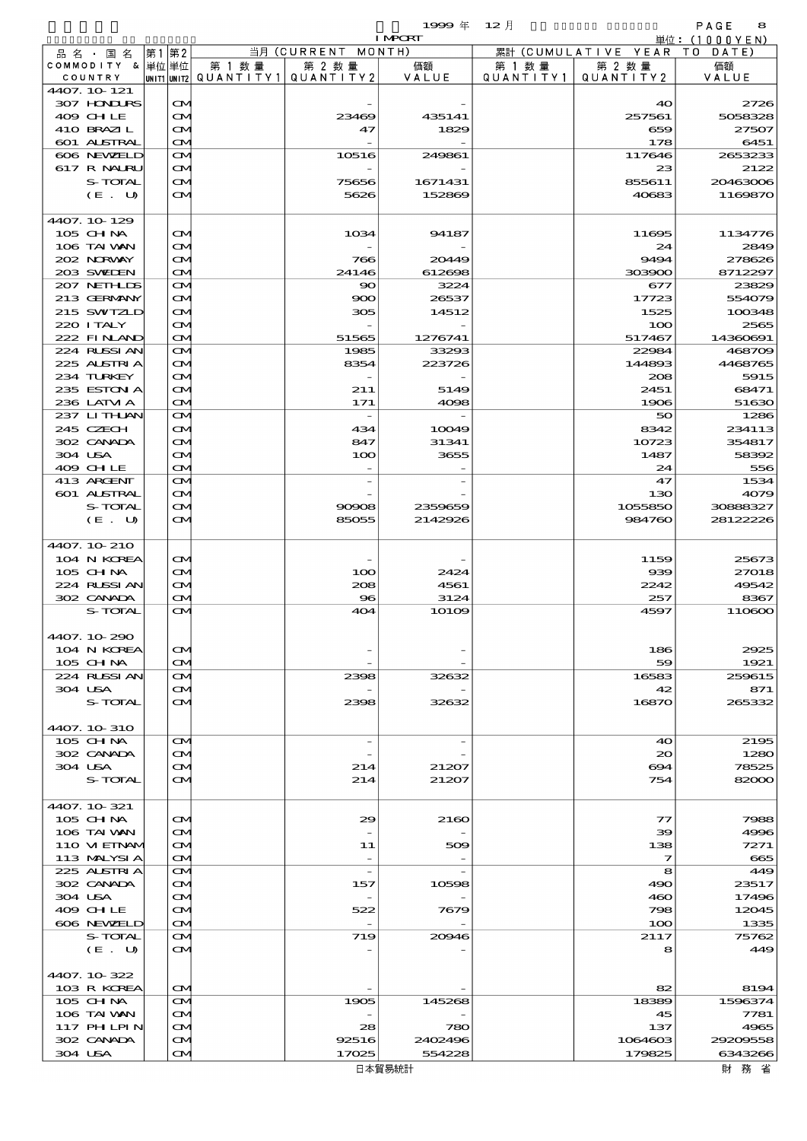$1999 = 12$  and  $2 \nmid$  and  $2 \nmid$  and  $2 \nmid$  and  $2 \nmid$  and  $2 \nmid$  and  $3 \nmid$  and  $3 \nmid$  and  $3 \nmid$  and  $3 \nmid$  and  $3 \nmid$  and  $3 \nmid$  and  $3 \nmid$  and  $3 \nmid$  and  $3 \nmid$  and  $3 \nmid$  and  $3 \nmid$  and  $3 \nmid$  and  $3 \nmid$  and  $3 \nmid$  a

|                            |                         |        |                                       | <b>I MPORT</b> |           |                              | 単位: (1000YEN)      |
|----------------------------|-------------------------|--------|---------------------------------------|----------------|-----------|------------------------------|--------------------|
| 品名・国名                      | 第1第2                    |        | 当月 (CURRENT MONTH)                    |                |           | 累計 (CUMULATIVE YEAR TO DATE) |                    |
| COMMODITY & 単位単位           |                         | 第 1 数量 | 第 2 数量                                | 価額             | 第 1 数量    | 第 2 数量                       | 価額                 |
| COUNTRY                    |                         |        | UNIT1 UNIT2  QUANT   TY1  QUANT   TY2 | VALUE          | QUANTITY1 | QUANTITY2                    | VALUE              |
| 4407. 10 121               |                         |        |                                       |                |           |                              |                    |
| 307 HOVIURS                | $\mathbf{\alpha}$       |        |                                       |                |           | 40                           | 2726               |
| 409 CHLE<br>410 BRAZIL     | $\mathbf{\alpha}$       |        | 23469<br>47                           | 435141<br>1829 |           | 257561                       | 5058328<br>27507   |
|                            | $\mathbf{\Omega}$       |        |                                       |                |           | 659                          |                    |
| 601 ALSTRAL                | $\mathbf{\Omega}$       |        |                                       | 249861         |           | 178                          | 6451               |
| 606 NEWELD<br>617 R NALRU  | $\mathbf{\Omega}$       |        | 10516                                 |                |           | 117646<br>23                 | 2653233<br>2122    |
|                            | <b>CM</b>               |        |                                       | 1671431        |           | 855611                       |                    |
| S-TOTAL                    | $\mathbf{\Omega}$       |        | 75656<br>5626                         |                |           |                              | 20463006           |
| (E. U)                     | $\mathbf{\alpha}$       |        |                                       | 152869         |           | 40683                        | 1169870            |
| 4407.10-129                |                         |        |                                       |                |           |                              |                    |
| 105 CH NA                  | ŒИ                      |        | 1034                                  | 94187          |           | 11695                        | 1134776            |
| 106 TAI VAN                | $\mathbf{\alpha}$       |        |                                       |                |           | 24                           | 2849               |
| 202 NORWAY                 | ŒM)                     |        | 766                                   | 20449          |           | 9494                         | 278626             |
| 203 SWIEN                  | $\mathbf{\Omega}$       |        | 24146                                 | 612698         |           | 303900                       | 8712297            |
| 207 NETHLIS                | $\mathbf{\Omega}$       |        | $\infty$                              | 3224           |           | 677                          | 23829              |
| 213 GERMANY                | <b>CM</b>               |        | 900                                   | 26537          |           | 17723                        | 554079             |
| 215 SWIZLD                 | $\mathbf{\Omega}$       |        | 305                                   | 14512          |           | 1525                         | 100348             |
| 220 ITALY                  |                         |        |                                       |                |           |                              |                    |
|                            | $\mathbf{\Omega}$       |        |                                       |                |           | 100                          | 2565               |
| 222 FINAND<br>224 RUSSI AN | $\mathbf{\Omega}$       |        | 51565                                 | 1276741        |           | 517467                       | 14360691<br>468709 |
| 225 ALSTRIA                | $\mathbf{\Omega}$       |        | 1985                                  | 33293          |           | 22984                        |                    |
|                            | <b>CM</b>               |        | 8354                                  | 223726         |           | 144893                       | 4468765            |
| 234 TURKEY                 | $\mathbf{\Omega}$       |        |                                       |                |           | 208                          | 5915               |
| 235 ESTON A                | ŒM)                     |        | 211                                   | 5149           |           | 2451                         | 68471              |
| 236 LATM A                 | $\mathbf{\Omega}$       |        | 171                                   | 4098           |           | 1906                         | 51630              |
| 237 LITHLAN                | $\mathbf{\Omega}$       |        | $\overline{a}$                        |                |           | 50                           | 1286               |
| 245 CZECH                  | $\mathbf{\Omega}$       |        | 434                                   | 10049          |           | 8342                         | 234113             |
| 302 CANADA                 | $\mathbf{\Omega}$       |        | 847                                   | 31341          |           | 10723                        | 354817             |
| 304 USA                    | ŒM)                     |        | 100                                   | 3655           |           | 1487                         | 58392              |
| 409 CHLE                   | $\mathbf{\Omega}$       |        |                                       |                |           | 24                           | 556                |
| 413 ARCENT                 | $\mathbf{\Omega}$       |        |                                       |                |           | 47                           | 1534               |
| 601 ALSTRAL                | $\mathbf{\Omega}$       |        |                                       |                |           | 130                          | 4079               |
| S-TOTAL                    | $\mathbf{\Omega}$       |        | 90908                                 | 2359659        |           | 1055850                      | 30888327           |
| (E. U)                     | $\mathbf{\alpha}$       |        | 85055                                 | 2142926        |           | 984760                       | 28122228           |
|                            |                         |        |                                       |                |           |                              |                    |
| 4407.10-210                |                         |        |                                       |                |           |                              |                    |
| 104 N KOREA                | $\mathbf{\alpha}$       |        |                                       |                |           | 1159                         | 25673              |
| 105 CHNA                   | $\mathbf{\alpha}$       |        | 100                                   | 2424           |           | 939                          | 27018              |
| 224 RUSSI AN               | ŒM)                     |        | 208                                   | 4561           |           | 2242                         | 49542              |
| 302 CANADA                 | $\mathbf{\Omega}$       |        | $\bf{S}$                              | 3124           |           | 257                          | 8367               |
| S-TOTAL                    | $\mathbf{\Omega}$       |        | 404                                   | $101$ CO       |           | 4597                         | 110600             |
|                            |                         |        |                                       |                |           |                              |                    |
| 4407.10-290                |                         |        |                                       |                |           |                              |                    |
| 104 N KOREA                | ŒИ                      |        |                                       |                |           | 186                          | 2925               |
| 105 CH NA                  | ŒM.                     |        |                                       |                |           | 59                           | 1921               |
| 224 RUSSI AN               | <b>CM</b>               |        | 2398                                  | 32632          |           | 16583                        | 259615             |
| 304 USA                    | ŒИ                      |        |                                       |                |           | 42                           | 871                |
| S-TOTAL                    | $\mathbf{\alpha}$       |        | 2398                                  | 32632          |           | 16870                        | 265332             |
|                            |                         |        |                                       |                |           |                              |                    |
| 4407.10.310                |                         |        |                                       |                |           |                              |                    |
| 105 CH NA                  | $\mathbf{\alpha}$       |        | $\overline{\phantom{a}}$              |                |           | 40                           | 2195               |
| 302 CANADA                 | $\mathbf{\alpha}$       |        |                                       |                |           | $\infty$                     | 1280               |
| 304 USA                    | ŒM)                     |        | 214                                   | 21207          |           | 694                          | 78525              |
| S-TOTAL                    | ŒМ                      |        | 214                                   | 21207          |           | 754                          | 82000              |
| 4407. 10 321               |                         |        |                                       |                |           |                              |                    |
|                            |                         |        |                                       | 2160           |           |                              |                    |
| 105 CHNA<br>106 TAI VAN    | ŒИ<br>$\mathbf{\alpha}$ |        | 29                                    |                |           | 77<br>$\infty$               | 7988<br>4996       |
| 110 VIEINAM                |                         |        |                                       |                |           |                              | 7271               |
|                            | ŒМ                      |        | 11                                    | 509            |           | 138                          |                    |
| 113 MALYSIA                | <b>CM</b>               |        | $\overline{\phantom{a}}$              |                |           | 7                            | 665                |
| 225 ALSTRIA                | <b>CM</b>               |        | $\overline{\phantom{a}}$              |                |           | 8                            | 449                |
| 302 CANADA                 | <b>CM</b>               |        | 157                                   | 10598          |           | 490                          | 23517              |
| 304 USA                    | M                       |        |                                       |                |           | 460                          | 17496              |
| 409 CHLE                   | ŒИ                      |        | 522                                   | 7679           |           | 798                          | 12045              |
| 606 NEWELD                 | <b>CM</b>               |        |                                       |                |           | 100                          | 1335               |
| S-TOTAL                    | <b>CM</b>               |        | 719                                   | 20046          |           | 2117                         | 75762              |
| (E. U)                     | ŒИ                      |        |                                       |                |           | 8                            | 449                |
|                            |                         |        |                                       |                |           |                              |                    |
| 4407.10-322                |                         |        |                                       |                |           |                              |                    |
| 103 R KOREA                | <b>CM</b>               |        |                                       |                |           | 82                           | 8194               |
| $105$ CHNA                 | <b>CM</b>               |        | 1905                                  | 145268         |           | 18389                        | 1596374            |
| 106 TAI VAN                | <b>CM</b>               |        |                                       |                |           | 45                           | 7781               |
| 117 PH LPIN                | $\mathbf{\infty}$       |        | 28                                    | 780            |           | 137                          | 4965               |
| 302 CANADA                 | ŒИ                      |        | 92516                                 | 2402496        |           | 1064603                      | 29209558           |
| 304 USA                    | <b>CM</b>               |        | 17025                                 | 554228         |           | 179825                       | 6343266            |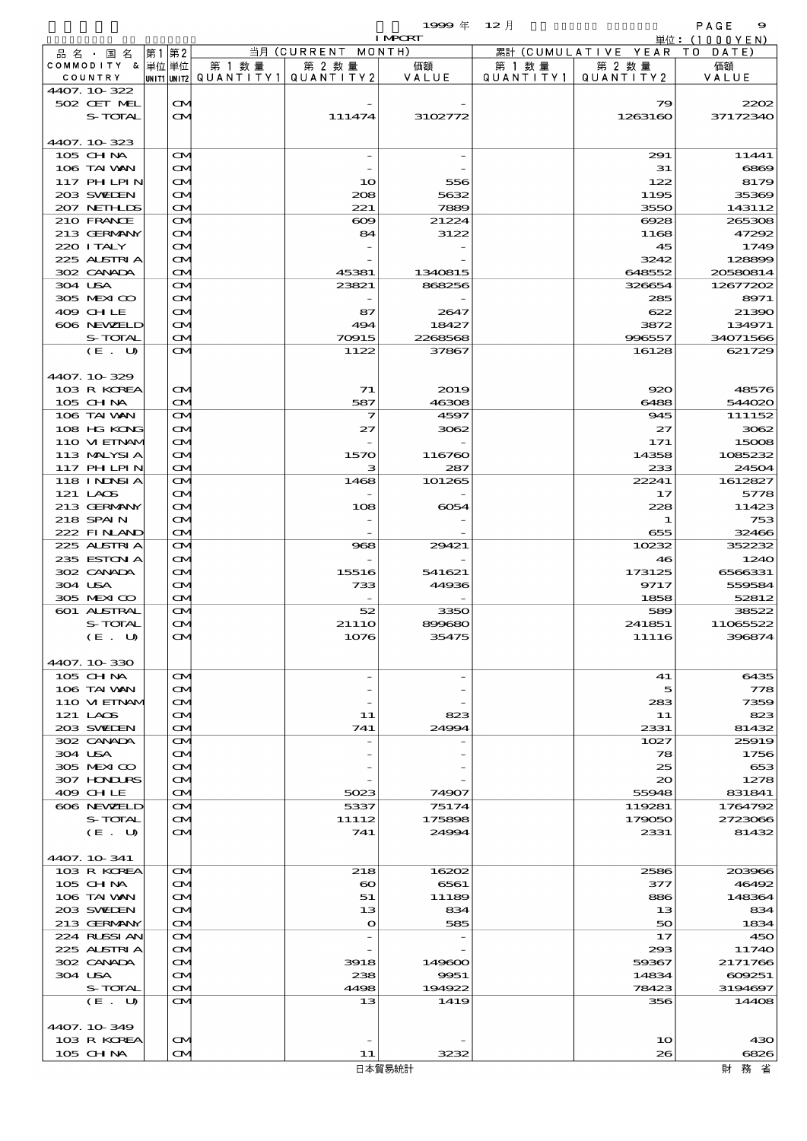|                            |      |                   |                          |                       | $1999 \text{ } \#$ | $12$ 月    |                              | PAGE<br>9           |
|----------------------------|------|-------------------|--------------------------|-----------------------|--------------------|-----------|------------------------------|---------------------|
| 品名・国名                      | 第1第2 |                   |                          | 当月 (CURRENT MONTH)    | <b>I MPCRT</b>     |           | 累計 (CUMULATIVE YEAR TO DATE) | 単位:(1000YEN)        |
| COMMODITY & 単位 単位          |      |                   | 第 1 数 量                  | 第 2 数量                | 価額                 | 第 1 数 量   | 第 2 数量                       | 価額                  |
| COUNTRY                    |      |                   | unit1 unit2  Q∪ANT   TY1 | QUANTITY 2            | VALUE              | QUANTITY1 | QUANTITY 2                   | VALUE               |
| 4407.10-322<br>502 CET MEL |      | $\mathbf{\alpha}$ |                          |                       |                    |           | 79                           | 2200                |
| S-TOTAL                    |      | $\mathbf{\alpha}$ |                          | 111474                | 3102772            |           | 1263160                      | 37172340            |
|                            |      |                   |                          |                       |                    |           |                              |                     |
| 4407.10-323<br>105 CH NA   |      | ŒИ                |                          |                       |                    |           | 291                          | 11441               |
| 106 TAI VAN                |      | ŒИ                |                          |                       |                    |           | 31                           | 6800                |
| 117 PHLPIN                 |      | ŒИ                |                          | 10                    | 556                |           | 122                          | 8179                |
| 203 SWIDEN                 |      | ŒИ                |                          | 208                   | 5632               |           | 1195                         | 35366               |
| 207 NETHLIS<br>210 FRANCE  |      | ŒИ<br>ŒИ          |                          | 221<br>$\infty$       | 7889<br>21224      |           | 3550<br>6928                 | 143112<br>265306    |
| 213 GERMANY                |      | ŒИ                |                          | 84                    | 3122               |           | 1168                         | 47292               |
| 220 I TALY                 |      | ŒИ                |                          |                       |                    |           | 45                           | 1749                |
| 225 ALSTRIA<br>302 CANADA  |      | ŒИ<br>ŒИ          |                          | 45381                 | 1340815            |           | 3242<br>648552               | 1288906<br>20580814 |
| 304 USA                    |      | ŒИ                |                          | 23821                 | 868256             |           | 326654                       | 12677202            |
| 305 MEXICO                 |      | ŒИ                |                          |                       |                    |           | 285                          | 8971                |
| 409 CHLE                   |      | ŒИ                |                          | 87                    | 2647               |           | 622                          | 21390               |
| 606 NEWELD<br>S-TOTAL      |      | ŒИ<br><b>CM</b>   |                          | 494<br>70915          | 18427<br>2268568   |           | 3872<br>996557               | 134971<br>34071566  |
| (E. U)                     |      | ŒИ                |                          | 1122                  | 37867              |           | 16128                        | 621729              |
|                            |      |                   |                          |                       |                    |           |                              |                     |
| 4407.10-329<br>103 R KOREA |      | $\mathbf{\alpha}$ |                          | 71                    | 2019               |           | 920                          | 48576               |
| 105 CHNA                   |      | <b>CM</b>         |                          | 587                   | 46308              |           | 6488                         | 544020              |
| 106 TAI VAN                |      | ŒИ                |                          | 7                     | 4597               |           | 945                          | 111152              |
| 108 HG KONG                |      | M                 |                          | 27                    | 3062               |           | 27<br>171                    | 3062                |
| 110 VIEINAM<br>113 MALYSIA |      | ŒИ<br>ŒИ          |                          | 1570                  | 116760             |           | 14358                        | 15006<br>1085232    |
| 117 PHLPIN                 |      | <b>CM</b>         |                          | з                     | 287                |           | 233                          | 2450                |
| 118 I NDSI A               |      | ŒИ                |                          | 1468                  | 101265             |           | 22241                        | 1612827             |
| 121 LAOS<br>213 GERMANY    |      | M<br>ŒИ           |                          | 108                   | 6054               |           | 17<br>228                    | 5778<br>11423       |
| 218 SPAIN                  |      | ŒИ                |                          |                       |                    |           | 1                            | 753                 |
| 222 FINAND                 |      | ŒМ                |                          |                       |                    |           | 655                          | 32466               |
| 225 ALSTRIA<br>235 ESTON A |      | <b>CM</b>         |                          | 968                   | 29421              |           | 10232<br>46                  | 352232<br>1240      |
| 302 CANADA                 |      | M<br>M            |                          | 15516                 | 541621             |           | 173125                       | 6566331             |
| 304 USA                    |      | ŒИ                |                          | 733                   | 44936              |           | 9717                         | 55958               |
| 305 MEXICO                 |      | $\mathbf{\Omega}$ |                          |                       |                    |           | 1858                         | 52812               |
| 601 ALSTRAL<br>S-TOTAL     |      | ŒИ<br>a           |                          | 52<br>21110           | 3350<br>899680     |           | 589<br>241851                | 38522<br>11065522   |
| (E,U)                      |      | $\mathbf{\alpha}$ |                          | 1076                  | 35475              |           | 11116                        | 396874              |
|                            |      |                   |                          |                       |                    |           |                              |                     |
| 4407. 10-330<br>105 CHNA   |      | $\mathbf{\alpha}$ |                          |                       |                    |           | 41                           | 6435                |
| 106 TAI VAN                |      | ŒИ                |                          |                       |                    |           | 5                            | 778                 |
| 110 VI EINAM               |      | ŒИ                |                          |                       |                    |           | 283                          | 7359                |
| 121 LAOS<br>203 SWIDEN     |      | ŒИ                |                          | 11<br>741             | 823<br>24994       |           | 11<br>2331                   | 82.<br>81432        |
| 302 CANADA                 |      | ŒИ<br>ŒИ          |                          |                       |                    |           | 1027                         | 25919               |
| 304 USA                    |      | ŒИ                |                          |                       |                    |           | 78                           | 1756                |
| 305 MEXICO                 |      | ŒИ                |                          |                       |                    |           | 25                           | 653                 |
| 307 HONDURS<br>409 CHLE    |      | ŒИ<br>ŒИ          |                          | 5023                  | 74907              |           | $\infty$<br>55948            | 1278<br>831841      |
| 606 NEWELD                 |      | ŒИ                |                          | 5337                  | 75174              |           | 119281                       | 1764792             |
| S-TOTAL                    |      | ŒИ                |                          | 11112                 | 175898             |           | 179050                       | 2723060             |
| (E. U)                     |      | ŒИ                |                          | 741                   | 24994              |           | 2331                         | 81432               |
| 4407. 10-341               |      |                   |                          |                       |                    |           |                              |                     |
| 103 R KOREA                |      | $\mathbf{\alpha}$ |                          | 218                   | 16202              |           | 2586                         | 203966              |
| 105 CH NA                  |      | ŒИ                |                          | $\boldsymbol{\infty}$ | 6561               |           | 377                          | 46492               |
| 106 TAI VAN<br>203 SWIEN   |      | ŒИ<br>ŒИ          |                          | 51<br>13              | 11189<br>834       |           | 886<br>13                    | 148364<br>834       |
| 213 GERMANY                |      | ŒИ                |                          | $\bullet$             | 585                |           | 50                           | 1834                |
| 224 RUSSIAN                |      | ŒИ                |                          |                       |                    |           | 17                           | 45C                 |
| 225 ALSTRIA<br>302 CANADA  |      | M<br>ŒИ           |                          | 3918                  | 149600             |           | 293<br>59367                 | 11740<br>2171766    |
| 304 USA                    |      | ŒИ                |                          | 238                   | 9951               |           | 14834                        | 609251              |
| S-TOTAL                    |      | ŒИ                |                          | 4498                  | 194922             |           | 78423                        | 3194697             |
| (E. U)                     |      | $\mathbf{\alpha}$ |                          | 13                    | 1419               |           | 356                          | 1440                |

4407.10-349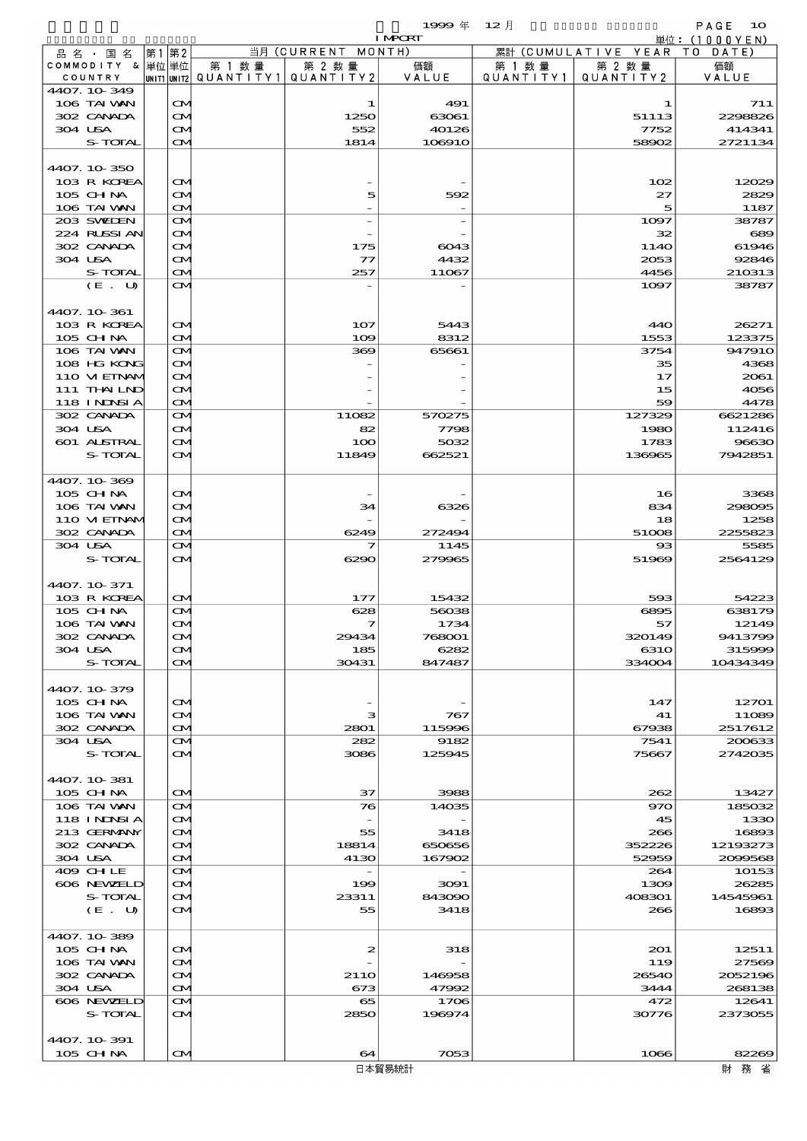$1999 \oplus 12 \uparrow$  PAGE 10

|                            |    |                                        |        |                                       | <b>I MPORT</b> |           |                              | 単位: (1000YEN)     |
|----------------------------|----|----------------------------------------|--------|---------------------------------------|----------------|-----------|------------------------------|-------------------|
| 品 名 ・ 国 名                  | 第1 | 第2                                     |        | 当月 (CURRENT MONTH)                    |                |           | 累計 (CUMULATIVE YEAR TO DATE) |                   |
| COMMODITY & 単位単位           |    |                                        | 第 1 数量 | 第 2 数量                                | 価額             | 第 1 数 量   | 第 2 数量                       | 価額                |
| COUNTRY                    |    |                                        |        | UNIT1 UNIT2  QUANT I TY1  QUANT I TY2 | VALUE          | QUANTITY1 | QUANTITY 2                   | VALUE             |
| 4407.10-349<br>106 TAI VAN |    |                                        |        | 1                                     | 491            |           |                              | 711               |
| 302 CANADA                 |    | $\mathbf{\alpha}$<br>$\mathbf{\alpha}$ |        | 1250                                  | 63061          |           | 1<br>51113                   | 2298826           |
| 304 USA                    |    | ŒM)                                    |        | 552                                   | 40126          |           | 7752                         | 414341            |
| S-TOTAL                    |    | $\mathbf{\alpha}$                      |        | 1814                                  | 106910         |           | 58902                        | 2721134           |
|                            |    |                                        |        |                                       |                |           |                              |                   |
| 4407.10.350                |    |                                        |        |                                       |                |           |                              |                   |
| 103 R KOREA                |    | $\mathbf{\alpha}$                      |        |                                       |                |           | 102                          | 12029             |
| $105$ CHNA                 |    | <b>CM</b>                              |        | 5                                     | 592            |           | 27                           | 2829              |
| 106 TAI VAN                |    | ŒM)                                    |        |                                       |                |           | 5                            | 1187              |
| 203 SWIEN                  |    | ŒM)                                    |        |                                       |                |           | 1097                         | 38787             |
| 224 RUSSI AN               |    | <b>CM</b>                              |        |                                       |                |           | 32                           | 689               |
| 302 CANADA                 |    | Œ4                                     |        | 175                                   | 6043           |           | 114O                         | 61946             |
| 304 USA                    |    | <b>CM</b>                              |        | $\tau$                                | 4432           |           | 2053                         | 92846             |
| S-TOTAL                    |    | $\mathbf{\Omega}$                      |        | 257                                   | 11067          |           | 4456                         | 210313            |
| (E. U)                     |    | ŒИ                                     |        |                                       |                |           | 1097                         | 38787             |
| 4407.10-361                |    |                                        |        |                                       |                |           |                              |                   |
| 103 R KOREA                |    | $\mathbf{\alpha}$                      |        | 107                                   | 5443           |           | 440                          | 26271             |
| 105 CH NA                  |    | $\mathbf{\Omega}$                      |        | 109                                   | 8312           |           | 1553                         | 123375            |
| 106 TAI VAN                |    | M                                      |        | 369                                   | 65661          |           | 3754                         | 947910            |
| 108 HG KONG                |    | ŒИ                                     |        |                                       |                |           | 35                           | 4368              |
| 110 VIEINAM                |    | Œ4                                     |        |                                       |                |           | 17                           | 2061              |
| 111 THAILND                |    | <b>CM</b>                              |        |                                       |                |           | 15                           | 4056              |
| 118 INNSI A                |    | $\mathbf{\alpha}$                      |        |                                       |                |           | 59                           | 4478              |
| 302 CANADA                 |    | ŒM)                                    |        | 11082                                 | 570275         |           | 127329                       | 6621286           |
| 304 USA                    |    | Œ4                                     |        | 82                                    | 7798           |           | 1980                         | 112416            |
| 601 ALSTRAL                |    | Œ4                                     |        | 100                                   | 5032           |           | 1783                         | 96630             |
| S-TOTAL                    |    | ŒИ                                     |        | 11849                                 | 662521         |           | 136965                       | 7942851           |
|                            |    |                                        |        |                                       |                |           |                              |                   |
| 4407.10-369                |    |                                        |        |                                       |                |           |                              |                   |
| 105 CH NA                  |    | $\mathbf{\alpha}$                      |        |                                       |                |           | 16                           | 3368              |
| 106 TAI VAN                |    | Œ4                                     |        | 34                                    | 6326           |           | 834                          | 298095            |
| 110 VI EINAM               |    | <b>CM</b>                              |        |                                       |                |           | 18                           | 1258              |
| 302 CANADA<br>304 USA      |    | $\mathbf{\alpha}$<br>ŒM)               |        | 6249<br>7                             | 272494<br>1145 |           | 51008<br>$_{\rm ss}$         | 2255823<br>5585   |
| S-TOTAL                    |    | $\mathbf{\alpha}$                      |        | 6290                                  | 279965         |           | 51969                        | 2564129           |
|                            |    |                                        |        |                                       |                |           |                              |                   |
| 4407.10.371                |    |                                        |        |                                       |                |           |                              |                   |
| 103 R KOREA                |    | $\mathbf{\Omega}$                      |        | 177                                   | 15432          |           | 593                          | 54223             |
| 105 CH NA                  |    | M                                      |        | 628                                   | 56038          |           | 6895                         | 638179            |
| 106 TAI VAN                |    | Œ4                                     |        | 7                                     | 1734           |           | 57                           | 12149             |
| 302 CANADA                 |    | M                                      |        | 29434                                 | 768001         |           | 320149                       | 9413799           |
| 304 USA                    |    | ŒИ                                     |        | 185                                   | 6282           |           | 6310                         | 315999            |
| S-TOTAL                    |    | <b>CM</b>                              |        | 30431                                 | 847487         |           | 334004                       | 10434349          |
|                            |    |                                        |        |                                       |                |           |                              |                   |
| 4407.10-379                |    |                                        |        |                                       |                |           |                              |                   |
| 105 CH NA                  |    | ŒИ                                     |        |                                       |                |           | 147                          | 12701             |
| 106 TAI VAN                |    | ŒИ                                     |        | з                                     | 767            |           | 41                           | 11089             |
| 302 CANADA<br>304 USA      |    | ŒИ<br>ŒM.                              |        | 2801<br>282                           | 115996<br>9182 |           | 67938<br>7541                | 2517612<br>200633 |
| S-TOTAL                    |    |                                        |        | 3086                                  |                |           | 75667                        | 2742035           |
|                            |    | $\mathbf{\alpha}$                      |        |                                       | 125945         |           |                              |                   |
| 4407. 10 381               |    |                                        |        |                                       |                |           |                              |                   |
| 105 CH NA                  |    | ŒИ                                     |        | 37                                    | 3988           |           | 262                          | 13427             |
| 106 TAI VAN                |    | ŒИ                                     |        | 76                                    | 14035          |           | 970                          | 185032            |
| 118 I NDSI A               |    | M                                      |        |                                       |                |           | 45                           | 1330              |
| 213 GERMANY                |    | M                                      |        | 55                                    | 3418           |           | 266                          | 16893             |
| 302 CANADA                 |    | ŒИ                                     |        | 18814                                 | 650656         |           | 352228                       | 12193273          |
| 304 USA                    |    | ŒИ                                     |        | 4130                                  | 167902         |           | 52959                        | 2099568           |
| 409 CHLE                   |    | ŒИ                                     |        | $\overline{\phantom{a}}$              |                |           | 264                          | 10153             |
| 606 NEWELD                 |    | $\mathbf{\alpha}$                      |        | 199                                   | 3091           |           | 1309                         | 26285             |
| S-TOTAL                    |    | M                                      |        | 23311                                 | 843090         |           | 408301                       | 14545961          |
| (E. U)                     |    | ŒИ                                     |        | 55                                    | 3418           |           | 266                          | 16893             |
|                            |    |                                        |        |                                       |                |           |                              |                   |
| 4407.10-389                |    |                                        |        |                                       |                |           |                              |                   |
| 105 CH NA                  |    | ŒИ                                     |        | 2                                     | 318            |           | 201                          | 12511             |
| 106 TAI VAN<br>302 CANADA  |    | ŒM.<br>ŒИ                              |        | 211O                                  | 146958         |           | 119<br>26540                 | 27569<br>2052196  |
| 304 USA                    |    | ŒИ                                     |        | 673                                   | 47992          |           | 3444                         | 268138            |
| 606 NEWELD                 |    | ŒМ                                     |        | 65                                    | 1706           |           | 472                          | 12641             |
| S-TOTAL                    |    | $\mathbf{\alpha}$                      |        | 2850                                  | 196974         |           | 30776                        | 2373055           |
|                            |    |                                        |        |                                       |                |           |                              |                   |
| 4407. 10 391               |    |                                        |        |                                       |                |           |                              |                   |
| $105$ CHNA                 |    | $\mathbf{\Omega}$                      |        | 64                                    | 7053           |           | 1066                         | 82269             |

 $\overline{\phantom{a}}$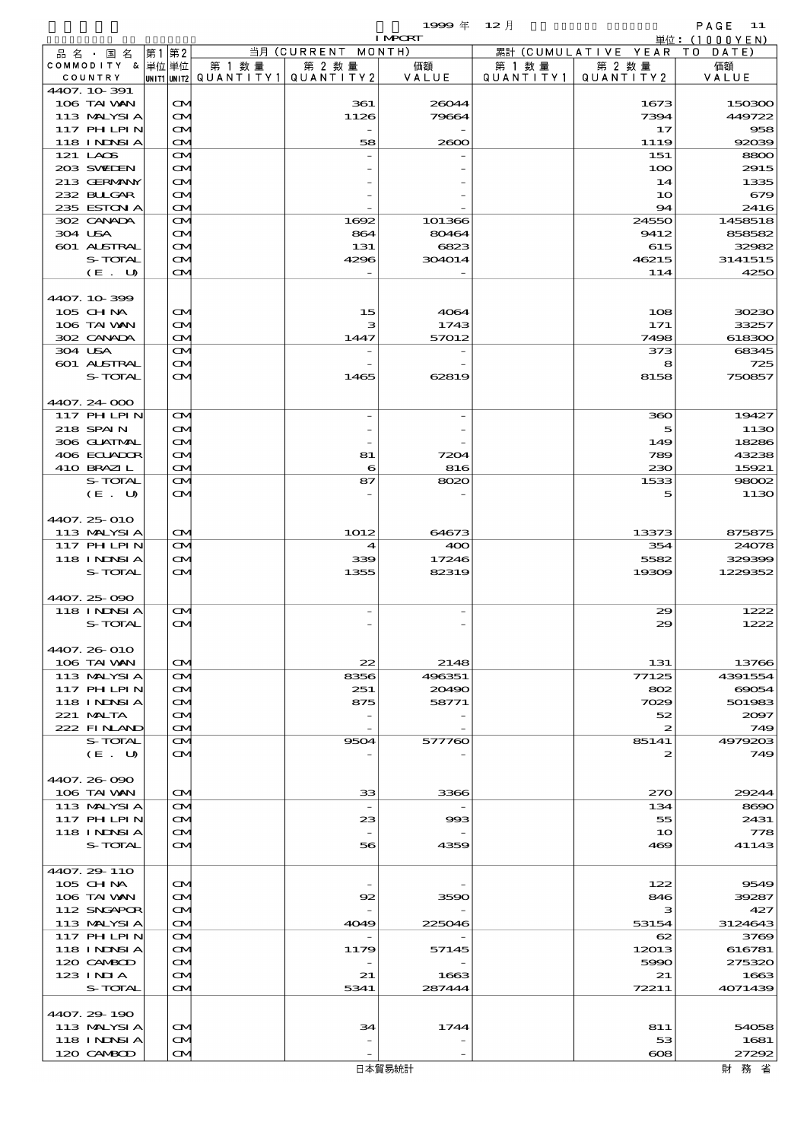$1$ <del>999</del>  $\overline{4}$  12  $\overline{f}$  12  $\overline{f}$  PAGE 11

|                              |                                        |        |                                       | <b>I MPORT</b> |                   |                              | 単位: (1000 Y E N) |
|------------------------------|----------------------------------------|--------|---------------------------------------|----------------|-------------------|------------------------------|------------------|
| 品名・国名                        | 第1 第2                                  |        | 当月 (CURRENT MONTH)                    |                |                   | 累計 (CUMULATIVE YEAR TO DATE) |                  |
| COMMODITY & 単位単位             |                                        | 第 1 数量 | 第 2 数量                                | 価額             | 第 1 数量            | 第 2 数量                       | 価額               |
| COUNTRY                      |                                        |        | UNIT1 UNIT2  QUANT   TY1  QUANT   TY2 | VALUE          | Q U A N T I T Y 1 | QUANTITY 2                   | VALUE            |
| 4407.10-391<br>106 TAI VAN   |                                        |        |                                       |                |                   |                              |                  |
| 113 MALYSIA                  | $\mathbf{\alpha}$<br>$\mathbf{\alpha}$ |        | 361<br>1126                           | 26044<br>79664 |                   | 1673<br>7394                 | 150300<br>449722 |
| 117 PH LPIN                  | $\mathbf{\Omega}$                      |        |                                       |                |                   | 17                           | 958              |
| 118 I NDSI A                 | $\mathbf{\Omega}$                      |        | 58                                    | 2600           |                   | 1119                         | 92039            |
| 121 LAOS                     | <b>CM</b>                              |        |                                       |                |                   | 151                          | 8800             |
| 203 SWIEN                    | <b>CM</b>                              |        |                                       |                |                   | 100                          | 2915             |
| 213 GERMANY                  | $\mathbf{\Omega}$                      |        |                                       |                |                   | 14                           | 1335             |
| 232 BULGAR                   | ŒM.                                    |        |                                       |                |                   | 10                           | 679              |
| 235 ESTON A                  | $\mathbf{\Omega}$                      |        |                                       |                |                   | 94                           | 2416             |
| 302 CANADA                   | <b>CM</b>                              |        | 1692                                  | 101366         |                   | 24550                        | 1458518          |
| 304 USA                      | <b>CM</b>                              |        | 864                                   | 80464          |                   | 9412                         | 858582           |
| 601 ALSTRAL                  | $\mathbf{\Omega}$                      |        | 131                                   | 6823           |                   | 615                          | 32982            |
| S-TOTAL                      | ŒM.                                    |        | 4296                                  | 304014         |                   | 46215                        | 3141515          |
| (E. U)                       | $\mathbf{\alpha}$                      |        |                                       |                |                   | 114                          | 4250             |
|                              |                                        |        |                                       |                |                   |                              |                  |
| 4407.10-399                  |                                        |        |                                       |                |                   |                              |                  |
| 105 CHNA                     | $\mathbf{\alpha}$                      |        | 15                                    | 4064           |                   | 108                          | 30230            |
| 106 TAI VAN<br>302 CANADA    | ŒM.<br>$\mathbf{\Omega}$               |        | з<br>1447                             | 1743<br>57012  |                   | 171<br>7498                  | 33257<br>618300  |
| 304 USA                      | $\mathbf{\alpha}$                      |        |                                       |                |                   | 373                          | 68345            |
| 601 ALSTRAL                  | <b>CM</b>                              |        |                                       |                |                   | 8                            | 725              |
| S-TOTAL                      | $\mathbf{\alpha}$                      |        | 1465                                  | 62819          |                   | 8158                         | 750857           |
|                              |                                        |        |                                       |                |                   |                              |                  |
| 4407.24-000                  |                                        |        |                                       |                |                   |                              |                  |
| 117 PHLPIN                   | $\mathbf{\Omega}$                      |        | $\overline{a}$                        |                |                   | 360                          | 19427            |
| 218 SPAIN                    | $\mathbf{\alpha}$                      |        |                                       |                |                   | 5                            | 1130             |
| 306 GUATMAL                  | $\mathbf{\Omega}$                      |        |                                       |                |                   | 149                          | 18286            |
| 406 ECUADOR                  | ŒM.                                    |        | 81                                    | 7204           |                   | 789                          | 43238            |
| 410 BRAZIL                   | $\mathbf{\Omega}$                      |        | 6                                     | 816            |                   | 230                          | 15921            |
| S-TOTAL                      | $\mathbf{\alpha}$                      |        | 87                                    | 8020           |                   | 1533                         | 98002            |
| (E. U)                       | $\mathbf{\alpha}$                      |        |                                       |                |                   | 5                            | 1130             |
|                              |                                        |        |                                       |                |                   |                              |                  |
| 4407.25-010                  |                                        |        |                                       |                |                   |                              |                  |
| 113 MALYSIA                  | $\mathbf{\Omega}$                      |        | 1012                                  | 64673          |                   | 13373                        | 875875           |
| 117 PHLPIN                   | $\mathbf{\Omega}$                      |        | 4                                     | 400            |                   | 354                          | 24078            |
| <b>118 INNSIA</b>            | $\mathbf{\alpha}$                      |        | 339                                   | 17246          |                   | 5582                         | 329399           |
| S-TOTAL                      | $\mathbf{\alpha}$                      |        | 1355                                  | 82319          |                   | 19309                        | 1229352          |
|                              |                                        |        |                                       |                |                   |                              |                  |
| 4407.25 090                  |                                        |        |                                       |                |                   |                              |                  |
| 118 I NJNSI A                | $\mathbf{\Omega}$                      |        |                                       |                |                   | 29                           | 1222             |
| S-TOTAL                      | M                                      |        |                                       |                |                   | 29                           | 1222             |
| 4407.26-010                  |                                        |        |                                       |                |                   |                              |                  |
| 106 TAI VAN                  | $\mathbf{\alpha}$                      |        | 22                                    | 2148           |                   | 131                          | 13766            |
| 113 MALYSIA                  | <b>CM</b>                              |        | 8356                                  | 496351         |                   | 77125                        | 4391554          |
| 117 PH LPIN                  | <b>CM</b>                              |        | 251                                   | 20490          |                   | 802                          | 69054            |
| <b>118 INNSIA</b>            | $\mathbf{\alpha}$                      |        | 875                                   | 58771          |                   | 7029                         | 501983           |
| 221 MALTA                    | ŒИ                                     |        |                                       |                |                   | 52                           | 2097             |
| 222 FINAND                   | <b>CM</b>                              |        |                                       |                |                   | $\boldsymbol{z}$             | 749              |
| S-TOTAL                      | <b>CM</b>                              |        | 9504                                  | 577760         |                   | 85141                        | 4979203          |
| (E. U)                       | ŒМ                                     |        |                                       |                |                   | 2                            | 749              |
|                              |                                        |        |                                       |                |                   |                              |                  |
| 4407.26-090                  |                                        |        |                                       |                |                   |                              |                  |
| 106 TAI VAN                  | $\mathbf{\alpha}$                      |        | 33                                    | 3366           |                   | 270                          | 29244            |
| 113 MALYSIA                  | ŒИ                                     |        | $\overline{\phantom{a}}$              |                |                   | 134                          | 8690             |
| 117 PH LPIN                  | <b>CM</b>                              |        | 23                                    | 993            |                   | 55                           | 2431             |
| <b>118 INNSIA</b><br>S-TOTAL | $\mathbf{\Omega}$<br>ŒМ                |        | 56                                    | 4359           |                   | 10<br>469                    | 778<br>41143     |
|                              |                                        |        |                                       |                |                   |                              |                  |
| 4407.29-110                  |                                        |        |                                       |                |                   |                              |                  |
| 105 CHNA                     | $\mathbf{\alpha}$                      |        |                                       |                |                   | 122                          | 9549             |
| 106 TAI VAN                  | ŒИ                                     |        | 92                                    | 3590           |                   | 846                          | 39287            |
| 112 SNGAPOR                  | ŒИ                                     |        |                                       |                |                   | з                            | 427              |
| 113 MALYSIA                  | <b>CM</b>                              |        | 4049                                  | 225046         |                   | 53154                        | 3124643          |
| 117 PH LPIN                  | ŒМ                                     |        |                                       |                |                   | 62                           | 3769             |
| <b>118 INNSIA</b>            | <b>CM</b>                              |        | 1179                                  | 57145          |                   | 12013                        | 616781           |
| 120 CAMBOD                   | ŒM.                                    |        |                                       |                |                   | 5990                         | 275320           |
| 123 INIA                     | ŒИ                                     |        | 21                                    | 1663           |                   | 21                           | 1663             |
| S-TOTAL                      | <b>CM</b>                              |        | 5341                                  | 287444         |                   | 72211                        | 4071439          |
|                              |                                        |        |                                       |                |                   |                              |                  |
| 4407.29-190                  |                                        |        |                                       |                |                   |                              |                  |
| 113 MALYSIA                  | <b>CM</b>                              |        | 34                                    | 1744           |                   | 811                          | 54058            |
| 118 I NDSI A                 | ŒИ                                     |        |                                       |                |                   | 53                           | 1681             |
| 120 CAMBOD                   | <b>CM</b>                              |        |                                       |                |                   | $\cos$                       | 27292            |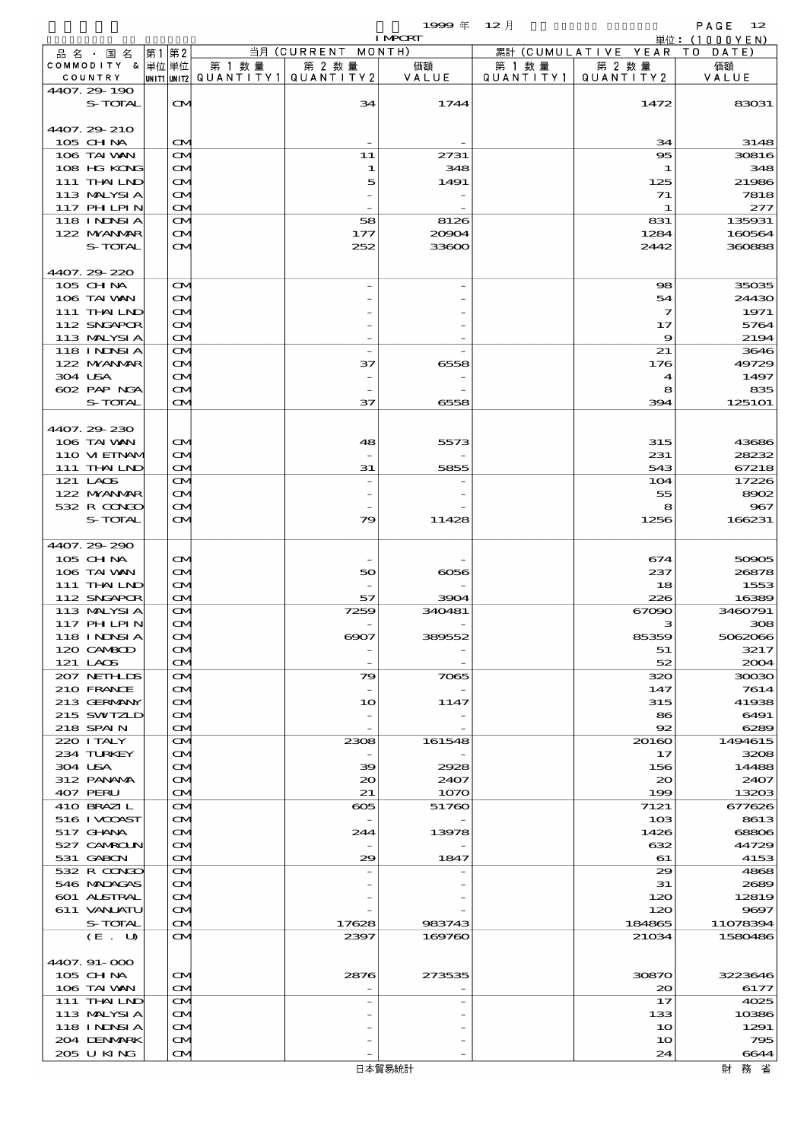$1999 \& 12 \quad \Box$ 

|                            |                                        |        |                                       | <b>I MPORT</b> |           |                              | 単位: (1000YEN)  |
|----------------------------|----------------------------------------|--------|---------------------------------------|----------------|-----------|------------------------------|----------------|
| 品名・国名                      | 第1 第2                                  |        | 当月 (CURRENT MONTH)                    |                |           | 累計 (CUMULATIVE YEAR TO DATE) |                |
| COMMODITY & 単位 単位          |                                        | 第 1 数量 | 第 2 数量                                | 価額             | 第 1 数 量   | 第 2 数量                       | 価額             |
| COUNTRY<br>4407.29-190     |                                        |        | UNIT1 UNIT2  QUANT   TY1  QUANT   TY2 | VALUE          | QUANTITY1 | QUANTITY 2                   | VALUE          |
| S-TOTAL                    | $\mathbf{\Omega}$                      |        | 34                                    | 1744           |           | 1472                         | 83031          |
|                            |                                        |        |                                       |                |           |                              |                |
| 4407.29 210                |                                        |        |                                       |                |           |                              |                |
| 105 CH NA                  | $\infty$                               |        |                                       |                |           | 34                           | 3148           |
| 106 TAI VAN                | M                                      |        | 11                                    | 2731           |           | 95                           | 30816          |
| 108 HG KONG                | $\mathbf{\Omega}$                      |        | 1                                     | 348            |           | 1                            | 348            |
| 111 THAILND                | $\infty$                               |        | 5                                     | 1491           |           | 125                          | 21986          |
| 113 MALYSIA<br>117 PH LPIN | ŒM.                                    |        |                                       |                |           | 71                           | 7818           |
| 118 I NDSI A               | $\mathbf{\Omega}$<br><b>CM</b>         |        | 58                                    | 8126           |           | 1<br>831                     | 277<br>135931  |
| 122 NYANAR                 | $\mathbf{\Omega}$                      |        | 177                                   | 20904          |           | 1284                         | 160564         |
| S-TOTAL                    | $\mathbf{\Omega}$                      |        | 252                                   | 33600          |           | 2442                         | 360888         |
|                            |                                        |        |                                       |                |           |                              |                |
| 4407.29.220                |                                        |        |                                       |                |           |                              |                |
| 105 CH NA                  | $\mathbf{\Omega}$                      |        |                                       |                |           | 98                           | 35035          |
| 106 TAI VAN                | $\mathbf{\Omega}$                      |        |                                       |                |           | 54                           | 24430          |
| 111 THAILND                | M                                      |        |                                       |                |           | $\mathcal I$                 | 1971           |
| 112 SNGAPOR                | ŒM.                                    |        |                                       |                |           | 17                           | 5764           |
| 113 MALYSIA<br>118 INNSI A | $\mathbf{\Omega}$<br>$\mathbf{\Omega}$ |        | $\overline{a}$                        |                |           | 9<br>21                      | 2194<br>3646   |
| 122 NYANAR                 | $\mathbf{\Omega}$                      |        | 37                                    | 6558           |           | 176                          | 49729          |
| 304 USA                    | M                                      |        |                                       |                |           | $\boldsymbol{4}$             | 1497           |
| 602 PAP NGA                | ŒM.                                    |        |                                       |                |           | 8                            | 835            |
| S-TOTAL                    | $\mathbf{\alpha}$                      |        | 37                                    | 6558           |           | 394                          | 1251O1         |
|                            |                                        |        |                                       |                |           |                              |                |
| 4407.29-230                |                                        |        |                                       |                |           |                              |                |
| 106 TAI VAN                | $\infty$                               |        | 48                                    | 5573           |           | 315                          | 43686          |
| 110 VIEINAM<br>111 THAILND | M<br>$\mathbf{\Omega}$                 |        | 31                                    | 5855           |           | 231<br>543                   | 28232<br>67218 |
| 121 LAOS                   | M                                      |        |                                       |                |           | 104                          | 17226          |
| 122 NYANAR                 | $\mathbf{\Omega}$                      |        |                                       |                |           | 55                           | 8902           |
| 532 R CONGO                | M                                      |        |                                       |                |           | 8                            | 967            |
| S-TOTAL                    | <b>CM</b>                              |        | 79                                    | 11428          |           | 1256                         | 166231         |
|                            |                                        |        |                                       |                |           |                              |                |
| 4407.29-290                |                                        |        |                                       |                |           |                              |                |
| 105 CH NA                  | $\mathbf{\Omega}$                      |        |                                       |                |           | 674                          | 50905          |
| 106 TAI VAN                | $\mathbf{\Omega}$                      |        | 50                                    | 6056           |           | 237                          | 26878          |
| 111 THAILND<br>112 SNGAPOR | ŒM.<br><b>CM</b>                       |        | 57                                    | 3904           |           | 18<br>226                    | 1553<br>16389  |
| 113 MALYSIA                | $\mathbf{\Omega}$                      |        | 7259                                  | 340481         |           | 67090                        | 3460791        |
| 117 PH LPIN                | $\mathbf{\Omega}$                      |        |                                       |                |           | з                            | 308            |
| <b>118 INNSI A</b>         | $\mathbf \Omega$                       |        | $\otimes$                             | 389552         |           | 85359                        | 5062066        |
| 120 CAMBOD                 | M                                      |        |                                       |                |           | 51                           | 3217           |
| 121 LAOS                   | M                                      |        |                                       |                |           | 52                           | 2004           |
| 207 NETHLIS                | <b>CM</b>                              |        | 79                                    | 7065           |           | 320                          | 30030          |
| 210 FRANCE                 | $\mathbf{\Omega}$                      |        |                                       |                |           | 147                          | 7614           |
| 213 GERMANY<br>215 SWIZLD  | M                                      |        | 10                                    | 1147           |           | 315                          | 41938          |
| 218 SPAIN                  | M                                      |        |                                       |                |           | 86<br>92                     | 6491<br>6289   |
| 220 I TALY                 | $\mathbf{\Omega}$<br><b>CM</b>         |        | 2308                                  | 161548         |           | 20160                        | 1494615        |
| 234 TURKEY                 | $\mathbf{\Omega}$                      |        |                                       |                |           | 17                           | 3208           |
| 304 USA                    | M                                      |        | 39                                    | 2928           |           | 156                          | 14488          |
| 312 PANAMA                 | ŒM.                                    |        | 20                                    | 2407           |           | $\infty$                     | 2407           |
| 407 PERU                   | M                                      |        | 21                                    | 1070           |           | 199                          | 13203          |
| 410 BRAZIL                 | <b>CM</b>                              |        | ക്ക                                   | 51760          |           | 7121                         | 677626         |
| 516 I VCOAST               | <b>CM</b>                              |        |                                       |                |           | 10 <sub>3</sub>              | 8613           |
| 517 GHANA                  | M                                      |        | 244                                   | 13978          |           | 1426                         | 68806          |
| 527 CAMROUN<br>531 GABON   | M<br>M                                 |        | 29                                    | 1847           |           | 632<br>61                    | 44729<br>4153  |
| 532 R CONGO                | <b>CM</b>                              |        |                                       |                |           | 29                           | 4868           |
| 546 MADAGAS                | $\mathbf{\Omega}$                      |        |                                       |                |           | 31                           | 2689           |
| 601 ALSTRAL                | M                                      |        |                                       |                |           | 120                          | 12819          |
| 611 VANJATU                | ŒM.                                    |        |                                       |                |           | 120                          | 9697           |
| S-TOTAL                    | $\mathbf{\Omega}$                      |        | 17628                                 | 983743         |           | 184865                       | 11078394       |
| (E. U)                     | <b>CM</b>                              |        | 2397                                  | 169760         |           | 21034                        | 1580486        |
|                            |                                        |        |                                       |                |           |                              |                |
| 4407. 91-000<br>$105$ CHNA | ŒM.                                    |        | 2876                                  | 273535         |           | 30870                        | 3223646        |
| 106 TAI VAN                | M                                      |        |                                       |                |           | $\infty$                     | 6177           |
| 111 THAILND                | $\mathbf{\Omega}$                      |        |                                       |                |           | 17                           | 4025           |
| 113 MALYSIA                | $\mathbf{\Omega}$                      |        |                                       |                |           | 133                          | 10386          |
| 118 I NDSI A               | M                                      |        |                                       |                |           | 10                           | 1291           |
| 204 DENMARK                | ŒM.                                    |        |                                       |                |           | 10                           | 795            |
| 205 U KING                 | M                                      |        |                                       |                |           | 24                           | 6644           |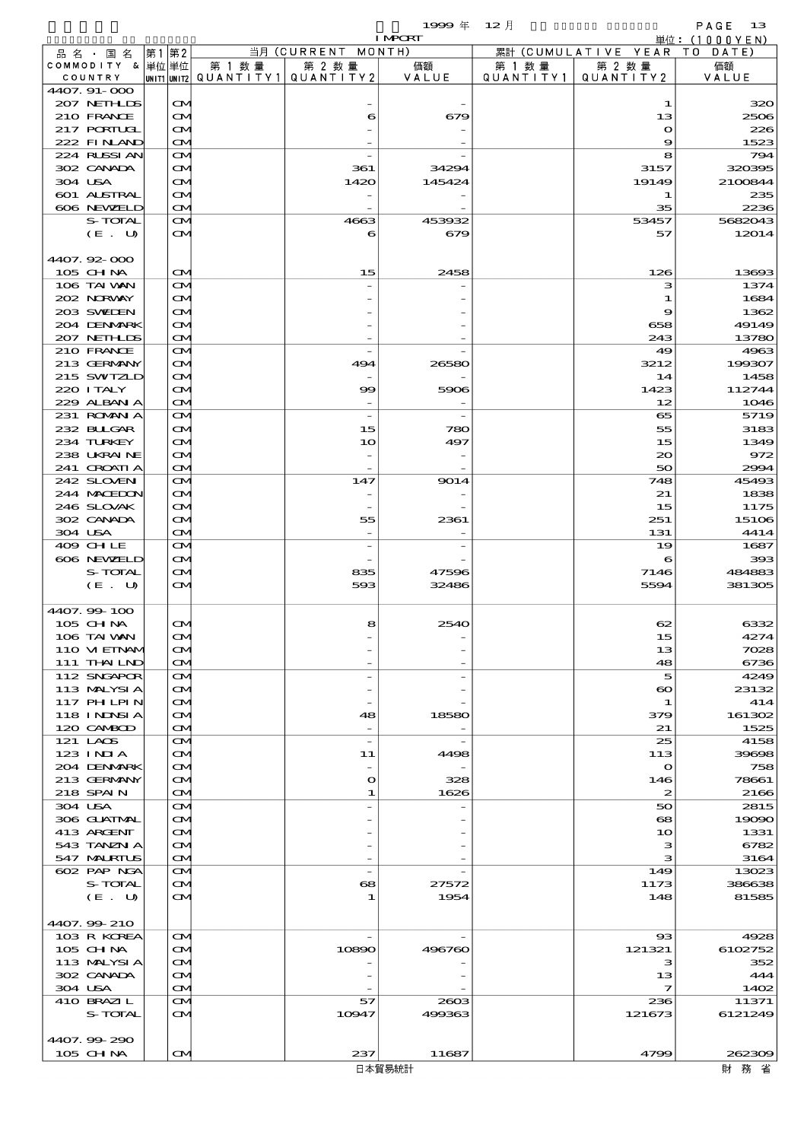$1999 \& 12 \&$ 

|                             |                                        |        |                                                  | <b>I MPORT</b> |                     |                              | 単位: (1000YEN)    |
|-----------------------------|----------------------------------------|--------|--------------------------------------------------|----------------|---------------------|------------------------------|------------------|
| 品名・国名                       | 第1第2                                   |        | 当月 (CURRENT MONTH)                               |                |                     | 累計 (CUMULATIVE YEAR TO DATE) |                  |
| COMMODITY & 単位単位<br>COUNTRY |                                        | 第 1 数量 | 第 2 数量<br> UNIT1 UNIT2  QUANT   TY1  QUANT   TY2 | 価額<br>VALUE    | 第 1 数量<br>QUANTITY1 | 第 2 数量<br>QUANTITY 2         | 価額<br>VALUE      |
| 4407. 91-000                |                                        |        |                                                  |                |                     |                              |                  |
| 207 NETHLIS                 | $\mathbf{\alpha}$                      |        |                                                  |                |                     | 1                            | 320              |
| 210 FRANCE                  | $\mathbf{\Omega}$                      |        | 6                                                | 679            |                     | 13                           | 2506             |
| 217 PORTUGL                 | $\mathbf{\Omega}$                      |        |                                                  |                |                     | $\mathbf o$                  | 226              |
| 222 FINAND                  | $\mathbf{\Omega}$                      |        |                                                  |                |                     | 9                            | 1523             |
| 224 RLSSIAN<br>302 CANADA   | $\mathbf{\Omega}$<br>$\mathbf{\Omega}$ |        | 361                                              | 34294          |                     | 8<br>3157                    | 794<br>320395    |
| 304 USA                     | $\mathbf{\Omega}$                      |        | 1420                                             | 145424         |                     | 19149                        | 2100844          |
| 601 ALSTRAL                 | ŒM.                                    |        |                                                  |                |                     | 1                            | 235              |
| 606 NEWELD                  | $\mathbf{\Omega}$                      |        |                                                  |                |                     | 35                           | 2236             |
| S-TOTAL                     | <b>CM</b>                              |        | 4663                                             | 453932         |                     | 53457                        | 5682043          |
| (E. U)                      | <b>CM</b>                              |        | 6                                                | 679            |                     | 57                           | 12014            |
| 4407.92-000                 |                                        |        |                                                  |                |                     |                              |                  |
| 105 CH NA                   | $\mathbf{\Omega}$                      |        | 15                                               | 2458           |                     | 126                          | 13693            |
| 106 TAI VAN                 | $\mathbf{\Omega}$                      |        |                                                  |                |                     | з                            | 1374             |
| 202 NORWAY                  | $\mathbf{\Omega}$                      |        |                                                  |                |                     | 1                            | 1684             |
| 203 SWIDEN                  | $\mathbf{\Omega}$                      |        |                                                  |                |                     | 9                            | 1362             |
| 204 DENMARK                 | ŒM.                                    |        |                                                  |                |                     | 658                          | 49149            |
| 207 NETHLIS                 | $\mathbf{\Omega}$                      |        |                                                  |                |                     | 243                          | 13780            |
| 210 FRANCE<br>213 GERMANY   | $\mathbf{\Omega}$<br>$\mathbf{\Omega}$ |        | 494                                              | 26580          |                     | 49<br>3212                   | 4963<br>199307   |
| 215 SWIZLD                  | $\mathbf{\Omega}$                      |        |                                                  |                |                     | 14                           | 1458             |
| 220 I TALY                  | ŒM.                                    |        | 99                                               | 5906           |                     | 1423                         | 112744           |
| 229 ALBAN A                 | $\mathbf{\Omega}$                      |        |                                                  |                |                     | 12                           | 1046             |
| 231 ROMAN A                 | $\mathbf{\Omega}$                      |        | $\overline{\phantom{a}}$                         |                |                     | 65                           | 5719             |
| 232 BULGAR                  | $\mathbf{\alpha}$                      |        | 15                                               | 780            |                     | 55                           | 3183             |
| 234 TURKEY                  | $\mathbf{\Omega}$                      |        | 10                                               | 497            |                     | 15                           | 1349             |
| 238 UKRAINE<br>241 CROATIA  | ŒM.<br>$\mathbf{\Omega}$               |        |                                                  |                |                     | $\infty$<br>50               | 972<br>2994      |
| 242 SLOVEN                  | $\mathbf{\Omega}$                      |        | 147                                              | 9014           |                     | 748                          | 45493            |
| 244 MACEDON                 | $\mathbf{\alpha}$                      |        |                                                  |                |                     | 21                           | 1838             |
| 246 SLOVAK                  | $\mathbf{\Omega}$                      |        |                                                  |                |                     | 15                           | 1175             |
| 302 CANADA                  | ŒM.                                    |        | 55                                               | 2361           |                     | 251                          | 15106            |
| 304 USA                     | $\mathbf{\Omega}$                      |        |                                                  |                |                     | 131                          | 4414             |
| 409 CHLE<br>606 NEWELD      | $\mathbf{\Omega}$<br>$\mathbf{\alpha}$ |        | $\overline{\phantom{a}}$                         |                |                     | 19<br>6                      | 1687<br>393      |
| S-TOTAL                     | $\mathbf{\Omega}$                      |        | 835                                              | 47596          |                     | 7146                         | 484883           |
| (E. U)                      | $\mathbf{\alpha}$                      |        | 593                                              | 32486          |                     | 5594                         | 381305           |
|                             |                                        |        |                                                  |                |                     |                              |                  |
| 4407.99-100                 |                                        |        |                                                  |                |                     |                              |                  |
| 105 CH NA<br>106 TAI WAN    | $\mathbf{\alpha}$<br>$\mathbf{\Omega}$ |        | 8                                                | 2540           |                     | 62<br>15                     | 6332<br>4274     |
| 110 MEINAM                  | $\mathbf{\Omega}$                      |        |                                                  |                |                     | 13                           | 7028             |
| 111 THAILND                 | $\mathbf{\Omega}$                      |        |                                                  |                |                     | 48                           | 6736             |
| 112 SNGAPOR                 | <b>CM</b>                              |        |                                                  |                |                     | 5                            | 4249             |
| 113 MALYSIA                 | <b>CM</b>                              |        |                                                  |                |                     | $\boldsymbol{\infty}$        | 23132            |
| 117 PH LPIN                 | $\mathbf{\Omega}$                      |        |                                                  |                |                     | 1                            | 414              |
| <b>118 INNSIA</b>           | ŒИ                                     |        | 48                                               | 18580          |                     | 379                          | 161302           |
| 120 CAMBOD<br>121 LAOS      | $\mathbf{\Omega}$<br><b>CM</b>         |        | $\overline{\phantom{a}}$                         |                |                     | 21<br>25                     | 1525<br>4158     |
| $123$ INIA                  | <b>CM</b>                              |        | 11                                               | 4498           |                     | 113                          | 39698            |
| 204 DENMARK                 | $\mathbf{\Omega}$                      |        |                                                  |                |                     | $\mathbf{o}$                 | 758              |
| 213 GERMANY                 | ŒИ                                     |        | $\mathbf{o}$                                     | 328            |                     | 146                          | 78661            |
| 218 SPAIN                   | $\mathbf{\Omega}$                      |        | 1                                                | 1626           |                     | $\boldsymbol{z}$             | 2166             |
| 304 USA                     | <b>CM</b>                              |        |                                                  |                |                     | 50                           | 2815             |
| 306 GUATMAL<br>413 ARGENT   | <b>CM</b><br>$\mathbf{\Omega}$         |        |                                                  |                |                     | 68<br>10                     | 19090<br>1331    |
| 543 TANZNI A                | ŒM.                                    |        |                                                  |                |                     | з                            | 6782             |
| 547 MARIUS                  | $\mathbf{\Omega}$                      |        |                                                  |                |                     | з                            | 3164             |
| 602 PAP NGA                 | <b>CM</b>                              |        | $\overline{\phantom{a}}$                         |                |                     | 149                          | 13023            |
| S-TOTAL                     | <b>CM</b>                              |        | 68                                               | 27572          |                     | 1173                         | 386638           |
| (E. U)                      | <b>CM</b>                              |        | 1                                                | 1954           |                     | 148                          | 81585            |
| 4407.99-210                 |                                        |        |                                                  |                |                     |                              |                  |
| 103 R KOREA                 | <b>CM</b>                              |        |                                                  |                |                     | 93                           | 4928             |
| 105 CHNA                    | <b>CM</b>                              |        | 10890                                            | 496760         |                     | 121321                       | 6102752          |
| 113 MALYSIA                 | ŒИ                                     |        |                                                  |                |                     | з                            | 352              |
| 302 CANADA                  | ŒИ                                     |        |                                                  |                |                     | 13                           | 444              |
| 304 USA                     | $\mathbf{\Omega}$                      |        |                                                  |                |                     | $\mathcal I$                 | 1402             |
| 410 BRAZIL<br>S-TOTAL       | <b>CM</b><br>$\mathbf{\alpha}$         |        | 57<br>10947                                      | 2803<br>499363 |                     | 236<br>121673                | 11371<br>6121249 |
|                             |                                        |        |                                                  |                |                     |                              |                  |
| 4407.99-290                 |                                        |        |                                                  |                |                     |                              |                  |
| 105 CH NA                   | $\mathbf{\alpha}$                      |        | 237                                              | 11687          |                     | 4799                         | 262309           |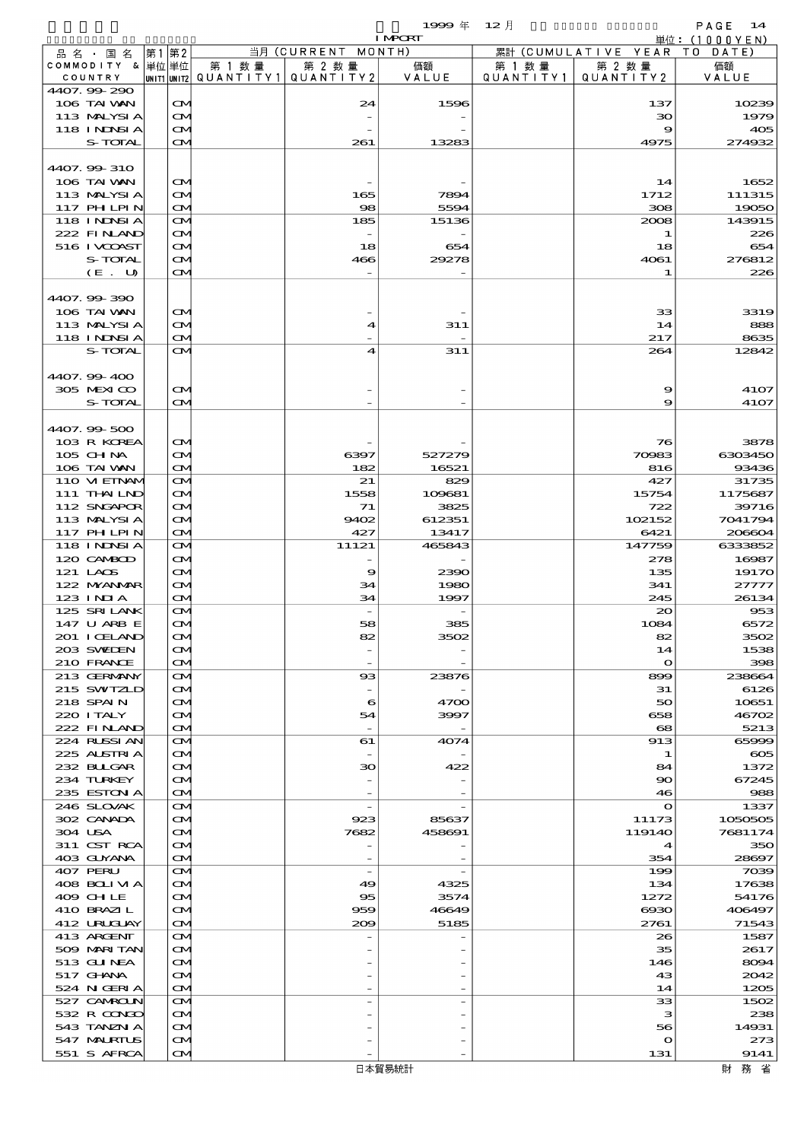$19999 \# 12 \nparallel$  PAGE 14

|                            |      |                                        |                                           |                          | <b>I MPORT</b>  |                      |                              | 単位: (1000YEN)     |
|----------------------------|------|----------------------------------------|-------------------------------------------|--------------------------|-----------------|----------------------|------------------------------|-------------------|
| 品名・国名                      | 第1第2 |                                        |                                           | 当月 (CURRENT MONTH)       |                 |                      | 累計 (CUMULATIVE YEAR TO DATE) |                   |
| COMMODITY & 単位単位           |      |                                        | 第 1 数量<br>UNIT1 UNIT2 QUANTITY1 QUANTITY2 | 第 2 数量                   | 価額<br>VALUE     | 第 1 数 量<br>QUANTITY1 | 第 2 数量<br>QUANTITY 2         | 価額                |
| COUNTRY<br>4407.99-290     |      |                                        |                                           |                          |                 |                      |                              | VALUE             |
| 106 TAI VAN                |      | $\mathbf{\Omega}$                      |                                           | 24                       | 1596            |                      | 137                          | 10239             |
| 113 MALYSIA                |      | $\mathbf{\Omega}$                      |                                           |                          |                 |                      | 30                           | 1979              |
| 118 I NJNSI A              |      | $\mathbf{\Omega}$                      |                                           |                          |                 |                      | 9                            | 405               |
| S-TOTAL                    |      | $\mathbf{\Omega}$                      |                                           | 261                      | 13283           |                      | 4975                         | 274932            |
| 4407.99-310                |      |                                        |                                           |                          |                 |                      |                              |                   |
| 106 TAI VAN                |      | $\mathbf{\Omega}$                      |                                           |                          |                 |                      | 14                           | 1652              |
| 113 MALYSIA                |      | <b>CM</b>                              |                                           | 165                      | 7894            |                      | 1712                         | 111315            |
| 117 PHLPIN                 |      | $\mathbf{\Omega}$                      |                                           | $\infty$                 | 5594            |                      | 308                          | 19050             |
| 118 I NDSI A               |      | <b>CM</b>                              |                                           | 185                      | 15136           |                      | 2008                         | 143915            |
| 222 FINAND                 |      | <b>CM</b>                              |                                           |                          |                 |                      | 1                            | 226               |
| 516 I VCOAST               |      | $\mathbf{\Omega}$                      |                                           | 18                       | 654             |                      | 18                           | 654<br>276812     |
| S-TOTAL<br>(E. U)          |      | <b>CM</b><br>$\mathbf{\Omega}$         |                                           | 466                      | 29278           |                      | 4061<br>1                    | 226               |
|                            |      |                                        |                                           |                          |                 |                      |                              |                   |
| 4407.99-390                |      |                                        |                                           |                          |                 |                      |                              |                   |
| 106 TAI VAN                |      | $\mathbf{\Omega}$                      |                                           |                          |                 |                      | 33                           | 3319              |
| 113 MALYSIA                |      | $\mathbf{\Omega}$                      |                                           | 4                        | 311             |                      | 14                           | 888               |
| <b>118 INNSI A</b>         |      | $\mathbf{\Omega}$                      |                                           |                          |                 |                      | 217                          | 8635              |
| S-TOTAL                    |      | $\mathbf{\Omega}$                      |                                           | $\overline{\mathbf{4}}$  | 311             |                      | 264                          | 12842             |
| 4407.99-400                |      |                                        |                                           |                          |                 |                      |                              |                   |
| 305 MEXICO                 |      | $\mathbf{\Omega}$                      |                                           |                          |                 |                      | 9                            | 4107              |
| S-TOTAL                    |      | $\mathbf{\Omega}$                      |                                           |                          |                 |                      | 9                            | 4107              |
|                            |      |                                        |                                           |                          |                 |                      |                              |                   |
| 4407.99-500<br>103 R KOREA |      | $\mathbf{\Omega}$                      |                                           |                          |                 |                      | 76                           | 3878              |
| 105 CHNA                   |      | <b>CM</b>                              |                                           | 6397                     | 527279          |                      | 70983                        | 6303450           |
| 106 TAI VAN                |      | $\mathbf{\Omega}$                      |                                           | 182                      | 16521           |                      | 816                          | 93436             |
| 110 VI EINAM               |      | <b>CM</b>                              |                                           | 21                       | 829             |                      | 427                          | 31735             |
| 111 THAILND                |      | $\mathbf{\Omega}$                      |                                           | 1558                     | 109681          |                      | 15754                        | 1175687           |
| 112 SNGAPOR                |      | $\mathbf{\Omega}$                      |                                           | 71                       | 3825            |                      | 722                          | 39716             |
| 113 MALYSIA<br>117 PHLPIN  |      | $\mathbf{\Omega}$<br>$\mathbf{\Omega}$ |                                           | 9402<br>427              | 612351<br>13417 |                      | 102152<br>6421               | 7041794<br>206604 |
| 118 INNSI A                |      | <b>CM</b>                              |                                           | 11121                    | 465843          |                      | 147759                       | 6333852           |
| 120 CAMBOD                 |      | $\mathbf{\Omega}$                      |                                           |                          |                 |                      | 278                          | 16987             |
| 121 LAOS                   |      | $\mathbf{\Omega}$                      |                                           | 9                        | 2390            |                      | 135                          | 19170             |
| 122 NYANAR                 |      | <b>CM</b>                              |                                           | 34                       | 1980            |                      | 341                          | 27777             |
| 123 INIA                   |      | $\mathbf{\Omega}$                      |                                           | 34                       | 1997            |                      | 245                          | 26134             |
| 125 SRILANK<br>147 U ARB E |      | $\mathbf{\Omega}$<br>$\mathbf{\Omega}$ |                                           | 58                       | 385             |                      | 20<br>1084                   | 953<br>6572       |
| 201 I CELAND               |      | $\alpha$                               |                                           | æ.                       | 3502            |                      | 82                           | 3502              |
| 203 SWIDEN                 |      | <b>CM</b>                              |                                           |                          |                 |                      | 14                           | 1538              |
| 210 FRANCE                 |      | $\mathbf{\Omega}$                      |                                           |                          |                 |                      | $\mathbf{o}$                 | 398               |
| 213 GERMANY                |      | $\mathbf{\Omega}$                      |                                           | $\boldsymbol{\alpha}$    | 23876           |                      | 899                          | 238664            |
| 215 SWIZLD                 |      | $\mathbf{\Omega}$                      |                                           |                          |                 |                      | 31                           | 6126              |
| 218 SPAIN<br>220 I TALY    |      | $\mathbf{\Omega}$<br><b>CM</b>         |                                           | 6<br>54                  | 4700<br>3997    |                      | 50<br>658                    | 10651<br>46702    |
| 222 FINAND                 |      | $\mathbf{\Omega}$                      |                                           |                          |                 |                      | $\mathbf{68}$                | 5213              |
| 224 RUSSI AN               |      | <b>CM</b>                              |                                           | 61                       | 4074            |                      | 913                          | 65999             |
| 225 ALSTRIA                |      | $\mathbf{\Omega}$                      |                                           |                          |                 |                      | 1                            | $\infty$          |
| 232 BULGAR                 |      | <b>CM</b>                              |                                           | 30                       | 422             |                      | 84                           | 1372              |
| 234 TURKEY                 |      | <b>CM</b>                              |                                           |                          |                 |                      | 90                           | 67245             |
| 235 ESTON A<br>246 SLOVAK  |      | $\mathbf{\Omega}$                      |                                           | $\overline{\phantom{a}}$ |                 |                      | 46<br>$\mathbf o$            | 988<br>1337       |
| 302 CANADA                 |      | <b>CM</b><br>$\mathbf{\Omega}$         |                                           | 923                      | 85637           |                      | 11173                        | 1050505           |
| 304 USA                    |      | <b>CM</b>                              |                                           | 7682                     | 458691          |                      | 119140                       | 7681174           |
| 311 CST RCA                |      | <b>CM</b>                              |                                           |                          |                 |                      | $\boldsymbol{4}$             | 350               |
| 403 GUYANA                 |      | $\mathbf{\Omega}$                      |                                           |                          |                 |                      | 354                          | 28697             |
| 407 PERU                   |      | <b>CM</b>                              |                                           | $\overline{\phantom{a}}$ |                 |                      | 199                          | 7039              |
| 408 BOLIVIA                |      | $\mathbf{\Omega}$                      |                                           | 49                       | 4325            |                      | 134                          | 17638             |
| 409 CHLE<br>410 BRAZIL     |      | $\mathbf{\Omega}$<br><b>CM</b>         |                                           | 95<br>959                | 3574<br>46649   |                      | 1272<br><b>eeeo</b>          | 54176<br>406497   |
| 412 URUCUAY                |      | $\mathbf{\Omega}$                      |                                           | 200                      | 5185            |                      | 2761                         | 71543             |
| 413 ARGENT                 |      | <b>CM</b>                              |                                           |                          |                 |                      | 26                           | 1587              |
| 509 MARI TAN               |      | $\mathbf{\Omega}$                      |                                           |                          |                 |                      | 35                           | 2617              |
| 513 GU NEA                 |      | $\mathbf{\Omega}$                      |                                           |                          |                 |                      | 146                          | 8094              |
| 517 GHANA                  |      | <b>CM</b>                              |                                           |                          |                 |                      | 43                           | 2042              |
| 524 N GERIA<br>527 CAMROUN |      | $\mathbf{\Omega}$<br><b>CM</b>         |                                           |                          |                 |                      | 14<br>33                     | 1205<br>1502      |
| 532 R CONDO                |      | $\mathbf{\Omega}$                      |                                           |                          |                 |                      | з                            | 238               |
| 543 TANZN A                |      | $\mathbf{\Omega}$                      |                                           |                          |                 |                      | 56                           | 14931             |
| 547 MALRIUS                |      | $\mathbf{\Omega}$                      |                                           |                          |                 |                      | $\mathbf o$                  | 273               |
| 551 S AFRCA                |      | $\mathbf{\Omega}$                      |                                           |                          |                 |                      | 131                          | 9141              |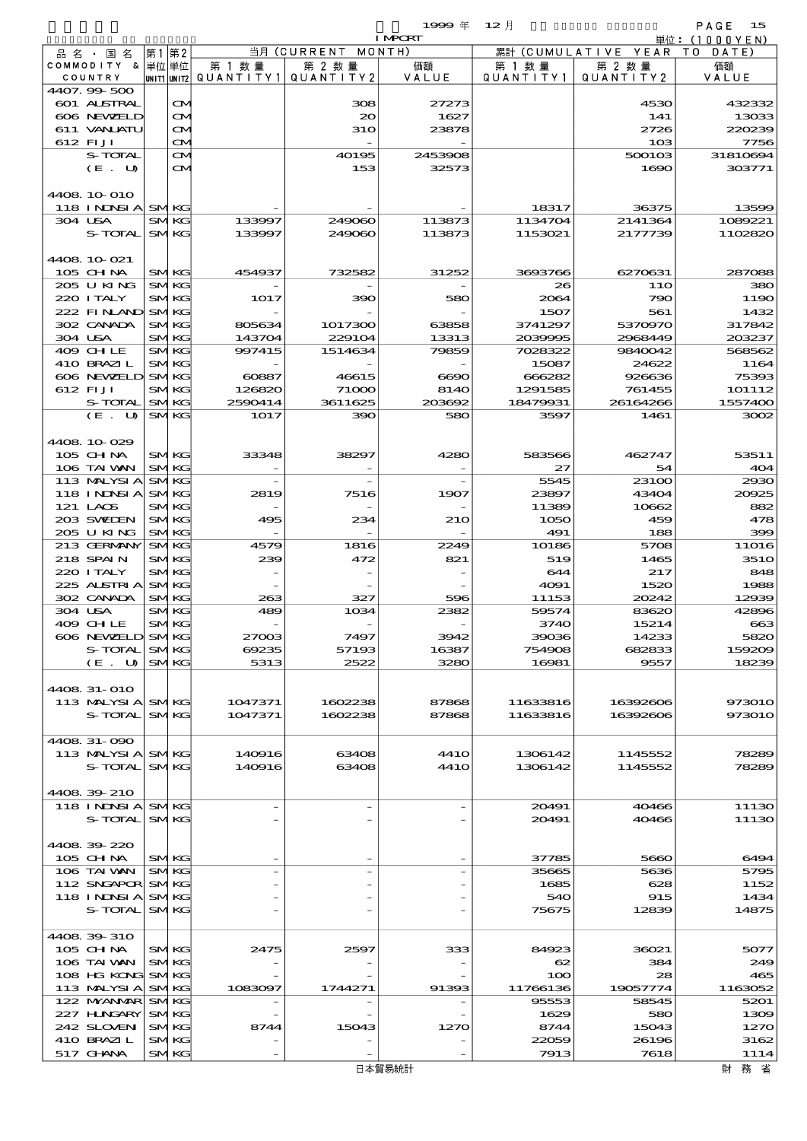$1999 \& 12 \&$ 

| $\cdots$<br>__ | $\sim$ $\sim$ |  |
|----------------|---------------|--|
| т              |               |  |

|                    |                   |         |                                         | <b>I MPCRT</b> |           |                              | 単位: (1000 Y E N ) |
|--------------------|-------------------|---------|-----------------------------------------|----------------|-----------|------------------------------|-------------------|
| 品 名 ・ 国 名          | 第1第2              |         | 当月 (CURRENT MONTH)                      |                |           | 累計 (CUMULATIVE YEAR TO DATE) |                   |
| COMMODITY & 単位単位   |                   | 第 1 数量  | 第 2 数量                                  | 価額             | 第 1 数 量   | 第 2 数量                       | 価額                |
| COUNTRY            |                   |         | UNIT1 UNIT2   QUANT   TY1   QUANT   TY2 | VALUE          | QUANTITY1 | QUANTITY2                    | VALUE             |
| 4407.99-500        |                   |         |                                         |                |           |                              |                   |
| <b>601 ALSTRAL</b> | $\mathbf{\Omega}$ |         | 308                                     | 27273          |           | 4530                         | 432332            |
| 606 NEWELD         | ŒM)               |         | $\infty$                                | 1627           |           | 141                          | 13033             |
| 611 VANJATU        | M                 |         | <b>31O</b>                              | 23878          |           | 2726                         | 220239            |
| 612 FIJI           | M                 |         |                                         |                |           | 10B                          | 7756              |
| S-TOTAL            | $\mathbf{\Omega}$ |         | 40195                                   | 2453908        |           | 500103                       | 31810694          |
| (E. U)             | <b>CM</b>         |         | 153                                     | 32573          |           | 1690                         | 303771            |
|                    |                   |         |                                         |                |           |                              |                   |
| 4408 10 010        |                   |         |                                         |                |           |                              |                   |
| 118 INDNSI A SMKG  |                   |         |                                         |                | 18317     | 36375                        | 13599             |
| 304 USA            | <b>SMKG</b>       | 133997  | 249060                                  | 113873         | 1134704   | 2141364                      | 1089221           |
| S-TOTAL            | <b>SMKG</b>       | 133997  | 249060                                  | 113873         | 1153021   | 2177739                      | 1102820           |
|                    |                   |         |                                         |                |           |                              |                   |
| 4408 10 021        |                   |         |                                         |                |           |                              |                   |
| $105$ CHNA         | <b>SMKG</b>       | 454937  | 732582                                  | 31252          | 3693766   | 6270631                      | 287088            |
| 205 U KING         | <b>SMKG</b>       |         |                                         |                | 26        | <b>11O</b>                   | 380               |
| 220 I TALY         | <b>SMKG</b>       | 1017    | 390                                     | 580            | 2064      | 790                          | 1190              |
| 222 FINAND SMKG    |                   |         |                                         |                | 1507      | 561                          | 1432              |
| 302 CANADA         | <b>SMKG</b>       | 805634  | 1017300                                 | 63858          | 3741297   | 5370970                      | 317842            |
| 304 USA            | <b>SMKG</b>       | 143704  | 229104                                  | 13313          | 2039995   | 2968449                      | 203237            |
| 409 CHLE           | <b>SMKG</b>       | 997415  | 1514634                                 | 79859          | 7028322   | 9840042                      | 568562            |
| 410 BRAZIL         | <b>SMKG</b>       |         |                                         |                | 15087     | 24622                        | 1164              |
| 606 NEWELD SMKG    |                   | 60887   | 46615                                   | 6690           | 666282    | 926636                       | 75393             |
| 612 FIJI           | <b>SMKG</b>       | 126820  | 71000                                   | 8140           | 1291585   | 761455                       | 101112            |
| S-TOTAL            | <b>SMKG</b>       | 2590414 | 3611625                                 | 203692         | 18479931  | 26164266                     | 1557400           |
| $(E_U U)$          | <b>SMKG</b>       | 1017    | 390                                     | 580            | 3597      | 1461                         | 3002              |
|                    |                   |         |                                         |                |           |                              |                   |
| 4408 10 029        |                   |         |                                         |                |           |                              |                   |
| 105 CHNA           | <b>SMKG</b>       | 33348   | 38297                                   | 4280           | 583566    | 462747                       | 53511             |
| 106 TAI VAN        | <b>SMKG</b>       |         |                                         |                | 27        | 54                           | 404               |
| 113 MALYSIA        | <b>SMKG</b>       |         |                                         |                | 5545      | 23100                        | 2930              |
| <b>118 INNSIA</b>  | <b>SMKG</b>       | 2819    | 7516                                    | 1907           | 23897     | 43404                        | 20025             |
| 121 LAOS           | <b>SMKG</b>       |         |                                         |                | 11389     | 10662                        | 882               |
| 203 SWIEN          | <b>SMKG</b>       | 495     | 234                                     | 210            | 1050      | 459                          | 478               |
| 205 U KING         | <b>SMKG</b>       |         |                                         |                | 491       | 188                          | 399               |
| 213 GERMANY        | <b>SMKG</b>       | 4579    | 1816                                    | 2249           | 10186     | 5708                         | <b>11O16</b>      |
| 218 SPAIN          | <b>SMKG</b>       | 239     | 472                                     | 821            | 519       | 1465                         | <b>3510</b>       |
| 220 I TALY         | <b>SMKG</b>       |         |                                         |                | 644       | 217                          | 848               |
| 225 ALSTRIA        | <b>SMKG</b>       |         |                                         |                | 4091      | 1520                         | 1988              |
| 302 CANADA         | <b>SMKG</b>       | 263     | 327                                     | 596            | 11153     | 20242                        | 12939             |
| 304 USA            | <b>SMKG</b>       | 489     | 1034                                    | 2382           | 59574     | 83620                        | 42896             |
| 409 CHLE           | <b>SMKG</b>       |         |                                         |                | 3740      | 15214                        | 663               |
| 606 NEWELD         | <b>SMKG</b>       | 27003   | 7497                                    | 3942           | 39036     | 14233                        | 5820              |
| S-TOTAL            | <b>SMKG</b>       | 69235   | 57193                                   | 16387          | 754908    | 682833                       | 159209            |
| (E. U)             | <b>SMKG</b>       | 5313    | 2522                                    | 3280           | 16981     | 9557                         | 18239             |
|                    |                   |         |                                         |                |           |                              |                   |
| 4408 31-010        |                   |         |                                         |                |           |                              |                   |
| 113 MALYSIA SMKG   |                   | 1047371 | 1602238                                 | 87868          | 11633816  | 16392606                     | 973010            |
| S-TOTAL            | <b>SMKG</b>       | 1047371 | 1602238                                 | 87868          | 11633816  | 16392606                     | 973010            |
|                    |                   |         |                                         |                |           |                              |                   |
| 4408 31-090        |                   |         |                                         |                |           |                              |                   |
| 113 MALYSIA SMKG   |                   | 140916  | 63408                                   | <b>4410</b>    | 1306142   | 1145552                      | 78289             |
| S-TOTAL            | <b>SMKG</b>       | 140916  | 63408                                   | <b>4410</b>    | 1306142   | 1145552                      | 78289             |
|                    |                   |         |                                         |                |           |                              |                   |
| 4408 39 210        |                   |         |                                         |                |           |                              |                   |
| 118 INDSIA SMKG    |                   |         |                                         |                | 20491     | 40466                        | 11130             |
| S-TOTAL            | <b>SMKG</b>       |         |                                         |                | 20491     | 40466                        | 11130             |
|                    |                   |         |                                         |                |           |                              |                   |
| 4408 39 220        |                   |         |                                         |                |           |                              |                   |
| 105 CH NA          | <b>SMKG</b>       |         |                                         |                | 37785     | 5660                         | 6494              |
| 106 TAI VAN        | <b>SMKG</b>       |         |                                         |                | 35665     | 5636                         | 5795              |
| 112 SNGAPOR SMKG   |                   |         |                                         |                | 1685      | 628                          | 1152              |
| 118 INNSI A        | <b>SMKG</b>       |         |                                         |                | 540       | 915                          | 1434              |
| S-TOTAL            | <b>SMKG</b>       |         |                                         |                | 75675     | 12839                        | 14875             |
|                    |                   |         |                                         |                |           |                              |                   |
| 4408 39 310        |                   |         |                                         |                |           |                              |                   |
| 105 CHNA           | <b>SMKG</b>       | 2475    | 2597                                    | 333            | 84923     | 36021                        | 5077              |
| 106 TAI VAN        | <b>SMKG</b>       |         |                                         |                | $\infty$  | 384                          | 249               |
| 108 HG KONG        | <b>SMKG</b>       |         |                                         |                | 100       | 28                           | 465               |
| 113 MALYSIA        | <b>SMKG</b>       | 1083097 | 1744271                                 | 91393          | 11766136  | 19057774                     | 1163052           |
| 122 MYANMAR SMKG   |                   |         |                                         |                | 95553     | 58545                        | 5201              |
| 227 H.NGARY        | <b>SMKG</b>       |         |                                         |                | 1629      | 580                          | 1309              |
| 242 SLOVEN         | <b>SMKG</b>       | 8744    | 15043                                   | 1270           | 8744      | 15043                        | 1270              |
| 410 BRAZIL         | <b>SMKG</b>       |         |                                         |                | 22059     | 26196                        | 3162              |
| 517 GHNA           | <b>SMKG</b>       |         |                                         |                | 7913      | 7618                         | 1114              |
|                    |                   |         |                                         |                |           |                              |                   |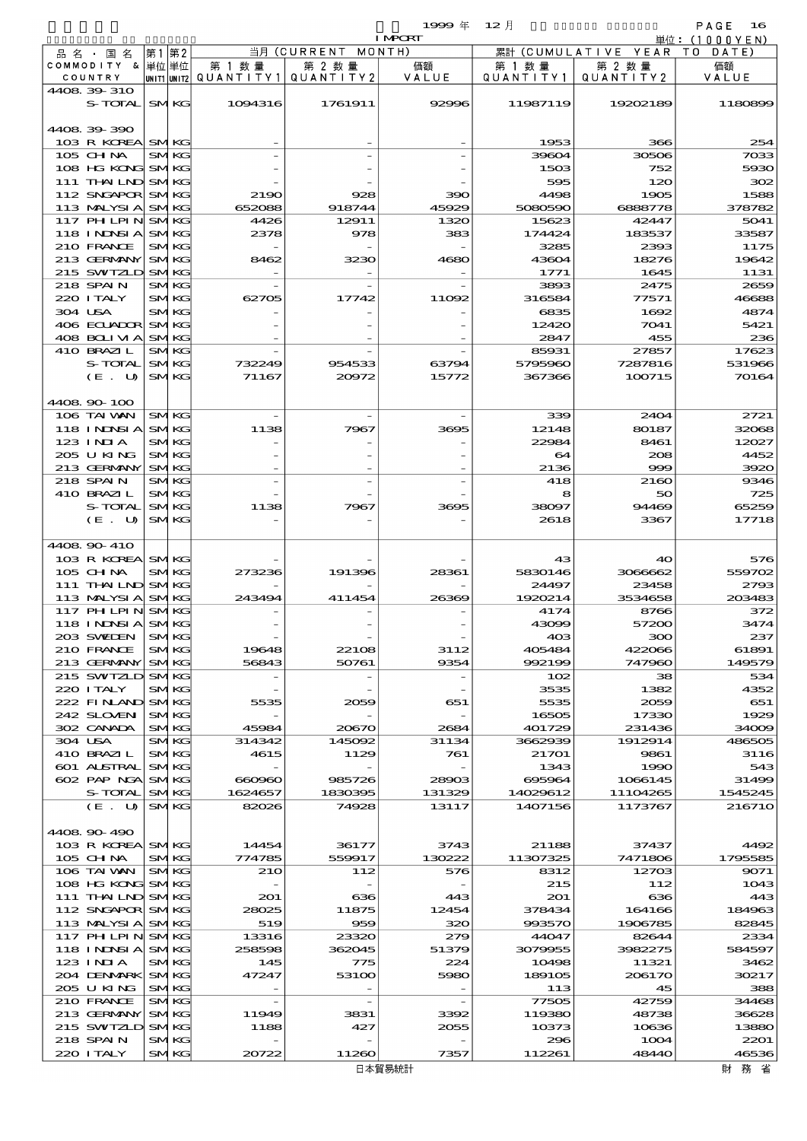$1999 \& 12 \&$ 

|                                 |                |                            |                          |                 | <b>I MPCRT</b>           |                   |                        | 単位: (1000 Y E N) |
|---------------------------------|----------------|----------------------------|--------------------------|-----------------|--------------------------|-------------------|------------------------|------------------|
| 品名・国名                           | 第1             | 第2                         |                          | 当月(CURRENT      | MONTH)                   |                   | 累計 (CUMULATIVE YEAR TO | DATE)            |
| COMMODITY & 単位単位                |                |                            | 第 1 数量                   | 第 2 数量          | 価額                       | 第 1 数 量           | 第 2 数量                 | 価額               |
| COUNTRY                         |                |                            | unit1 unit2  Q∪ANT   TY1 | QUANTITY 2      | VALUE                    | Q U A N T I T Y 1 | QUANTITY 2             | VALUE            |
| 4408 39 310<br>S-TOTAL          |                | <b>SMKG</b>                | 1094316                  | 1761911         | 92996                    | 11987119          | 19202189               | 1180899          |
|                                 |                |                            |                          |                 |                          |                   |                        |                  |
| 4408 39 390                     |                |                            |                          |                 |                          |                   |                        |                  |
| 103 R KOREA                     |                | <b>SMKG</b>                |                          |                 |                          | 1953              | 366                    | 254              |
| 105 CH NA                       |                | <b>SMKG</b>                |                          |                 |                          | 39604             | 30506                  | 7033             |
| 108 HG KONG SMKG                |                |                            |                          |                 |                          | 1503              | 752                    | 5930             |
| 111 THAILND SMKG                |                |                            |                          |                 |                          | 595               | 120                    | 302              |
| 112 SNGAPOR SMKG                |                |                            | 2190                     | 928             | 390                      | 4498              | 1905                   | 1588             |
| 113 MALYSIA<br>117 PH LPIN      |                | <b>SMKG</b><br><b>SMKG</b> | 652088<br>4426           | 918744<br>12911 | 45929<br>1320            | 5080590<br>15623  | 6888778<br>42447       | 378782<br>5041   |
| <b>118 INNSIA</b>               |                | <b>SMKG</b>                | 2378                     | 978             | 383                      | 174424            | 183537                 | 33587            |
| 210 FRANCE                      |                | <b>SMKG</b>                |                          |                 |                          | 3285              | 2393                   | 1175             |
| 213 GERMANY                     |                | <b>SMKG</b>                | 8462                     | 3230            | 4680                     | 43604             | 18276                  | 19642            |
| 215 SWIZLD                      |                | <b>SMKG</b>                |                          |                 |                          | 1771              | 1645                   | 1131             |
| 218 SPAIN                       |                | <b>SMKG</b>                |                          |                 |                          | 3893              | 2475                   | 2659             |
| 220 I TALY                      |                | <b>SMKG</b>                | 62705                    | 17742           | 11092                    | 316584            | 77571                  | 46688            |
| 304 USA                         |                | <b>SMKG</b>                |                          |                 |                          | 6835              | 1692                   | 4874             |
| 406 ECUADOR                     |                | <b>SMKG</b><br><b>SMKG</b> |                          |                 |                          | 12420             | 7041                   | 5421             |
| 408 BOLIVIA<br>410 BRAZIL       |                | <b>SMKG</b>                |                          |                 |                          | 2847<br>85931     | 455<br>27857           | 236<br>17623     |
| S-TOTAL                         |                | <b>SMKG</b>                | 732249                   | 954533          | 63794                    | 5795960           | 7287816                | 531966           |
| (E. U)                          |                | <b>SMKG</b>                | 71167                    | 20072           | 15772                    | 367366            | 100715                 | 70164            |
|                                 |                |                            |                          |                 |                          |                   |                        |                  |
| 4408 90 100                     |                |                            |                          |                 |                          |                   |                        |                  |
| 106 TAI VAN                     |                | <b>SMKG</b>                |                          |                 |                          | 339               | 2404                   | 2721             |
| 118 I NJNSI A                   |                | <b>SMKG</b>                | 1138                     | 7967            | 3695                     | 12148             | 80187                  | 32068            |
| $123$ INIA                      |                | <b>SMKG</b>                |                          |                 |                          | 22984             | 8461                   | 12027            |
| 205 U KING                      |                | <b>SMKG</b>                |                          |                 |                          | 64                | 208                    | 4452             |
| 213 GERMANY<br>218 SPAIN        |                | <b>SMKG</b><br><b>SMKG</b> |                          |                 |                          | 2136<br>418       | $\infty$<br>2160       | 3920<br>9346     |
| 410 BRAZIL                      |                | <b>SMKG</b>                |                          |                 |                          | 8                 | 50                     | 725              |
| S-TOTAL                         |                | <b>SMKG</b>                | 1138                     | 7967            | 3695                     | 38097             | 94469                  | 65259            |
| $(E_U U)$                       |                | <b>SMKG</b>                |                          |                 |                          | 2618              | 3367                   | 17718            |
|                                 |                |                            |                          |                 |                          |                   |                        |                  |
| 4408 90 410                     |                |                            |                          |                 |                          |                   |                        |                  |
| 103 R KOREA SMKG                |                |                            |                          |                 |                          | 43                | 40                     | 576              |
| 105 CH NA                       |                | <b>SMKG</b>                | 273236                   | 191396          | 28361                    | 5830146           | 3066662                | 559702           |
| 111 THAILND SMKG<br>113 MALYSIA |                | <b>SMKG</b>                | 243494                   | 411454          | 26369                    | 24497<br>1920214  | 23458<br>3534658       | 2793<br>203483   |
| 117 PH LPIN                     |                | <b>SMKG</b>                |                          |                 |                          | 4174              | 8766                   | 372              |
| 118 INDSIA SMKG                 |                |                            |                          |                 |                          | 43099             | 57200                  | 3474             |
| 203 SWEDEN                      | S <sub>N</sub> | TKG.                       |                          |                 |                          | 403               | 300                    | 237              |
| 210 FRANCE                      |                | <b>SMKG</b>                | 19648                    | 22108           | 3112                     | 405484            | 422066                 | 61891            |
| 213 GERMANY                     |                | <b>SMKG</b>                | 56843                    | 50761           | 9354                     | 992199            | 747960                 | 149579           |
| 215 SWIZLD                      |                | <b>SMKG</b>                |                          |                 |                          | 102               | 38                     | 534              |
| 220 I TALY                      |                | <b>SMKG</b>                |                          |                 |                          | 3535              | 1382                   | 4352             |
| 222 FINAND                      |                | <b>SMKG</b>                | 5535                     | 2059            | 651                      | 5535              | 2059                   | 651              |
| 242 SLOVEN<br>302 CANADA        |                | <b>SMKG</b><br><b>SMKG</b> | 45984                    | 20670           | 2684                     | 16505<br>401729   | 17330<br>231436        | 1929<br>34009    |
| 304 USA                         |                | <b>SMKG</b>                | 314342                   | 145092          | 31134                    | 3662939           | 1912914                | 486505           |
| 410 BRAZIL                      |                | <b>SMKG</b>                | 4615                     | 1129            | 761                      | 21701             | 9861                   | 3116             |
| 601 ALSTRAL                     |                | <b>SMKG</b>                |                          |                 |                          | 1343              | 1990                   | 543              |
| 602 PAP NGA                     |                | <b>SMKG</b>                | 660960                   | 985726          | 28903                    | 695964            | 1066145                | 31499            |
| S-TOTAL                         |                | <b>SMKG</b>                | 1624657                  | 1830395         | 131329                   | 14029612          | 11104265               | 1545245          |
| (E. U)                          |                | <b>SMKG</b>                | 82026                    | 74928           | 13117                    | 1407156           | 1173767                | 216710           |
| 4408 90 490                     |                |                            |                          |                 |                          |                   |                        |                  |
| 103 R KOREA SMKG                |                |                            | 14454                    | 36177           | 3743                     | 21188             | 37437                  | 4492             |
| 105 CH NA                       |                | <b>SMKG</b>                | 774785                   | 559917          | 130222                   | 11307325          | 7471806                | 1795585          |
| 106 TAI VAN                     |                | <b>SMKG</b>                | 210                      | 112             | 576                      | 8312              | 12703                  | 9071             |
| 108 HG KONG                     |                | <b>SMKG</b>                |                          |                 |                          | 215               | 112                    | 1043             |
| 111 THAILND                     |                | <b>SMKG</b>                | 201                      | 636             | 443                      | 201               | 636                    | 443              |
| 112 SNGAPOR SMKG                |                |                            | 28025                    | 11875           | 12454                    | 378434            | 164166                 | 184963           |
| 113 MALYSIA                     |                | <b>SMKG</b>                | 519                      | 959             | 320                      | 993570            | 1906785                | 82845            |
| 117 PH LPIN                     |                | <b>SMKG</b>                | 13316<br>258598          | 23320<br>362045 | 279                      | 44047             | 82644                  | 2334<br>584597   |
| <b>118 INNSIA</b><br>123 INIA   |                | <b>SMKG</b><br><b>SMKG</b> | 145                      | 775             | 51379<br>224             | 3079955<br>10498  | 3982275<br>11321       | 3462             |
| 204 DENMARK                     |                | <b>SMKG</b>                | 47247                    | 53100           | 5980                     | 189105            | 206170                 | 30217            |
| 205 U KING                      |                | <b>SMKG</b>                |                          |                 |                          | 113               | 45                     | 388              |
| 210 FRANCE                      |                | <b>SMKG</b>                |                          |                 | $\overline{\phantom{a}}$ | 77505             | 42759                  | 34468            |
| 213 GERMANY                     |                | <b>SMKG</b>                | 11949                    | 3831            | 3392                     | 119380            | 48738                  | 36628            |
| 215 SWIZLD                      |                | <b>SMKG</b>                | 1188                     | 427             | 2055                     | 10373             | 10636                  | 13880            |
| 218 SPAIN                       |                | <b>SMKG</b>                |                          |                 |                          | 296               | 1004                   | 2201             |
| 220 I TALY                      |                | <b>SMKG</b>                | 20722                    | 11260           | 7357                     | 112261            | 48440                  | 46536            |

 $\overline{\phantom{a}}$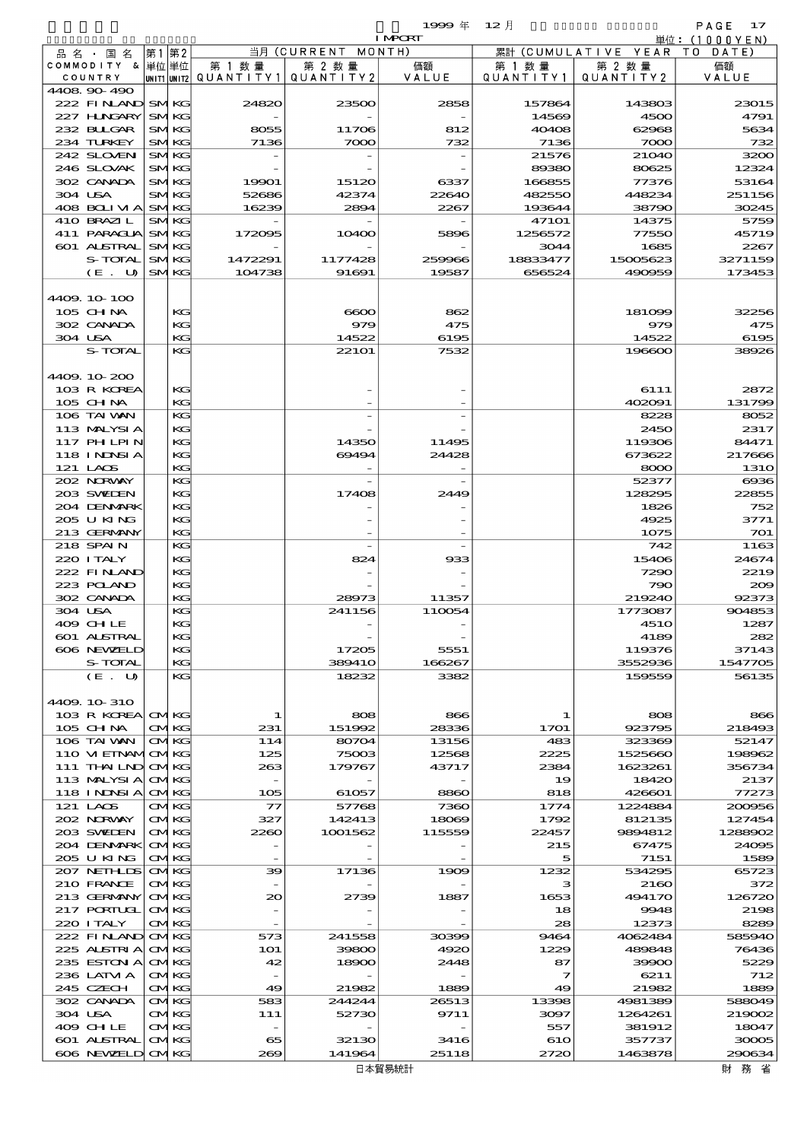$1999 \oplus 12 \uparrow$ 

|                            |                            |                                       |                    | <b>I MPCRT</b> |                   |                              | 単位:(1000YEN)          |
|----------------------------|----------------------------|---------------------------------------|--------------------|----------------|-------------------|------------------------------|-----------------------|
| 品 名 ・ 国 名                  | 第1第2                       |                                       | 当月 (CURRENT MONTH) |                |                   | 累計 (CUMULATIVE YEAR TO DATE) |                       |
| COMMODITY & 単位単位           |                            | 第 1 数 量                               | 第 2 数量             | 価額             | 第 1 数 量           | 第 2 数量                       | 価額                    |
| COUNTRY<br>4408 90 490     |                            | unit1 unit2  Q∪ANT   TY1  Q∪ANT   TY2 |                    | VALUE          | Q U A N T I T Y 1 | QUANTITY 2                   | VALUE                 |
| 222 FINAND                 | <b>SMKG</b>                | 24820                                 | 23500              | 2858           | 157864            | 143803                       | 23015                 |
| 227 H.NGARY                | <b>SMKG</b>                |                                       |                    |                | 14569             | 4500                         | 4791                  |
| 232 BULGAR                 | <b>SMKG</b>                | 8055                                  | 11706              | 812            | 40408             | 62968                        | 5634                  |
| 234 TURKEY                 | <b>SMKG</b>                | 7136                                  | 7000               | 732            | 7136              | 7000                         | 732                   |
| 242 SLOVEN                 | <b>SMKG</b>                |                                       |                    |                | 21576             | 21040                        | 3200                  |
| 246 SLOVAK                 | <b>SMKG</b>                |                                       |                    |                | 89380             | 80625                        | 12324                 |
| 302 CANADA                 | <b>SMKG</b>                | 19901                                 | 15120              | 6337           | 166855            | 77376                        | 53164                 |
| 304 USA<br>$408$ BOLIMA    | <b>SMKG</b><br><b>SMKG</b> | 52686<br>16239                        | 42374<br>2894      | 22640<br>2267  | 482550<br>193644  | 448234<br>38790              | 251156<br>30245       |
| 410 BRAZIL                 | <b>SMKG</b>                |                                       |                    |                | 47101             | 14375                        | 5759                  |
| 411 PARAGUA                | <b>SMKG</b>                | 172095                                | 10400              | 5896           | 1256572           | 77550                        | 45719                 |
| 601 ALSTRAL                | <b>SMKG</b>                |                                       |                    |                | 3044              | 1685                         | 2267                  |
| S-TOTAL                    | <b>SMKG</b>                | 1472291                               | 1177428            | 259966         | 18833477          | 15005623                     | 3271159               |
| $(E$ .<br><b>U</b>         | <b>SMKG</b>                | 104738                                | 91691              | 19587          | 656524            | 490959                       | 173453                |
|                            |                            |                                       |                    |                |                   |                              |                       |
| 4409.10-100                |                            |                                       |                    |                |                   |                              |                       |
| 105 CHNA<br>302 CANADA     | KG<br>KG                   |                                       | 6000<br>979        | 862<br>475     |                   | 181099<br>979                | 32256<br>475          |
| 304 USA                    | KG                         |                                       | 14522              | 6195           |                   | 14522                        | 6195                  |
| S-TOTAL                    | KG                         |                                       | 221 <sub>O1</sub>  | 7532           |                   | 196600                       | 38926                 |
|                            |                            |                                       |                    |                |                   |                              |                       |
| 4409.10-200                |                            |                                       |                    |                |                   |                              |                       |
| 103 R KOREA                | КG                         |                                       |                    |                |                   | 6111                         | 2872                  |
| $105$ CHNA                 | KG                         |                                       |                    |                |                   | 402091                       | 131799                |
| 106 TAI VAN                | KG                         |                                       |                    |                |                   | 8228                         | 8052                  |
| 113 MALYSIA                | KG                         |                                       |                    |                |                   | 2450                         | 2317                  |
| 117 PHLPIN<br>118 I NDSI A | KG<br>KG                   |                                       | 14350<br>69494     | 11495<br>24428 |                   | 119306<br>673622             | 84471<br>217666       |
| 121 LAOS                   | KG                         |                                       |                    |                |                   | 8000                         | <b>1310</b>           |
| 202 NORWAY                 | KG                         |                                       |                    |                |                   | 52377                        | $\boldsymbol{\alpha}$ |
| 203 SWIDEN                 | KG                         |                                       | 17408              | 2449           |                   | 128295                       | 22855                 |
| 204 DENMARK                | KG                         |                                       |                    |                |                   | 1826                         | 752                   |
| 205 U KING                 | KG                         |                                       |                    |                |                   | 4925                         | 3771                  |
| 213 GERMANY                | KG                         |                                       |                    |                |                   | 1075                         | 701                   |
| 218 SPAIN                  | KG                         |                                       |                    |                |                   | 742                          | 1163                  |
| 220 I TALY                 | KG                         |                                       | 824                | 933            |                   | 15406                        | 24674                 |
| 222 FINAND<br>223 POLAND   | KG<br>KG                   |                                       |                    |                |                   | 7290<br>790                  | 2219<br>209           |
| 302 CANADA                 | KG                         |                                       | 28973              | 11357          |                   | 219240                       | 92373                 |
| 304 USA                    | KG                         |                                       | 241156             | 110054         |                   | 1773087                      | 904853                |
| 409 CHLE                   | KG                         |                                       |                    |                |                   | <b>4510</b>                  | 1287                  |
| 601 ALSTRAL                | KG                         |                                       |                    |                |                   | 4189                         | 282                   |
| 606 NEWELD                 | KС                         |                                       | 17205              | 5551           |                   | 119376                       | 37143                 |
| S-TOTAL                    | KG                         |                                       | 389410             | 166267         |                   | 3552936                      | 1547705               |
| (E. U)                     | KG                         |                                       | 18232              | 3382           |                   | 159559                       | 56135                 |
| 4409.10.310                |                            |                                       |                    |                |                   |                              |                       |
| 103 R KOREA CMKG           |                            | 1                                     | 808                | 866            | 1                 | 808                          | 866                   |
| 105 CH NA                  | <b>CMKG</b>                | 231                                   | 151992             | 28336          | 1701              | 923795                       | 218493                |
| 106 TAI WAN                | <b>CMKG</b>                | 114                                   | 80704              | 13156          | 483               | 323369                       | 52147                 |
| 110 VI EINAMICMKG          |                            | 125                                   | 75003              | 12568          | 2225              | 1525660                      | 198962                |
| 111 THAILND                | <b>CMKG</b>                | 263                                   | 179767             | 43717          | 2384              | 1623261                      | 356734                |
| 113 MALYSIA                | <b>CMKG</b>                |                                       |                    |                | 19                | 18420                        | 2137                  |
| 118 I NINSI A<br>121 LAOS  | <b>CMKG</b><br><b>CMKG</b> | 105<br>77                             | 61057<br>57768     | 8860<br>7360   | 818<br>1774       | 426601<br>1224884            | 77273<br>200956       |
| 202 NORWAY                 | <b>CMKG</b>                | 327                                   | 142413             | 18069          | 1792              | 812135                       | 127454                |
| 203 SWIDEN                 | <b>CMKG</b>                | 2260                                  | 1001562            | 115559         | 22457             | 9894812                      | 1288902               |
| 204 DENMARK                | <b>CMKG</b>                |                                       |                    |                | 215               | 67475                        | 24095                 |
| 205 U KING                 | <b>CMKG</b>                |                                       |                    |                | 5                 | 7151                         | 1589                  |
| 207 NETHLIS                | <b>CMKG</b>                | 39                                    | 17136              | 1909           | 1232              | 534295                       | 65723                 |
| 210 FRANCE                 | <b>CMKG</b>                |                                       |                    |                | з                 | 2160                         | 372                   |
| 213 GERMANY                | <b>CMKG</b>                | 20                                    | 2739               | 1887           | 1653              | 494170                       | 126720                |
| 217 PORTUGL<br>220 I TALY  | <b>CMKG</b><br><b>CMKG</b> |                                       |                    |                | 18<br>28          | 9948<br>12373                | 2198<br>8289          |
| 222 FINAND                 | <b>CMKG</b>                | 573                                   | 241558             | 30399          | 9464              | 4062484                      | 585940                |
| 225 ALSTRIA                | <b>CMKG</b>                | <b>1O1</b>                            | 39800              | 4920           | 1229              | 489848                       | 76436                 |
| 235 ESTON A                | <b>CMKG</b>                | 42                                    | 18900              | 2448           | 87                | 39900                        | 5229                  |
| 236 LATM A                 | <b>CMKG</b>                |                                       |                    |                | 7                 | 6211                         | 712                   |
| 245 CZECH                  | <b>CMKG</b>                | 49                                    | 21982              | 1889           | 49                | 21982                        | 1889                  |
| 302 CANADA                 | <b>CMKG</b>                | 583                                   | 244244             | 26513          | 13398             | 4981389                      | 588049                |
| 304 USA                    | <b>CMKG</b>                | 111                                   | 52730              | 9711           | 3097              | 1264261                      | 219002                |
| 409 CH LE                  | <b>CMKG</b>                |                                       |                    |                | 557               | 381912                       | 18047                 |
| 601 ALSTRAL<br>606 NEWELD  | <b>CMKG</b><br><b>CMKG</b> | 65<br>269                             | 32130<br>141964    | 3416<br>25118  | 610<br>2720       | 357737<br>1463878            | 30005<br>290634       |
|                            |                            |                                       |                    |                |                   |                              |                       |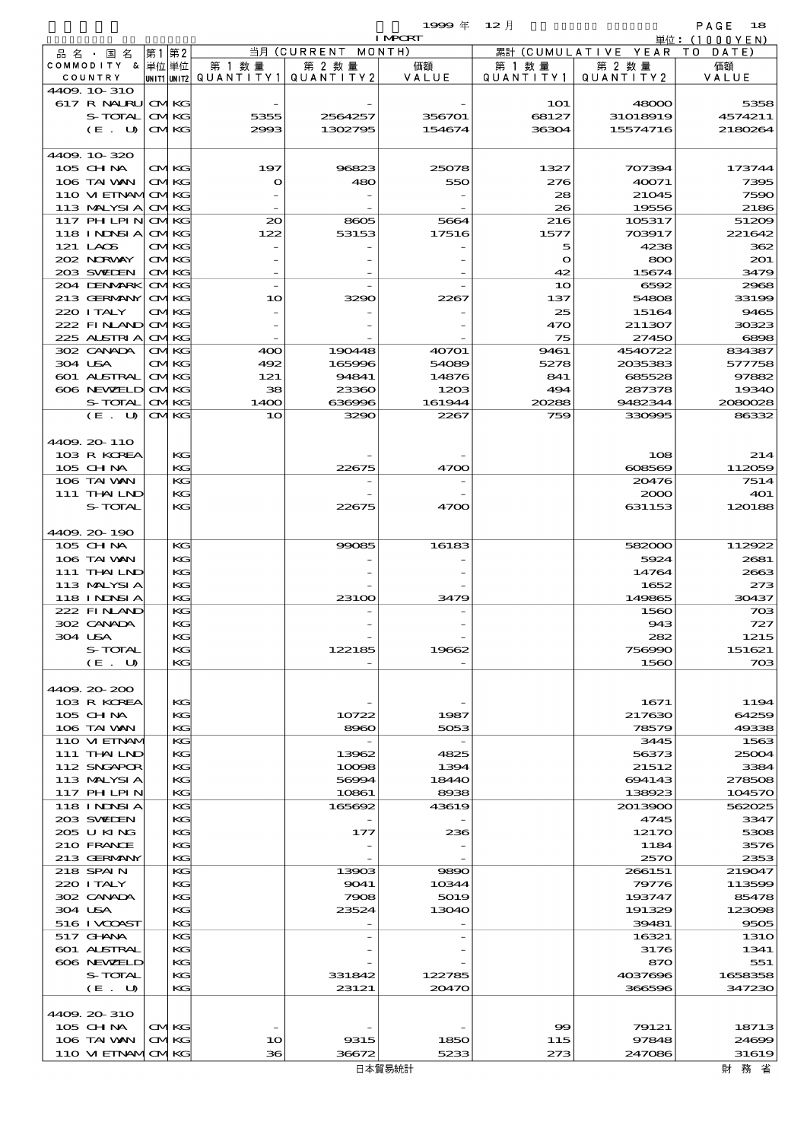|                  |                   |       |              |                |           | 1999年 12月      |                   |           | PAGE<br>18                                           |
|------------------|-------------------|-------|--------------|----------------|-----------|----------------|-------------------|-----------|------------------------------------------------------|
|                  |                   |       |              |                |           | <b>I MPORT</b> |                   |           | $\dot{\mathbb{H}}$ $\dot{\mathbb{G}}$ : (1000 Y E N) |
| 品名               | 国<br>名<br>$\sim$  | 第1    | 第2           | 当月             | (CURRENT  | MONTH)         | (CUMULATIVE<br>累計 | YEAR      | T O<br>DATE                                          |
| <b>COMMODITY</b> | - &               | 単位 単位 |              | 第 1 数量         | 第 2 数量    | 価額             | 第 1 数量            | 第 2 数量    | 価額                                                   |
|                  | COUNTRY           |       | UNIT1  UNIT2 | QUANTITY1      | QUANTITY2 | VALUE          | QUANTITY1         | QUANTITY2 | VALUE                                                |
|                  | 4409, 10 310      |       |              |                |           |                |                   |           |                                                      |
|                  | 617 R NAURU       |       | <b>CMKG</b>  |                |           |                | <b>1O1</b>        | 48000     | 5358                                                 |
|                  | S-TOTAL           |       | <b>CMKG</b>  | 5355           | 2564257   | 356701         | 68127             | 31018919  | 4574211                                              |
|                  | $(E_\cdot U)$     |       | <b>CMKG</b>  | 2993           | 1302795   | 154674         | 36304             | 15574716  | 2180264                                              |
|                  |                   |       |              |                |           |                |                   |           |                                                      |
|                  | 4409 10 320       |       |              |                |           |                |                   |           |                                                      |
|                  | $105$ CHNA        |       | <b>CMKG</b>  | 197            | 96823     | 25078          | 1327              | 707394    | 173744                                               |
|                  | 106 TAI VAN       |       | <b>CMKG</b>  | О              | 480       | 550            | 276               | 40071     | 7395                                                 |
|                  | 110 VI EINAMOMKG  |       |              |                |           |                | 28                | 21045     | 7590                                                 |
|                  | 113 MALYSI A CMKG |       |              |                |           |                | 26                | 19556     | 2186                                                 |
|                  | 117 PH LPIN CMKG  |       |              | 20             | 8605      | 5664           | 216               | 105317    | 51200                                                |
|                  | 118 INDSIA CMKG   |       |              | 122            | 53153     | 17516          | 1577              | 703917    | 221642                                               |
|                  | $121$ LACS        |       | <b>CMKG</b>  |                |           |                | 5                 | 4238      | 362                                                  |
|                  | 202 NRWAY         |       | <b>CMKG</b>  |                |           |                | റ                 | 800       | 201                                                  |
|                  | 203 SWIEN         |       | <b>CMKG</b>  |                |           |                | 42                | 15674     | 3479                                                 |
|                  | 204 DENMARK       |       | <b>CMKG</b>  |                |           |                | 1 <sub>O</sub>    | 6592      | 2965                                                 |
|                  | 213 GERMANY       |       | <b>CMKG</b>  | 1 <sub>O</sub> | 3290      | 2267           | 137               | 54808     | 33199                                                |
|                  | 220 I TALY        |       | <b>CMKG</b>  |                |           |                | 25                | 15164     | 9465                                                 |
|                  | 222 FINAND CMKG   |       |              |                |           |                | 470               | 211307    | 30323                                                |
|                  | 225 ALSTRIA CMKG  |       |              |                |           |                | 75                | 27450     | 6896                                                 |
|                  | 302 CANADA        |       | <b>CMKG</b>  | 400            | 190448    | 40701          | 9461              | 4540722   | 834387                                               |

| 4409.10-320       |             |                   |        |        |              |         |              |
|-------------------|-------------|-------------------|--------|--------|--------------|---------|--------------|
| 105 CH NA         | <b>CMKG</b> | 197               | 96823  | 25078  | 1327         | 707394  | 173744       |
| 106 TAI WAN       | <b>CMKG</b> | $\mathbf{\Omega}$ | 480    | 550    | 276          | 40071   | 7395         |
| 110 VI EINAMICMKG |             |                   |        |        | 28           | 21045   | 7590         |
| 113 MALYSIA       | <b>CMKG</b> |                   |        |        | 26           | 19556   | 2186         |
| 117 PHLPIN        | <b>CMKG</b> | 20                | 8605   | 5664   | 216          | 105317  | 5120G        |
| <b>118 INNSIA</b> | <b>CMKG</b> | 122               | 53153  | 17516  | 1577         | 703917  | 221642       |
| 121 LACS          | <b>CMKG</b> |                   |        |        | 5            | 4238    | 362          |
| 202 NORWAY        | <b>CMKG</b> |                   |        |        | $\mathbf{o}$ | 800     | 201          |
| 203 SWIDEN        | <b>CMKG</b> |                   |        |        | 42           | 15674   | 3479         |
| 204 DENMARK       | <b>CMKG</b> |                   |        |        | 10           | 6592    | 2968         |
| 213 GERMANY       | <b>CMKG</b> | 10                | 3290   | 2267   | 137          | 54808   | 3319C        |
| 220 I TALY        | <b>CMKG</b> |                   |        |        | 25           | 15164   | 9465         |
| 222 FINAND        | <b>CMKG</b> |                   |        |        | 470          | 211307  | 30323        |
| 225 ALSTRIA       | <b>CMKG</b> |                   |        |        | 75           | 27450   | 6896         |
|                   |             |                   |        |        |              |         |              |
| 302 CANADA        | <b>CMKG</b> | 400<br>492        | 190448 | 40701  | 9461         | 4540722 | 834387       |
| 304 USA           | <b>CMKG</b> |                   | 165996 | 54089  | 5278         | 2035383 | 577758       |
| 601 ALSTRAL       | <b>CMKG</b> | 121               | 94841  | 14876  | 841          | 685528  | 97882        |
| 606 NEWELD        | <b>CMKG</b> | 38                | 23360  | 1203   | 494          | 287378  | <b>19340</b> |
| S-TOTAL           | <b>CMKG</b> | 14OO              | 636996 | 161944 | 20288        | 9482344 | 2080025      |
| (E. U)            | <b>CMKG</b> | 10                | 3290   | 2267   | 759          | 330995  | 86332        |
|                   |             |                   |        |        |              |         |              |
| 4409.20-110       |             |                   |        |        |              |         |              |
| 103 R KOREA       | KG          |                   |        |        |              | 108     | 214          |
| 105 CH NA         | КG          |                   | 22675  | 4700   |              | 608569  | 112059       |
| 106 TAI VAN       | KG          |                   |        |        |              | 20476   | 7514         |
| 111 THAILND       | KG          |                   |        |        |              | 2000    | <b>4O1</b>   |
| S-TOTAL           | KG          |                   | 22675  | 4700   |              | 631153  | 120188       |
|                   |             |                   |        |        |              |         |              |
| 4409.20-190       |             |                   |        |        |              |         |              |
| 105 CH NA         | KG          |                   | 99085  | 16183  |              | 582000  | 112922       |
| 106 TAI VAN       | KG          |                   |        |        |              | 5924    | 2681         |
| 111 THAILND       | KG          |                   |        |        |              | 14764   | 2663         |
| 113 MALYSIA       | КG          |                   |        |        |              | 1652    | 273          |
| <b>118 INNSIA</b> | KG          |                   | 23100  | 3479   |              | 149865  | 30437        |
| 222 FINAND        | KG          |                   |        |        |              | 1560    | 700          |
| 302 CANADA        | KG          |                   |        |        |              | 943     | 727          |
| 304 USA           | KG          |                   |        |        |              | 282     | 1215         |
| S-TOTAL           | КG          |                   | 122185 | 19662  |              | 756990  | 151621       |
| (E. U)            | KG          |                   |        |        |              | 1560    | 700          |
|                   |             |                   |        |        |              |         |              |
| 4409.20 200       |             |                   |        |        |              |         |              |
| 103 R KOREA       | KG          |                   |        |        |              | 1671    | 1194         |
| 105 CH NA         | KG          |                   | 10722  | 1987   |              | 217630  | 64259        |
| 106 TAI VAN       | KG          |                   | 8960   | 5053   |              | 78579   | 49338        |
| 110 VI EINAM      | KG          |                   |        |        |              | 3445    | 1563         |
| 111 THAI LND      | KG          |                   | 13962  | 4825   |              | 56373   | 25004        |
| 112 SNGAPOR       | KC          |                   | 10098  | 1394   |              | 21512   | 3384         |
| 113 MALYSIA       | KG          |                   | 56994  | 18440  |              | 694143  | 278506       |
| 117 PHLPIN        | KG          |                   | 10861  | 8938   |              | 138923  | 104570       |
| <b>118 INNSIA</b> | KG          |                   | 165692 | 43619  |              | 2013900 | 562025       |
| 203 SWIDEN        | KG          |                   |        |        |              | 4745    | 3347         |
| 205 U KING        | KG          |                   | 177    | 236    |              | 12170   | 530E         |
| 210 FRANCE        | KG          |                   |        |        |              | 1184    | 357C         |
| 213 GERMANY       | KG          |                   |        |        |              | 2570    | 2353         |
| 218 SPAIN         | KG          |                   | 13903  | 9890   |              | 266151  | 219047       |
| 220 I TALY        | KG          |                   | 9041   | 10344  |              | 79776   | 113599       |
| 302 CANADA        | KG          |                   | 7908   | 5019   |              | 193747  | 85478        |
| 304 USA           | KG          |                   | 23524  | 13040  |              | 191329  | 123096       |
| 516 I VOOAST      | KG          |                   |        |        |              | 39481   | 9505         |
| 517 GHANA         | KG          |                   |        |        |              | 16321   | 131C         |
| 601 ALSTRAL       | KG          |                   |        |        |              | 3176    | 1341         |
| 606 NEWELD        | KG          |                   |        |        |              | 870     | 551          |
| S-TOTAL           | KG          |                   | 331842 | 122785 |              | 4037696 | 1658358      |
| (E. U)            | KG          |                   | 23121  | 20470  |              | 366596  | 347230       |
|                   |             |                   |        |        |              |         |              |
| 4409 20 310       |             |                   |        |        |              |         |              |
| $105$ CHNA        | <b>CMKG</b> |                   |        |        | 99           | 79121   | 18713        |
| 106 TAI VAN       | <b>CMKG</b> | 10                | 9315   | 1850   | 115          | 97848   | <b>24696</b> |
| 110 VI EINAMICMKG |             | 36                | 36672  | 5233   | 273          | 247086  | 31619        |
|                   |             |                   |        |        |              |         |              |
|                   |             |                   |        | 日本貿易統計 |              |         | 財務省          |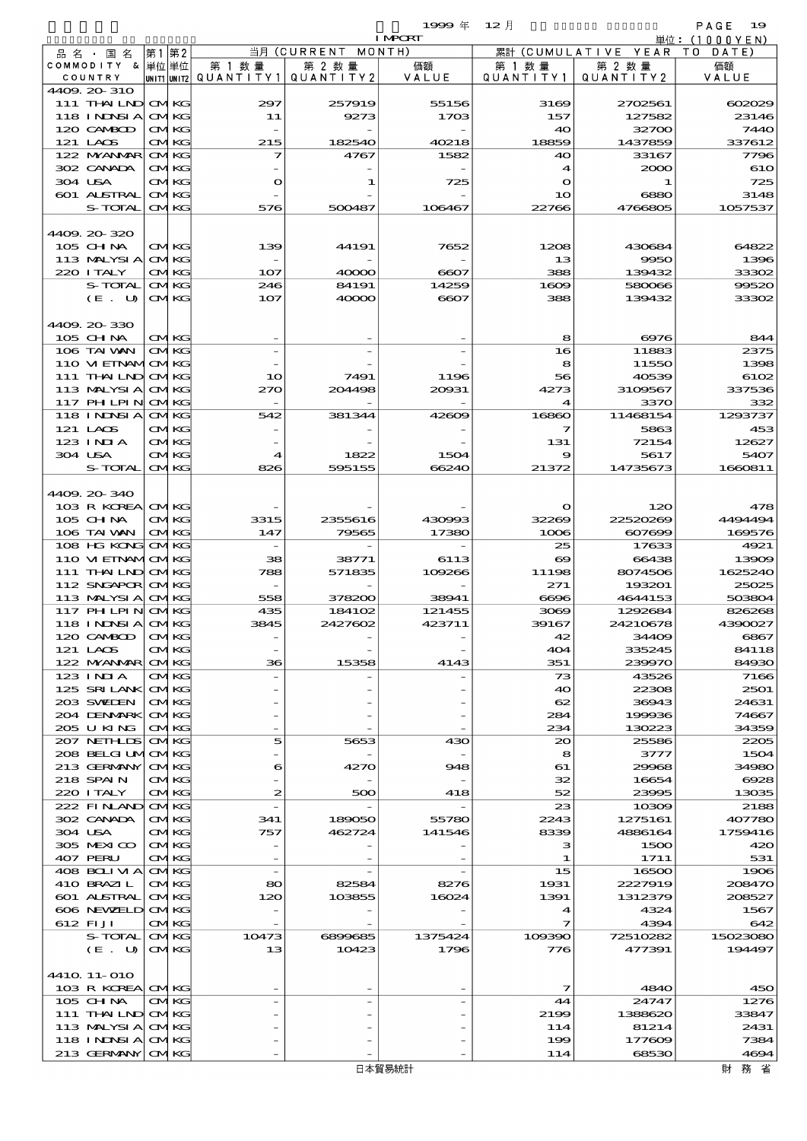$1999 \frac{4}{12}$   $12 \frac{1}{2}$ 

|                        |          |                            |                          |            | <b>I MPCRT</b> |                       |                              | 単位: (1000 Y E N) |
|------------------------|----------|----------------------------|--------------------------|------------|----------------|-----------------------|------------------------------|------------------|
| 品 名 ・ 国 名              | 第1       | 第2                         |                          | 当月(CURRENT | MONTH)         |                       | 累計 (CUMULATIVE YEAR TO DATE) |                  |
| COMMODITY & 単位単位       |          |                            | 第 1 数量                   | 第 2 数量     | 価額             | 第 1 数 量               | 第 2 数量                       | 価額               |
| COUNTRY                |          |                            | unit1 unit2  Q∪ANT   TY1 | QUANTITY2  | VALUE          | Q U A N T I T Y 1     | QUANTITY 2                   | VALUE            |
| 4409.20-310            |          |                            |                          |            |                |                       |                              |                  |
| 111 THAILND CMKG       |          |                            | 297                      | 257919     | 55156          | 3169                  | 2702561                      | 602029           |
| 118 INNSI A            |          | <b>CMKG</b>                | 11                       | 9273       | 1703           | 157                   | 127582                       | 23146<br>7440    |
| 120 CAMBOD             |          | <b>CMKG</b>                |                          |            |                | 40                    | 32700                        |                  |
| 121 LACS               |          | <b>CMKG</b>                | 215                      | 182540     | 40218          | 18859                 | 1437859                      | 337612           |
| 122 NYANAR             |          | <b>CMKG</b>                | 7                        | 4767       | 1582           | 40                    | 33167                        | 7796             |
| 302 CANADA             |          | <b>CMKG</b>                |                          |            |                | 4                     | 2000                         | 610              |
| 304 USA                |          | <b>CMKG</b>                | $\mathbf{o}$             | 1          | 725            | $\mathbf{o}$          | 1                            | 725              |
| 601 ALSTRAL<br>S-TOTAL |          | <b>CMKG</b><br><b>CMKG</b> | 576                      | 500487     | 106467         | 10<br>22766           | 6880<br>4766805              | 3148<br>1057537  |
|                        |          |                            |                          |            |                |                       |                              |                  |
| 4409.20-320            |          |                            |                          |            |                |                       |                              |                  |
| 105 CHNA               |          | <b>CMKG</b>                | 139                      | 44191      | 7652           | 1208                  | 430684                       | 64822            |
| 113 MALYSIA            |          | <b>CMKG</b>                |                          |            |                |                       | 9950                         | 1396             |
| 220 I TALY             |          | <b>CMKG</b>                | 107                      | 40000      | 6607           | 13<br>388             | 139432                       | 33302            |
| S-TOTAL                |          | <b>CMKG</b>                | 246                      | 84191      | 14259          | 1609                  | 580066                       | 99520            |
| (E. U)                 |          | <b>CMKG</b>                | 107                      | 40000      | 6607           | 388                   | 139432                       | 33302            |
|                        |          |                            |                          |            |                |                       |                              |                  |
| 4409.20-330            |          |                            |                          |            |                |                       |                              |                  |
| 105 CH NA              |          | <b>CMKG</b>                |                          |            |                | 8                     | 6976                         | 844              |
| 106 TAI VAN            |          | <b>CMKG</b>                |                          |            |                | 16                    | 11883                        | 2375             |
| 110 VI EINAMICMKG      |          |                            |                          |            |                | 8                     | 11550                        | 1398             |
|                        |          |                            |                          |            |                |                       |                              |                  |
| 111 THAILND CMKG       |          |                            | 10                       | 7491       | 1196           | 56                    | 40539                        | 6102             |
| 113 MALYSIA            |          | <b>CMKG</b>                | 270                      | 204498     | 20931          | 4273                  | 3109567<br>3370              | 337536           |
| 117 PH LPIN            |          | <b>CMKG</b>                |                          |            |                | $\boldsymbol{4}$      |                              | 332              |
| 118 I NJNSI A          |          | <b>CMKG</b>                | 542                      | 381344     | 42609          | 16860                 | 11468154                     | 1293737          |
| 121 LACS               |          | <b>CMKG</b>                |                          |            |                | 7                     | 5863                         | 453              |
| $123$ $1$ NIA          |          | <b>CMKG</b>                |                          |            |                | 131                   | 72154                        | 12627            |
| 304 USA                |          | <b>CMKG</b>                | 4                        | 1822       | 1504           | 9                     | 5617                         | 5407             |
| S-TOTAL                |          | <b>CMKG</b>                | 826                      | 595155     | 66240          | 21372                 | 14735673                     | 1660811          |
|                        |          |                            |                          |            |                |                       |                              |                  |
| 4409.20-340            |          |                            |                          |            |                |                       |                              |                  |
| 103 R KOREA CMKG       |          |                            |                          |            |                | $\mathbf{o}$          | 120                          | 478              |
| 105 CH NA              |          | <b>CMKG</b>                | 3315                     | 2355616    | 430993         | 32269                 | 22520269                     | 4494494          |
| 106 TAI WAN            |          | <b>CMKG</b>                | 147                      | 79565      | 17380          | 1006                  | 607699                       | 169576           |
| 108 HG KONG CMKG       |          |                            |                          |            |                | 25                    | 17633                        | 4921             |
| 110 VI EINAMICMKG      |          |                            | 38                       | 38771      | 6113           | $\boldsymbol{\infty}$ | 66438                        | 13909            |
| 111 THAILND CMKG       |          |                            | 788                      | 571835     | 109266         | 11198                 | 8074506                      | 1625240          |
| 112 SNGAPOR CMKG       |          |                            |                          |            |                | 271                   | 193201                       | 25025            |
| 113 MALYSIA CMKG       |          |                            | 558                      | 378200     | 38941          | 6696                  | 4644153                      | 503804           |
| 117 PH LPIN            |          | <b>CMKG</b>                | 435                      | 184102     | 121455         | 3069                  | 1292684                      | 826268           |
| 118 INDSIA CMKG        |          |                            | 3845                     | 2427602    | 423711         | 39167                 | 24210678                     | 4390027          |
| 120 CAMBOD             | $\Gamma$ | TKG.                       |                          |            |                | 42                    | 34409                        | 6867             |
| 121 LAOS               |          | <b>CMKG</b>                |                          |            |                | 404                   | 335245                       | 84118            |
| 122 MYANMAR CMKG       |          |                            | 36                       | 15358      | 4143           | 351                   | 239970                       | 84930            |
| $123$ INIA             |          | <b>CMKG</b>                |                          |            |                | 73                    | 43526                        | 7166             |
| 125 SRILANK CMKG       |          |                            |                          |            |                | 40                    | 22308                        | 2501             |
| 203 SWIDEN             |          | <b>CMKG</b>                |                          |            |                | 62                    | 36943                        | 24631            |
| 204 DENMARK            |          | <b>CMKG</b>                |                          |            |                | 284                   | 199936                       | 74667            |
| 205 U KING             |          | <b>CMKG</b>                |                          |            |                | 234                   | 130223                       | 34359            |
| 207 NETHLIS            |          | <b>CMKG</b>                | 5                        | 5653       | 430            | $\infty$              | 25586                        | 2205             |
| 208 BELGI UMOMKG       |          |                            |                          |            |                | 8                     | 3777                         | 1504             |
| 213 GERMANY            |          | <b>CMKG</b>                | 6                        | 4270       | 948            | 61                    | 29968                        | 34980            |
| 218 SPAIN              |          | <b>CMKG</b>                |                          |            |                | 32                    | 16654                        | 6928             |
| 220 I TALY             |          | <b>CMKG</b>                | 2                        | 500        | 418            | 52                    | 23995                        | 13035            |
| 222 FINAND             |          | <b>CMKG</b>                |                          |            |                | 23                    | 10309                        | 2188             |
| 302 CANADA             |          | <b>CMKG</b>                | 341                      | 189050     | 55780          | 2243                  | 1275161                      | 407780           |
| 304 USA                |          | <b>CMKG</b>                | 757                      | 462724     | 141546         | 8339                  | 4886164                      | 1759416          |
| 305 MEXICO             |          | <b>CMKG</b>                |                          |            |                | з                     | 1500                         | 420              |
| 407 PERU               |          | <b>CMKG</b>                |                          |            |                | 1                     | 1711                         | 531              |
| 408 BOLIVIA            |          | <b>CMKG</b>                |                          |            |                | 15                    | 16500                        | 1906             |
| 410 BRAZIL             |          | <b>CMKG</b>                | 80                       | 82584      | 8276           | 1931                  | 2227919                      | 208470           |
| 601 ALSTRAL            |          | <b>CMKG</b>                | 120                      | 103855     | 16024          | 1391                  | 1312379                      | 208527           |
| 606 NEWELD             |          | <b>CMKG</b>                |                          |            |                | 4                     | 4324                         | 1567             |
| 612 FIJI               |          | <b>CMKG</b>                |                          |            |                | 7                     | 4394                         | 642              |
| S-TOTAL                |          | <b>CMKG</b>                | 10473                    | 6899685    | 1375424        | 109390                | 72510282                     | 15023080         |
| (E. U)                 |          | <b>CMKG</b>                | 13                       | 10423      | 1796           | 776                   | 477391                       | 194497           |
|                        |          |                            |                          |            |                |                       |                              |                  |
| 4410 11-010            |          |                            |                          |            |                |                       |                              |                  |
| 103 R KOREA CMKG       |          |                            |                          |            |                | 7                     | 4840                         | 450              |
| 105 CHNA               |          | <b>CMKG</b>                |                          |            |                | 44                    | 24747                        | 1276             |
| 111 THAILND CMKG       |          |                            |                          |            |                | 2199                  | 1388620                      | 33847            |
| 113 MALYSIA            |          | <b>CMKG</b>                |                          |            |                | 114                   | 81214                        | 2431             |
| 118 I NDSI A           |          | <b>CMKG</b>                |                          |            |                | 199                   | 177609                       | 7384             |
| 213 GERMANY CMKG       |          |                            |                          |            |                | 114                   | 68530                        | 4694             |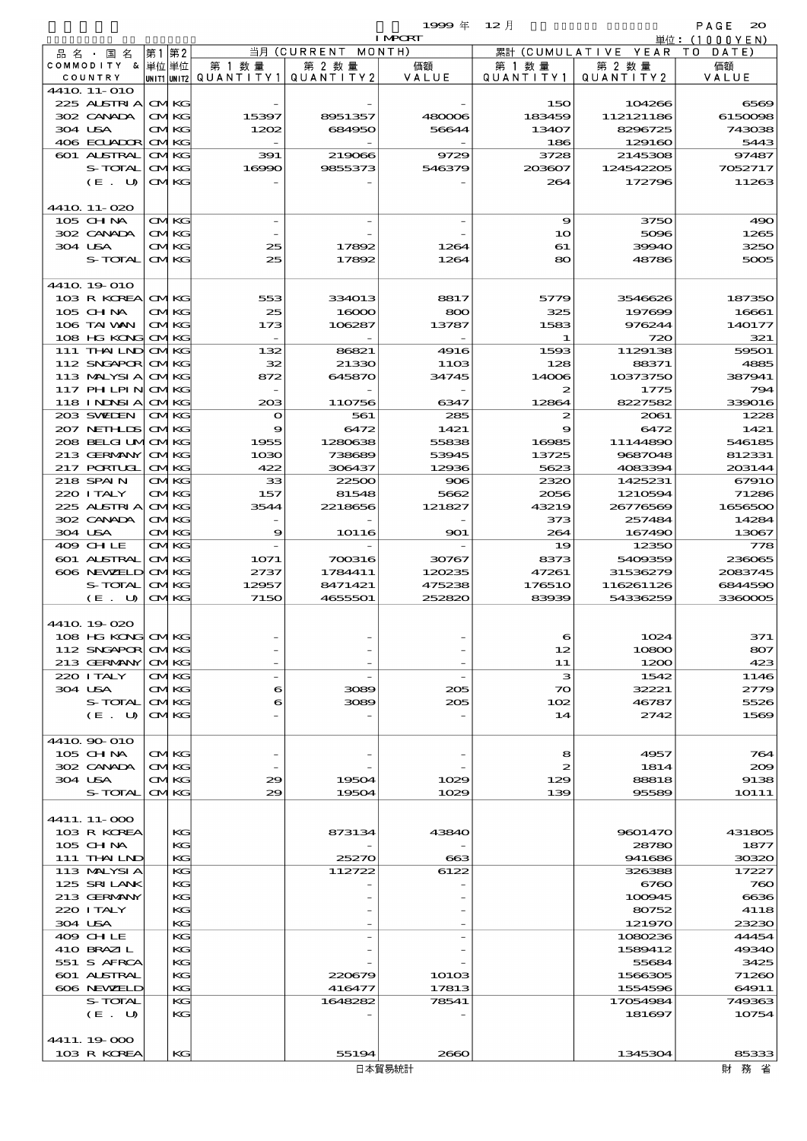$\begin{array}{ccccccccc}\n1999 & \# & 12 & \n\end{array}$ 

|                                 |          |                            |                          |                     | <b>I MPCRT</b> |                              |                        | 単位:(1000YEN)   |
|---------------------------------|----------|----------------------------|--------------------------|---------------------|----------------|------------------------------|------------------------|----------------|
| 品名・国名                           | 第1第2     |                            |                          | 当月 (CURRENT         | MONTH)         |                              | 累計 (CUMULATIVE YEAR TO | DATE)          |
| COMMODITY & 単位単位                |          |                            | 第 1 数量                   | 第 2 数量<br>QUANTITY2 | 価額<br>VALUE    | 第 1 数 量<br>Q U A N T I T Y 1 | 第 2 数量<br>QUANTITY2    | 価額<br>VALUE    |
| COUNTRY<br>441Q 11-010          |          |                            | unit1 unit2  Q∪ANT   TY1 |                     |                |                              |                        |                |
| 225 ALSTRIA                     |          | <b>CMKG</b>                |                          |                     |                | 150                          | 104266                 | 6569           |
| 302 CANADA                      |          | <b>CMKG</b>                | 15397                    | 8951357             | 480006         | 183459                       | 112121186              | 6150098        |
| 304 USA                         |          | <b>CMKG</b>                | 1202                     | 684950              | 56644          | 13407                        | 8296725                | 743038         |
| 406 ECUADOR                     |          | <b>CMKG</b>                |                          |                     |                | 186                          | 129160                 | 5443           |
| 601 ALSTRAL                     |          | <b>CMKG</b>                | 391                      | 219066              | 9729           | 3728                         | 2145308                | 97487          |
| S-TOTAL                         |          | <b>CMKG</b>                | 16990                    | 9855373             | 546379         | 203607                       | 124542205              | 7052717        |
| (E. U)                          |          | <b>CMKG</b>                |                          |                     |                | 264                          | 172796                 | 11263          |
| 4410 11-020                     |          |                            |                          |                     |                |                              |                        |                |
| 105 CH NA                       |          | <b>CMKG</b>                |                          |                     |                | 9                            | 3750                   | 490            |
| 302 CANADA                      |          | <b>CMKG</b>                |                          |                     |                | 10                           | 5096                   | 1265           |
| 304 USA                         |          | <b>CMKG</b>                | 25                       | 17892               | 1264           | 61                           | 39940                  | 3250           |
| S-TOTAL                         |          | <b>CMKG</b>                | 25                       | 17892               | 1264           | 80                           | 48786                  | 5005           |
|                                 |          |                            |                          |                     |                |                              |                        |                |
| 4410 19 010<br>103 R KOREA      |          | <b>CMKG</b>                | 553                      | 334013              | 8817           | 5779                         | 3546626                | 187350         |
| 105 CHNA                        |          | <b>CMKG</b>                | 25                       | 16000               | 800            | 325                          | 197699                 | 16661          |
| 106 TAI VAN                     |          | <b>CMKG</b>                | 173                      | 106287              | 13787          | 1583                         | 976244                 | 140177         |
| 108 HG KONG                     |          | <b>CMKG</b>                |                          |                     |                | 1                            | 720                    | 321            |
| $111$ THAILND                   |          | <b>CMKG</b>                | 132                      | 86821               | 4916           | 1593                         | 1129138                | 59501          |
| 112 SNGAPOR                     |          | <b>CMKG</b>                | 32                       | 21330               | 1103           | 128                          | 88371                  | 4885           |
| 113 MALYSIA                     |          | <b>CMKG</b>                | 872                      | 645870              | 34745          | 14006                        | 10373750               | 387941         |
| <b>117 PHLPIN</b>               |          | <b>CMKG</b>                |                          |                     |                | 2                            | 1775                   | 794            |
| 118 I NJNSI A                   |          | <b>CMKG</b>                | 203                      | 110756              | 6347           | 12864                        | 8227582                | 339016         |
| 203 SWIEN<br>207 NETHLIS        |          | <b>CMKG</b><br><b>CMKG</b> | $\mathbf o$<br>9         | 561<br>6472         | 285<br>1421    | $\boldsymbol{z}$<br>9        | 2061<br>6472           | 1228<br>1421   |
| 208 BELGI UMOMKG                |          |                            | 1955                     | 1280638             | 55838          | 16985                        | 11144890               | 546185         |
| 213 GERMANY                     |          | <b>CMKG</b>                | 1030                     | 738689              | 53945          | 13725                        | 9687048                | 812331         |
| 217 PORTUGL                     |          | <b>CMKG</b>                | 422                      | 306437              | 12936          | 5623                         | 4083394                | 203144         |
| 218 SPAIN                       |          | <b>CMKG</b>                | 33                       | 22500               | 906            | 2320                         | 1425231                | 67910          |
| 220 I TALY                      |          | <b>CMKG</b>                | 157                      | 81548               | 5662           | 2056                         | 1210594                | 71286          |
| 225 ALSTRIA                     |          | <b>CMKG</b>                | 3544                     | 2218656             | 121827         | 43219                        | 26776569               | 1656500        |
| 302 CANADA                      |          | <b>CMKG</b>                |                          |                     |                | 373<br>264                   | 257484                 | 14284          |
| 304 USA<br>409 CHLE             |          | <b>CMKG</b><br><b>CMKG</b> | 9                        | <b>10116</b>        | 901            | 19                           | 167490<br>12350        | 13067<br>778   |
| 601 ALSTRAL                     |          | <b>CMKG</b>                | 1071                     | 700316              | 30767          | 8373                         | 5409359                | 236065         |
| 606 NEWELD                      |          | <b>CMKG</b>                | 2737                     | 1784411             | 120235         | 47261                        | 31536279               | 2083745        |
| S-TOTAL                         |          | <b>CMKG</b>                | 12957                    | 8471421             | 475238         | 176510                       | 116261126              | 6844590        |
| (E. U)                          |          | <b>CMKG</b>                | 7150                     | 4655501             | 252820         | 83939                        | 54336259               | 3360005        |
|                                 |          |                            |                          |                     |                |                              |                        |                |
| 4410 19 020                     |          |                            |                          |                     |                |                              |                        |                |
| 108 HG KONG<br>112 SNGAPOR CMKG | $\sigma$ |                            |                          |                     |                | 12                           | 1024<br>10800          | 371<br>807     |
| 213 GERMANY                     |          | <b>CMKG</b>                |                          |                     |                | 11                           | 1200                   | 423            |
| 220 I TALY                      |          | CMKG                       |                          |                     |                | з                            | 1542                   | 1146           |
| 304 USA                         |          | <b>CMKG</b>                | 6                        | 3089                | 205            | $\infty$                     | 32221                  | 2779           |
| S-TOTAL                         |          | <b>CMKG</b>                | 6                        | 3089                | 205            | 102                          | 46787                  | 5526           |
| (E. U)                          |          | <b>CMKG</b>                |                          |                     |                | 14                           | 2742                   | 1569           |
|                                 |          |                            |                          |                     |                |                              |                        |                |
| 4410 90 010                     |          |                            |                          |                     |                |                              |                        |                |
| 105 CHNA<br>302 CANADA          |          | <b>CMKG</b><br><b>CMKG</b> |                          |                     |                | 8<br>$\mathbf{z}$            | 4957<br>1814           | 764<br>200     |
| 304 USA                         |          | <b>CMKG</b>                | 29                       | 19504               | 1029           | 129                          | 88818                  | 9138           |
| S-TOTAL                         |          | <b>CMKG</b>                | 29                       | 19504               | 1029           | 139                          | 95589                  | <b>1O111</b>   |
|                                 |          |                            |                          |                     |                |                              |                        |                |
| 4411. 11-000                    |          |                            |                          |                     |                |                              |                        |                |
| 103 R KOREA                     |          | KC                         |                          | 873134              | 43840          |                              | 9601470                | 431805         |
| 105 CH NA                       |          | KG                         |                          |                     |                |                              | 28780                  | 1877           |
| 111 THAILND<br>113 MALYSIA      |          | KC<br>KC                   |                          | 25270               | 663            |                              | 941686                 | 30320<br>17227 |
| 125 SRILANK                     |          | KG                         |                          | 112722              | 6122           |                              | 326388<br>6760         | 760            |
| 213 GERMANY                     |          | KC                         |                          |                     |                |                              | 100945                 | 6636           |
| 220 I TALY                      |          | KG                         |                          |                     |                |                              | 80752                  | 4118           |
| 304 USA                         |          | KC                         |                          |                     |                |                              | 121970                 | 23230          |
| 409 CHLE                        |          | KC                         |                          |                     |                |                              | 1080236                | 44454          |
| 410 BRAZIL                      |          | KC                         |                          |                     |                |                              | 1589412                | 49340          |
| 551 S AFRCA<br>601 ALSTRAL      |          | KG<br>KG                   |                          | 220679              | 10103          |                              | 55684<br>1566305       | 3425<br>71260  |
| 606 NEWELD                      |          | KG                         |                          | 416477              | 17813          |                              | 1554596                | 64911          |
| S-TOTAL                         |          | KC                         |                          | 1648282             | 78541          |                              | 17054984               | 749363         |
| (E. U)                          |          | KG                         |                          |                     |                |                              | 181697                 | 10754          |
|                                 |          |                            |                          |                     |                |                              |                        |                |
| 4411.19.000                     |          |                            |                          |                     |                |                              |                        |                |
| 103 R KOREA                     |          | KG                         |                          | 55194               | 2660           |                              | 1345304                | 85333          |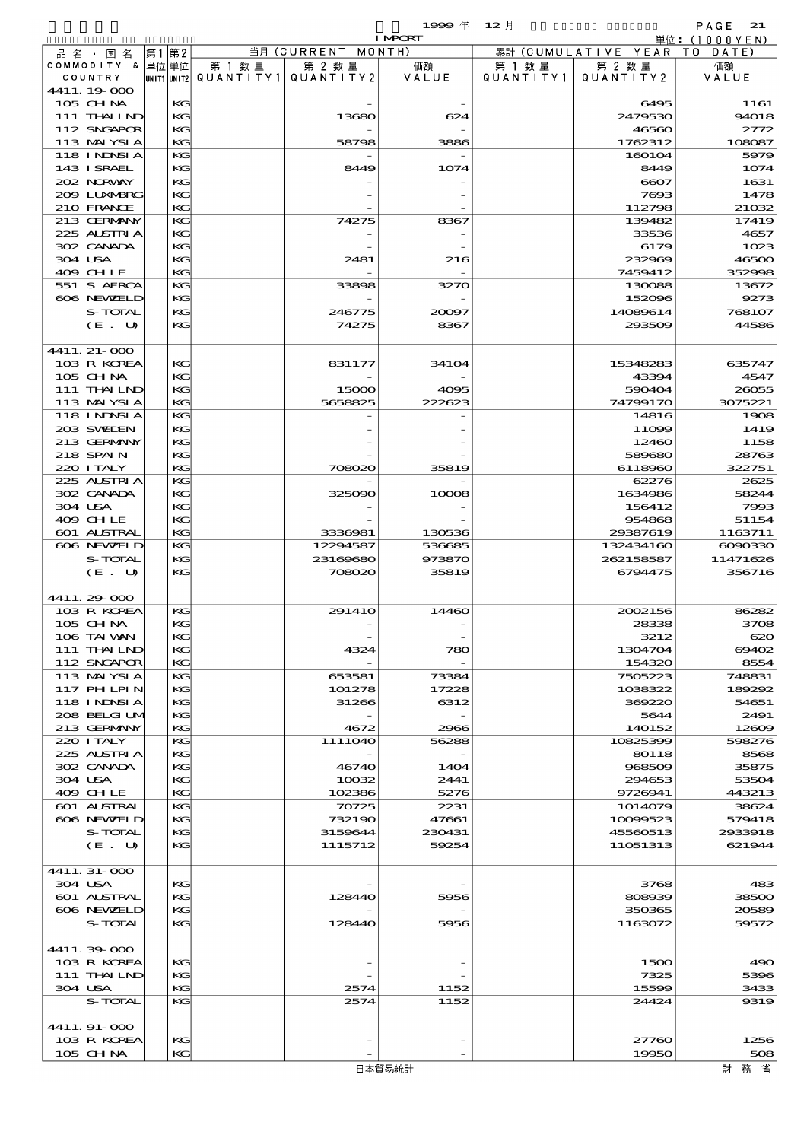$1999 \oplus 12 \uparrow$  PAGE 21

|                           |          |        |                                       | <b>I MPORT</b> |           |                              | 単位: (1000YEN) |
|---------------------------|----------|--------|---------------------------------------|----------------|-----------|------------------------------|---------------|
| 品 名 ・ 国 名                 | 第1 第2    |        | 当月 (CURRENT MONTH)                    |                |           | 累計 (CUMULATIVE YEAR TO DATE) |               |
| COMMODITY & 単位単位          |          | 第 1 数量 | 第 2 数量                                | 価額             | 第 1 数 量   | 第 2 数量                       | 価額            |
| COUNTRY                   |          |        | UNIT1 UNIT2  QUANT   TY1  QUANT   TY2 | VALUE          | QUANTITY1 | QUANTITY 2                   | VALUE         |
| 4411.19.000               |          |        |                                       |                |           |                              |               |
| 105 CHNA                  | KG       |        |                                       |                |           | 6495                         | 1161          |
| 111 THAILND               | KG       |        | 13680                                 | 624            |           | 2479530                      | 94018         |
| 112 SNGAPOR               | KG       |        |                                       |                |           | 46560                        | 2772          |
| 113 MALYSIA               | KG       |        | 58798                                 | 3886           |           | 1762312                      | 108087        |
| 118 I NJNSI A             | KG       |        |                                       |                |           | 160104                       | 5979          |
| 143 I SRAEL               | KG       |        | 8449                                  | 1074           |           | 8449                         | 1074          |
| 202 NORWAY                | KG       |        |                                       |                |           | 6607                         | 1631          |
| 2009 LUNABRG              | KG       |        |                                       |                |           | 7693                         | 1478          |
| 210 FRANCE                | KG       |        |                                       |                |           | 112798                       | 21032         |
| 213 GERMANY               | KG       |        | 74275                                 | 8367           |           | 139482                       | 17419         |
| 225 ALSTRIA               | KG       |        |                                       |                |           | 33536                        | 4657          |
| 302 CANADA                | KG       |        |                                       |                |           | 6179                         | 1023          |
| 304 USA                   | КC       |        | 2481                                  | 216            |           | 232969                       | 46500         |
| 409 CHLE                  | KG       |        |                                       |                |           | 7459412                      | 352998        |
| 551 S AFRCA<br>606 NEWELD | KG<br>KG |        | 33898                                 | 3270           |           | 130088<br>152096             | 13672<br>9273 |
| S-TOTAL                   | KG       |        | 246775                                | 20097          |           | 14089614                     | 768107        |
| (E. U)                    | KG       |        | 74275                                 | 8367           |           | 293509                       | 44586         |
|                           |          |        |                                       |                |           |                              |               |
| 4411. 21-000              |          |        |                                       |                |           |                              |               |
| 103 R KOREA               | KG       |        | 831177                                | 34104          |           | 15348283                     | 635747        |
| 105 CHNA                  | KG       |        |                                       |                |           | 43394                        | 4547          |
| 111 THAILND               | KG       |        | 15000                                 | 4095           |           | 590404                       | 26055         |
| 113 MALYSIA               | KG       |        | 5658825                               | 222623         |           | 74799170                     | 3075221       |
| 118 I NJNSI A             | KG       |        |                                       |                |           | 14816                        | 1908          |
| 203 SWIEN                 | KG       |        |                                       |                |           | 11099                        | 1419          |
| 213 GERMANY               | KG       |        |                                       |                |           | 12460                        | 1158          |
| 218 SPAIN                 | KG       |        |                                       |                |           | 589680                       | 28763         |
| 220 I TALY                | KG       |        | 708020                                | 35819          |           | 6118960                      | 322751        |
| 225 ALSTRIA               | KG       |        |                                       |                |           | 62276                        | 2625          |
| 302 CANADA                | KG       |        | 325090                                | 10008          |           | 1634986                      | 58244         |
| 304 USA                   | KG       |        |                                       |                |           | 156412                       | 7993          |
| 409 CHLE                  | КC       |        |                                       |                |           | 954868                       | 51154         |
| 601 ALSTRAL               | KG       |        | 3336981                               | 130536         |           | 29387619                     | 1163711       |
| 606 NEWELD                | KG       |        | 12294587                              | 536685         |           | 132434160                    | 6090330       |
| S-TOTAL                   | KG       |        | 23169680                              | 973870         |           | 262158587                    | 11471626      |
| (E. U)                    | KG       |        | 708020                                | 35819          |           | 6794475                      | 356716        |
|                           |          |        |                                       |                |           |                              |               |
| 4411.29.000               |          |        |                                       |                |           |                              |               |
| 103 R KOREA               | KG       |        | 291410                                | 14460          |           | 2002156                      | 86282         |
| 105 CH NA                 | KG       |        |                                       |                |           | 28338                        | 3708          |
| 106 TAI VAN               | KG       |        |                                       |                |           | 3212                         | 620           |
| 111 THAILND               | KG       |        | 4324                                  | 780            |           | 1304704                      | 69402         |
| 112 SNGAPOR               | KG       |        |                                       |                |           | 154320                       | 8554          |
| 113 MALYSIA               | KG       |        | 653581                                | 73384          |           | 7505223                      | 748831        |
| 117 PHLPIN                | KG       |        | 101278                                | 17228          |           | 1038322                      | 189292        |
| 118 I NDSI A              | KG       |        | 31266                                 | 6312           |           | 369220                       | 54651         |
| 208 BELGI UM              | КC       |        |                                       |                |           | 5644                         | 2491          |
| 213 GERMANY               | KG       |        | 4672                                  | 2966           |           | 140152                       | 12609         |
| 220 I TALY                | KG       |        | 1111040                               | 56288          |           | 10825399                     | 598276        |
| 225 ALSTRIA               | KG       |        |                                       |                |           | 80118                        | 8568          |
| 302 CANADA                | KG       |        | 46740                                 | 1404           |           | 968509                       | 35875         |
| 304 USA                   | КC       |        | 10032                                 | 2441           |           | 294653                       | 53504         |
| 409 CHLE                  | KG       |        | 102386                                | 5276           |           | 9726941                      | 443213        |
| <b>601 ALSTRAL</b>        | KС       |        | 70725                                 | 2231           |           | 1014079                      | 38624         |
| 606 NEWELD                | KG       |        | 732190                                | 47661          |           | 10099523                     | 579418        |
| S-TOTAL                   | KG       |        | 3159644                               | 230431         |           | 45560513                     | 2933918       |
| (E. U)                    | КC       |        | 1115712                               | 59254          |           | 11051313                     | 621944        |
|                           |          |        |                                       |                |           |                              |               |
| 4411.31-000               |          |        |                                       |                |           |                              |               |
| 304 USA                   | KG       |        |                                       |                |           | 3768                         | 483           |
| 601 ALSTRAL               | КC       |        | 128440                                | 5956           |           | 808939                       | 38500         |
| 606 NEWELD                | КC       |        |                                       |                |           | 350365                       | 20589         |
| S-TOTAL                   | KG       |        | 128440                                | 5956           |           | 1163072                      | 59572         |
|                           |          |        |                                       |                |           |                              |               |
| 4411.39-000               |          |        |                                       |                |           |                              |               |
| 103 R KOREA               | KG       |        |                                       |                |           | 1500                         | 490           |
| 111 THAILND               | КC       |        |                                       |                |           | 7325                         | 5396          |
| 304 USA                   | KG       |        | 2574                                  | 1152           |           | 15599                        | 3433          |
| S-TOTAL                   | KG       |        | 2574                                  | 1152           |           | 24424                        | 9319          |
|                           |          |        |                                       |                |           |                              |               |
| 4411.91-000               |          |        |                                       |                |           |                              |               |
| 103 R KOREA               | KG       |        |                                       |                |           | 27760                        | 1256          |
| 105 CH NA                 | KG       |        |                                       |                |           | 19950                        | 508           |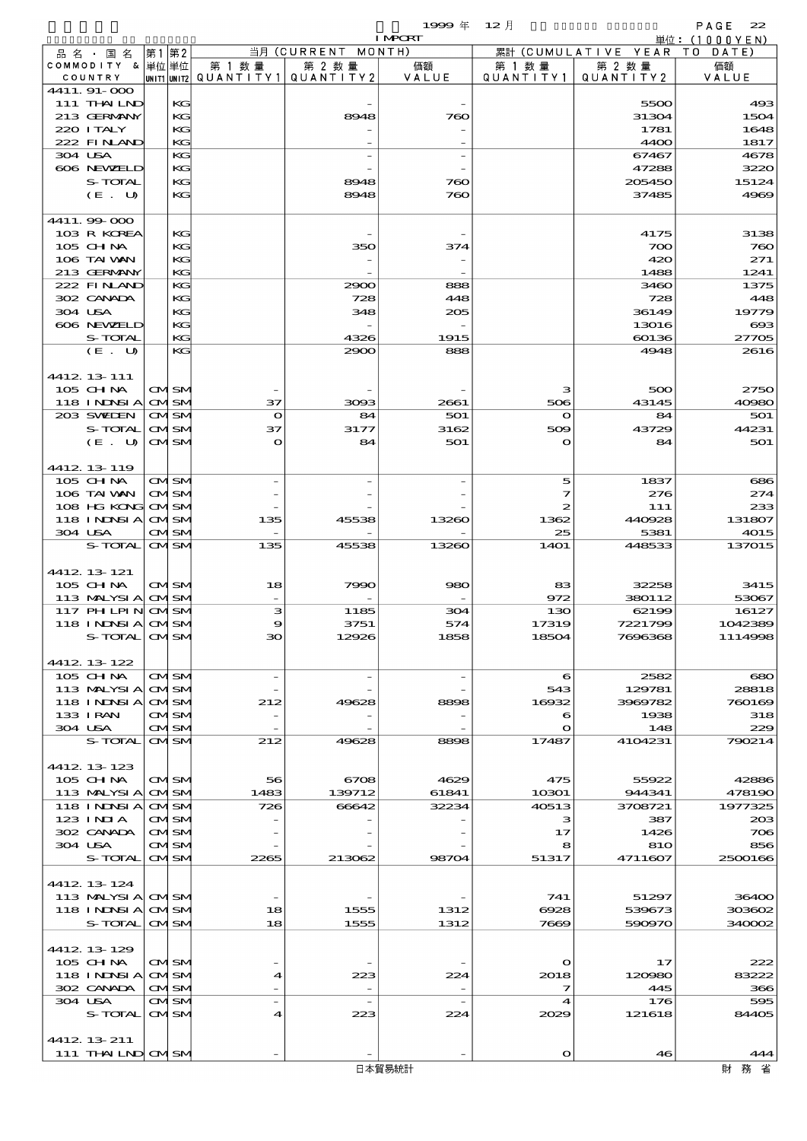|                                 |      |                            |                          |                    | $1999 \pm$     | $12$ 月            |                      | PAGE<br>22                   |
|---------------------------------|------|----------------------------|--------------------------|--------------------|----------------|-------------------|----------------------|------------------------------|
| 品 名 ・ 国 名                       | 第1第2 |                            |                          | 当月 (CURRENT MONTH) | <b>I MPORT</b> |                   | 累計 (CUMULATIVE YEAR) | 単位: (1000YEN)<br>T O<br>DATE |
| COMMODITY & 単位単位                |      |                            | 第 1 数 量                  | 第 2 数量             | 価額             | 第 1 数 量           | 第 2 数量               | 価額                           |
| COUNTRY                         |      |                            | unit1 unit2  Q∪ANT   TY1 | QUANTITY 2         | VALUE          | QUANTITY1         | QUANTITY 2           | VALUE                        |
| 4411.91-000                     |      |                            |                          |                    |                |                   |                      |                              |
| 111 THAILND                     |      | KG                         |                          |                    |                |                   | 5500                 | 493                          |
| 213 GERMANY<br>220 I TALY       |      | KG<br>KG                   |                          | 8948               | 760            |                   | 31304<br>1781        | 1504<br>1648                 |
| 222 FINAND                      |      | KG                         |                          |                    |                |                   | 4400                 | 1817                         |
| 304 USA                         |      | KG                         |                          |                    |                |                   | 67467                | 4678                         |
| 606 NEWELD                      |      | KG                         |                          |                    |                |                   | 47288                | 3220                         |
| S-TOTAL                         |      | KG                         |                          | 8948               | 760            |                   | 205450               | 15124                        |
| (E. U)                          |      | KG                         |                          | 8948               | 760            |                   | 37485                | 4969                         |
|                                 |      |                            |                          |                    |                |                   |                      |                              |
| 4411.99-000                     |      |                            |                          |                    |                |                   |                      |                              |
| 103 R KOREA                     |      | KG                         |                          |                    |                |                   | 4175                 | 3138                         |
| 105 CH NA                       |      | KG                         |                          | 350                | 374            |                   | 700                  | 760                          |
| 106 TAI VAN<br>213 GERMANY      |      | KG<br>KG                   |                          |                    |                |                   | 420<br>1488          | 271<br>1241                  |
| 222 FINAND                      |      | KG                         |                          | 2900               | 888            |                   | 3460                 | 1375                         |
| 302 CANADA                      |      | KG                         |                          | 728                | 448            |                   | 728                  | 448                          |
| 304 USA                         |      | KG                         |                          | 348                | 205            |                   | 36149                | 19779                        |
| 606 NEWELD                      |      | KG                         |                          |                    |                |                   | 13016                | $\boldsymbol{\alpha}$        |
| S-TOTAL                         |      | KG                         |                          | 4326               | 1915           |                   | 60136                | 27705                        |
| (E. U)                          |      | KG                         |                          | 2900               | 888            |                   | 4948                 | 2616                         |
|                                 |      |                            |                          |                    |                |                   |                      |                              |
| 4412 13 111                     |      |                            |                          |                    |                |                   |                      |                              |
| 105 CHNA                        |      | <b>CMSM</b>                |                          |                    |                | з                 | 500                  | 2750                         |
| 118 INNSI A                     |      | <b>CMISM</b>               | 37                       | 3093               | 2661           | 506               | 43145                | 40980                        |
| 203 SWIEN                       |      | <b>CMSM</b>                | $\bullet$                | 84                 | 501            | $\mathbf{o}$      | 84                   | 501                          |
| S-TOTAL                         |      | <b>CMISM</b>               | 37                       | 3177               | 3162           | 509               | 43729                | 44231                        |
| (E. U)                          |      | <b>CMSM</b>                | $\bullet$                | 84                 | 501            | $\Omega$          | 84                   | 501                          |
|                                 |      |                            |                          |                    |                |                   |                      |                              |
| 4412 13 119<br>$105$ CHNA       |      | <b>CMSM</b>                |                          |                    |                | 5                 | 1837                 | 686                          |
| 106 TAI VAN                     |      | <b>CMSM</b>                |                          |                    |                | 7                 | 276                  | 274                          |
| 108 HG KONG                     |      | <b>CMISM</b>               |                          |                    |                | 2                 | 111                  | 233                          |
| 118 INNSI A                     |      | <b>CMISM</b>               | 135                      | 45538              | 13260          | 1362              | 440928               | 131807                       |
| 304 USA                         |      | <b>CMISM</b>               |                          |                    |                | 25                | 5381                 | 4015                         |
| <b>S-TOTAL</b>                  |      | <b>CMSM</b>                | 135                      | 45538              | 13260          | 14O1              | 448533               | 137015                       |
|                                 |      |                            |                          |                    |                |                   |                      |                              |
| 4412 13 121                     |      |                            |                          |                    |                |                   |                      |                              |
| 105 CHNA                        |      | <b>CMSM</b>                | 18                       | 7990               | 980            | 83                | 32258                | 3415                         |
| 113 MALYSIA                     |      | <b>CMSM</b>                |                          |                    |                | 972               | 380112               | 53067                        |
| $117$ PHLPIN                    |      | <b>CMISM</b>               | з                        | 1185               | 304            | 130               | 62199                | 16127                        |
| 118 I NJNSI A                   |      | CMSN                       |                          | 3751               | 574            | 17319             | 7221798              | 1042389                      |
| S-TOTAL CMSM                    |      |                            | 30                       | 12926              | 1858           | 18504             | 7696368              | 1114998                      |
|                                 |      |                            |                          |                    |                |                   |                      |                              |
| 4412 13 122<br>105 CH NA        |      | <b>CMSM</b>                |                          |                    |                | 6                 | 2582                 | $\infty$                     |
| 113 MALYSIA                     |      | <b>CMISM</b>               |                          |                    |                | 543               | 129781               | 28818                        |
| 118 I NDSI A                    |      | <b>CMISM</b>               | 212                      | 49628              | 8898           | 16932             | 3969782              | 760169                       |
| 133 I RAN                       |      | <b>CMISM</b>               |                          |                    |                | 6                 | 1938                 | 318                          |
| 304 USA                         |      | CMSM                       |                          |                    |                | $\mathbf{\Omega}$ | 148                  | 229                          |
| S-TOTAL                         |      | <b>CMISM</b>               | 212                      | 49628              | 8898           | 17487             | 4104231              | 790214                       |
|                                 |      |                            |                          |                    |                |                   |                      |                              |
| 4412 13 123                     |      |                            |                          |                    |                |                   |                      |                              |
| 105 CHNA                        |      | <b>CMSM</b>                | 56                       | 6708               | 4629           | 475               | 55922                | 42886                        |
| 113 MALYSIA                     |      | <b>CMSM</b>                | 1483                     | 139712             | 61841          | 10301             | 944341               | 478190                       |
| 118 I NDSI A                    |      | <b>CMISM</b>               | 726                      | 66642              | 32234          | 40513             | 3708721              | 1977325                      |
| 123 INIA                        |      | <b>CMSM</b>                |                          |                    |                | з                 | 387                  | 208                          |
| 302 CANADA<br>304 USA           |      | <b>CMSM</b><br><b>CMSM</b> |                          |                    |                | 17<br>8           | 1426<br>810          | 706<br>856                   |
| S-TOTAL                         |      | <b>CMISM</b>               | 2265                     | 213062             | 98704          | 51317             | 4711607              | 2500166                      |
|                                 |      |                            |                          |                    |                |                   |                      |                              |
| 4412 13 124                     |      |                            |                          |                    |                |                   |                      |                              |
| 113 MALYSIA CMSM                |      |                            |                          |                    |                | 741               | 51297                | 36400                        |
| 118 INNSI A                     |      | <b>CMISM</b>               | 18                       | 1555               | 1312           | 6928              | 539673               | 303602                       |
| S-TOTAL                         |      | <b>CMSM</b>                | 18                       | 1555               | 1312           | 7669              | 590970               | 340002                       |
|                                 |      |                            |                          |                    |                |                   |                      |                              |
| 4412 13 129                     |      |                            |                          |                    |                |                   |                      |                              |
| 105 CH NA                       |      | <b>CMSM</b>                |                          |                    |                | $\mathbf{\Omega}$ | 17                   | 222                          |
| 118 INNSI A                     |      | <b>CMISM</b>               | 4                        | 223                | 224            | 2018              | 120980               | 83222                        |
| 302 CANADA                      |      | <b>CMSM</b>                |                          |                    |                | 7                 | 445                  | 366                          |
| 304 USA                         |      | CMSM                       |                          |                    |                | $\boldsymbol{4}$  | 176                  | 595                          |
| S-TOTAL                         |      | <b>CMISM</b>               | 4                        | 223                | 224            | 2029              | 121618               | 84405                        |
|                                 |      |                            |                          |                    |                |                   |                      |                              |
| 4412 13 211<br>111 THAILND CMSM |      |                            |                          |                    |                | $\Omega$          | 46                   | 444                          |
|                                 |      |                            |                          |                    |                |                   |                      |                              |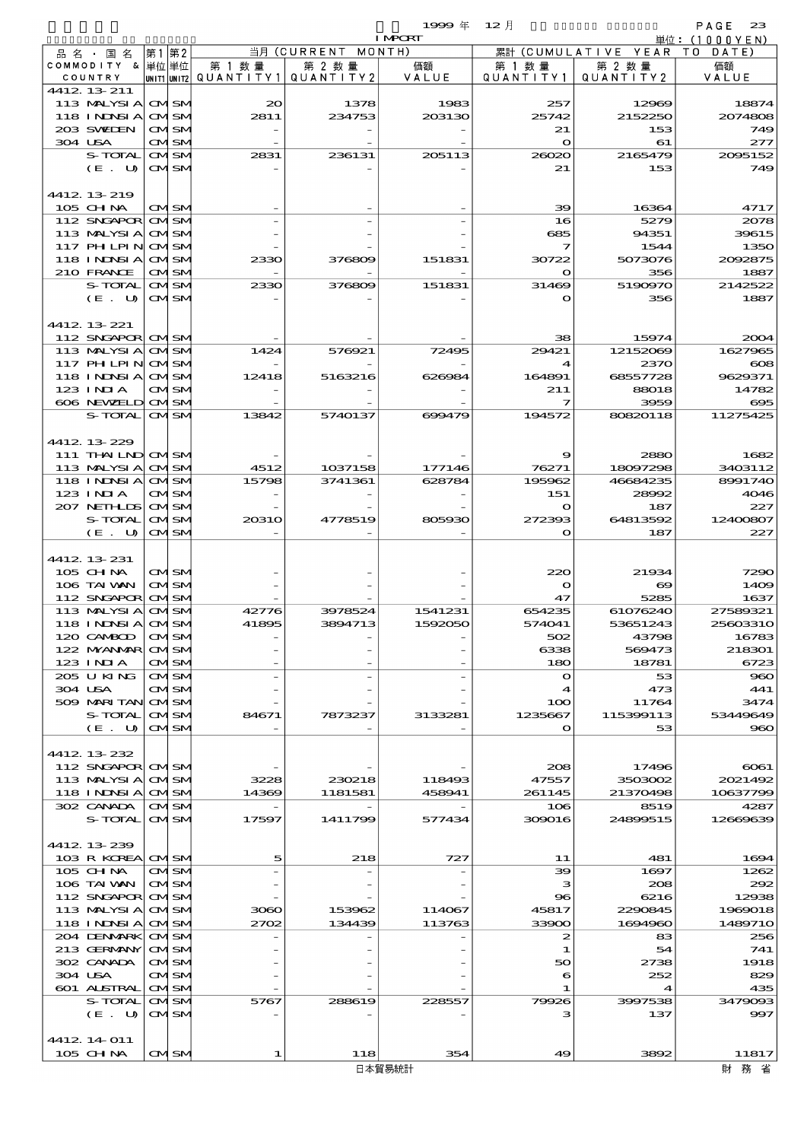$1999 = 12$  and  $2$  and  $2$  and  $2$  and  $2$ 

|                                 |                              |          |                                                  | <b>I MPORT</b> |                        |                              | 単位: (1000 Y E N) |
|---------------------------------|------------------------------|----------|--------------------------------------------------|----------------|------------------------|------------------------------|------------------|
| 品名・国名                           | 第1 第2                        |          | 当月 (CURRENT MONTH)                               |                |                        | 累計 (CUMULATIVE YEAR TO DATE) |                  |
| COMMODITY & 単位単位<br>COUNTRY     |                              | 第 1 数量   | 第 2 数量<br> unit1 unit2  QUANT   TY1  QUANT   TY2 | 価額<br>VALUE    | 第 1 数 量<br>QUANTITY1   | 第 2 数量<br>QUANTITY2          | 価額<br>VALUE      |
| 4412 13 211                     |                              |          |                                                  |                |                        |                              |                  |
| 113 MALYSIA CMISM               |                              | $\infty$ | 1378                                             | 1983           | 257                    | 12969                        | 18874            |
| 118 INNSI A                     | <b>CMSM</b>                  | 2811     | 234753                                           | 203130         | 25742                  | 2152250                      | 2074808          |
| 203 SVELEN                      | <b>CMISM</b>                 |          |                                                  |                | 21                     | 153                          | 749              |
| 304 USA                         | <b>CMISM</b>                 |          |                                                  |                | $\bullet$              | 61                           | 277              |
| S-TOTAL                         | <b>CMSM</b>                  | 2831     | 236131                                           | 205113         | 26020                  | 2165479                      | 2005152          |
| $(E_U U)$                       | CMISM                        |          |                                                  |                | 21                     | 153                          | 749              |
| 4412 13 219                     |                              |          |                                                  |                |                        |                              |                  |
| $105$ CHNA                      | <b>CMISM</b>                 |          |                                                  |                | 39                     | 16364                        | 4717             |
| 112 SNGAPOR                     | <b>CMISM</b>                 |          |                                                  |                | 16                     | 5279                         | 2078             |
| 113 MALYSIA                     | <b>CMSM</b>                  |          |                                                  |                | 685                    | 94351                        | 39615            |
| 117 PH LPIN                     | <b>CMISM</b>                 |          |                                                  |                | 7                      | 1544                         | 1350             |
| <b>118 INNSIA</b>               | <b>CMISM</b>                 | 2330     | 376809                                           | 151831         | 30722                  | 5073076                      | 2092875          |
| 210 FRANCE                      | <b>CMISM</b>                 |          |                                                  |                | $\mathbf o$            | 356                          | 1887             |
| S-TOTAL<br>(E. U)               | <b>CMSM</b><br>CMSM          | 2330     | 376809                                           | 151831         | 31469<br>O             | 5190970<br>356               | 2142522<br>1887  |
|                                 |                              |          |                                                  |                |                        |                              |                  |
| 4412 13 221                     |                              |          |                                                  |                |                        |                              |                  |
| 112 SNGAPOR CMSM                |                              |          |                                                  |                | 38                     | 15974                        | 2004             |
| 113 MALYSIA                     | <b>CMISM</b>                 | 1424     | 576921                                           | 72495          | 29421                  | 12152069                     | 1627965          |
| $117$ PH LPIN                   | <b>CMSM</b>                  |          |                                                  |                | 4                      | 2370                         | $\infty$         |
| 118 INNSI A                     | <b>CMISM</b>                 | 12418    | 5163216                                          | 626984         | 164891                 | 68557728                     | 9629371          |
| $123$ $1$ NIA<br>606 NEWELD     | <b>CMISM</b><br><b>CMSM</b>  |          |                                                  |                | 211<br>7               | 88018<br>3959                | 14782<br>695     |
| S-TOTAL                         | <b>CMISM</b>                 | 13842    | 5740137                                          | 699479         | 194572                 | 80820118                     | 11275425         |
|                                 |                              |          |                                                  |                |                        |                              |                  |
| 4412 13 229                     |                              |          |                                                  |                |                        |                              |                  |
| 111 THAILND CMSM                |                              |          |                                                  |                | 9                      | 2880                         | 1682             |
| 113 MALYSIA                     | <b>CMISM</b>                 | 4512     | 1037158                                          | 177146         | 76271                  | 18097298                     | 3403112          |
| 118 INNSI A                     | <b>CMSM</b>                  | 15798    | 3741361                                          | 628784         | 195962                 | 46684235                     | 8991740          |
| $123$ $1$ NIA                   | CMSM                         |          |                                                  |                | 151                    | 28992                        | 4046             |
| 207 NETHLIS<br>S-TOTAL          | <b>CMISM</b><br><b>CMISM</b> | 20310    | 4778519                                          | 805930         | $\mathbf{o}$<br>272393 | 187<br>64813592              | 227<br>12400807  |
| $(E$ .<br>U                     | <b>CMISM</b>                 |          |                                                  |                | $\mathbf o$            | 187                          | 227              |
|                                 |                              |          |                                                  |                |                        |                              |                  |
| 4412 13 231                     |                              |          |                                                  |                |                        |                              |                  |
| 105 CHNA                        | <b>CMSM</b>                  |          |                                                  |                | 220                    | 21934                        | 7290             |
| 106 TAI WAN                     | <b>CMSM</b>                  |          |                                                  |                | $\mathbf o$            | $\bullet$                    | 1409             |
| 112 SNGAPOR CMSM<br>113 MALYSIA | <b>CMSM</b>                  | 42776    | 3978524                                          | 1541231        | 47<br>654235           | 5285<br>61076240             | 1637<br>27589321 |
| 118 I NDSI A                    | <b>CMISM</b>                 | 41895    | 3894713                                          | 1592050        | 574041                 | 53651243                     | 25603310         |
| 120 CAMBOD                      | <b>CMISN</b>                 |          |                                                  |                | 502                    | 43798                        | 16783            |
| 122 MYANMAR CMISM               |                              |          |                                                  |                | 6338                   | 569473                       | 218301           |
| 123 INIA                        | <b>CMISM</b>                 |          |                                                  |                | 180                    | 18781                        | 6723             |
| 205 U KING                      | <b>CMISM</b>                 |          |                                                  |                | $\mathbf o$            | 53                           | 960              |
| 304 USA<br>509 MARI TAN OMSM    | CMISM                        |          |                                                  |                | 4                      | 473                          | 441              |
| S-TOTAL                         | <b>CMSM</b>                  | 84671    | 7873237                                          | 3133281        | 100<br>1235667         | 11764<br>115399113           | 3474<br>53449649 |
| (E. U)                          | <b>CMISM</b>                 |          |                                                  |                | $\mathbf{o}$           | 53                           | 960              |
|                                 |                              |          |                                                  |                |                        |                              |                  |
| 4412 13 232                     |                              |          |                                                  |                |                        |                              |                  |
| 112 SNGAPOR CMSM                |                              |          |                                                  |                | 208                    | 17496                        | 6061             |
| 113 MALYSIA                     | <b>CMSM</b>                  | 3228     | 230218                                           | 118493         | 47557                  | 3503002                      | 2021492          |
| 118 INNSI A<br>302 CANADA       | <b>CMSM</b><br><b>CMISM</b>  | 14369    | 1181581                                          | 458941         | 261145<br>106          | 21370498<br>8519             | 10637799<br>4287 |
| S-TOTAL                         | <b>CMSM</b>                  | 17597    | 1411799                                          | 577434         | 309016                 | 24899515                     | 12669639         |
|                                 |                              |          |                                                  |                |                        |                              |                  |
| 4412 13 239                     |                              |          |                                                  |                |                        |                              |                  |
| 103 R KOREA CMSM                |                              | 5        | 218                                              | 727            | 11                     | 481                          | 1694             |
| 105 CH NA                       | CMISM                        |          |                                                  |                | 39                     | 1697                         | 1262             |
| 106 TAI VAN                     | <b>CMISM</b>                 |          |                                                  |                | з                      | 208                          | 292              |
| 112 SNGAPOR CMSM<br>113 MALYSIA | <b>CMSM</b>                  | 3060     | 153962                                           | 114067         | 96<br>45817            | 6216<br>2290845              | 12938<br>1969018 |
| 118 I NDSI A                    | <b>CMISM</b>                 | 2702     | 134439                                           | 113763         | 33900                  | 1694960                      | 1489710          |
| 204 DENMARK                     | <b>CMSM</b>                  |          |                                                  |                | 2                      | 83                           | 256              |
| 213 GERMANY                     | <b>CMSM</b>                  |          |                                                  |                | 1                      | 54                           | 741              |
| 302 CANADA                      | <b>CMISM</b>                 |          |                                                  |                | 50                     | 2738                         | 1918             |
| 304 USA                         | CMISM                        |          |                                                  |                | 6                      | 252                          | 829              |
| 601 ALSTRAL                     | <b>CMISM</b>                 |          |                                                  |                | 1                      | 4                            | 435              |
| S-TOTAL<br>(E. U)               | <b>CMISM</b><br><b>CMSM</b>  | 5767     | 288619                                           | 228557         | 79926<br>з             | 3997538<br>137               | 3479093<br>997   |
|                                 |                              |          |                                                  |                |                        |                              |                  |
| 4412 14 011                     |                              |          |                                                  |                |                        |                              |                  |
| $105$ CHNA                      | <b>CMSM</b>                  | 1        | 118                                              | 354            | 49                     | 3892                         | 11817            |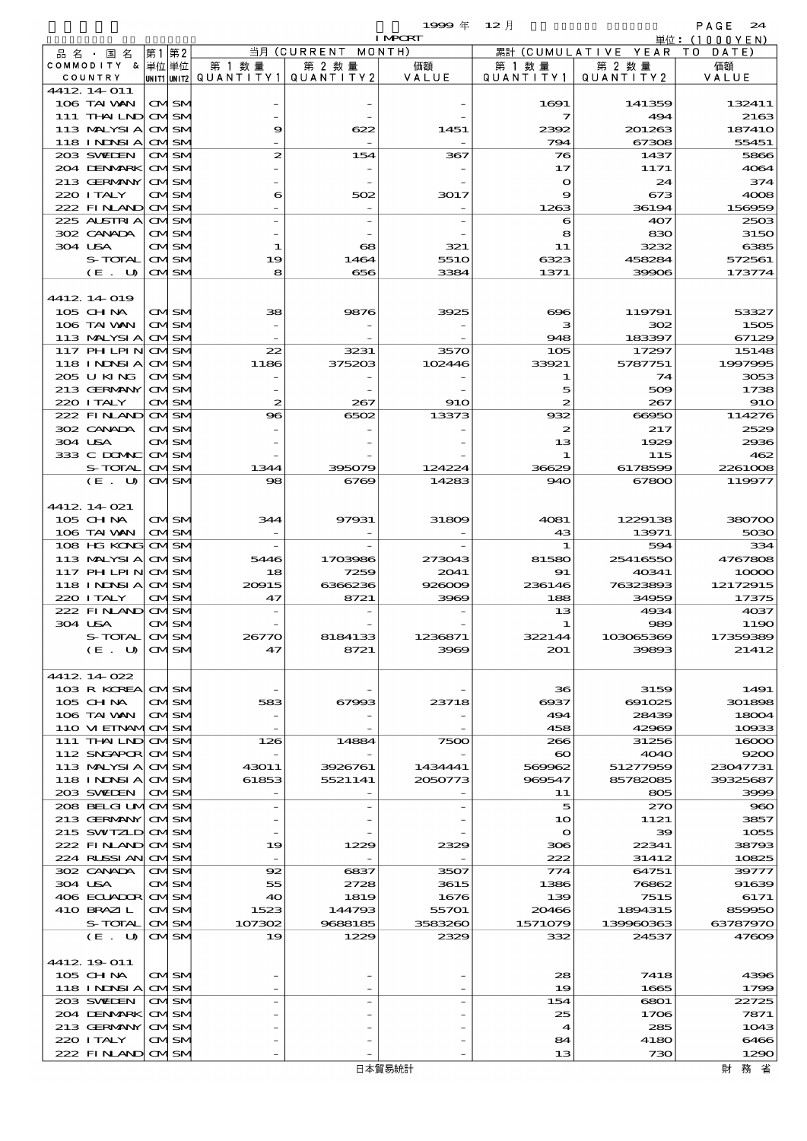$1999 \oplus \frac{1}{2}$   $12$   $\frac{1}{2}$   $12$   $\frac{1}{2}$   $\frac{1}{2}$   $\frac{1}{2}$   $\frac{1}{2}$   $\frac{1}{2}$   $\frac{1}{2}$   $\frac{1}{2}$   $\frac{1}{2}$   $\frac{1}{2}$   $\frac{1}{2}$   $\frac{1}{2}$   $\frac{1}{2}$   $\frac{1}{2}$   $\frac{1}{2}$   $\frac{1}{2}$   $\frac{1}{2}$   $\frac{1}{2}$   $\frac{1}{2}$   $\frac{$ 

|                                 |    |                            |                                       |                    | <b>I MPCRT</b> |                         |                        | 単位: (1000YEN)        |
|---------------------------------|----|----------------------------|---------------------------------------|--------------------|----------------|-------------------------|------------------------|----------------------|
| 品名・国名                           | 第1 | 第2                         |                                       | 当月 (CURRENT MONTH) |                |                         | 累計 (CUMULATIVE YEAR TO | DATE)                |
| COMMODITY & 単位単位                |    |                            | 第 1 数 量                               | 第 2 数量             | 価額             | 第 1 数 量                 | 第 2 数量                 | 価額                   |
| COUNTRY                         |    |                            | unit1 unit2  QUANT   TY1  QUANT   TY2 |                    | VALUE          | Q U A N T I T Y 1       | QUANTITY 2             | VALUE                |
| 4412 14 011<br>106 TAI VAN      |    | <b>CMSM</b>                |                                       |                    |                | 1691                    | 141359                 | 132411               |
| 111 THAILND CMSM                |    |                            |                                       |                    |                | $\overline{\mathbf{z}}$ | 494                    | 2163                 |
| 113 MALYSIA                     |    | <b>CMSM</b>                | 9                                     | 622                | 1451           | 2392                    | 201263                 | 18741C               |
| 118 I NDSI A                    |    | <b>CMSM</b>                |                                       |                    |                | 794                     | 67308                  | 55451                |
| 203 SWIDEN                      |    | <b>CMISM</b>               | 2                                     | 154                | 367            | 76                      | 1437                   | 5866                 |
| 204 DENMARK                     |    | <b>CMSM</b>                |                                       |                    |                | 17                      | 1171                   | 4064                 |
| 213 GERMANY                     |    | <b>CMSM</b>                |                                       |                    |                | $\bullet$               | 24                     | 374                  |
| 220 I TALY                      |    | CMISM                      | 6                                     | 502                | 3017           | 9                       | 673                    | 4008                 |
| 222 FINLAND<br>225 ALSTRIA      |    | <b>CMSM</b><br><b>CMSM</b> |                                       |                    |                | 1263<br>6               | 36194<br>407           | 156959<br>2503       |
| 302 CANADA                      |    | CMSM                       |                                       |                    |                | 8                       | 830                    | 3150                 |
| 304 USA                         |    | CMISM                      | 1                                     | $\infty$           | 321            | 11                      | 3232                   | 6385                 |
| S-TOTAL                         |    | <b>CMSM</b>                | 19                                    | 1464               | 551O           | 6323                    | 458284                 | 572561               |
| (E. U)                          |    | <b>CMISM</b>               | 81                                    | 656                | 3384           | 1371                    | 39906                  | 173774               |
|                                 |    |                            |                                       |                    |                |                         |                        |                      |
| 4412 14 019                     |    |                            |                                       |                    |                |                         |                        |                      |
| 105 CH NA                       |    | <b>CMSM</b>                | 38                                    | 9876               | 3925           | $\infty$                | 119791                 | 53327                |
| 106 TAI WAN<br>113 MALYSIA      |    | <b>CMISM</b>               |                                       |                    |                | з                       | 302                    | 1505                 |
| $117$ PH LPIN                   |    | <b>CMSM</b><br><b>CMSM</b> | 22                                    | 3231               | 3570           | 948<br>105              | 183397<br>17297        | 67129<br>15148       |
| 118 I NDSI A                    |    | <b>CMSM</b>                | 1186                                  | 375203             | 102446         | 33921                   | 5787751                | 1997995              |
| 205 U KING                      |    | <b>CMISM</b>               |                                       |                    |                | 1                       | 74                     | 3053                 |
| 213 GERMANY                     |    | <b>CMSM</b>                |                                       |                    |                | 5                       | 509                    | 1738                 |
| 220 I TALY                      |    | <b>CMISM</b>               | $\boldsymbol{z}$                      | 267                | 910            | 2                       | 267                    | <b>910</b>           |
| 222 FINAND                      |    | <b>CMSM</b>                | $\bf{8}$                              | 6502               | 13373          | 932                     | 66950                  | 114276               |
| 302 CANADA                      |    | CMSM                       |                                       |                    |                | 2                       | 217                    | 2529                 |
| 304 USA                         |    | CMSM                       |                                       |                    |                | 13                      | 1929                   | 2936                 |
| 333 C DOMAC<br>S-TOTAL          |    | <b>CMSM</b><br><b>CMSM</b> | 1344                                  | 395079             | 124224         | 1<br>36629              | 115<br>6178599         | 462<br>2261008       |
| (E. U)                          |    | <b>CMISM</b>               | 98                                    | 6769               | 14283          | 940                     | 67800                  | 119977               |
|                                 |    |                            |                                       |                    |                |                         |                        |                      |
| 4412 14 021                     |    |                            |                                       |                    |                |                         |                        |                      |
| $105$ CHNA                      |    | CMISM                      | 344                                   | 97931              | 31809          | 4081                    | 1229138                | 380700               |
| 106 TAI WAN                     |    | <b>CMISM</b>               |                                       |                    |                | 43                      | 13971                  | 5030                 |
| 108 HG KONG                     |    | <b>CMSM</b>                |                                       |                    |                | 1                       | 594                    | 334                  |
| 113 MALYSIA                     |    | <b>CMSM</b>                | 5446                                  | 1703986            | 273043         | 81580                   | 25416550               | 4767808              |
| 117 PH LPIN<br>118 INNSI A      |    | <b>CMSM</b><br><b>CMSM</b> | 18<br>20015                           | 7259<br>6366236    | 2041<br>926009 | 91<br>236146            | 40341<br>76323893      | 10000<br>12172915    |
| 220 I TALY                      |    | CMSM                       | 47                                    | 8721               | 3969           | 188                     | 34959                  | 17375                |
| 222 FINAND                      |    | <b>CMSM</b>                |                                       |                    |                | 13                      | 4934                   | 4037                 |
| 304 USA                         |    | CMISM                      |                                       |                    |                | 1                       | 989                    | 1190                 |
| S-TOTAL                         |    | CMISN                      |                                       | 8184133            | 1236871        | 322144                  | 103065369              | 17359389             |
| (E. U)                          |    | <b>CMISM</b>               | 47                                    | 8721               | 3969           | 201                     | 39893                  | 21412                |
|                                 |    |                            |                                       |                    |                |                         |                        |                      |
| 4412 14 022<br>103 R KOREA CMSM |    |                            |                                       |                    |                | 36                      | 3159                   | 1491                 |
| $105$ CHNA                      |    | <b>CMISM</b>               | 583                                   | 67993              | 23718          | 6937                    | 691025                 | 301898               |
| 106 TAI VAN                     |    | <b>CMISM</b>               |                                       |                    |                | 494                     | 28439                  | 18004                |
| 110 VI EINAMOMSM                |    |                            |                                       |                    |                | 458                     | 42969                  | 10933                |
| 111 THAILND CMSM                |    |                            | 126                                   | 14884              | 7500           | 266                     | 31256                  | 16000                |
| 112 SNGAPOR CMSM                |    |                            |                                       |                    |                | $\boldsymbol{\infty}$   | 4040                   | 9200                 |
| 113 MALYSI A CMSM               |    |                            | 43011                                 | 3926761            | 1434441        | 569962                  | 51277959               | 23047731<br>39325687 |
| 118 INDSIA CMSM<br>203 SVELEN   |    |                            | 61853                                 | 5521141            | 2050773        | 969547                  | 85782085               |                      |
| 208 BELGI UMOMSM                |    | <b>CMISM</b>               |                                       |                    |                | 11<br>5                 | 805<br>270             | 3999<br>$\bf{90}$    |
| 213 GERMANY CMSM                |    |                            |                                       |                    |                | 10                      | 1121                   | 3857                 |
| 215 SWIZLD CMSM                 |    |                            |                                       |                    |                | $\bullet$               | 39                     | 1055                 |
| 222 FINAND CMSM                 |    |                            | 19                                    | 1229               | 2329           | 306                     | 22341                  | 38793                |
| 224 RUSSI AN                    |    | <b>CMSM</b>                |                                       |                    |                | 222                     | 31412                  | 10825                |
| 302 CANADA                      |    | CMISM                      | 92                                    | 6837               | 3507           | 774                     | 64751                  | 39777                |
| 304 USA                         |    | CMSM                       | 55                                    | 2728               | 3615           | 1386                    | 76862                  | 91639                |
| 406 ECUADOR CMSM<br>410 BRAZIL  |    | CMISM                      | 40<br>1523                            | 1819<br>144793     | 1676<br>55701  | 139<br>20466            | 7515<br>1894315        | 6171<br>859950       |
| S-TOTAL                         |    | <b>CMISM</b>               | 107302                                | 9688185            | 3583260        | 1571079                 | 139960363              | 63787970             |
| (E. U)                          |    | <b>CMISM</b>               | 19                                    | 1229               | 2329           | 332                     | 24537                  | 47609                |
|                                 |    |                            |                                       |                    |                |                         |                        |                      |
| 4412 19 011                     |    |                            |                                       |                    |                |                         |                        |                      |
| $105$ CHNA                      |    | CMSM                       |                                       |                    |                | 28                      | 7418                   | 4396                 |
| 118 INDSIA CMSM                 |    |                            |                                       |                    |                | 19                      | 1665                   | 1799                 |
| 203 SVELEN                      |    | CMISM                      |                                       |                    |                | 154<br>25               | 6801                   | 22725                |
| 204 DENMARK<br>213 GERMANY      |    | <b>CMSM</b><br><b>CMSM</b> |                                       |                    |                | $\boldsymbol{4}$        | 1706<br>285            | 7871<br>1043         |
| 220 I TALY                      |    | CMISM                      |                                       |                    |                | 84                      | 4180                   | 6466                 |
| 222 FINANO CMSM                 |    |                            |                                       |                    |                | 13                      | 730                    | 1290                 |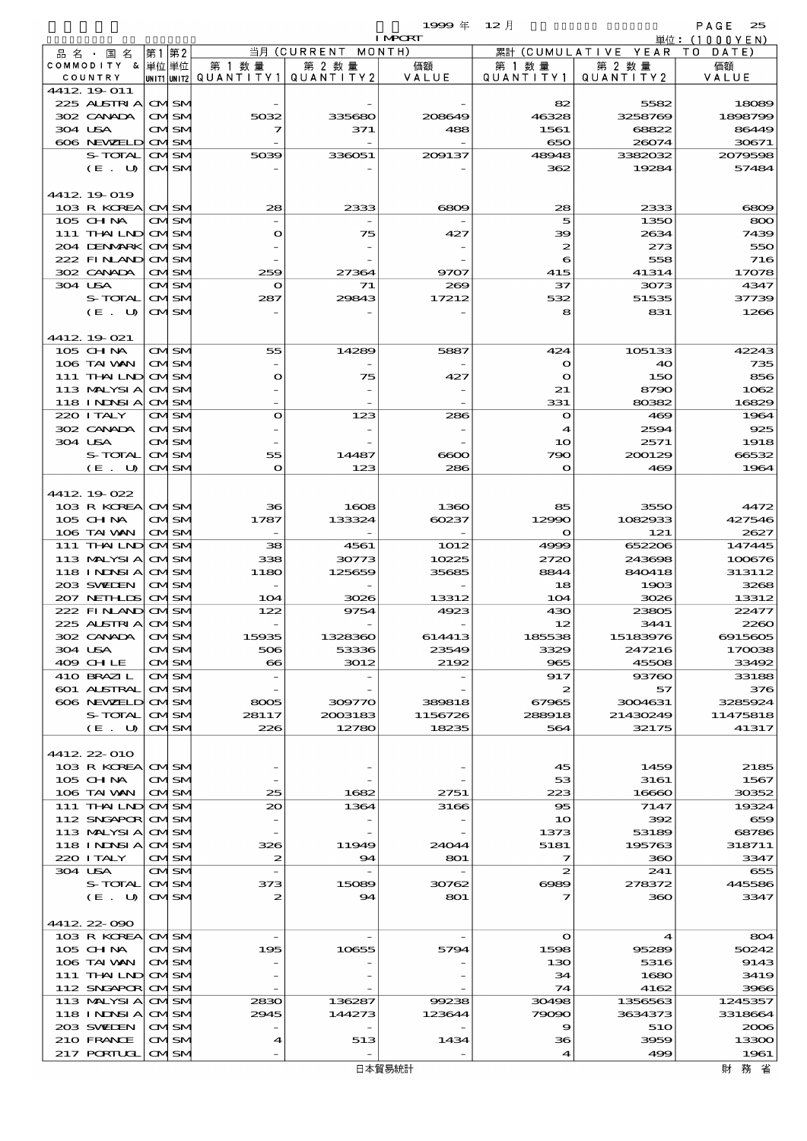|                                  |      |                              |                                     |                      | 1999 $#$         | $12$ 月                  |                      | PAGE<br>25        |
|----------------------------------|------|------------------------------|-------------------------------------|----------------------|------------------|-------------------------|----------------------|-------------------|
|                                  |      |                              |                                     |                      | <b>I MPORT</b>   |                         |                      | 単位:(1000YEN)      |
| 品名・国名                            | 第1第2 |                              |                                     | 当月(CURRENT           | MONTH)           | 累計                      | (CUMULATIVE YEAR     | T O<br>DATE       |
| COMMODITY & 単位単位<br>COUNTRY      |      |                              | 第 1 数 量<br>UNIT1 UNIT2  QUANT   TY1 | 第 2 数 量<br>QUANTITY2 | 価額<br>VALUE      | 第 1 数 量<br>QUANTITY1    | 第 2 数 量<br>QUANTITY2 | 価額<br>VALUE       |
| 4412 19 011                      |      |                              |                                     |                      |                  |                         |                      |                   |
| 225 ALSTRIA                      |      | <b>CMISM</b>                 |                                     |                      |                  | 82                      | 5582                 | 18089             |
| 302 CANADA                       |      | <b>CMISM</b>                 | 5032                                | 335680               | 208649           | 46328                   | 3258769              | 1898799           |
| 304 USA                          |      | <b>CMISM</b>                 | 7                                   | 371                  | 488              | 1561                    | 68822                | 86449             |
| 606 NEWELD                       |      | <b>CMISM</b>                 |                                     |                      |                  | 650                     | 26074                | 30671             |
| S-TOTAL                          |      | <b>CMISM</b>                 | 5039                                | 336051               | 200137           | 48948                   | 3382032              | 2079598           |
| (E. U)                           |      | <b>CMISM</b>                 |                                     |                      |                  | 362                     | 19284                | 57484             |
| 4412 19 019                      |      |                              |                                     |                      |                  |                         |                      |                   |
| 103 R KOREA                      |      | <b>CMSM</b>                  | 28                                  | 2333                 | 6809             | 28                      | 2333                 | 6809              |
| 105 CHNA                         |      | <b>CMSM</b>                  |                                     |                      |                  | 5                       | 1350                 | 800               |
| 111 THAILND                      |      | <b>CMSM</b>                  | $\mathbf o$                         | 75                   | 427              | 39                      | 2634                 | 7439              |
| 204 DENMARK                      |      | <b>CMISM</b>                 |                                     |                      |                  | $\boldsymbol{z}$        | 273                  | 550               |
| 222 FINAND                       |      | <b>CMSM</b>                  |                                     |                      |                  | 6                       | 558                  | 716               |
| 302 CANADA<br>304 USA            |      | <b>CMISM</b>                 | 259                                 | 27364<br>71          | 9707<br>269      | 415<br>37               | 41314                | 17078             |
| S-TOTAL                          |      | <b>CMSM</b><br><b>CMISM</b>  | $\mathbf o$<br>287                  | 29843                | 17212            | 532                     | 3073<br>51535        | 4347<br>37739     |
| $(E_U U)$                        |      | <b>CMISM</b>                 |                                     |                      |                  | 8                       | 831                  | 1266              |
|                                  |      |                              |                                     |                      |                  |                         |                      |                   |
| 4412 19 021                      |      |                              |                                     |                      |                  |                         |                      |                   |
| 105 CHNA                         |      | <b>CMISM</b>                 | 55                                  | 14289                | 5887             | 424                     | 105133               | 42243             |
| 106 TAI VAN                      |      | <b>CMISM</b>                 |                                     |                      |                  | $\mathbf{o}$            | 40                   | 735               |
| 111 THAILND                      |      | <b>CMISM</b>                 | $\mathbf o$                         | 75                   | 427              | $\mathbf o$             | 150                  | 856               |
| 113 MALYSIA<br><b>118 INNSIA</b> |      | <b>CMSM</b><br><b>CMISM</b>  |                                     |                      |                  | 21<br>331               | 8790<br>80382        | 1062<br>16829     |
| 220 I TALY                       |      | CMSM                         | $\mathbf{o}$                        | 123                  | 286              | $\mathbf o$             | 469                  | 1964              |
| 302 CANADA                       |      | <b>CMISM</b>                 |                                     |                      |                  | 4                       | 2594                 | 925               |
| 304 USA                          |      | <b>CMISM</b>                 |                                     |                      |                  | 10                      | 2571                 | 1918              |
| S-TOTAL                          |      | <b>CMSM</b>                  | 55                                  | 14487                | ဓော              | 790                     | 200129               | 66532             |
| $(E_U U)$                        |      | <b>CMISM</b>                 | $\mathbf{\Omega}$                   | 123                  | 286              | $\mathbf{o}$            | 469                  | 1964              |
|                                  |      |                              |                                     |                      |                  |                         |                      |                   |
| 4412 19 022                      |      |                              |                                     |                      |                  |                         |                      |                   |
| 103 R KOREA<br>$105$ CHNA        |      | <b>CMISM</b><br><b>CMISM</b> | 36<br>1787                          | 1608<br>133324       | 1360<br>60237    | 85<br>12990             | 3550<br>1082933      | 4472<br>427546    |
| 106 TAI WAN                      |      | <b>CMISM</b>                 |                                     |                      |                  | $\mathbf{o}$            | 121                  | 2627              |
| $111$ THAILND                    |      | <b>CMSM</b>                  | 38                                  | 4561                 | 1012             | 4999                    | 652206               | 147445            |
| 113 MALYSIA                      |      | <b>CMSM</b>                  | 338                                 | 30773                | 10225            | 2720                    | 243698               | 100676            |
| 118 INNSI A                      |      | <b>CMISM</b>                 | 1180                                | 125659               | 35685            | 8844                    | 840418               | 313112            |
| 203 SWIDEN                       |      | <b>CMSM</b>                  |                                     |                      |                  | 18                      | 1903                 | 3268              |
| 207 NETHLIS                      |      | <b>CMSM</b>                  | 104                                 | 3026                 | 13312            | 104                     | 3026                 | 13312             |
| 222 FINAND<br>225 ALSTRIA        |      | <b>CMSM</b><br>avisiv        | 122                                 | 9754                 | 4923             | 430<br>12               | 23805<br>3441        | 22477<br>2260     |
| 302 CANADA                       |      | <b>CMISM</b>                 | 15935                               | 1328360              | 614413           | 185538                  | 15183976             | 6915605           |
| 304 USA                          |      | <b>CMISM</b>                 | 506                                 | 53336                | 23549            | 3329                    | 247216               | 170038            |
| 409 CHLE                         |      | <b>CMISM</b>                 | $\bullet$                           | 3012                 | 2192             | 965                     | 45508                | 33492             |
| 410 BRAZIL                       |      | <b>CMSM</b>                  |                                     |                      |                  | 917                     | 93760                | 33188             |
| 601 ALSTRAL                      |      | <b>CMISM</b>                 |                                     |                      |                  | $\boldsymbol{z}$        | 57                   | 376               |
| 606 NEWELD<br>S-TOTAL            |      | <b>CMSM</b>                  | 8005                                | 309770               | 389818           | 67965<br>288918         | 3004631              | 3285924           |
| (E. U)                           |      | <b>CMSM</b><br><b>CMSM</b>   | 28117<br>226                        | 2003183<br>12780     | 1156726<br>18235 | 564                     | 21430249<br>32175    | 11475818<br>41317 |
|                                  |      |                              |                                     |                      |                  |                         |                      |                   |
| 4412 22 010                      |      |                              |                                     |                      |                  |                         |                      |                   |
| 103 R KOREA CM SM                |      |                              |                                     |                      |                  | 45                      | 1459                 | 2185              |
| 105 CHNA                         |      | <b>CMISM</b>                 |                                     |                      |                  | 53                      | 3161                 | 1567              |
| 106 TAI WAN                      |      | <b>CMISM</b>                 | 25                                  | 1682                 | 2751             | 223                     | 16660                | 30352             |
| 111 THAILND CMSM                 |      |                              | 20                                  | 1364                 | 3166             | 95                      | 7147                 | 19324             |
| 112 SNGAPOR<br>113 MALYSIA       |      | <b>CMISM</b><br><b>CMISM</b> |                                     |                      |                  | 10<br>1373              | 392<br>53189         | 659<br>68786      |
| <b>118 INNSIA</b>                |      | <b>CMISM</b>                 | 326                                 | 11949                | 24044            | 5181                    | 195763               | 318711            |
| 220 I TALY                       |      | <b>CMISM</b>                 | $\boldsymbol{z}$                    | 94                   | 801              | 7                       | 360                  | 3347              |
| 304 USA                          |      | <b>CMSM</b>                  | $\overline{\phantom{a}}$            |                      |                  | $\boldsymbol{z}$        | 241                  | 655               |
| S-TOTAL                          |      | <b>CMISM</b>                 | 373                                 | 15089                | 30762            | 6089                    | 278372               | 445586            |
| (E. U)                           |      | <b>CMISM</b>                 | $\boldsymbol{z}$                    | 94                   | 801              | 7                       | 360                  | 3347              |
|                                  |      |                              |                                     |                      |                  |                         |                      |                   |
| 441222-090<br>103 R KOREA CMSM   |      |                              |                                     |                      |                  | $\Omega$                | $\mathbf 4$          | 804               |
| 105 CHNA                         |      | <b>CMSM</b>                  | 195                                 | 10655                | 5794             | 1598                    | 95289                | 50242             |
| 106 TAI VAN                      |      | <b>CMSM</b>                  |                                     |                      |                  | 130                     | 5316                 | 9143              |
| 111 THAILND CMSM                 |      |                              |                                     |                      |                  | 34                      | 1680                 | 3419              |
| 112 SNGAPOR CMSM                 |      |                              |                                     |                      |                  | 74                      | 4162                 | 3966              |
| 113 MALYSIA                      |      | <b>CMSM</b>                  | 2830                                | 136287               | 99238            | 30498                   | 1356563              | 1245357           |
| 118 I NDSI A                     |      | <b>CMISM</b>                 | 2945                                | 144273               | 123644           | 79090                   | 3634373              | 3318664           |
| 203 SVELEN<br>210 FRANCE         |      | <b>CMSM</b><br><b>CMISM</b>  | 4                                   | 513                  | 1434             | 9<br>36                 | 510<br>3959          | 2006<br>13300     |
| 217 PORTUGL                      |      | <b>CMSM</b>                  |                                     |                      |                  | $\overline{\mathbf{4}}$ | 499                  | 1961              |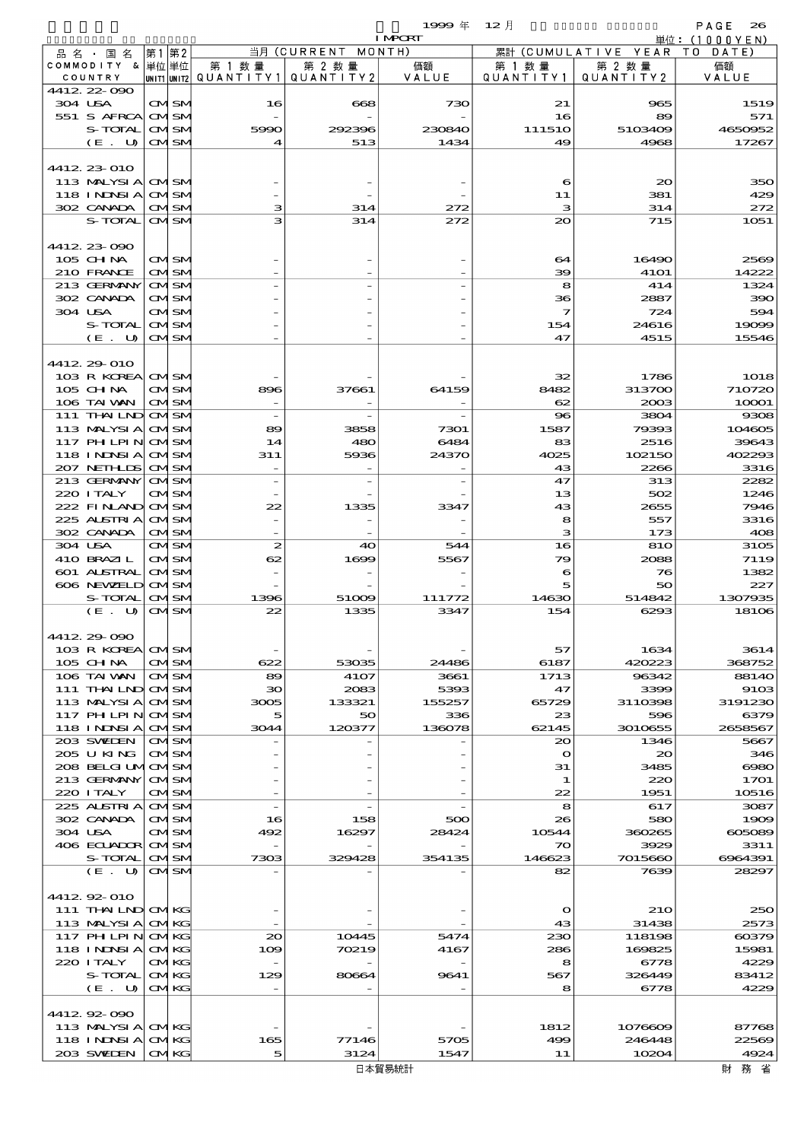|                                 |      |                              |                          |                          | 1999年<br><b>I MPORT</b> | 12月                     |                   | PAGE<br>26                  |
|---------------------------------|------|------------------------------|--------------------------|--------------------------|-------------------------|-------------------------|-------------------|-----------------------------|
| 品名・国名                           | 第1第2 |                              |                          | 当月 (CURRENT              | MONTH)                  | 累計                      | (CUMULATIVE YEAR  | 単位:(1000YEN)<br>T O<br>DATE |
| COMMODITY & 単位単位                |      |                              | 第 1 数 量                  | 第 2 数 量                  | 価額                      | 第 1 数 量                 | 第 2 数量            | 価額                          |
| COUNTRY                         |      |                              | unit1 unit2  Q∪ANT   TY1 | QUANTITY 2               | VALUE                   | QUANTITY1               | QUANTITY 2        | VALUE                       |
| 4412.22-090                     |      |                              |                          |                          |                         |                         |                   |                             |
| 304 USA<br>551 S AFRCA          |      | <b>CMISM</b><br><b>CMISM</b> | 16                       | 668                      | 730                     | 21<br>16                | 965<br>89         | 1519<br>571                 |
| S-TOTAL                         |      | <b>CMSM</b>                  | 5990                     | 292396                   | 230840                  | 111510                  | 5103409           | 4650952                     |
| (E. U)                          |      | <b>CMSM</b>                  | $\boldsymbol{4}$         | 513                      | 1434                    | 49                      | 4968              | 17267                       |
|                                 |      |                              |                          |                          |                         |                         |                   |                             |
| 4412, 23, 010                   |      |                              |                          |                          |                         |                         |                   |                             |
| 113 MALYSIA                     |      | <b>CMSM</b>                  |                          |                          |                         | 6                       | $_{\infty}$       | 350                         |
| <b>118 INDSIA</b><br>302 CANADA |      | <b>CMSM</b><br><b>CMSM</b>   | з                        | 314                      | 272                     | 11<br>з                 | 381<br>314        | 429<br>272                  |
| S-TOTAL                         |      | <b>CMISM</b>                 | з                        | 314                      | 272                     | 20                      | 715               | 1051                        |
|                                 |      |                              |                          |                          |                         |                         |                   |                             |
| 4412 23 090                     |      |                              |                          |                          |                         |                         |                   |                             |
| $105$ CHNA                      |      | <b>CMISM</b>                 |                          |                          |                         | 64                      | 16490             | 2569                        |
| 210 FRANCE                      |      | <b>CMISM</b>                 |                          |                          |                         | 39                      | <b>41O1</b>       | 14222                       |
| 213 GERMANY<br>302 CANADA       |      | <b>CMSM</b><br><b>CMISM</b>  |                          |                          |                         | 8<br>36                 | 414<br>2887       | 1324<br>390                 |
| 304 USA                         |      | <b>CMISM</b>                 |                          |                          |                         | 7                       | 724               | 594                         |
| S-TOTAL                         |      | <b>CMSM</b>                  |                          |                          |                         | 154                     | 24616             | 19099                       |
| (E. U)                          |      | <b>CMSM</b>                  |                          |                          |                         | 47                      | 4515              | 15546                       |
|                                 |      |                              |                          |                          |                         |                         |                   |                             |
| 4412.29-010                     |      |                              |                          |                          |                         |                         |                   |                             |
| 103 R KOREA<br>$105$ CHNA       |      | <b>CMISM</b><br><b>CMISM</b> | 896                      | 37661                    | 64159                   | 32<br>8482              | 1786<br>313700    | <b>1018</b><br>710720       |
| 106 TAI VAN                     |      | <b>CMSM</b>                  |                          |                          |                         | 62                      | 2003              | 10001                       |
| 111 THAILND                     |      | <b>CMSM</b>                  |                          |                          |                         | 96                      | 3804              | 9308                        |
| 113 MALYSIA                     |      | <b>CMISM</b>                 | 89                       | 3858                     | 7301                    | 1587                    | 79393             | 104605                      |
| 117 PH LPIN                     |      | <b>CMSM</b>                  | 14                       | 480                      | 6484                    | 83                      | 2516              | 39643                       |
| <b>118 INDSIA</b>               |      | <b>CMSM</b>                  | 311                      | 5936                     | 24370                   | 4025                    | 102150            | 402293                      |
| 207 NETHLIS                     |      | <b>CMSM</b>                  |                          |                          |                         | 43                      | 2266              | 3316                        |
| 213 GERMANY<br>220 I TALY       |      | <b>CMSM</b><br><b>CMISM</b>  |                          | $\overline{\phantom{a}}$ |                         | 47<br>13                | 313<br>502        | 2282<br>1246                |
| 222 FINAND                      |      | <b>CMSM</b>                  | 22                       | 1335                     | 3347                    | 43                      | 2655              | 7946                        |
| 225 ALSTRIA                     |      | <b>CMSM</b>                  |                          |                          |                         | 8                       | 557               | 3316                        |
| 302 CANADA                      |      | <b>CMSM</b>                  |                          |                          |                         | з                       | 173               | 408                         |
| 304 USA                         |      | CMSM                         | $\boldsymbol{z}$         | 40                       | 544                     | 16                      | 810               | 3105                        |
| 410 BRAZIL                      |      | <b>CMISM</b>                 | 62                       | 1699                     | 5567                    | 79                      | 2088              | 7119                        |
| 601 ALSTRAL                     |      | <b>CMSM</b>                  |                          |                          |                         | 6                       | 76                | 1382                        |
| 606 NEWELD<br>S-TOTAL           |      | <b>CMSM</b><br><b>CMISM</b>  | 1396                     | 51009                    | 111772                  | 5<br>14630              | 50<br>514842      | 227<br>1307935              |
| (E. U)                          |      | <b>CMISM</b>                 | 22                       | 1335                     | 3347                    | 154                     | 6293              | 18106                       |
|                                 |      |                              |                          |                          |                         |                         |                   |                             |
| 4412.29-090                     |      |                              |                          |                          |                         |                         |                   |                             |
| 103 R KOREA                     |      | <b>CMSM</b>                  |                          |                          |                         | 57                      | 1634              | 3614                        |
| $105$ CHNA                      |      | <b>CMISM</b>                 | 622                      | 53035                    | 24486                   | 6187                    | 420223<br>96342   | 368752                      |
| 106 TAI VAN<br>$111$ THAILND    |      | <b>CMSM</b><br><b>CMISM</b>  | 89<br>30                 | 4107<br>2083             | 3661<br>5393            | 1713<br>47              | 3399              | 8814O<br>91O3               |
| 113 MALYSIA                     |      | <b>CMSM</b>                  | 3005                     | 133321                   | 155257                  | 65729                   | 3110398           | 3191230                     |
| 117 PH LPIN                     |      | <b>CMISM</b>                 | 5                        | 50                       | 336                     | 23                      | 596               | 6379                        |
| 118 I NDSI A                    |      | <b>CMISM</b>                 | 3044                     | 120377                   | 136078                  | 62145                   | 3010655           | 2658567                     |
| 203 SVEDEN                      |      | <b>CMISM</b>                 |                          |                          |                         | 20                      | 1346              | 5667                        |
| 205 U KING                      |      | <b>CMISM</b>                 |                          |                          |                         | $\mathbf{\Omega}$<br>31 | $\infty$          | 346                         |
| 208 BELGI UMOMSM<br>213 GERMANY |      | <b>CMISM</b>                 |                          |                          |                         | 1                       | 3485<br>220       | $\infty$<br>1701            |
| 220 I TALY                      |      | <b>CMISM</b>                 |                          |                          |                         | 22                      | 1951              | 10516                       |
| 225 ALSTRIA                     |      | <b>CMSM</b>                  |                          |                          |                         | 8                       | 617               | 3087                        |
| 302 CANADA                      |      | <b>CMISM</b>                 | 16                       | 158                      | 500                     | 26                      | 580               | 1909                        |
| 304 USA                         |      | <b>CMSM</b>                  | 492                      | 16297                    | 28424                   | 10544                   | 360265            | 005089                      |
| 406 ECUADOR<br>S-TOTAL          |      | <b>CMISM</b><br><b>CMISM</b> | 7303                     | 329428                   | 354135                  | 70<br>146623            | 3929<br>7015660   | 3311<br>6964391             |
| (E. U)                          |      | <b>CMISM</b>                 |                          |                          |                         | 82                      | 7639              | 28297                       |
|                                 |      |                              |                          |                          |                         |                         |                   |                             |
| 4412.92-010                     |      |                              |                          |                          |                         |                         |                   |                             |
| 111 THAILND CMKG                |      |                              |                          |                          |                         | $\mathbf{\Omega}$       | <b>21O</b>        | 250                         |
| 113 MALYSIA                     |      | <b>CMKG</b>                  |                          |                          |                         | 43                      | 31438             | 2573                        |
| 117 PH LPIN<br>118 I NINSI A    |      | <b>CMKG</b><br><b>CMKG</b>   | $_{\infty}$<br>109       | 10445<br>70219           | 5474<br>4167            | 230<br>286              | 118198<br>169825  | $-00379$<br>15981           |
| 220 I TALY                      |      | <b>CMKG</b>                  |                          |                          |                         | 8                       | 6778              | 4229                        |
| S-TOTAL                         |      | <b>CMKG</b>                  | 129                      | 80664                    | 9641                    | 567                     | 326449            | 83412                       |
| (E. U)                          |      | <b>CMKG</b>                  |                          |                          |                         | 8                       | 6778              | 4229                        |
|                                 |      |                              |                          |                          |                         |                         |                   |                             |
| 441292090                       |      |                              |                          |                          |                         |                         |                   |                             |
| 113 MALYSIA<br>118 I NDSI A     |      | <b>CMKG</b><br><b>CMKG</b>   | 165                      | 77146                    | 5705                    | 1812<br>499             | 1076609<br>246448 | 87768<br>22569              |
| 203 SWIDEN                      |      | <b>CMKG</b>                  | 5                        | 3124                     | 1547                    | 11                      | 10204             | 4924                        |
|                                 |      |                              |                          |                          |                         |                         |                   |                             |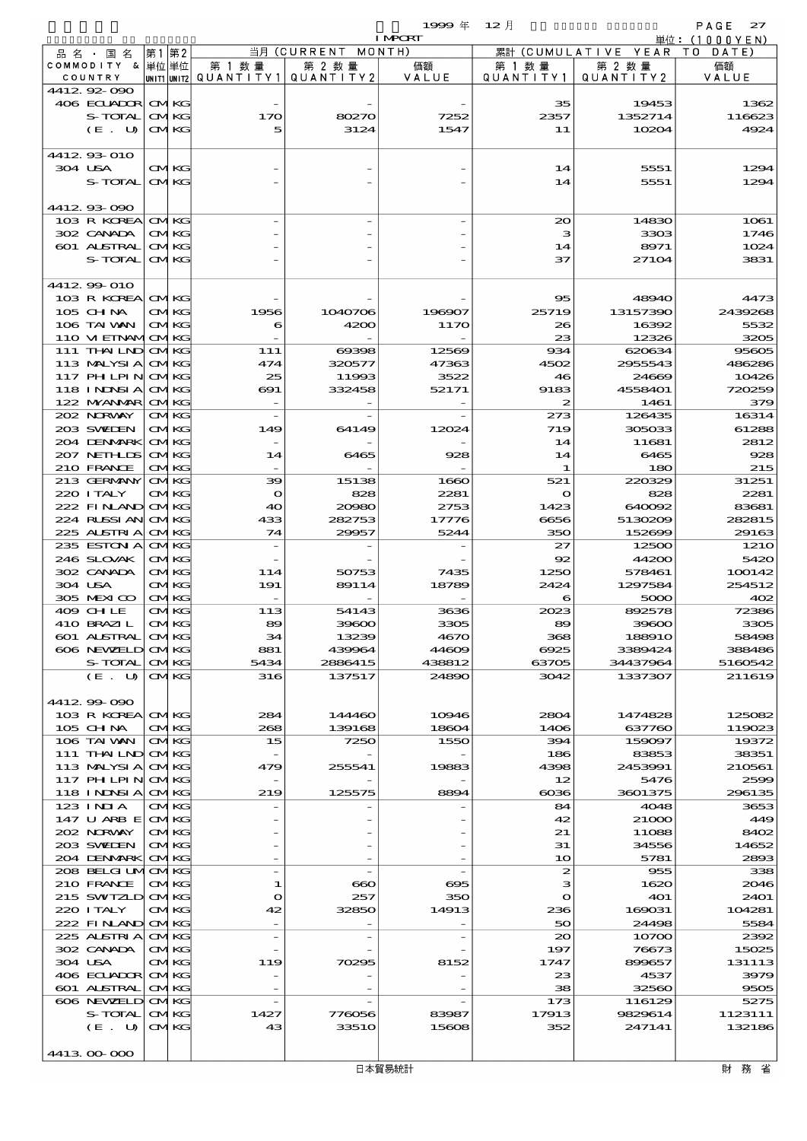|                                  |                            |                          |                | 1999 $#$                 | $12$ 月             |                     | PAGE<br>27                   |
|----------------------------------|----------------------------|--------------------------|----------------|--------------------------|--------------------|---------------------|------------------------------|
|                                  |                            |                          | 当月(CURRENT     | <b>I MPORT</b><br>MONTH) |                    | 累計 (CUMULATIVE YEAR | 単位:(1000YEN)<br>T O<br>DATE) |
| 品名・国名<br>COMMODITY & 単位単位        | 第1第2                       | 第 1 数量                   | 第 2 数 量        | 価額                       | 第 1 数 暈            | 第 2 数量              | 価額                           |
| COUNTRY                          |                            | UNIT1 UNIT2 QUANTITY1    | QUANTITY 2     | VALUE                    | QUANTITY1          | QUANTITY 2          | VALUE                        |
| 441292000                        |                            |                          |                |                          |                    |                     |                              |
| 406 ECUADOR CMKG<br>S-TOTAL      | <b>CMKG</b>                | 170                      | 80270          | 7252                     | 35<br>2357         | 19453<br>1352714    | 1362<br>116623               |
| (E. U)                           | <b>CMKG</b>                | 5                        | 3124           | 1547                     | 11                 | 10204               | 4924                         |
|                                  |                            |                          |                |                          |                    |                     |                              |
| 4412 93 010                      |                            |                          |                |                          |                    |                     |                              |
| 304 USA                          | <b>CMKG</b>                |                          |                |                          | 14                 | 5551                | 1294                         |
| S-TOTAL                          | <b>CMKG</b>                |                          |                |                          | 14                 | 5551                | 1294                         |
| 4412 93 090                      |                            |                          |                |                          |                    |                     |                              |
| 103 R KOREA                      | <b>CMKG</b>                |                          |                |                          | $_{\infty}$        | 14830               | <b>1061</b>                  |
| 302 CANADA                       | <b>CMKG</b>                |                          |                |                          | з                  | 3303                | 1746                         |
| 601 ALSTRAL<br>S-TOTAL           | <b>CMKG</b>                |                          |                |                          | 14                 | 8971                | 1024                         |
|                                  | <b>CMKG</b>                |                          |                |                          | 37                 | 27104               | 3831                         |
| 4412.99-010                      |                            |                          |                |                          |                    |                     |                              |
| 103 R KOREA                      | <b>CMKG</b>                |                          |                |                          | 95                 | 48940               | 4473                         |
| 105 CHNA                         | <b>CMKG</b>                | 1956                     | 1040706        | 196907                   | 25719              | 13157390            | 2439268                      |
| 106 TAI VAN<br>110 VI EINAMICMKG | <b>CMKG</b>                | 6                        | 4200           | 1170                     | 26<br>23           | 16392<br>12326      | 5532<br>3205                 |
| 111 THAILND CMKG                 |                            | 111                      | 69398          | 12569                    | 934                | 620634              | 95605                        |
| 113 MALYSIA                      | <b>CMKG</b>                | 474                      | 320577         | 47363                    | 4502               | 2955543             | 486286                       |
| 117 PH LPIN                      | <b>CMKG</b>                | 25                       | 11993          | 3522                     | 46                 | 24669               | 10426                        |
| <b>118 INDSIA</b>                | <b>CMKG</b>                | $\boldsymbol{\infty}$    | 332458         | 52171                    | 9183               | 4558401             | 720259                       |
| 122 MYANMAR<br>202 NORWAY        | <b>CMKG</b><br><b>CMKG</b> | $\overline{\phantom{a}}$ |                |                          | 2<br>273           | 1461<br>126435      | 379<br>16314                 |
| 203 SWIDEN                       | <b>CMKG</b>                | 149                      | 64149          | 12024                    | 719                | 305033              | 61288                        |
| 204 DENMARK                      | <b>CMKG</b>                |                          |                |                          | 14                 | 11681               | 2812                         |
| 207 NETHLIS                      | <b>CMKG</b>                | 14                       | 6465           | 928                      | 14                 | 6465                | 928                          |
| 210 FRANCE                       | <b>CMKG</b>                |                          |                |                          | 1                  | 180                 | 215                          |
| 213 GERMANY<br>220 ITALY         | <b>CMKG</b><br><b>CMKG</b> | 39<br>$\bullet$          | 15138<br>828   | 1660<br>2281             | 521<br>$\mathbf o$ | 220329<br>828       | 31251<br>2281                |
| 222 FINAND                       | <b>CMKG</b>                | 40                       | 20080          | 2753                     | 1423               | 640092              | 83681                        |
| 224 RUSSI AN                     | <b>CMKG</b>                | 433                      | 282753         | 17776                    | 6656               | 5130209             | 282815                       |
| 225 ALSTRIA                      | <b>CMKG</b>                | 74                       | 29957          | 5244                     | 350                | 152699              | 29163                        |
| 235 ESTON A                      | <b>CMKG</b>                |                          |                |                          | 27                 | 12500               | 1210                         |
| 246 SLOVAK<br>302 CANADA         | <b>CMKG</b><br><b>CMKG</b> | 114                      | 50753          | 7435                     | 92<br>1250         | 44200<br>578461     | 5420<br>100142               |
| 304 USA                          | <b>CMKG</b>                | 191                      | 89114          | 18789                    | 2424               | 1297584             | 254512                       |
| 305 MEXICO                       | <b>CMKG</b>                |                          |                |                          | 6                  | 5000                | 402                          |
| 409 CHLE                         | <b>CMKG</b>                | 113                      | 54143          | 3636                     | 2023               | 892578              | 72386                        |
| 410 BRAZI L<br>601 ALSTRAL       | CMKG<br><b>CMKG</b>        | 89<br>34                 | 39600<br>13239 | 3305<br>4670             | 89<br>368          | 39600<br>188910     | 3305<br>58498                |
| 606 NEWELD CMKG                  |                            | 881                      | 439964         | 44609                    | 6925               | 3389424             | 388486                       |
| S-TOTAL                          | <b>CMKG</b>                | 5434                     | 2886415        | 438812                   | 63705              | 34437964            | 5160542                      |
| (E. U)                           | <b>CMKG</b>                | 316                      | 137517         | 24890                    | 3042               | 1337307             | 211619                       |
|                                  |                            |                          |                |                          |                    |                     |                              |
| 4412 99 090<br>103 R KOREA       | <b>CMKG</b>                | 284                      | 144460         | 10946                    | 2804               | 1474828             | 125082                       |
| 105 CHNA                         | <b>CMKG</b>                | 268                      | 139168         | 18604                    | 1406               | 637760              | 119023                       |
| 106 TAI VAN                      | <b>CMKG</b>                | 15                       | 7250           | 1550                     | 394                | 159097              | 19372                        |
| 111 THAILND CMKG                 |                            |                          |                |                          | 186                | 83853               | 38351                        |
| 113 MALYSIA<br>117 PH LPIN       | <b>CMKG</b><br><b>CMKG</b> | 479                      | 255541         | 19883                    | 4398<br>12         | 2453991<br>5476     | 210561<br>2599               |
| <b>118 INNSIA</b>                | <b>CMKG</b>                | 219                      | 125575         | 8894                     | $_{0036}$          | 3601375             | 296135                       |
| $123$ INIA                       | <b>CMKG</b>                |                          |                |                          | 84                 | 4048                | 3653                         |
| 147 U ARB E                      | <b>CMKG</b>                |                          |                |                          | 42                 | 21000               | 449                          |
| 202 NORWAY                       | <b>CMKG</b>                |                          |                |                          | 21                 | 11088               | 8402                         |
| 203 SWIDEN<br>204 DENMARK        | <b>CMKG</b><br><b>CMKG</b> |                          |                |                          | 31<br>10           | 34556<br>5781       | 14652<br>2893                |
| 208 BELGI UMOMKG                 |                            |                          |                |                          | $\boldsymbol{z}$   | 955                 | 338                          |
| 210 FRANCE                       | <b>CMKG</b>                | 1                        | $\bf{60}$      | 695                      | з                  | 1620                | 2046                         |
| 215 SWIZLD                       | <b>CMKG</b>                | $\mathbf{\Omega}$        | 257            | 350                      | $\mathbf{\Omega}$  | <b>401</b>          | 2401                         |
| 220 I TALY                       | <b>CMKG</b><br><b>CMKG</b> | 42                       | 32850          | 14913                    | 236<br>50          | 169031              | 104281<br>5584               |
| 222 FINAND<br>225 ALSTRIA        | <b>CMKG</b>                |                          |                |                          | $\infty$           | 24498<br>10700      | 2392                         |
| 302 CANADA                       | <b>CMKG</b>                |                          |                |                          | 197                | 76673               | 15025                        |
| 304 USA                          | <b>CMKG</b>                | 119                      | 70295          | 8152                     | 1747               | 899657              | 131113                       |
| 406 ECUADOR                      | <b>CMKG</b>                |                          |                |                          | 23                 | 4537                | 3979                         |
| <b>601 ALSTRAL</b><br>606 NEWELD | <b>CMKG</b><br><b>CMKG</b> |                          |                |                          | 38<br>173          | 32560<br>116129     | 9505<br>5275                 |
| S-TOTAL                          | <b>CMKG</b>                | 1427                     | 776056         | 83987                    | 17913              | 9829614             | 1123111                      |
| (E. U)                           | <b>CMKG</b>                | 43                       | 3351O          | 15608                    | 352                | 247141              | 132186                       |
|                                  |                            |                          |                |                          |                    |                     |                              |
| 4413 00 000                      |                            |                          |                |                          |                    |                     |                              |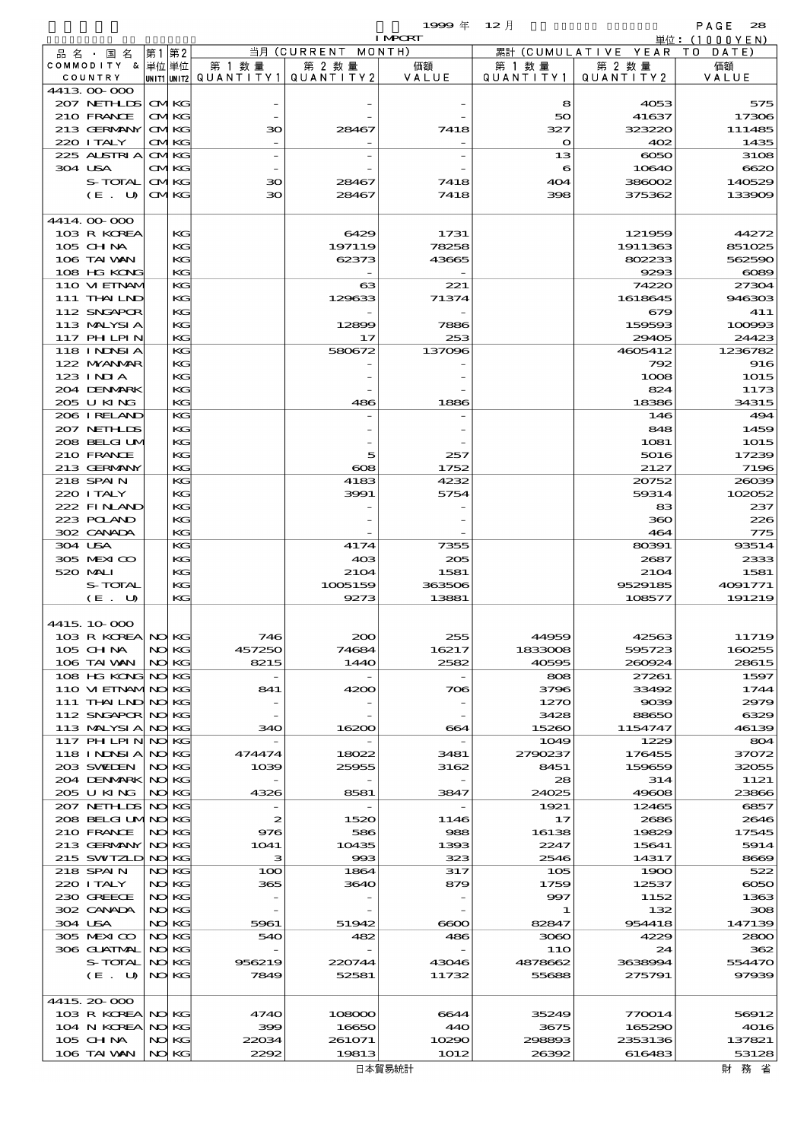$\mathbf{1999} \notin \mathbf{12} \nexists$  and  $\mathbf{12} \nexists$  and  $\mathbf{12} \nexists$  and  $\mathbf{12} \nexists$  and  $\mathbf{12} \nexists$  and  $\mathbf{12} \nexists$  and  $\mathbf{12} \nexists$  and  $\mathbf{12} \nexists$  and  $\mathbf{12} \nexists$  and  $\mathbf{12} \nexists$  and  $\mathbf{12} \nexists$  and  $\mathbf{12} \nexists$  and  $\mathbf{1$ 

|                                        |  |                            |              |                                          | <b>I MPCRT</b>  |                      |                              | 単位: (1000YEN)    |
|----------------------------------------|--|----------------------------|--------------|------------------------------------------|-----------------|----------------------|------------------------------|------------------|
| 品名・国名                                  |  | 第1第2                       |              | 当月 (CURRENT                              | MONTH)          |                      | 累計 (CUMULATIVE YEAR TO DATE) |                  |
| COMMODITY & 単位単位<br>COUNTRY            |  |                            | 第 1 数量       | 第 2 数量<br>UNITIUNIT2 QUANTITY1 QUANTITY2 | 価額<br>VALUE     | 第 1 数 量<br>QUANTITY1 | 第 2 数量<br>QUANTITY 2         | 価額<br>VALUE      |
| 441300000                              |  |                            |              |                                          |                 |                      |                              |                  |
| 207 NETHLIS                            |  | <b>CMKG</b>                |              |                                          |                 | 8                    | 4053                         | 575              |
| 210 FRANCE                             |  | <b>CMKG</b>                |              |                                          |                 | 50                   | 41637                        | 17306            |
| 213 GERMANY                            |  | <b>CMKG</b>                | 30           | 28467                                    | 7418            | 327                  | 323220                       | 111485           |
| 220 I TALY                             |  | <b>CMKG</b>                |              |                                          |                 | $\bullet$            | 402                          | 1435             |
| 225 ALSTRIA<br>304 USA                 |  | <b>CMKG</b><br><b>CMKG</b> |              |                                          |                 | 13<br>6              | $\infty$<br>10640            | 3108<br>6620     |
| S-TOTAL                                |  | <b>CMKG</b>                | 30           | 28467                                    | 7418            | 404                  | 386002                       | 140529           |
| $(E_U U)$                              |  | <b>CMKG</b>                | 30           | 28467                                    | 7418            | 398                  | 375362                       | 133909           |
|                                        |  |                            |              |                                          |                 |                      |                              |                  |
| 4414.00-000                            |  |                            |              |                                          |                 |                      |                              |                  |
| 103 R KOREA                            |  | KG                         |              | 6429                                     | 1731            |                      | 121959                       | 44272            |
| 105 CH NA<br>106 TAI WAN               |  | KG<br>KG                   |              | 197119<br>62373                          | 78258<br>43665  |                      | 1911363<br>802233            | 851025<br>562590 |
| 108 HG KONG                            |  | KG                         |              |                                          |                 |                      | 9293                         | $\cos$           |
| 110 VIEINAM                            |  | KG                         |              | 63                                       | 221             |                      | 74220                        | 27304            |
| 111 THAILND                            |  | KG                         |              | 129633                                   | 71374           |                      | 1618645                      | 946303           |
| 112 SNGAPOR                            |  | KG                         |              |                                          |                 |                      | 679                          | 411              |
| 113 MALYSIA                            |  | KG                         |              | 12899                                    | 7886            |                      | 159593                       | 100993           |
| 117 PH LPIN                            |  | KG                         |              | 17                                       | 253             |                      | 29405                        | 24423            |
| 118 I NDSI A<br>122 NYANAR             |  | KG                         |              | 580672                                   | 137096          |                      | 4605412                      | 1236782          |
| $123$ INIA                             |  | KG<br>KG                   |              |                                          |                 |                      | 792<br>1008                  | 916<br>1015      |
| 204 DENMARK                            |  | KG                         |              |                                          |                 |                      | 824                          | 1173             |
| 205 U KING                             |  | KG                         |              | 486                                      | 1886            |                      | 18386                        | 34315            |
| 206 IRELAND                            |  | KG                         |              |                                          |                 |                      | 146                          | 494              |
| 207 NETHLIS                            |  | KG                         |              |                                          |                 |                      | 848                          | 1459             |
| 208 BELGI UM                           |  | KG                         |              |                                          |                 |                      | 1081                         | 1015             |
| 210 FRANCE                             |  | KG                         |              | 5                                        | 257             |                      | 5016                         | 17239            |
| 213 GERMANY                            |  | KG                         |              | $\boldsymbol{\infty}$                    | 1752            |                      | 2127                         | 7196             |
| 218 SPAIN<br>220 I TALY                |  | KG<br>KG                   |              | 4183<br>3991                             | 4232<br>5754    |                      | 20752<br>59314               | 26039<br>102052  |
| 222 FINAND                             |  | KG                         |              |                                          |                 |                      | 83                           | 237              |
| 223 POLAND                             |  | KG                         |              |                                          |                 |                      | 360                          | 226              |
| 302 CANADA                             |  | KG                         |              |                                          |                 |                      | 464                          | 775              |
| 304 USA                                |  | KG                         |              | 4174                                     | 7355            |                      | 80391                        | 93514            |
| 305 MEXICO                             |  | KG                         |              | 40 <sup>3</sup>                          | 205             |                      | 2687                         | 2333             |
| 520 MAI                                |  | KG                         |              | 2104                                     | 1581            |                      | 2104                         | 1581             |
| S-TOTAL                                |  | KG                         |              | 1005159<br>9273                          | 363506<br>13881 |                      | 9529185<br>108577            | 4091771          |
| (E. U)                                 |  | KG                         |              |                                          |                 |                      |                              | 191219           |
| 4415، 10،000                           |  |                            |              |                                          |                 |                      |                              |                  |
| 103 R KOREA NO KG                      |  |                            | 746          | $_{\rm 200}$                             | 255             | 44959                | 42563                        | 11719            |
| 105 CH NA                              |  | NO KG                      | 457250       | 74684                                    | 16217           | 1833008              | 595723                       | 160255           |
| 106 TAI VAN                            |  | NO KG                      | 8215         | 1440                                     | 2582            | 40595                | 260924                       | 28615            |
| 108 HG KONG NO KG                      |  |                            |              |                                          |                 | 808                  | 27261                        | 1597             |
| 110 VI EINAMINO KG                     |  |                            | 841          | 4200                                     | 706             | 3796                 | 33492                        | 1744             |
| 111 THAILND NO KG                      |  |                            |              |                                          |                 | 1270<br>3428         | 9039                         | 2979<br>6329     |
| 112 SNGAPOR NO KG<br>113 MALYSIA NO KG |  |                            | 340          | 16200                                    | 664             | 15260                | 88650<br>1154747             | 46139            |
| 117 PH LPIN NO KG                      |  |                            |              |                                          |                 | 1049                 | 1229                         | 804              |
| 118 INDSIANOKG                         |  |                            | 474474       | 18022                                    | 3481            | 2790237              | 176455                       | 37072            |
| 203 SWIDEN                             |  | NO KG                      | 1039         | 25955                                    | 3162            | 8451                 | 159659                       | 32055            |
| 204 DENMARK NO KG                      |  |                            |              |                                          |                 | 28                   | 314                          | 1121             |
| 205 U KING                             |  | NO KG                      | 4326         | 8581                                     | 3847            | 24025                | 49608                        | 23866            |
| 207 NETHLIS                            |  | NO KG                      |              |                                          |                 | 1921                 | 12465                        | 6857             |
| 208 BELGI UMNO KG<br>210 FRANCE        |  | NO KG                      | 2<br>976     | 1520<br>586                              | 1146<br>988     | 17<br>16138          | 2686<br>19829                | 2646<br>17545    |
| 213 GERMANY                            |  | NO KG                      | 1041         | 10435                                    | 1393            | 2247                 | 15641                        | 5914             |
| 215 SWIZLD NO KG                       |  |                            | з            | 993                                      | 323             | 2546                 | 14317                        | 8669             |
| 218 SPAIN                              |  | NO KG                      | 100          | 1864                                     | 317             | 105                  | 1900                         | 522              |
| 220 I TALY                             |  | NO KG                      | 365          | 3640                                     | 879             | 1759                 | 12537                        | $\infty$         |
| 230 GREECE                             |  | NO KG                      |              |                                          |                 | 997                  | 1152                         | 1363             |
| 302 CANADA                             |  | NO KG                      |              |                                          |                 | 1                    | 132                          | 308              |
| 304 USA<br>305 MEXICO                  |  | NO KG<br>NO KG             | 5961<br>540  | 51942<br>482                             | $\infty$<br>486 | 82847<br>3060        | 954418<br>4229               | 147139<br>2800   |
| 306 GUATMAL                            |  | NO KG                      |              |                                          |                 | 11O                  | 24                           | 362              |
| S-TOTAL                                |  | NO KG                      | 956219       | 220744                                   | 43046           | 4878662              | 3638994                      | 554470           |
| (E. U)                                 |  | NO KG                      | 7849         | 52581                                    | 11732           | 55688                | 275791                       | 97939            |
|                                        |  |                            |              |                                          |                 |                      |                              |                  |
| 4415.20-000                            |  |                            |              |                                          |                 |                      |                              |                  |
| 103 R KOREA NO KG                      |  |                            | 4740         | 108000                                   | 6644            | 35249                | 770014                       | 56912            |
| 104 N KOREA<br>105 CH NA               |  | NO KG<br>NO KG             | 399<br>22034 | 16650<br>261071                          | 440<br>10290    | 3675<br>298893       | 165290<br>2353136            | 4016<br>137821   |
| 106 TAI VAN                            |  | NO KG                      | 2292         | 19813                                    | 1012            | 26392                | 616483                       | 53128            |
|                                        |  |                            |              |                                          |                 |                      |                              |                  |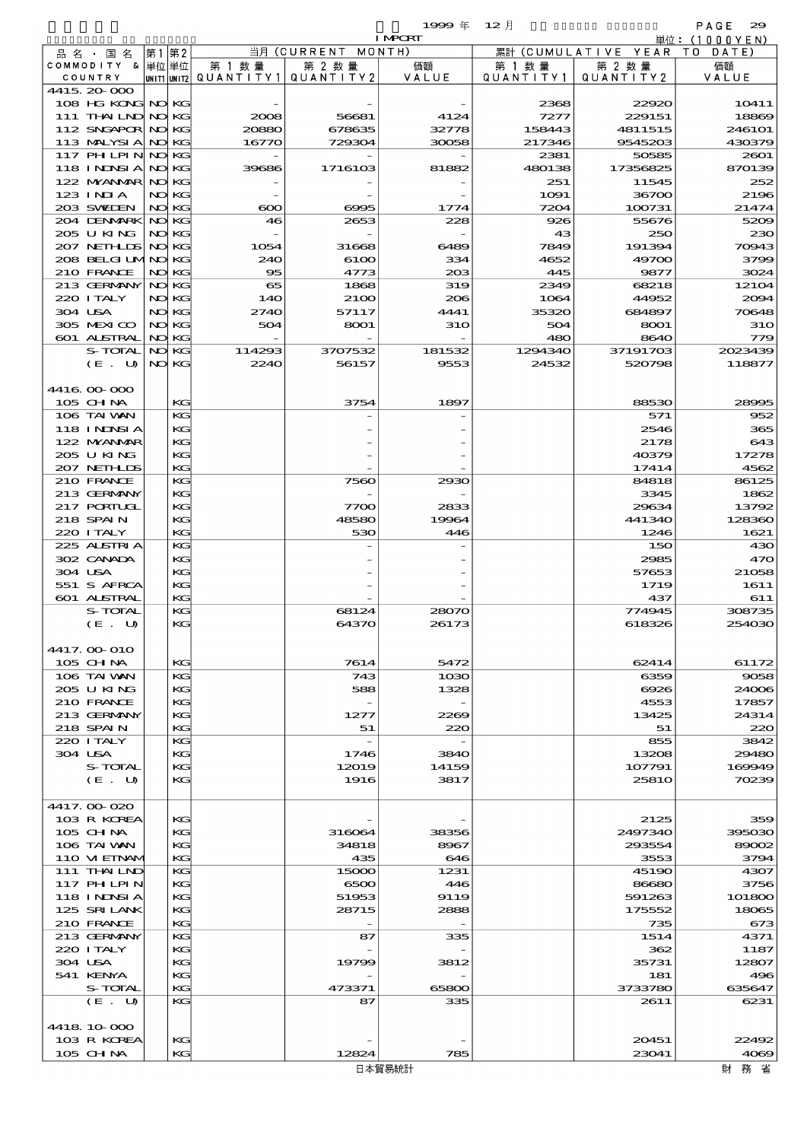$\begin{array}{ccccccccc}\n 1999 & \# & 12 & \end{array}$ 

|         |                            |    |                |                          |                  | <b>I MPORT</b> |                   |                        | 単位:(1000YEN)      |
|---------|----------------------------|----|----------------|--------------------------|------------------|----------------|-------------------|------------------------|-------------------|
|         | 品 名 ・ 国 名                  | 第1 | 第2             |                          | 当月(CURRENT       | MONTH)         |                   | 累計 (CUMULATIVE YEAR TO | DATE              |
|         | COMMODITY & 単位単位           |    |                | 第 1 数量                   | 第 2 数量           | 価額             | 第 1 数 量           | 第 2 数量                 | 価額                |
|         | COUNTRY                    |    |                | unit1 unit2  Q∪ANT   TY1 | QUANTITY2        | VALUE          | Q U A N T I T Y 1 | QUANTITY 2             | VALUE             |
|         | 4415.20-000                |    |                |                          |                  |                |                   |                        |                   |
|         | 108 HG KONG NO KG          |    |                |                          |                  |                | 2368              | 22920                  | 10411             |
|         | 111 THAILND NO KG          |    |                | 2008                     | 56681            | 4124           | 7277              | 229151                 | 18869             |
|         | 112 SNGAPOR NO KG          |    |                | 20880                    | 678635           | 32778          | 158443            | 4811515                | 246101<br>430379  |
|         | 113 MALYSIA<br>117 PH LPIN |    | NO KG<br>NO KG | 16770                    | 729304           | 30058          | 217346<br>2381    | 9545203<br>50585       | 2601              |
|         | 118 I NJNSI A              |    | NO KG          | 39686                    | 1716103          | 81882          | 480138            | 17356825               | 870139            |
|         | 122 MYANAR                 |    | NO KG          |                          |                  |                | 251               | 11545                  | 252               |
|         | 123 INIA                   |    | NO KG          |                          |                  |                | 1091              | 36700                  | 2196              |
|         | 203 SWIDEN                 |    | NO KG          | $\infty$                 | 6995             | 1774           | 7204              | 100731                 | 21474             |
|         | 204 DENMARK                |    | NO KG          | 46                       | 2653             | 228            | 926               | 55676                  | 5209              |
|         | 205 U KING                 |    | NO KG          |                          |                  |                | 43                | 250                    | 230               |
|         | 207 NETHLIS                |    | NO KG          | 1054                     | 31668            | 6489           | 7849              | 191394                 | 70943             |
|         | 208 BELGI UMNO             |    | КG             | 240                      | 6100             | 334            | 4652              | 49700                  | 3799              |
|         | 210 FRANCE                 |    | NO KG          | 95                       | 4773             | 203            | 445               | 9877                   | 3024              |
|         | 213 GERMANY                |    | NO KG          | 65                       | 1868             | 319            | 2349              | 68218                  | 12104             |
|         | 220 I TALY                 |    | NO KG          | 140                      | 2100             | 206            | 1064              | 44952                  | 2004              |
| 304 USA |                            |    | NO KG          | 2740                     | 57117            | 4441           | 35320             | 684897                 | 70648             |
|         | 305 MEXICO                 |    | NO KG          | 504                      | 8001             | 310            | 504               | 8001                   | <b>310</b>        |
|         | 601 ALSTRAL                |    | NO KG          |                          |                  |                | 480               | 8640                   | 779               |
|         | S-TOTAL<br>(E. U)          | NO | KG<br>NO KG    | 114293<br>2240           | 3707532<br>56157 | 181532<br>9553 | 1294340<br>24532  | 37191703<br>520798     | 2023439<br>118877 |
|         |                            |    |                |                          |                  |                |                   |                        |                   |
|         | 4416 00 000                |    |                |                          |                  |                |                   |                        |                   |
|         | 105 CH NA                  |    | KG             |                          | 3754             | 1897           |                   | 88530                  | 28995             |
|         | 106 TAI VAN                |    | KG             |                          |                  |                |                   | 571                    | 952               |
|         | <b>118 INNSIA</b>          |    | KG             |                          |                  |                |                   | 2546                   | 365               |
|         | 122 MYANMAR                |    | KG             |                          |                  |                |                   | 2178                   | 643               |
|         | 205 U KING                 |    | KG             |                          |                  |                |                   | 40379                  | 17278             |
|         | 207 NETHLIS                |    | KG             |                          |                  |                |                   | 17414                  | 4562              |
|         | 210 FRANCE                 |    | KG             |                          | 7560             | 2930           |                   | 84818                  | 86125             |
|         | 213 GERMANY                |    | KG             |                          |                  |                |                   | 3345                   | 1862              |
|         | 217 PORTUGL                |    | KG             |                          | 7700             | 2833           |                   | 29634                  | 13792             |
|         | 218 SPAIN                  |    | KG             |                          | 48580            | 19964          |                   | 441340                 | 128360            |
|         | 220 I TALY                 |    | $K$ $G$        |                          | 530              | 446            |                   | 1246                   | 1621              |
|         | 225 ALSTRIA                |    | KG             |                          |                  |                |                   | 150                    | 430               |
| 304 USA | 302 CANADA                 |    | KG             |                          |                  |                |                   | 2985                   | 470               |
|         | 551 S AFRCA                |    | KG<br>KG       |                          |                  |                |                   | 57653<br>1719          | 21058<br>1611     |
|         | 601 ALSTRAL                |    | KG             |                          |                  |                |                   | 437                    | 611               |
|         | S-TOTAL                    |    | КG             |                          | 68124            | 28070          |                   | 774945                 | 308735            |
|         | (E. U)                     |    | KG             |                          | 64370            | 26173          |                   | 618326                 | 254030            |
|         |                            |    |                |                          |                  |                |                   |                        |                   |
|         | 4417. OO O1O               |    |                |                          |                  |                |                   |                        |                   |
|         | 105 CH NA                  |    | KG             |                          | 7614             | 5472           |                   | 62414                  | 61172             |
|         | 106 TAI VAN                |    | KG             |                          | 743              | 1030           |                   | 6359                   | 9058              |
|         | 205 U KING                 |    | KG             |                          | 588              | 1328           |                   | 6926                   | 24006             |
|         | 210 FRANCE                 |    | KG             |                          |                  |                |                   | 4553                   | 17857             |
|         | 213 GERMANY                |    | KG             |                          | 1277             | 2269           |                   | 13425                  | 24314             |
|         | 218 SPAIN                  |    | KG             |                          | 51               | 220            |                   | 51                     | 220               |
| 304 USA | 220 I TALY                 |    | KG<br>KG       |                          | 1746             | 3840           |                   | 855<br>13208           | 3842<br>29480     |
|         | S-TOTAL                    |    | KG             |                          | 12019            | 14159          |                   | 107791                 | 169949            |
|         | (E. U)                     |    | KG             |                          | 1916             | 3817           |                   | 25810                  | 70239             |
|         |                            |    |                |                          |                  |                |                   |                        |                   |
|         | 4417.000 020               |    |                |                          |                  |                |                   |                        |                   |
|         | 103 R KOREA                |    | KG             |                          |                  |                |                   | 2125                   | 359               |
|         | 105 CHNA                   |    | KG             |                          | 316064           | 38356          |                   | 2497340                | 395030            |
|         | 106 TAI WAN                |    | KG             |                          | 34818            | 8967           |                   | 293554                 | 89002             |
|         | 110 VIEINAM                |    | KG             |                          | 435              | 646            |                   | 3553                   | 3794              |
|         | 111 THAILND                |    | KG             |                          | 15000            | 1231           |                   | 45190                  | 4307              |
|         | 117 PHLPIN                 |    | KG             |                          | 6500             | 446            |                   | 86680                  | 3756              |
|         | <b>118 INNSIA</b>          |    | KG             |                          | 51953            | 9119           |                   | 591263                 | 101800            |
|         | 125 SRILANK                |    | KG             |                          | 28715            | 2888           |                   | 175552                 | 18065             |
|         | 210 FRANCE<br>213 GERMANY  |    | KG<br>KG       |                          | 87               | 335            |                   | 735<br>1514            | 673<br>4371       |
|         | 220 I TALY                 |    | KG             |                          |                  |                |                   | 362                    | 1187              |
| 304 USA |                            |    | KG             |                          | 19799            | 3812           |                   | 35731                  | 12807             |
|         | 541 KENYA                  |    | KG             |                          |                  |                |                   | 181                    | 496               |
|         | S-TOTAL                    |    | KG             |                          | 473371           | 65800          |                   | 3733780                | 635647            |
|         | (E. U)                     |    | KG             |                          | 87               | 335            |                   | 2611                   | 6231              |

 $103 \text{ R} \text{ K} \text{C}$   $103 \text{ R} \text{ K} \text{C}$   $12824$   $12824$   $12824$   $12824$   $23041$   $4039$  $105 \text{ GHM}$   $| \text{KG} |$   $| \text{KG} |$   $| \text{12824} |$   $| \text{785} |$   $| \text{23041} |$   $| \text{4063} |$ 

4418.10-000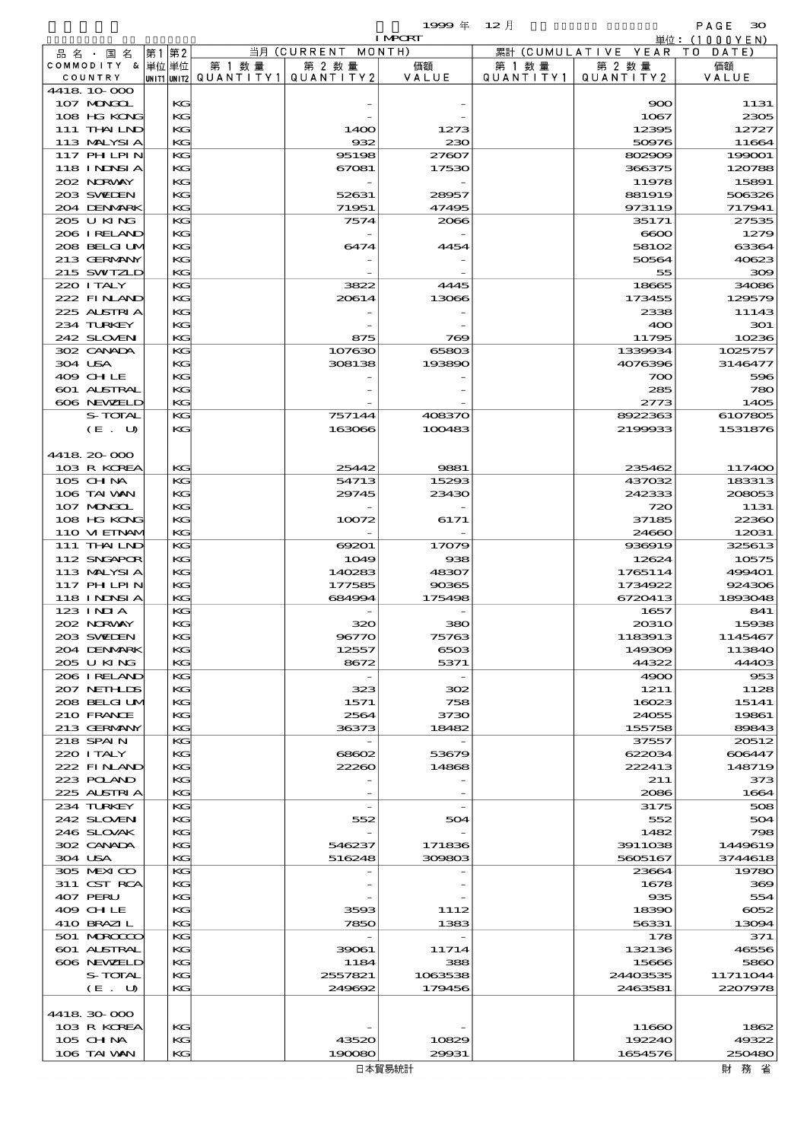|                             |         |    |             |           |                  | 1999年                    | 12月       |                     | PAGE<br>$\infty$              |
|-----------------------------|---------|----|-------------|-----------|------------------|--------------------------|-----------|---------------------|-------------------------------|
|                             |         |    |             |           | 当月(CURRENT       | <b>I MPCRT</b><br>MONTH) |           | 累計 (CUMULATIVE YEAR | 単位: (1000YEN)<br>T O<br>DATE) |
| 品名・国名<br>COMMODITY & 単位単位   |         | 第1 | 第2          | 第 1 数量    | 第 2 数量           | 価額                       | 第 1 数 量   | 第 2 数量              | 価額                            |
| COUNTRY                     |         |    | UNIT1 UNIT2 | QUANTITY1 | QUANTITY 2       | VALUE                    | QUANTITY1 | QUANTITY2           | VALUE                         |
| 4418 10 000                 |         |    |             |           |                  |                          |           |                     |                               |
| 107 MAGAL<br>108 HG KONG    |         |    | KG<br>KG    |           |                  |                          |           | 900<br>1067         | 1131<br>2305                  |
| 111 THAILND                 |         |    | KG          |           | 1400             | 1273                     |           | 12395               | 12727                         |
| 113 MALYSIA                 |         |    | KG          |           | 932              | 230                      |           | 50976               | 11664                         |
| 117 PHLPIN                  |         |    | KG          |           | 95198            | 27607                    |           | 802909              | 199001                        |
| <b>118 INNSIA</b>           |         |    | KG          |           | 67081            | 17530                    |           | 366375              | 120788                        |
| 202 NORWAY<br>203 SWIEN     |         |    | KG<br>KG    |           | 52631            | 28957                    |           | 11978<br>881919     | 15891<br>506326               |
| 204 DENMARK                 |         |    | KG          |           | 71951            | 47495                    |           | 973119              | 717941                        |
| 205 U KING                  |         |    | KG          |           | 7574             | 2066                     |           | 35171               | 27535                         |
| 206 IRELAND                 |         |    | KG          |           |                  |                          |           | $\bf 6600$          | 1279                          |
| 208 BELGI UM                |         |    | KG          |           | 6474             | 4454                     |           | 58102               | 63364                         |
| 213 GERMANY<br>215 SWIZLD   |         |    | KG<br>KG    |           |                  |                          |           | 50564<br>55         | 40623<br>300                  |
| 220 I TALY                  |         |    | KG          |           | 3822             | 4445                     |           | 18665               | 34086                         |
| 222 FINAND                  |         |    | KG          |           | 20614            | 13066                    |           | 173455              | 129579                        |
| 225 ALSTRIA                 |         |    | KG          |           |                  |                          |           | 2338                | 11143                         |
| 234 TURKEY                  |         |    | KG          |           |                  |                          |           | 400                 | 301                           |
| 242 SLOVEN                  |         |    | KG          |           | 875              | 769                      |           | 11795               | 10236                         |
| 302 CANADA<br>304 USA       |         |    | KG<br>KG    |           | 107630<br>308138 | 65803<br>193890          |           | 1339934<br>4076396  | 1025757<br>3146477            |
| 409 CHLE                    |         |    | KG          |           |                  |                          |           | 700                 | 596                           |
| 601 ALSTRAL                 |         |    | KG          |           |                  |                          |           | 285                 | 780                           |
| 606 NEWELD                  |         |    | KG          |           |                  |                          |           | 2773                | 1405                          |
|                             | S-TOTAL |    | KG          |           | 757144           | 408370                   |           | 8922363             | 6107805                       |
|                             | (E. U)  |    | KG          |           | 163066           | 100483                   |           | 2199933             | 1531876                       |
| 4418 20 000                 |         |    |             |           |                  |                          |           |                     |                               |
| 103 R KOREA                 |         |    | KG          |           | 25442            | 9881                     |           | 235462              | 117400                        |
| 105 CH NA                   |         |    | KG          |           | 54713            | 15293                    |           | 437032              | 183313                        |
| 106 TAI VAN                 |         |    | KG          |           | 29745            | 23430                    |           | 242333              | 208053                        |
| 107 MAGAL                   |         |    | KG          |           |                  |                          |           | 720                 | 1131                          |
| 108 HG KONG<br>110 VIEINAM  |         |    | KG<br>KG    |           | 10072            | 6171                     |           | 37185<br>24660      | 22360<br>12031                |
| 111 THAILND                 |         |    | KG          |           | 69201            | 17079                    |           | 936919              | 325613                        |
| 112 SNGAPOR                 |         |    | KG          |           | 1049             | 938                      |           | 12624               | 10575                         |
| 113 MALYSIA                 |         |    | KG          |           | 140283           | 48307                    |           | 1765114             | 499401                        |
| 117 PHLPIN                  |         |    | KG          |           | 177585           | 90365                    |           | 1734922             | 924306                        |
| 118 I NDSI A<br>$123$ INIA  |         |    | KG<br>KG    |           | 684994           | 175498                   |           | 6720413<br>1657     | 1893048<br>841                |
| 202 N.R.WAY                 |         |    | KG          |           | 320              | 380                      |           | 20310               | 15938                         |
| 203 SWIDEN                  |         |    | KG          |           | 96770            | 75763                    |           | 1183913             | 1145467                       |
| 204 DENMARK                 |         |    | KG          |           | 12557            | 6503                     |           | 149309              | 113840                        |
| 205 U KING                  |         |    | KG          |           | 8672             | 5371                     |           | 44322               | 44403                         |
| 206 I RELAND<br>207 NETHLIS |         |    | KG          |           |                  |                          |           | 4900                | 953<br>1128                   |
| 208 BELGI UM                |         |    | KG<br>KG    |           | 323<br>1571      | 302<br>758               |           | 1211<br>16023       | 15141                         |
| 210 FRANCE                  |         |    | KG          |           | 2564             | 3730                     |           | 24055               | 19861                         |
| 213 GERMANY                 |         |    | KG          |           | 36373            | 18482                    |           | 155758              | 89843                         |
| 218 SPAIN                   |         |    | KG          |           |                  |                          |           | 37557               | 20512                         |
| 220 I TALY                  |         |    | KG          |           | 68602            | 53679                    |           | 622034              | 606447                        |
| 222 FINAND<br>223 POLAND    |         |    | KG<br>KG    |           | 22260            | 14868                    |           | 222413<br>211       | 148719<br>373                 |
| 225 ALSTRIA                 |         |    | KG          |           |                  |                          |           | 2086                | 1664                          |
| 234 TURKEY                  |         |    | KG          |           |                  |                          |           | 3175                | 508                           |
| 242 SLOVEN                  |         |    | KG          |           | 552              | 504                      |           | 552                 | 504                           |
| 246 SLOVAK                  |         |    | KG          |           |                  |                          |           | 1482                | 798                           |
| 302 CANADA                  |         |    | KG          |           | 546237           | 171836                   |           | 3911038             | 1449619                       |
| 304 USA<br>305 MEXICO       |         |    | KG<br>KG    |           | 516248           | 309803                   |           | 5605167<br>23664    | 3744618<br>19780              |
| 311 CST RCA                 |         |    | KG          |           |                  |                          |           | 1678                | 369                           |
| 407 PERU                    |         |    | KG          |           |                  |                          |           | 935                 | 554                           |
| 409 CHLE                    |         |    | KG          |           | 3593             | 1112                     |           | 18390               | 6052                          |
| 410 BRAZIL                  |         |    | KG          |           | 7850             | 1383                     |           | 56331               | 13094                         |
| 501 MERCECO<br>601 ALSTRAL  |         |    | KG<br>KG    |           | 39061            | 11714                    |           | 178<br>132136       | 371<br>46556                  |
| 606 NEWELD                  |         |    | KG          |           | 1184             | 388                      |           | 15666               | 5860                          |
|                             | S-TOTAL |    | KG          |           | 2557821          | 1063538                  |           | 24403535            | 11711044                      |
|                             | (E. U)  |    | KG          |           | 249692           | 179456                   |           | 2463581             | 2207978                       |
|                             |         |    |             |           |                  |                          |           |                     |                               |
| 4418 30 000                 |         |    |             |           |                  |                          |           |                     |                               |
| 103 R KOREA<br>$105$ CHNA   |         |    | KG<br>KG    |           | 43520            | 10829                    |           | 11660<br>192240     | 1862<br>49322                 |
| 106 TAI VAN                 |         |    | KG          |           | 190080           | 29931                    |           | 1654576             | 250480                        |
|                             |         |    |             |           |                  |                          |           |                     |                               |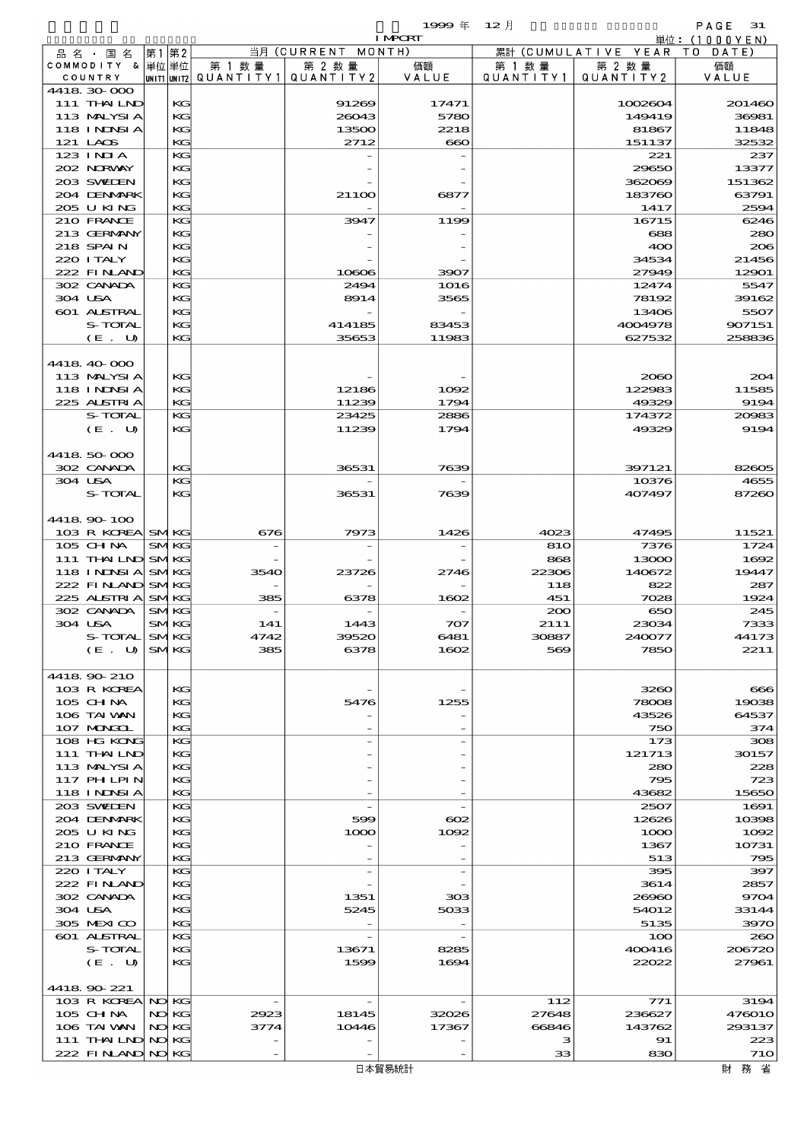|         |                                  |             |             |           |                              | 1999年          | $12$ 月     |                               | PAGE<br>-31       |
|---------|----------------------------------|-------------|-------------|-----------|------------------------------|----------------|------------|-------------------------------|-------------------|
|         |                                  |             |             |           |                              | <b>I MPCRT</b> |            |                               | 単位: (1000YEN)     |
|         | 品 名 ・ 国 名<br>COMMODITY & 単位単位    | 第1          | 第2          | 第 1 数量    | 当月 (CURRENT MONTH)<br>第 2 数量 | 価額             | 第 1 数 量    | 累計 (CUMULATIVE YEAR<br>第 2 数量 | T 0<br>DATE<br>価額 |
|         | COUNTRY                          | UNIT1 UNIT2 |             | QUANTITY1 | QUANTITY 2                   | VALUE          | QUANTITY1  | QUANTITY 2                    | VALUE             |
|         | 4418 30 000                      |             |             |           |                              |                |            |                               |                   |
|         | 111 THAILND                      |             | KG          |           | 91269                        | 17471          |            | 1002604                       | 201460            |
|         | 113 MALYSIA                      |             | KG          |           | 26043                        | 5780           |            | 149419                        | 36981             |
|         | <b>118 INNSIA</b><br>121 LAOS    |             | KG<br>KG    |           | 13500<br>2712                | 2218           |            | 81867<br>151137               | 11848<br>32532    |
|         | $123$ $1$ NIA                    |             | KG          |           |                              | $\infty$       |            | 221                           | 237               |
|         | 202 NORWAY                       |             | KG          |           |                              |                |            | 29650                         | 13377             |
|         | 203 SWIEN                        |             | KG          |           |                              |                |            | 362069                        | 151362            |
|         | 204 DENMARK                      |             | KG          |           | 21100                        | 6877           |            | 183760                        | 63791             |
|         | 205 U KING                       |             | KG          |           |                              |                |            | 1417                          | 2594              |
|         | 210 FRANCE                       |             | KG          |           | 3947                         | 1199           |            | 16715                         | 6246              |
|         | 213 GERMANY                      |             | KG          |           |                              |                |            | 688                           | 280               |
|         | 218 SPAIN<br>220 I TALY          |             | KG<br>KG    |           |                              |                |            | 400<br>34534                  | 206<br>21456      |
|         | 222 FINAND                       |             | KG          |           | 10606                        | 3907           |            | 27949                         | 12901             |
|         | 302 CANADA                       |             | KG          |           | 2494                         | 1016           |            | 12474                         | 5547              |
|         | 304 USA                          |             | KG          |           | 8914                         | 3565           |            | 78192                         | 39162             |
|         | 601 ALSTRAL                      |             | KG          |           |                              |                |            | 13406                         | 5507              |
|         | S-TOTAL                          |             | KG          |           | 414185                       | 83453          |            | 4004978                       | 907151            |
|         | (E. U)                           |             | KG          |           | 35653                        | 11983          |            | 627532                        | 258836            |
|         | 4418 40 000                      |             |             |           |                              |                |            |                               |                   |
|         | 113 MALYSIA                      |             | KG          |           |                              |                |            | 2060                          | 204               |
|         | <b>118 INDNSIA</b>               |             | KG          |           | 12186                        | 1092           |            | 122983                        | 11585             |
|         | 225 ALSTRIA                      |             | KG          |           | 11239                        | 1794           |            | 49329                         | 9194              |
|         | S-TOTAL                          |             | KG          |           | 23425                        | 2886           |            | 174372                        | 20083             |
|         | (E. U)                           |             | KG          |           | 11239                        | 1794           |            | 49329                         | 9194              |
|         |                                  |             |             |           |                              |                |            |                               |                   |
|         | 4418 50 000                      |             |             |           |                              |                |            |                               |                   |
| 304 USA | 302 CANADA                       |             | KG<br>KG    |           | 36531                        | 7639           |            | 397121<br>10376               | 82605<br>4655     |
|         | S-TOTAL                          |             | KG          |           | 36531                        | 7639           |            | 407497                        | 87260             |
|         |                                  |             |             |           |                              |                |            |                               |                   |
|         | 4418 90 100                      |             |             |           |                              |                |            |                               |                   |
|         | 103 R KOREA SMKG                 |             |             | 676       | 7973                         | 1426           | 4023       | 47495                         | 11521             |
|         | 105 CHNA                         |             | <b>SMKG</b> |           |                              |                | 810        | 7376                          | 1724              |
|         | 111 THAILND SMKG                 |             |             |           |                              |                | 868        | 13000                         | 1692              |
|         | 118 INNSI A                      |             | <b>SMKG</b> | 3540      | 23726                        | 2746           | 22306      | 140672                        | 19447             |
|         | 222 FINAND<br>225 ALSTRIA        | <b>SMKG</b> | <b>SMKG</b> | 385       | 6378                         | 1602           | 118<br>451 | 822<br>7028                   | 287<br>1924       |
|         | 302 CANADA                       |             | <b>SMKG</b> |           |                              |                | 200        | 650                           | 245               |
|         | 304 USA                          |             | <b>SMKG</b> | 141       | 1443                         | 707            | 2111       | 23034                         | 7333              |
|         | S-TOTAL                          |             | <b>SMKG</b> | 4742      | 39520                        | 6481           | 30887      | 240077                        | 44173             |
|         | (E. U)                           |             | <b>SMKG</b> | 385       | 6378                         | 1602           | 569        | 7850                          | 2211              |
|         |                                  |             |             |           |                              |                |            |                               |                   |
|         | 4418 90 210                      |             |             |           |                              |                |            |                               |                   |
|         | 103 R KOREA<br>105 CHNA          |             | KG<br>KG    |           | 5476                         | 1255           |            | 3260<br>78008                 | 666<br>19038      |
|         | 106 TAI VAN                      |             | KG          |           |                              |                |            | 43526                         | 64537             |
|         | 107 MAKKL                        |             | KG          |           |                              |                |            | 750                           | 374               |
|         | 108 HG KONG                      |             | KG          |           |                              |                |            | 173                           | 308               |
|         | 111 THAILND                      |             | KG          |           |                              |                |            | 121713                        | 30157             |
|         | 113 MALYSIA                      |             | KG          |           |                              |                |            | 280                           | 228               |
|         | 117 PHLPIN                       |             | KG          |           |                              |                |            | 795                           | 723               |
|         | 118 I NDSI A<br>203 SWIDEN       |             | KG<br>KG    |           |                              |                |            | 43682<br>2507                 | 15650<br>1691     |
|         | 204 DENMARK                      |             | KG          |           | 599                          | $\infty$       |            | 12626                         | 10398             |
|         | 205 U KING                       |             | KG          |           | 1000                         | 1002           |            | 1000                          | 1002              |
|         | 210 FRANCE                       |             | KG          |           |                              |                |            | 1367                          | 10731             |
|         | 213 GERMANY                      |             | KG          |           |                              |                |            | 513                           | 795               |
|         | 220 I TALY                       |             | KG          |           |                              |                |            | 395                           | 397               |
|         | 222 FINAND                       |             | KG          |           |                              |                |            | 3614                          | 2857              |
|         | 302 CANADA                       |             | KG          |           | 1351                         | 303            |            | 26960                         | 9704              |
|         | 304 USA<br>305 MEXICO            |             | KG<br>KG    |           | 5245                         | 5033           |            | 54012<br>5135                 | 33144<br>3970     |
|         | 601 ALSTRAL                      |             | KG          |           |                              |                |            | 100                           | 260               |
|         | S-TOTAL                          |             | KG          |           | 13671                        | 8285           |            | 400416                        | 206720            |
|         | (E. U)                           |             | KG          |           | 1599                         | 1694           |            | 22022                         | 27961             |
|         |                                  |             |             |           |                              |                |            |                               |                   |
|         | 4418 90 221                      |             |             |           |                              |                |            |                               |                   |
|         | 103 R KOREA NO KG                |             |             |           |                              |                | 112        | 771                           | 3194              |
|         | 105 CH NA                        |             | NO KG       | 2923      | 18145                        | 32026          | 27648      | 236627                        | <b>476010</b>     |
|         | 106 TAI VAN<br>111 THAILND NO KG |             | NO KG       | 3774      | 10446                        | 17367          | 66846<br>з | 143762<br>91                  | 293137<br>223     |
|         | 222 FINAND NO KG                 |             |             |           |                              |                | 33         | 830                           | 710               |
|         |                                  |             |             |           |                              |                |            |                               |                   |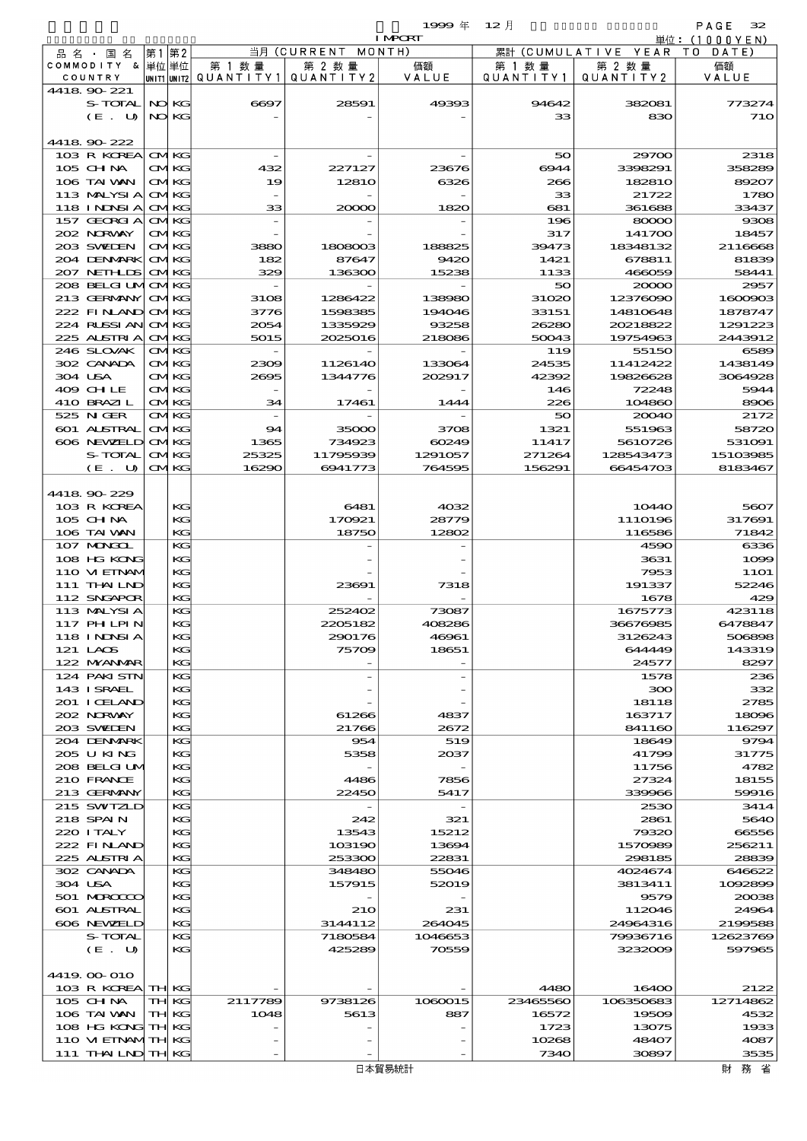品別国別表 輸 入 1999 12 確定 (Fixed Annual) 32

| <b>I MPCRT</b> |                            |       |             |           |              |              |           | 単位: (1000 Y E N) |               |
|----------------|----------------------------|-------|-------------|-----------|--------------|--------------|-----------|------------------|---------------|
| 品名・            | 国 名                        | 第1    | 第2          |           | 当月 (CURRENT  | MONTH)       | 累計        | (CUMULATIVE YEAR | T 0<br>DATE)  |
|                | COMMODITY & 単位単位           |       |             | 第 1 数 量   | 第 2 数量       | 価額           | 第 1 数 量   | 第 2 数 量          | 価額            |
|                | COUNTRY                    |       | UNIT1 UNIT2 | QUANTITY1 | QUANTITY 2   | VALUE        | QUANTITY1 | QUANTITY 2       | VALUE         |
|                | 4418 90 221                |       |             |           |              |              |           |                  |               |
|                | S-TOTAL                    |       | NO KG       | 6697      | 28591        | 49393        | 94642     | 382081           | 773274        |
|                | (E. U)                     |       | NO KG       |           |              |              | 33        | 830              | 71O           |
|                | 4418 90 222                |       |             |           |              |              |           |                  |               |
|                | 103 R KOREA                |       | <b>CMKG</b> |           |              |              | 50        | 29700            | 2318          |
|                | $105$ CHNA                 |       | <b>CMKG</b> | 432       | 227127       | 23676        | 6944      | 3398291          | 358289        |
|                | 106 TAI VAN                |       | <b>CMKG</b> | 19        | 1281O        | 6326         | 266       | 182810           | 89207         |
|                | 113 MALYSIA                |       | <b>CMKG</b> |           |              |              | 33        | 21722            | 1780          |
|                | 118 I NDSI A               |       | <b>CMKG</b> | 33        | 20000        | 1820         | 681       | 361688           | 33437         |
|                | 157 GEORGIA                |       | <b>CMKG</b> |           |              |              | 196       | 80000            | 9308          |
|                | 202 NORWAY                 |       | CMKG        |           |              |              | 317       | 141700           | 18457         |
|                | 203 SWIEN                  |       | <b>CMKG</b> | 3880      | 1808003      | 188825       | 39473     | 18348132         | 2116668       |
|                | 204 DENMARK                |       | <b>CMKG</b> | 182       | 87647        | 9420         | 1421      | 678811           | 81839         |
|                | 207 NETHLIS                |       | <b>CMKG</b> | 329       | 136300       | 15238        | 1133      | 466059           | 58441         |
|                | 208 BELGI UMOMKG           |       |             |           |              |              | 50        | 20000            | 2957          |
|                | 213 GERMANY                |       | <b>CMKG</b> | 3108      | 1286422      | 138980       | 31020     | 12376090         | 1600903       |
|                | 222 FINAND                 |       | <b>CMKG</b> | 3776      | 1598385      | 194046       | 33151     | 14810648         | 1878747       |
|                | 224 RUSSIAN                |       | <b>CMKG</b> | 2054      | 1335929      | 93258        | 26280     | 20218822         | 1291223       |
|                | 225 ALSTRIA                |       | <b>CMKG</b> | 5015      | 2025016      | 218086       | 50043     | 19754963         | 2443912       |
|                | 246 SLOVAK                 |       | <b>CMKG</b> |           |              |              | 119       | 55150            | 6589          |
|                | 302 CANADA                 |       | CMKG        | 2309      | 1126140      | 133064       | 24535     | 11412422         | 1438149       |
| 304 USA        |                            |       | <b>CMKG</b> | 2695      | 1344776      | 202917       | 42392     | 19826628         | 3064928       |
|                | 409 CH LE                  |       | <b>CMKG</b> |           |              |              | 146       | 72248            | 5944          |
|                | 410 BRAZIL                 |       | <b>CMKG</b> | 34        | 17461        | 1444         | 226       | 104860           | 8906          |
|                | 525 NGER                   |       | <b>CMKG</b> |           |              |              | 50        | 20040            | 2172          |
|                | 601 ALSTRAL                |       | CMKG        | 94        | 35000        | 3708         | 1321      | 551963           | 58720         |
|                | 606 NEWELD                 |       | <b>CMKG</b> | 1365      | 734923       | 60249        | 11417     | 5610726          | 531091        |
|                | S-TOTAL                    |       | <b>CMKG</b> | 25325     | 11795939     | 1291057      | 271264    | 128543473        | 15103985      |
|                | (E. U)                     |       | <b>CMKG</b> | 16290     | 6941773      | 764595       | 156291    | 66454703         | 8183467       |
|                |                            |       |             |           |              |              |           |                  |               |
|                | 4418 90 229<br>103 R KOREA |       | КG          |           | 6481         | 4032         |           | 10440            | 5607          |
|                | $105$ CHNA                 |       | $K$ $G$     |           | 170921       | 28779        |           | 1110196          | 317691        |
|                | 106 TAI VAN                |       | KG          |           | 18750        | 12802        |           | 116586           | 71842         |
|                | 107 MAGAL                  |       | КG          |           |              |              |           | 4590             | 6336          |
|                | 108 HG KONG                |       | KG          |           |              |              |           | 3631             | 1000          |
|                | 110 VIEINAM                |       | КG          |           |              |              |           | 7953             | 1 1 O 1       |
|                | 111 THAILND                |       | KG          |           | 23691        | 7318         |           | 191337           | 52246         |
|                | 112 SNGAPOR                |       | KG          |           |              |              |           | 1678             | 429           |
|                | 113 MALYSIA                |       | КG          |           | 252402       | 73087        |           | 1675773          | 423118        |
|                | <b>117 PHLPIN</b>          |       | KG          |           | 2205182      | 408286       |           | 36676985         | 6478847       |
|                | <b>118 INDSIA</b>          |       | KG          |           | 290176       | 46961        |           | 3126243          | 506898        |
|                | 121 LAOS                   |       | КG          |           | 75709        | 18651        |           | 644449           | 143319        |
|                | 122 MYANMAR                |       | KG          |           |              |              |           | 24577            | 8297          |
|                | 124 PAKISTN                |       | КG          |           |              |              |           | 1578             | 236           |
|                | 143 ISRAEL                 |       | KG          |           |              |              |           | 300              | 332           |
|                | 201 I CELAND               |       | КG          |           |              |              |           | 18118            | 2785          |
|                | 202 NRWAY                  |       | KG          |           | 61266        | 4837         |           | 163717           | 18096         |
|                | 203 SWIDEN                 |       | KG          |           | 21766        | 2672         |           | 841160           | 116297        |
|                | 204 DENMARK                |       | КG          |           | 954          | 519          |           | 18649            | 9794          |
|                | 205 U KING                 |       | KG          |           | 5358         | 2037         |           | 41799            | 31775         |
|                | 208 BELGI UM               |       | КG          |           |              |              |           | 11756            | 4782          |
|                | 210 FRANCE                 |       | KG          |           | 4486         | 7856         |           | 27324            | 18155         |
|                | 213 GERMANY                |       | KG          |           | 22450        | 5417         |           | 339966           | 59916         |
|                | 215 SWTZLD                 |       | КG          |           |              |              |           | 2530             | 3414          |
|                | 218 SPAIN<br>220 I TALY    |       | KG<br>KG    |           | 242<br>13543 | 321<br>15212 |           | 2861<br>79320    | 5640<br>66556 |
|                | 222 FINAND                 |       | KG          |           | 103190       | 13694        |           | 1570989          | 256211        |
|                | 225 ALSTRIA                |       | KG          |           | 253300       | 22831        |           | 298185           | 28839         |
|                | 302 CANADA                 |       | КG          |           | 348480       | 55046        |           | 4024674          | 646622        |
| 304 USA        |                            |       | KG          |           | 157915       | 52019        |           | 3813411          | 1092899       |
|                | 501 MERCECO                |       | КG          |           |              |              |           | 9579             | 20038         |
|                | 601 ALSTRAL                |       | KG          |           | <b>210</b>   | 231          |           | 112046           | 24964         |
|                | 606 NEWELD                 |       | KG          |           | 3144112      | 264045       |           | 24964316         | 2199588       |
|                | S-TOTAL                    |       | КG          |           | 7180584      | 1046653      |           | 79936716         | 12623769      |
|                | (E. U)                     |       | KG          |           | 425289       | 70559        |           | 3232009          | 597965        |
|                |                            |       |             |           |              |              |           |                  |               |
|                | 4419.00-010                |       |             |           |              |              |           |                  |               |
|                | 103 R KOREA                | TH KG |             |           |              |              | 4480      | 16400            | 2122          |
|                | $105$ CHNA                 |       | TH KG       | 2117789   | 9738126      | 1060015      | 23465560  | 106350683        | 12714862      |
|                | 106 TAI VAN                |       | TH KG       | 1048      | 5613         | 887          | 16572     | 19509            | 4532          |
|                | 108 HG KONG TH KG          |       |             |           |              |              | 1723      | 13075            | 1933          |
|                | 110 VI EINAMTH KG          |       |             |           |              |              | 10268     | 48407            | 4087          |

111 THAILND TH KG - - - 7340 30897 3535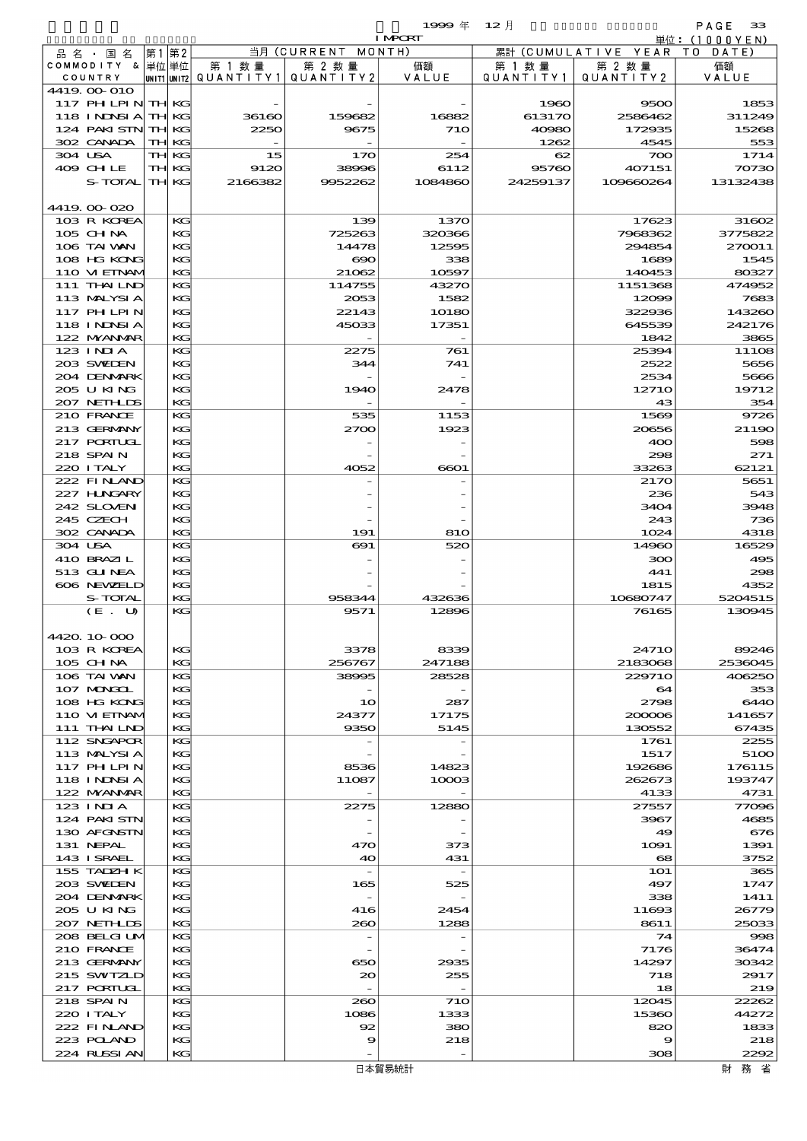$1999 \ncong 12 \nparallel$  PAGE 33

| ◡<br>÷ | . .<br>. г |  |
|--------|------------|--|
|        |            |  |

|                                  |       |              |         |                                       | <b>I MPORT</b>  |           |                              | 単位: (1000 Y E N) |
|----------------------------------|-------|--------------|---------|---------------------------------------|-----------------|-----------|------------------------------|------------------|
| 品 名 ・ 国 名                        | 第1 第2 |              |         | 当月 (CURRENT MONTH)                    |                 |           | 累計 (CUMULATIVE YEAR TO DATE) |                  |
| COMMODITY & 単位単位                 |       |              | 第 1 数量  | 第 2 数量                                | 価額<br>VALUE     | 第 1 数 量   | 第 2 数量                       | 価額               |
| COUNTRY<br>4419.00-010           |       |              |         | UNIT1 UNIT2  QUANT I TY1  QUANT I TY2 |                 | QUANTITY1 | QUANTITY2                    | VALUE            |
| 117 PH LPIN THKG                 |       |              |         |                                       |                 | 1960      | 9500                         | 1853             |
| 118 INDSIA THKG                  |       |              | 36160   | 159682                                | 16882           | 613170    | 2586462                      | 311249           |
| 124 PAKISTN TH KG                |       |              | 2250    | 9675                                  | 710             | 40980     | 172935                       | 15268            |
| 302 CANADA                       |       | TH KG        |         |                                       |                 | 1262      | 4545                         | 553              |
| 304 USA                          |       | TH KG        | 15      | 170                                   | 254             | 62        | 700                          | 1714             |
| 409 CH LE                        |       | TH KG        | 9120    | 38996                                 | 6112            | 95760     | 407151                       | 70730            |
| S-TOTAL                          |       | <b>TH KG</b> | 2166382 | 9952262                               | 1084860         | 24259137  | 109660264                    | 13132438         |
| 4419.00-020                      |       |              |         |                                       |                 |           |                              |                  |
| 103 R KOREA                      |       | KG           |         | 139                                   | 1370            |           | 17623                        | 31602            |
| $105$ CHNA                       |       | KG           |         | 725263                                | 320366          |           | 7968362                      | 3775822          |
| 106 TAI VAN                      |       | KG           |         | 14478                                 | 12595           |           | 294854                       | 270011           |
| 108 HG KONG                      |       | KG           |         | $\infty$                              | 338             |           | 1689                         | 1545             |
| 110 VIEINAM                      |       | KG           |         | 21062                                 | 10597           |           | 140453                       | 80327            |
| 111 THAILND                      |       | KG           |         | 114755                                | 43270           |           | 1151368                      | 474952           |
| 113 MALYSIA<br><b>117 PHLPIN</b> |       | KС<br>KG     |         | 2053<br>22143                         | 1582<br>10180   |           | 12099<br>322936              | 7683<br>143260   |
| <b>118 INNSIA</b>                |       | KG           |         | 45033                                 | 17351           |           | 645539                       | 242176           |
| 122 NYANAR                       |       | KG           |         |                                       |                 |           | 1842                         | 3865             |
| 123 INIA                         |       | KG           |         | 2275                                  | 761             |           | 25394                        | 11108            |
| 203 SWIDEN                       |       | KС           |         | 344                                   | 741             |           | 2522                         | 5656             |
| 204 DENMARK                      |       | KG           |         |                                       |                 |           | 2534                         | 5666             |
| 205 U KING                       |       | KG           |         | 1940                                  | 2478            |           | 12710                        | 19712            |
| 207 NETHLIS                      |       | KG           |         |                                       |                 |           | 43                           | 354              |
| 210 FRANCE                       |       | KG           |         | 535                                   | 1153            |           | 1569                         | 9726             |
| 213 GERMANY<br>217 PORTUGL       |       | KG<br>KG     |         | 2700                                  | 1923            |           | 20656<br>400                 | 21190<br>598     |
| 218 SPAIN                        |       | KG           |         |                                       |                 |           | 298                          | 271              |
| 220 I TALY                       |       | KG           |         | 4052                                  | 6601            |           | 33263                        | 62121            |
| 222 FINAND                       |       | KG           |         |                                       |                 |           | 2170                         | 5651             |
| 227 H.NGARY                      |       | KG           |         |                                       |                 |           | 236                          | 543              |
| 242 SLOVEN                       |       | KG           |         |                                       |                 |           | 3404                         | 3948             |
| 245 CZECH                        |       | KG           |         |                                       |                 |           | 243                          | 736              |
| 302 CANADA                       |       | KG           |         | 191                                   | 810             |           | 1024                         | 4318             |
| 304 USA                          |       | KG           |         | 691                                   | 520             |           | 14960                        | 16529            |
| 410 BRAZIL<br>513 GUNEA          |       | KG<br>KG     |         |                                       |                 |           | 300<br>441                   | 495<br>298       |
| 606 NEWELD                       |       | KG           |         |                                       |                 |           | 1815                         | 4352             |
| S-TOTAL                          |       | KG           |         | 958344                                | 432636          |           | 10680747                     | 5204515          |
| (E. U)                           |       | KG           |         | 9571                                  | 12896           |           | 76165                        | 130945           |
|                                  |       |              |         |                                       |                 |           |                              |                  |
| 4420.10-000                      |       |              |         |                                       |                 |           |                              |                  |
| 103 R KOREA                      |       | KG           |         | 3378                                  | 8339            |           | <b>24710</b>                 | 89246            |
| 105 CH NA                        |       | KG<br>KG     |         | 256767                                | 247188<br>28528 |           | 2183068<br>229710            | 2536045          |
| 106 TAI VAN<br>107 MONGOL        |       | KG           |         | 38995                                 |                 |           | 64                           | 406250<br>353    |
| 108 HG KONG                      |       | KG           |         | 10                                    | 287             |           | 2798                         | 6440             |
| 110 VIEINAM                      |       | KС           |         | 24377                                 | 17175           |           | 200006                       | 141657           |
| 111 THAILND                      |       | KG           |         | 9350                                  | 5145            |           | 130552                       | 67435            |
| 112 SNGAPOR                      |       | KG           |         |                                       |                 |           | 1761                         | 2255             |
| 113 MALYSIA                      |       | KG           |         |                                       |                 |           | 1517                         | 5100             |
| 117 PH LPIN                      |       | KG           |         | 8536                                  | 14823           |           | 192686                       | 176115           |
| 118 INNSI A                      |       | KС           |         | 11087                                 | 1000B           |           | 262673                       | 193747           |
| 122 NYANAR<br>123 INIA           |       | KG<br>KG     |         | 2275                                  | 12880           |           | 4133<br>27557                | 4731<br>77096    |
| 124 PAKISTN                      |       | KG           |         |                                       |                 |           | 3967                         | 4685             |
| 130 AFGNSTN                      |       | KG           |         |                                       |                 |           | 49                           | 676              |
| 131 NEPAL                        |       | KС           |         | 470                                   | 373             |           | 1091                         | 1391             |
| 143 I SRAEL                      |       | KG           |         | 40                                    | 431             |           | 68                           | 3752             |
| 155 TADZH K                      |       | KG           |         | $\overline{\phantom{a}}$              |                 |           | <b>1O1</b>                   | 365              |
| 203 SWIDEN                       |       | KG           |         | 165                                   | 525             |           | 497                          | 1747             |
| 204 DENMARK<br>205 U KING        |       | KG<br>KС     |         | 416                                   | 2454            |           | 338<br>11693                 | 1411<br>26779    |
| 207 NETHLIS                      |       | KG           |         | 260                                   | 1288            |           | 8611                         | 25033            |
| 208 BELGI UM                     |       | KG           |         | $\overline{a}$                        |                 |           | 74                           | 998              |
| 210 FRANCE                       |       | KG           |         |                                       |                 |           | 7176                         | 36474            |
| 213 GERMANY                      |       | KG           |         | 650                                   | 2935            |           | 14297                        | 30342            |
| 215 SWIZLD                       |       | KС           |         | 20                                    | 255             |           | 718                          | 2917             |
| 217 PORTUGL                      |       | KG           |         | $\overline{\phantom{a}}$              |                 |           | 18                           | 219              |
| 218 SPAIN                        |       | KG           |         | 260                                   | <b>71O</b>      |           | 12045                        | 22262            |
| 220 I TALY<br>222 FINAND         |       | KG<br>KG     |         | 1086<br>92                            | 1333            |           | 15360<br>820                 | 44272            |
| 223 POLAND                       |       | KС           |         | 9                                     | 380<br>218      |           | 9                            | 1833<br>218      |
| 224 RUSSI AN                     |       | KG           |         |                                       |                 |           | 308                          | 2292             |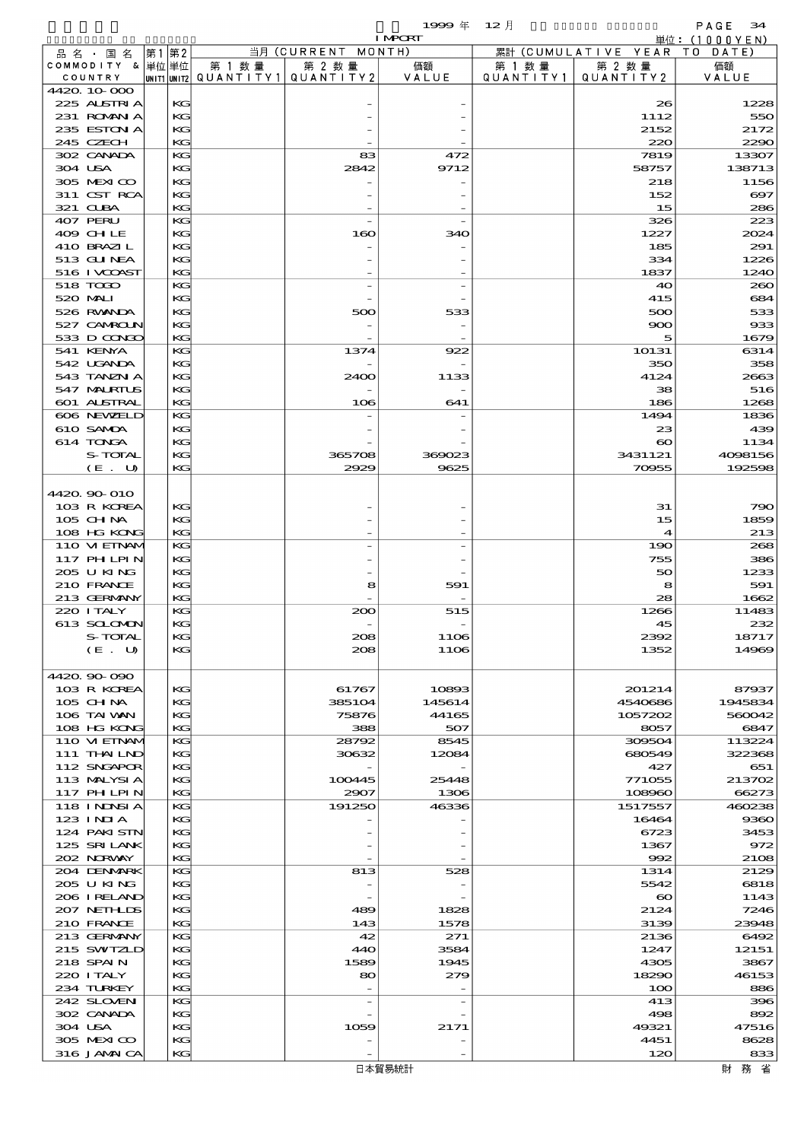|                               |          |                        |                    | 1999 $#$       | $12$ 月    |                                | PAGE<br>34            |
|-------------------------------|----------|------------------------|--------------------|----------------|-----------|--------------------------------|-----------------------|
|                               |          |                        | 当月 (CURRENT MONTH) | <b>I MPORT</b> |           |                                | 単位:(1000YEN)          |
| 品 名 ・ 国 名<br>COMMODITY & 単位単位 | 第1 第2    | 第 1 数量                 | 第 2 数量             | 価額             | 第 1 数 量   | 累計 (CUMULATIVE YEAR)<br>第 2 数量 | TO DATE)<br>価額        |
| COUNTRY                       |          | UNIT1 UNIT2 QUANTITY 1 | QUANTITY2          | VALUE          | QUANTITY1 | QUANTITY 2                     | VALUE                 |
| 4420 10 000                   |          |                        |                    |                |           |                                |                       |
| 225 ALSTRIA                   | KG       |                        |                    |                |           | 26                             | 1228                  |
| 231 ROMAN A                   | KG       |                        |                    |                |           | 1112                           | 550                   |
| 235 ESTON A<br>245 CZECH      | KG<br>KG |                        |                    |                |           | 2152<br>220                    | 2172<br>2290          |
| 302 CANADA                    | KG       |                        | 83                 | 472            |           | 7819                           | 13307                 |
| 304 USA                       | KG       |                        | 2842               | 9712           |           | 58757                          | 138713                |
| 305 MEXICO                    | KG       |                        |                    |                |           | 218                            | 1156                  |
| 311 CST RCA                   | KG       |                        |                    |                |           | 152                            | $\boldsymbol{\infty}$ |
| 321 CLBA                      | KG       |                        |                    |                |           | 15                             | 286                   |
| 407 PERU                      | KG       |                        |                    |                |           | 326                            | 223                   |
| 409 CHLE<br>410 BRAZIL        | KG<br>KG |                        | 160                | 340            |           | 1227<br>185                    | 2024<br>291           |
| 513 GUNEA                     | KG       |                        |                    |                |           | 334                            | 1226                  |
| 516 I VCOAST                  | KG       |                        |                    |                |           | 1837                           | 1240                  |
| 518 TODO                      | KG       |                        |                    |                |           | 40                             | 260                   |
| 520 MALI                      | KG       |                        |                    |                |           | 415                            | 684                   |
| 526 RWANDA                    | KG       |                        | 500                | 533            |           | 500                            | 533                   |
| 527 CAMROLN<br>533 D CONCO    | KG       |                        |                    |                |           | 900                            | 933                   |
| 541 KENYA                     | KG<br>KG |                        | 1374               | 922            |           | 5<br>10131                     | 1679<br>6314          |
| 542 UGANDA                    | KG       |                        |                    |                |           | 350                            | 358                   |
| 543 TANZN A                   | KG       |                        | 2400               | 1133           |           | 4124                           | 2663                  |
| 547 MALRIUS                   | KG       |                        |                    |                |           | 38                             | 516                   |
| 601 ALSTRAL                   | KG       |                        | 106                | 641            |           | 186                            | 1268                  |
| 606 NEWELD                    | КG       |                        |                    |                |           | 1494                           | 1836                  |
| 610 SAMDA<br>614 TONGA        | KG<br>KG |                        |                    |                |           | 23<br>$\boldsymbol{\infty}$    | 439<br>1134           |
| S-TOTAL                       | KG       |                        | 365708             | 369023         |           | 3431121                        | 4098156               |
| (E. U)                        | KG       |                        | 2929               | 9625           |           | 70955                          | 192598                |
|                               |          |                        |                    |                |           |                                |                       |
| 4420 90 010                   |          |                        |                    |                |           |                                |                       |
| 103 R KOREA                   | KG       |                        |                    |                |           | 31                             | 790                   |
| $105$ CHNA                    | KG       |                        |                    |                |           | 15                             | 1859                  |
| 108 HG KONG<br>110 VIEINAM    | KG<br>КG |                        |                    |                |           | 4<br>190                       | 213<br>268            |
| 117 PH LPIN                   | KG       |                        |                    |                |           | 755                            | 386                   |
| 205 U KING                    | KG       |                        |                    |                |           | 50                             | 1233                  |
| 210 FRANCE                    | KG       |                        | 8                  | 591            |           | 8                              | 591                   |
| 213 GERMANY                   | KG       |                        |                    |                |           | 28                             | 1662                  |
| 220 I TALY                    | КG       |                        | 200                | 515            |           | 1266                           | 11483                 |
| 613 SCLOMO                    | KG<br>KG |                        |                    |                |           | 45                             | 232                   |
| S-TOTAL<br>(E. U)             | KG       |                        | 208<br>208         | 1106<br>1106   |           | 2392<br>1352                   | 18717<br>14969        |
|                               |          |                        |                    |                |           |                                |                       |
| 4420.90-090                   |          |                        |                    |                |           |                                |                       |
| 103 R KOREA                   | KG       |                        | 61767              | 10893          |           | 201214                         | 87937                 |
| 105 CH NA                     | KG       |                        | 385104             | 145614         |           | 4540686                        | 1945834               |
| 106 TAI VAN<br>108 HG KONG    | KG<br>KG |                        | 75876<br>388       | 44165<br>507   |           | 1057202<br>8057                | 560042<br>6847        |
| 110 VIEINAM                   | KG       |                        | 28792              | 8545           |           | 309504                         | 113224                |
| 111 THAILND                   | KG       |                        | 30632              | 12084          |           | 680549                         | 322368                |
| 112 SNGAPOR                   | KG       |                        |                    |                |           | 427                            | 651                   |
| 113 MALYSIA                   | KG       |                        | 100445             | 25448          |           | 771055                         | 213702                |
| <b>117 PHLPIN</b>             | KG       |                        | 2907               | 1306           |           | 108960                         | 66273                 |
| 118 I NDSI A<br>123 INIA      | КG<br>KG |                        | 191250             | 46336          |           | 1517557<br>16464               | 460238<br>9360        |
| 124 PAKISTN                   | KG       |                        |                    |                |           | 6723                           | 3453                  |
| 125 SRILANK                   | KG       |                        |                    |                |           | 1367                           | 972                   |
| 202 NORWAY                    | KG       |                        |                    |                |           | 992                            | 2108                  |
| 204 DENMARK                   | KG       |                        | 813                | 528            |           | 1314                           | 2129                  |
| 205 U KING                    | KG       |                        |                    |                |           | 5542                           | 6818                  |
| 206 I RELAND<br>207 NETHLIS   | KG<br>KG |                        | 489                | 1828           |           | $\boldsymbol{\infty}$<br>2124  | 1143<br>7246          |
| 210 FRANCE                    | KG       |                        | 143                | 1578           |           | 3139                           | 23948                 |
| 213 GERMANY                   | KG       |                        | 42                 | 271            |           | 2136                           | 6492                  |
| 215 SWIZLD                    | KG       |                        | 440                | 3584           |           | 1247                           | 12151                 |
| 218 SPAIN                     | KG       |                        | 1589               | 1945           |           | 4305                           | 3867                  |
| 220 I TALY                    | KG       |                        | 80                 | 279            |           | 18290                          | 46153                 |
| 234 TURKEY                    | KG       |                        |                    |                |           | 100                            | 886                   |
| 242 SLOVEN<br>302 CANADA      | KG<br>KG |                        |                    |                |           | 413<br>498                     | 396<br>892            |
| 304 USA                       | KG       |                        | 1059               | 2171           |           | 49321                          | 47516                 |
| 305 MEXICO                    | KG       |                        |                    |                |           | 4451                           | 8628                  |
| 316 JAMAICA                   | KG       |                        |                    |                |           | 120                            | 833                   |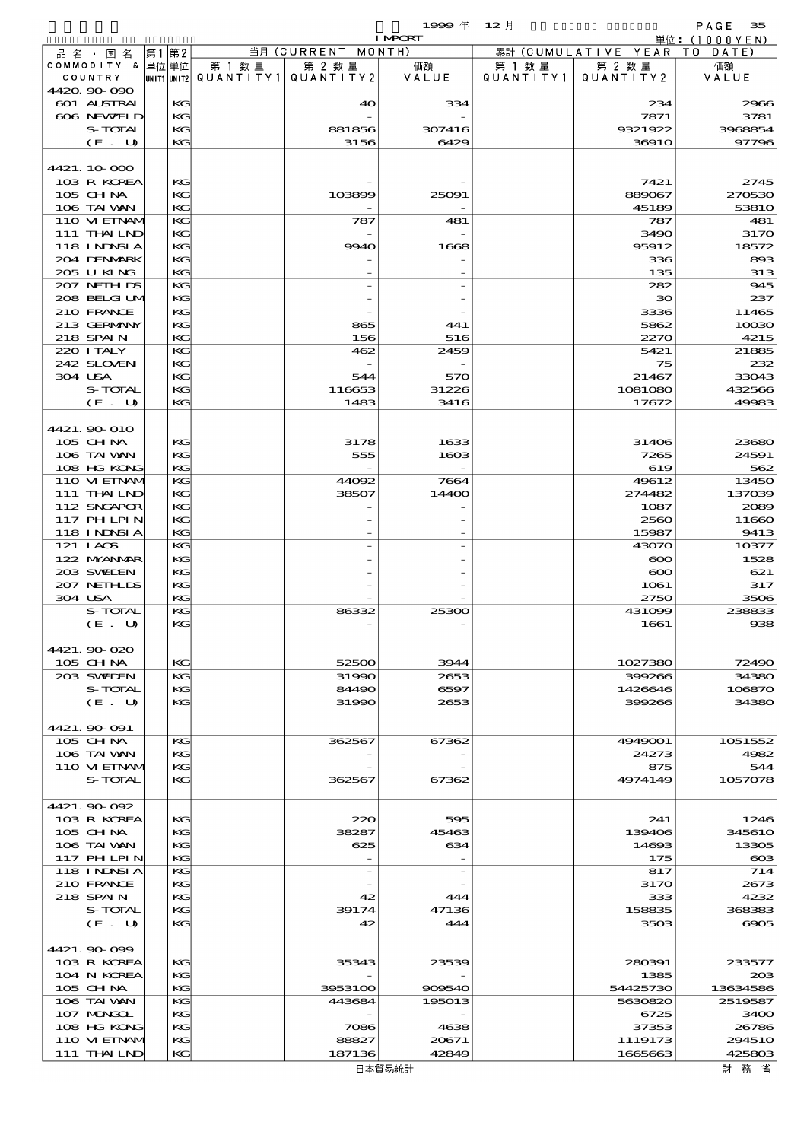|                    |                    | 1999年 12月     |         |                              | -35<br>PAGE  |
|--------------------|--------------------|---------------|---------|------------------------------|--------------|
|                    |                    | <b>LNRCRL</b> |         |                              | 単位:(1000YEN) |
| - 品 名 ・ 国 名  第1 第2 | 当月 (CURRENT MONTH) |               |         | 累計 (CUMULATIVE YEAR TO DATE) |              |
| COMMODITY &  畄冶 畄荷 | 第 1 粉 昙<br>笋 り 粉 昙 | 価有            | 竿 1 粉 昙 | 笋り粉昙                         | 価有           |

| 品名・国名                           | 第1 | 第2       |         | 当月 (CURRENT MONTH)                               |                |                     | 累計 (CUMULATIVE YEAR TO DATE) |                  |
|---------------------------------|----|----------|---------|--------------------------------------------------|----------------|---------------------|------------------------------|------------------|
| COMMODITY & 単位単位<br>COUNTRY     |    |          | 第 1 数 量 | 第 2 数量<br> unit1 unit2  QUANT   TY1  QUANT   TY2 | 価額<br>VALUE    | 第 1 数量<br>QUANTITY1 | 第 2 数量<br>QUANTITY 2         | 価額<br>VALUE      |
| 4420.90-090                     |    |          |         |                                                  |                |                     |                              |                  |
| <b>601 ALSTRAL</b>              |    | KG       |         | 40                                               | 334            |                     | 234                          | 2966             |
| 606 NEWELD                      |    | KG       |         |                                                  |                |                     | 7871                         | 3781             |
| S-TOTAL<br>(E. U)               |    | KG<br>KG |         | 881856<br>3156                                   | 307416<br>6429 |                     | 9321922<br>3691O             | 3968854<br>97796 |
|                                 |    |          |         |                                                  |                |                     |                              |                  |
| 4421.10-000                     |    |          |         |                                                  |                |                     |                              |                  |
| 103 R KOREA                     |    | KG       |         |                                                  |                |                     | 7421                         | 2745             |
| $105$ CHNA                      |    | KG       |         | 103899                                           | 25091          |                     | 889067                       | 270530           |
| 106 TAI VAN                     |    | KG<br>KG |         |                                                  |                |                     | 45189                        | 53810<br>481     |
| 110 VIEINAM<br>111 THAILND      |    | KG       |         | 787                                              | 481            |                     | 787<br>3490                  | 3170             |
| <b>118 INNSIA</b>               |    | KG       |         | 9940                                             | 1668           |                     | 95912                        | 18572            |
| 204 DENMARK                     |    | KG       |         |                                                  |                |                     | 336                          | 893              |
| 205 U KING                      |    | KG       |         |                                                  |                |                     | 135                          | 313              |
| 207 NETHLIS                     |    | KG<br>KG |         |                                                  |                |                     | 282<br>$30^{\circ}$          | 945<br>237       |
| 208 BELGI UM<br>210 FRANCE      |    | KG       |         |                                                  |                |                     | 3336                         | 11465            |
| 213 GERMANY                     |    | KG       |         | 865                                              | 441            |                     | 5862                         | 10030            |
| 218 SPAIN                       |    | KG       |         | 156                                              | 516            |                     | 2270                         | 4215             |
| 220 ITALY                       |    | KG       |         | 462                                              | 2459           |                     | 5421                         | 21885            |
| 242 SLOVEN                      |    | KG       |         |                                                  |                |                     | 75                           | 232              |
| 304 USA<br>S-TOTAL              |    | KG<br>KG |         | 544<br>116653                                    | 570<br>31226   |                     | 21467<br>1081080             | 33043<br>432566  |
| (E. U)                          |    | KG       |         | 1483                                             | 3416           |                     | 17672                        | 49983            |
|                                 |    |          |         |                                                  |                |                     |                              |                  |
| 4421.900 010                    |    |          |         |                                                  |                |                     |                              |                  |
| 105 CH NA                       |    | KG       |         | 3178                                             | 1633           |                     | 31406                        | 23680            |
| 106 TAI VAN<br>108 HG KONG      |    | KG<br>KG |         | 555                                              | 1603           |                     | 7265<br>619                  | 24591<br>562     |
| 110 VIEINAM                     |    | KG       |         | 44092                                            | 7664           |                     | 49612                        | 13450            |
| 111 THAILND                     |    | KG       |         | 38507                                            | 14400          |                     | 274482                       | 137039           |
| 112 SNGAPOR                     |    | KG       |         |                                                  |                |                     | 1087                         | 2089             |
| 117 PHLPIN                      |    | KG       |         |                                                  |                |                     | 2560                         | 11660            |
| 118 I NDSI A<br>121 LAOS        |    | KG<br>KG |         |                                                  |                |                     | 15987<br>43070               | 9413             |
| 122 NYANAR                      |    | KG       |         |                                                  |                |                     | $\infty$                     | 10377<br>1528    |
| 203 SWIDEN                      |    | KG       |         |                                                  |                |                     | $\infty$                     | 621              |
| 207 NETHLIS                     |    | KG       |         |                                                  |                |                     | 1061                         | 317              |
| 304 USA                         |    | KG       |         |                                                  |                |                     | 2750                         | 3506             |
| S-TOTAL                         |    | KG       |         | 86332                                            | 25300          |                     | 431099                       | 238833           |
| $(E_U U)$                       |    | KG       |         |                                                  |                |                     | 1661                         | 938              |
| 4421.90 020                     |    |          |         |                                                  |                |                     |                              |                  |
| 105 CH NA                       |    | КG       |         | 52500                                            | 3944           |                     | 1027380                      | 72490            |
| 203 SWIDEN                      |    | KG       |         | 31990                                            | 2653           |                     | 399266                       | 34380            |
| S-TOTAL                         |    | KG       |         | 84490                                            | 6597           |                     | 1426646                      | 106870           |
| (E. U)                          |    | KG       |         | 31990                                            | 2653           |                     | 399266                       | 34380            |
| 4421.90-091                     |    |          |         |                                                  |                |                     |                              |                  |
| 105 CHNA                        |    | KG       |         | 362567                                           | 67362          |                     | 4949001                      | 1051552          |
| 106 TAI VAN                     |    | KG       |         |                                                  |                |                     | 24273                        | 4982             |
| 110 VIEINAM                     |    | KC       |         |                                                  |                |                     | 875                          | 544              |
| S-TOTAL                         |    | KG       |         | 362567                                           | 67362          |                     | 4974149                      | 1057078          |
| 4421.90-092                     |    |          |         |                                                  |                |                     |                              |                  |
| 103 R KOREA                     |    | KG       |         | 220                                              | 595            |                     | 241                          | 1246             |
| 105 CH NA                       |    | KG       |         | 38287                                            | 45463          |                     | 139406                       | <b>345610</b>    |
| 106 TAI WAN                     |    | KG       |         | 625                                              | 634            |                     | 14693                        | 13305            |
| 117 PHLPIN<br><b>118 INNSIA</b> |    | KG<br>KG |         |                                                  |                |                     | 175<br>817                   | $\cos$<br>714    |
| 210 FRANCE                      |    | KG       |         |                                                  |                |                     | 3170                         | 2673             |
| 218 SPAIN                       |    | KC       |         | 42                                               | 444            |                     | 333                          | 4232             |
| S-TOTAL                         |    | KG       |         | 39174                                            | 47136          |                     | 158835                       | 368383           |
| (E. U)                          |    | KG       |         | 42                                               | 444            |                     | 3503                         | 6905             |
| 4421.90-099                     |    |          |         |                                                  |                |                     |                              |                  |
| 103 R KOREA                     |    | KG       |         | 35343                                            | 23539          |                     | 280391                       | 233577           |
| 104 N KOREA                     |    | KG       |         |                                                  |                |                     | 1385                         | 20B              |
| 105 CH NA                       |    | KG       |         | 3953100                                          | 909540         |                     | 54425730                     | 13634586         |
| 106 TAI VAN                     |    | KG       |         | 443684                                           | 195013         |                     | 5630820                      | 2519587          |
| 107 MONGOL<br>108 HG KONG       |    | KG<br>KC |         | 7086                                             | 4638           |                     | 6725<br>37353                | 3400<br>26786    |
| 110 VI EINAM                    |    | KG       |         | 88827                                            | 20671          |                     | 1119173                      | <b>294510</b>    |
| 111 THAILND                     |    | KG       |         | 187136                                           | 42849          |                     | 1665663                      | 425803           |
|                                 |    |          |         |                                                  | 日本貿易統計         |                     |                              | 財 務 省            |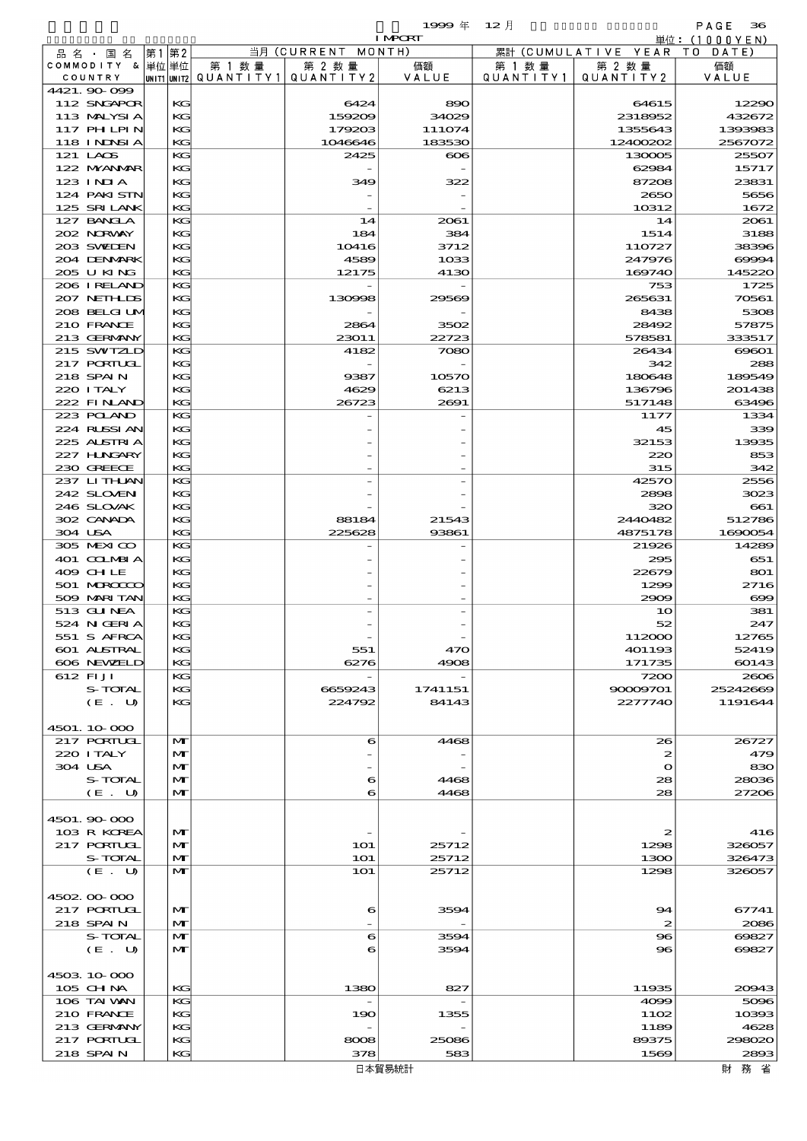$19999 \frac{4}{12}$   $12 \frac{1}{2}$  and  $12 \frac{1}{2}$  and  $12 \frac{1}{2}$  and  $12 \frac{1}{2}$  and  $12 \frac{1}{2}$  and  $12 \frac{1}{2}$  and  $12 \frac{1}{2}$  and  $12 \frac{1}{2}$  and  $12 \frac{1}{2}$  and  $12 \frac{1}{2}$  and  $12 \frac{1}{2}$  and  $12 \frac{1}{2}$  and  $12 \frac{1}{2}$  a

|                               |              |                                       |                          | <b>I MPCRT</b>   |           |                        | 単位: (1000 Y E N) |
|-------------------------------|--------------|---------------------------------------|--------------------------|------------------|-----------|------------------------|------------------|
| 品名・国名                         | 第1 第2        |                                       | 当月 (CURRENT              | MONTH)           |           | 累計 (CUMULATIVE YEAR TO | DATE)            |
| COMMODITY & 単位単位              |              | 第 1 数量                                | 第 2 数量                   | 価額               | 第 1 数量    | 第 2 数量                 | 価額               |
| COUNTRY                       |              | UNIT1 UNIT2  Q∪ANT   TY1  Q∪ANT   TY2 |                          | VALUE            | QUANTITY1 | QUANTITY 2             | VALUE            |
| 4421.90 099                   |              |                                       |                          |                  |           |                        |                  |
| 112 SNGAPOR                   | KG           |                                       | 6424                     | 890              |           | 64615                  | 12290            |
| 113 MALYSIA                   | KG           |                                       | 159209                   | 34029            |           | 2318952                | 432672           |
| 117 PHLPIN                    | KG           |                                       | 179203                   | 111074           |           | 1355643                | 1393983          |
| <b>118 INNSIA</b>             | KG           |                                       | 1046646                  | 183530           |           | 12400202               | 2567072          |
| 121 LAOS                      | KG           |                                       | 2425                     | $_{\rm \bf 606}$ |           | 130005                 | 25507            |
| 122 MYANMAR                   | КG           |                                       |                          |                  |           | 62984                  | 15717            |
| 123 INIA                      | KG           |                                       | 349                      | 322              |           | 87208                  | 23831            |
| 124 PAKISTN                   | KG           |                                       |                          |                  |           | 2650                   | 5656             |
| 125 SRILANK                   | KG           |                                       |                          |                  |           | 10312                  | 1672             |
| 127 BANCLA                    | KG           |                                       | 14                       | 2061             |           | 14                     | 2061             |
| 202 NORWAY                    | КG           |                                       | 184                      | 384              |           | 1514                   | 3188             |
| 203 SWIEN                     | KG           |                                       | 10416                    | 3712             |           | 110727                 | 38396            |
| 204 DENMARK                   | KG           |                                       | 4589                     | 1033             |           | 247976                 | 69994            |
| 205 U KING                    | KG           |                                       | 12175                    | 4130             |           | 169740                 | 145220           |
| 206 I RELAND                  | KG           |                                       |                          |                  |           | 753                    | 1725             |
| 207 NETHLIS                   | КG           |                                       | 130998                   | 29569            |           | 265631                 | 70561            |
| 208 BELGI UM                  | KG           |                                       |                          |                  |           | 8438                   | 5308             |
| 210 FRANCE                    | KG           |                                       | 2864                     | 3502             |           | 28492                  | 57875            |
| 213 GERMANY                   | KG           |                                       | 23011                    | 22723            |           | 578581                 | 333517           |
| 215 SWIZLD                    | KG           |                                       | 4182                     | 7080             |           | 26434                  | 69601            |
| <b>217 PORTUGL</b>            | KG           |                                       |                          |                  |           | 342                    | 288              |
| 218 SPAIN                     | KG           |                                       | 9387                     | 10570            |           | 180648                 | 189549           |
| 220 I TALY                    | KG           |                                       | 4629                     | 6213             |           | 136796                 | 201438           |
| 222 FINAND                    | KG           |                                       | 26723                    | 2691             |           | 517148                 | 63496            |
| 223 POLAND                    | KG           |                                       |                          |                  |           | 1177                   | 1334             |
| 224 RUSSI AN                  | KG           |                                       |                          |                  |           | 45                     | 339              |
| 225 ALSTRIA                   | KG           |                                       |                          |                  |           | 32153                  | 13935            |
| 227 H.NGARY                   | KG           |                                       |                          |                  |           | 220                    | 853              |
| 230 GREECE                    | KG           |                                       |                          |                  |           | 315                    | 342              |
| 237 LITHLAN                   | KG           |                                       |                          |                  |           | 42570                  | 2556             |
| 242 SLOVEN                    | KG           |                                       |                          |                  |           | 2898                   | 3023             |
| 246 SLOVAK                    | KG           |                                       |                          |                  |           | 320                    | 661              |
| 302 CANADA                    | KG           |                                       | 88184                    | 21543            |           | 2440482                | 512786           |
| 304 USA                       | KG           |                                       | 225628                   | 93861            |           | 4875178                | 1690054          |
| 305 MEXICO                    | KG           |                                       |                          |                  |           | 21926                  | 14289            |
| 401 COLMBIA                   | KG           |                                       |                          |                  |           | 295                    | 651              |
| 409 CHLE                      | KG           |                                       |                          |                  |           | 22679                  | 801              |
| 501 MARCOCC                   | KG           |                                       |                          |                  |           | 1299                   | 2716             |
| 509 MARI TAN                  | KG           |                                       |                          |                  |           | 2909                   | $\infty$         |
| 513 GUNEA                     | KG           |                                       |                          |                  |           | 10                     | 381              |
| 524 N GERIA                   | KG           |                                       |                          |                  |           | 52                     | 247              |
| 551 S AFRCA                   | KG           |                                       |                          |                  |           | 112000                 | 12765            |
| 601 ALSTRAL                   | KG           |                                       | 551                      | 470              |           | 401193                 | 52419            |
| 606 NEWELD                    | KG           |                                       | 6276                     | 4908             |           | 171735                 | 60143            |
| 612 FIJI                      | KG           |                                       | $\overline{\phantom{a}}$ |                  |           | 7200                   | 2606             |
| S-TOTAL                       | KG           |                                       | 6659243                  | 1741151          |           | 90009701               | 25242669         |
| (E. U)                        | KG           |                                       | 224792                   | 84143            |           | 2277740                | 1191644          |
|                               |              |                                       |                          |                  |           |                        |                  |
| 4501.10-000                   |              |                                       |                          |                  |           |                        |                  |
| 217 PORTUGL                   | $\mathbf{M}$ |                                       | 6                        | 4468             |           | 26                     | 26727            |
| 220 I TALY                    | M            |                                       |                          |                  |           | 2                      | 479              |
| 304 USA                       | M            |                                       |                          |                  |           | $\mathbf{o}$           | 830              |
| S-TOTAL                       | M            |                                       | 6                        | 4468             |           | 28                     | 28036            |
| (E. U)                        | $\mathbf{M}$ |                                       | 6                        | 4468             |           | 28                     | 27206            |
|                               |              |                                       |                          |                  |           |                        |                  |
|                               |              |                                       |                          |                  |           |                        |                  |
| 4501.90-000<br>103 R KOREA    | M            |                                       |                          |                  |           | 2                      | 416              |
|                               | $\mathbf{M}$ |                                       |                          |                  |           |                        | 326057           |
| <b>217 PORTUGL</b><br>S-TOTAL | $\mathbf{M}$ |                                       | 101                      | 25712            |           | 1298                   |                  |
|                               |              |                                       | <b>1O1</b>               | 25712            |           | 1300                   | 326473           |
| (E. U)                        | $\mathbf{M}$ |                                       | <b>1O1</b>               | 25712            |           | 1298                   | 326057           |
|                               |              |                                       |                          |                  |           |                        |                  |
| 4502.00-000                   |              |                                       |                          |                  |           |                        |                  |
| <b>217 PORTUGL</b>            | $\mathbf{M}$ |                                       | 6                        | 3594             |           | 94                     | 67741            |
| 218 SPAIN                     | M            |                                       |                          |                  |           | 2                      | 2086             |
| S-TOTAL                       | M            |                                       | 6                        | 3594             |           | $\bf{8}$               | 69827            |
| (E. U)                        | M            |                                       | 6                        | 3594             |           | $\bf{8}$               | 69827            |
|                               |              |                                       |                          |                  |           |                        |                  |
| 4503.10.000                   |              |                                       |                          |                  |           |                        |                  |
| 105 CH NA                     | KG           |                                       | 1380                     | 827              |           | 11935                  | 20943            |
| 106 TAI VAN                   | KG           |                                       |                          |                  |           | 4099                   | 5096             |
| 210 FRANCE                    | KG           |                                       | 190                      | 1355             |           | 1102                   | 10393            |
| 213 GERMANY                   | KG           |                                       |                          |                  |           | 1189                   | 4628             |
| 217 PORTUGL                   | KG           |                                       | 8008                     | 25086            |           | 89375                  | 298020           |
| 218 SPAIN                     | KG           |                                       | 378                      | 583              |           | 1569                   | 2893             |
|                               |              |                                       |                          | 日本貿易統計           |           |                        | 財 務 省            |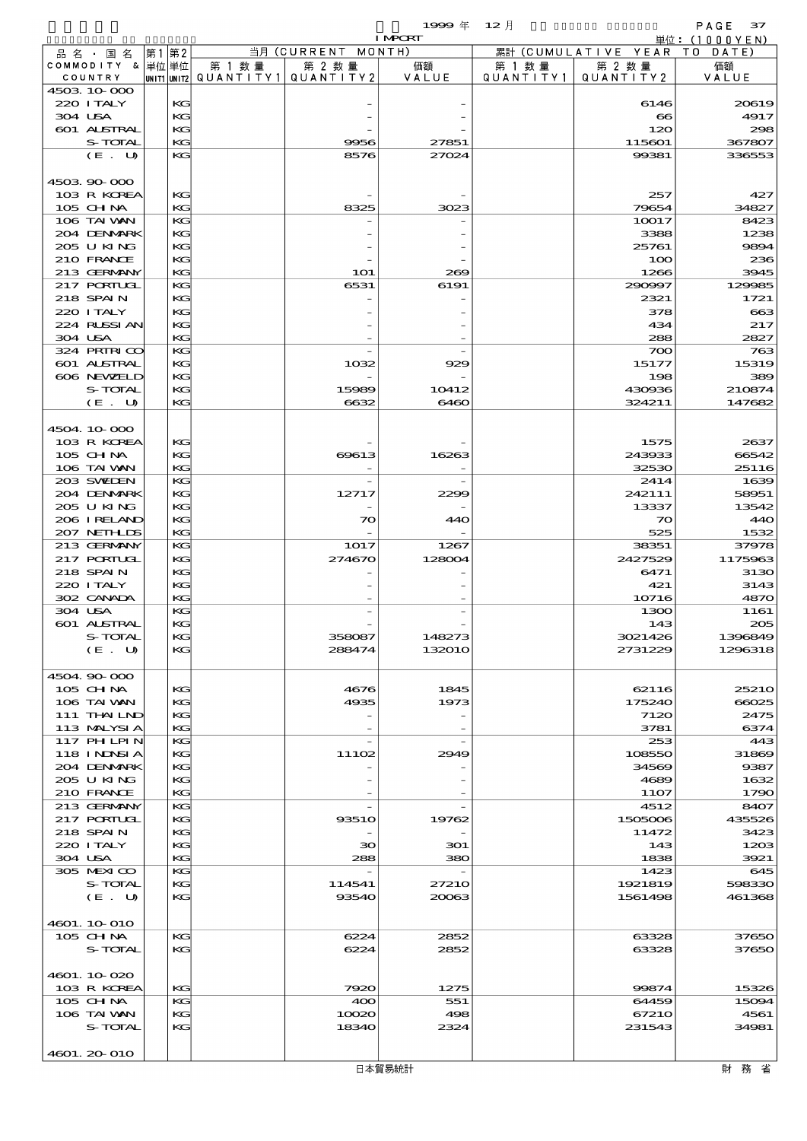$1999 \# 12 \frac{1}{2}$ <br> $1 \text{MPB}$ 

|                            |          |                                       |                       | <b>I MPORT</b> |           |                              | 単位: (1000YEN)         |
|----------------------------|----------|---------------------------------------|-----------------------|----------------|-----------|------------------------------|-----------------------|
| 品 名 ・ 国 名                  | 第1第2     |                                       | 当月 (CURRENT MONTH)    |                |           | 累計 (CUMULATIVE YEAR TO DATE) |                       |
| COMMODITY & 単位単位           |          | 第 1 数量                                | 第 2 数量                | 価額             | 第 1 数 量   | 第 2 数量                       | 価額                    |
| COUNTRY                    |          | UNIT1 UNIT2  QUANT   TY1  QUANT   TY2 |                       | VALUE          | QUANTITY1 | QUANTITY 2                   | VALUE                 |
| 4503 10 000                |          |                                       |                       |                |           |                              |                       |
| 220 I TALY                 | KG       |                                       |                       |                |           | 6146                         | 20619                 |
| 304 USA                    | KG       |                                       |                       |                |           | $\infty$                     | 4917                  |
| 601 ALSTRAL                | KG       |                                       |                       |                |           | 120                          | 298                   |
| S-TOTAL                    | KG       |                                       | 9956                  | 27851          |           | 115601                       | 367807                |
| (E. U)                     | KG       |                                       | 8576                  | 27024          |           | 99381                        | 336553                |
|                            |          |                                       |                       |                |           |                              |                       |
| 4503 90 000                |          |                                       |                       |                |           |                              |                       |
| 103 R KOREA<br>105 CHNA    | KG<br>KG |                                       | 8325                  | 3023           |           | 257<br>79654                 | 427<br>34827          |
| 106 TAI VAN                |          |                                       |                       |                |           |                              |                       |
|                            | KG       |                                       |                       |                |           | 10017                        | 8423<br>1238          |
| 204 DENMARK<br>205 U KING  | KC       |                                       |                       |                |           | 3388                         |                       |
| 210 FRANCE                 | KG       |                                       |                       |                |           | 25761                        | 9894<br>236           |
| 213 GERMANY                | KC<br>KG |                                       | <b>1O1</b>            | 269            |           | 100<br>1266                  | 3945                  |
| <b>217 PORTUGL</b>         | KG       |                                       | 6531                  | 6191           |           | 290997                       | 129985                |
| 218 SPAIN                  | KG       |                                       |                       |                |           | 2321                         | 1721                  |
| 220 I TALY                 | KG       |                                       |                       |                |           | 378                          | $\boldsymbol{\alpha}$ |
| 224 RUSSI AN               | KG       |                                       |                       |                |           | 434                          | 217                   |
| 304 USA                    | KG       |                                       |                       |                |           | 288                          | 2827                  |
| 324 PRIRICO                | KG       |                                       |                       |                |           | 700                          | 763                   |
| 601 ALSTRAL                | KG       |                                       | 1032                  | 929            |           | 15177                        | 15319                 |
| 606 NEWELD                 | KG       |                                       |                       |                |           | 198                          | 389                   |
|                            |          |                                       |                       |                |           |                              |                       |
| S-TOTAL<br>(E. U)          | KG<br>KG |                                       | 15989<br>6632         | 10412<br>6460  |           | 430936<br>324211             | 210874<br>147682      |
|                            |          |                                       |                       |                |           |                              |                       |
|                            |          |                                       |                       |                |           |                              |                       |
| 4504.10.000<br>103 R KOREA | KG       |                                       |                       |                |           | 1575                         | 2637                  |
|                            | KG       |                                       |                       | 16263          |           | 243933                       | 66542                 |
| 105 CH NA<br>106 TAI VAN   | KG       |                                       | 69613                 |                |           | 32530                        | 25116                 |
| 203 SWIDEN                 | KG       |                                       |                       |                |           | 2414                         | 1639                  |
| 204 DENMARK                | KG       |                                       | 12717                 | 2299           |           | 242111                       | 58951                 |
| 205 U KING                 | KG       |                                       |                       |                |           | 13337                        | 13542                 |
| 206 I RELAND               | KG       |                                       | $\infty$              | 440            |           | $\infty$                     | 440                   |
| 207 NETHLIS                | KG       |                                       |                       |                |           | 525                          | 1532                  |
| 213 GERMANY                | KG       |                                       | 1017                  | 1267           |           | 38351                        | 37978                 |
| <b>217 PORIUGL</b>         | KG       |                                       | 274670                | 128004         |           | 2427529                      | 1175963               |
| 218 SPAIN                  | KG       |                                       |                       |                |           | 6471                         | 3130                  |
| 220 I TALY                 | KG       |                                       |                       |                |           | 421                          | 3143                  |
| 302 CANADA                 | KG       |                                       |                       |                |           | 10716                        | 4870                  |
| 304 USA                    | KG       |                                       |                       |                |           | 1300                         | 1161                  |
| 601 ALSTRAL                | KG       |                                       |                       |                |           | 143                          | 205                   |
| S-TOTAL                    | KG       |                                       |                       | 148273         |           | 3021426                      | 1396849               |
| (E. U)                     | KG       |                                       | $rac{1}{2}$<br>288474 | 132010         |           | 2731229                      | 1296318               |
|                            |          |                                       |                       |                |           |                              |                       |
| 4504.90-000                |          |                                       |                       |                |           |                              |                       |
| $105$ CHNA                 | KG       |                                       | 4676                  | 1845           |           | 62116                        | 2521O                 |
| 106 TAI VAN                | KG       |                                       | 4935                  | 1973           |           | 175240                       | 66025                 |
| 111 THAILND                | KG       |                                       |                       |                |           | 7120                         | 2475                  |
| 113 MALYSIA                | KG       |                                       |                       |                |           | 3781                         | 6374                  |
| 117 PHLPIN                 | KG       |                                       |                       |                |           | 253                          | 443                   |
| 118 I NDSI A               | KG       |                                       | 11102                 | 2949           |           | 108550                       | 31869                 |
| 204 DENMARK                | KG       |                                       |                       |                |           | 34569                        | 9387                  |
| 2005 U KING                | KG       |                                       |                       |                |           | 4689                         | 1632                  |
| 210 FRANCE                 | KG       |                                       |                       |                |           | 11O7                         | 1790                  |
| 213 GERMANY                | KG       |                                       |                       |                |           | 4512                         | 8407                  |
| <b>217 PORTUGL</b>         | KG       |                                       | 9351O                 | 19762          |           | 1505006                      | 435526                |
| 218 SPAIN                  | KG       |                                       |                       |                |           | 11472                        | 3423                  |
| 220 I TALY                 | KG       |                                       | 30                    | 301            |           | 143                          | 1203                  |
| 304 USA                    | KG       |                                       | 288                   | 380            |           | 1838                         | 3921                  |
| 305 MEXICO                 | KG       |                                       |                       |                |           | 1423                         | 645                   |
| S-TOTAL                    | KG       |                                       | 114541                | 27210          |           | 1921819                      | 598330                |
| (E. U)                     | KG       |                                       | 93540                 | 20063          |           | 1561498                      | 461368                |
|                            |          |                                       |                       |                |           |                              |                       |
| 4601. 10-010               |          |                                       |                       |                |           |                              |                       |
| 105 CHNA                   | KG       |                                       | 6224                  | 2852           |           | 63328                        | 37650                 |
| S-TOTAL                    | KG       |                                       | 6224                  | 2852           |           | 63328                        | 37650                 |
|                            |          |                                       |                       |                |           |                              |                       |
| 4601.10.020                |          |                                       |                       |                |           |                              |                       |
| 103 R KOREA                | KG       |                                       | 7920                  | 1275           |           | 99874                        | 15326                 |
| 105 CH NA                  | KG       |                                       | 400                   | 551            |           | 64459                        | 15094                 |
| 106 TAI VAN                | KC       |                                       | 10020                 | 498            |           | 67210                        | 4561                  |
| S-TOTAL                    | KG       |                                       | 18340                 | 2324           |           | 231543                       | 34981                 |
|                            |          |                                       |                       |                |           |                              |                       |
| 4601.20010                 |          |                                       |                       |                |           |                              |                       |
|                            |          |                                       |                       |                |           |                              |                       |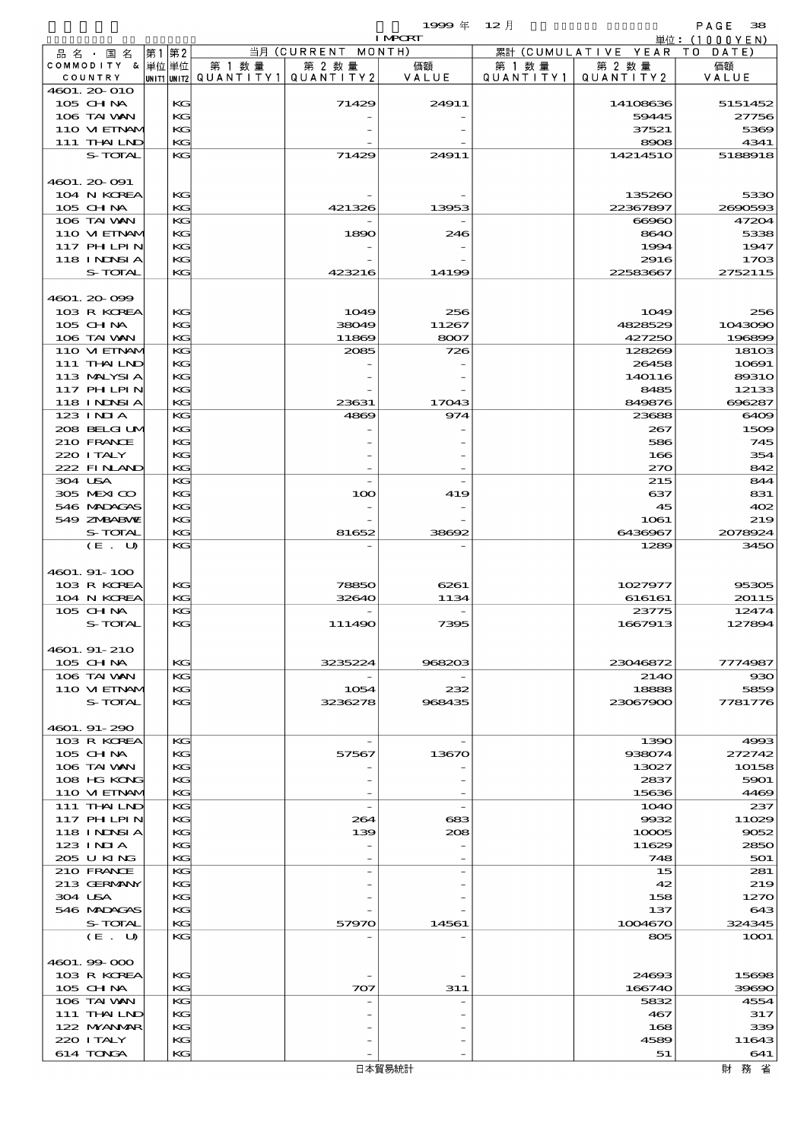|         |                             |       |          |                                      |                       | $1999 \text{#}$ | $12$ 月               |                      | PAGE<br>38        |
|---------|-----------------------------|-------|----------|--------------------------------------|-----------------------|-----------------|----------------------|----------------------|-------------------|
|         |                             |       |          |                                      |                       | <b>I MPCRT</b>  |                      |                      | 単位:(1000YEN)      |
|         | 品 名 ・ 国 名                   | 第1 第2 |          |                                      | 当月 (CURRENT<br>MONTH) |                 |                      | 累計 (CUMULATIVE YEAR) | TO DATE)          |
|         | COMMODITY & 単位単位<br>COUNTRY |       |          | 第 1 数 量<br> unit1 unit2  Q∪ANT   TY1 | 第 2 数量<br>QUANTITY2   | 価額<br>VALUE     | 第 1 数 量<br>QUANTITY1 | 第 2 数量<br>QUANTITY2  | 価額<br>VALUE       |
|         | 4601. 20 010                |       |          |                                      |                       |                 |                      |                      |                   |
|         | 105 CH NA                   |       | KG       |                                      | 71429                 | 24911           |                      | 14108636             | 5151452           |
|         | 106 TAI VAN                 |       | KG       |                                      |                       |                 |                      | 59445                | 27756             |
|         | 110 VI EINAM                |       | KG       |                                      |                       |                 |                      | 37521                | 5369              |
|         | 111 THAILND                 |       | KG       |                                      |                       |                 |                      | 8908                 | 4341              |
|         | S-TOTAL                     |       | KG       |                                      | 71429                 | 24911           |                      | 14214510             | 5188918           |
|         |                             |       |          |                                      |                       |                 |                      |                      |                   |
|         | 4601. 20-091<br>104 N KOREA |       | KG       |                                      |                       |                 |                      | 135260               | 5330              |
|         | 105 CH NA                   |       | KG       |                                      | 421326                | 13953           |                      | 22367897             | 2690593           |
|         | 106 TAI WAN                 |       | KG       |                                      |                       |                 |                      | 66960                | 47204             |
|         | 110 VIEINAM                 |       | KG       |                                      | 1890                  | 246             |                      | 8640                 | 5338              |
|         | <b>117 PHLPIN</b>           |       | KG       |                                      |                       |                 |                      | 1994                 | 1947              |
|         | 118 INNSI A                 |       | KG       |                                      |                       |                 |                      | 2916                 | 1703              |
|         | S-TOTAL                     |       | KG       |                                      | 423216                | 14199           |                      | 22583667             | 2752115           |
|         |                             |       |          |                                      |                       |                 |                      |                      |                   |
|         | 4601.20099                  |       |          |                                      |                       |                 |                      |                      |                   |
|         | 103 R KOREA                 |       | KС       |                                      | 1049                  | 256             |                      | 1049                 | 256               |
|         | $105$ CHNA<br>106 TAI VAN   |       | KG<br>KG |                                      | 38049<br>11869        | 11267<br>8007   |                      | 4828529<br>427250    | 1043090<br>196899 |
|         | 110 VI EINAM                |       | KG       |                                      | 2085                  | 726             |                      | 128269               | 18103             |
|         | 111 THAILND                 |       | KG       |                                      |                       |                 |                      | 26458                | 10691             |
|         | 113 MALYSIA                 |       | KG       |                                      |                       |                 |                      | 140116               | 89310             |
|         | 117 PHLPIN                  |       | KG       |                                      |                       |                 |                      | 8485                 | 12133             |
|         | 118 I NJNSI A               |       | KG       |                                      | 23631                 | 17043           |                      | 849876               | 696287            |
|         | $123$ $1$ NIA               |       | KG       |                                      | 4869                  | 974             |                      | 23688                | 6409              |
|         | 208 BELGI UM                |       | KG       |                                      |                       |                 |                      | 267                  | 1509              |
|         | 210 FRANCE                  |       | KG       |                                      |                       |                 |                      | 586                  | 745               |
|         | 220 I TALY                  |       | KG       |                                      |                       |                 |                      | 166                  | 354               |
|         | 222 FINAND                  |       | KG       |                                      |                       |                 |                      | 270                  | 842               |
| 304 USA |                             |       | KG       |                                      |                       |                 |                      | 215                  | 844               |
|         | 305 MEXICO<br>546 MADAGAS   |       | KG<br>KG |                                      | 100                   | 419             |                      | 637<br>45            | 831<br>402        |
|         | 549 ZNBABVE                 |       | KG       |                                      |                       |                 |                      | 1061                 | 219               |
|         | S-TOTAL                     |       | KG       |                                      | 81652                 | 38692           |                      | 6436967              | 2078924           |
|         | (E. U)                      |       | KG       |                                      |                       |                 |                      | 1289                 | 3450              |
|         |                             |       |          |                                      |                       |                 |                      |                      |                   |
|         | 4601. 91-100                |       |          |                                      |                       |                 |                      |                      |                   |
|         | 103 R KOREA                 |       | KG       |                                      | 78850                 | 6261            |                      | 1027977              | 95305             |
|         | 104 N KOREA                 |       | KG       |                                      | 32640                 | 1134            |                      | 616161               | 20115             |
|         | 105 CHNA                    |       | KG       |                                      |                       |                 |                      | 23775                | 12474             |
|         | S-TOTAL                     |       | KG       |                                      | 11149C                | 7395            |                      | 1667913              | 127894            |
|         |                             |       |          |                                      |                       |                 |                      |                      |                   |
|         | 4601. 91-210<br>105 CH NA   |       | KG       |                                      | 3235224               | 968203          |                      | 23046872             | 7774987           |
|         | 106 TAI VAN                 |       | KG       |                                      |                       |                 |                      | 2140                 | 930               |
|         | 110 VIEINAM                 |       | KG       |                                      | 1054                  | 232             |                      | 18888                | 5859              |
|         | S-TOTAL                     |       | KG       |                                      | 3236278               | 968435          |                      | 23067900             | 7781776           |
|         |                             |       |          |                                      |                       |                 |                      |                      |                   |
|         | 4601. 91-290                |       |          |                                      |                       |                 |                      |                      |                   |
|         | 103 R KOREA                 |       | KG       |                                      |                       |                 |                      | 1390                 | 4993              |
|         | $105$ CHNA                  |       | KG       |                                      | 57567                 | 13670           |                      | 938074               | 272742            |
|         | 106 TAI VAN                 |       | KG       |                                      |                       |                 |                      | 13027                | 10158             |
|         | 108 HG KONG                 |       | KG       |                                      |                       |                 |                      | 2837                 | 5901              |
|         | 110 VIEINAM                 |       | KG       |                                      |                       |                 |                      | 15636                | 4469              |
|         | $111$ THAILND<br>117 PHLPIN |       | KG<br>KG |                                      | 264                   | 683             |                      | <b>1O4O</b><br>9932  | 237<br>11029      |
|         | 118 I NINSI A               |       | KG       |                                      | 139                   | 208             |                      | 10005                | 9052              |
|         | $123$ INIA                  |       | KG       |                                      |                       |                 |                      | 11629                | 2850              |
|         | 205 U KING                  |       | KG       |                                      |                       |                 |                      | 748                  | 501               |
|         | 210 FRANCE                  |       | KG       |                                      |                       |                 |                      | 15                   | 281               |
|         | 213 GERMANY                 |       | KG       |                                      |                       |                 |                      | 42                   | 219               |
| 304 USA |                             |       | KG       |                                      |                       |                 |                      | 158                  | 1270              |
|         | 546 MADAGAS                 |       | KG       |                                      |                       |                 |                      | 137                  | 643               |
|         | S-TOTAL                     |       | KG       |                                      | 57970                 | 14561           |                      | 1004670              | 324345            |
|         | (E. U)                      |       | KG       |                                      |                       |                 |                      | 805                  | <b>1001</b>       |
|         |                             |       |          |                                      |                       |                 |                      |                      |                   |
|         | 4601.99-000                 |       |          |                                      |                       |                 |                      |                      |                   |
|         | 103 R KOREA<br>105 CH NA    |       | KG<br>KG |                                      | 707                   | 311             |                      | 24693<br>166740      | 15698<br>39690    |
|         | 106 TAI VAN                 |       | KG       |                                      |                       |                 |                      | 5832                 | 4554              |
|         | 111 THAILND                 |       | KG       |                                      |                       |                 |                      | 467                  | 317               |
|         | 122 MYANMAR                 |       | KG       |                                      |                       |                 |                      | 168                  | 339               |
|         | 220 I TALY                  |       | KG       |                                      |                       |                 |                      | 4589                 | 11643             |
|         | 614 TONGA                   |       | KG       |                                      |                       |                 |                      | 51                   | 641               |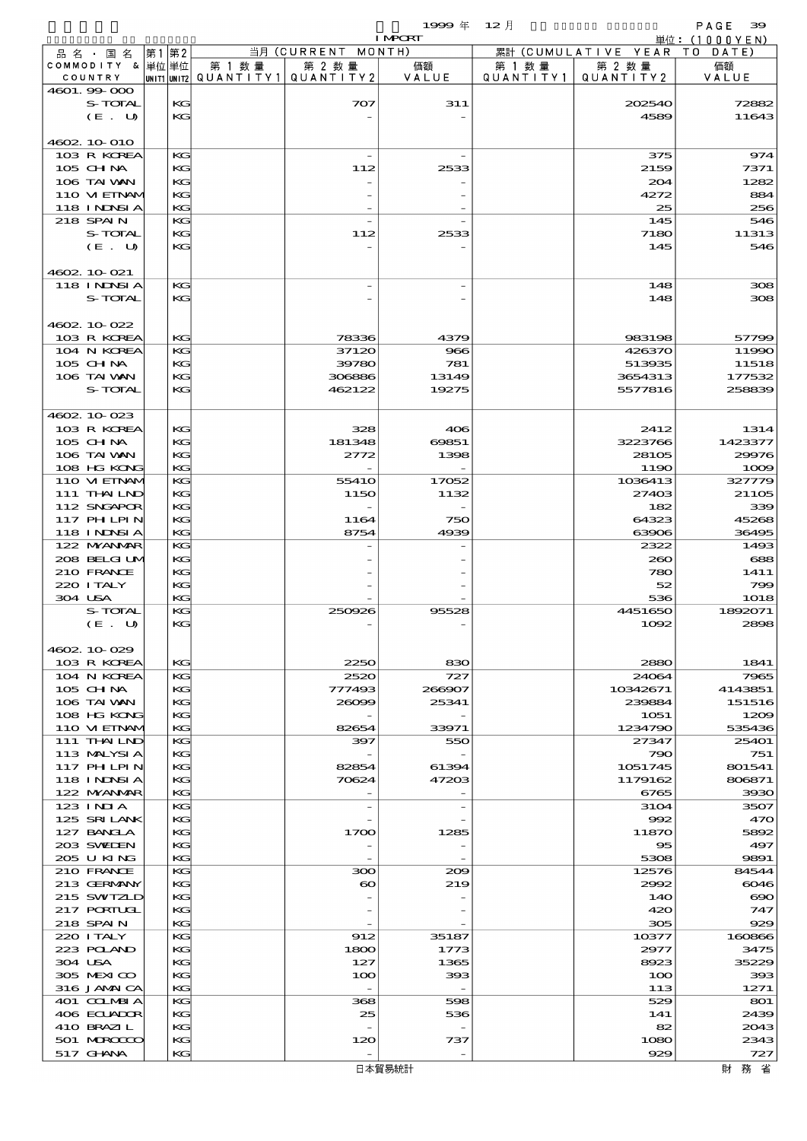$1999 \# 12 \nparallel$  PAGE 39

|         |                                 |    |               |                                 |                                 | <b>I MPORT</b>                    |           |                              | 単位: (1000YEN)  |
|---------|---------------------------------|----|---------------|---------------------------------|---------------------------------|-----------------------------------|-----------|------------------------------|----------------|
|         | 品名・国名                           | 第1 | 第2            |                                 | 当月 (CURRENT MONTH)              |                                   |           | 累計 (CUMULATIVE YEAR TO DATE) |                |
|         | COMMODITY & 単位単位                |    |               | 第 1 数量                          | 第 2 数量                          | 価額                                | 第 1 数 量   | 第 2 数量                       | 価額             |
|         | COUNTRY                         |    |               | UNIT1 UNIT2 QUANTITY1 QUANTITY2 |                                 | VALUE                             | QUANTITY1 | QUANTITY2                    | VALUE          |
|         | 4601.99-000                     |    |               |                                 |                                 |                                   |           |                              | 72882          |
|         | S-TOTAL<br>(E. U)               |    | KG<br>KG      |                                 | 707                             | 311                               |           | 202540<br>4589               | 11643          |
|         |                                 |    |               |                                 |                                 |                                   |           |                              |                |
|         | 4602 10 010                     |    |               |                                 |                                 |                                   |           |                              |                |
|         | 103 R KOREA                     |    | KG            |                                 |                                 |                                   |           | 375                          | 974            |
|         | 105 CH NA                       |    | KG            |                                 | 112                             | 2533                              |           | 2159                         | 7371           |
|         | 106 TAI VAN                     |    | KG            |                                 |                                 |                                   |           | 204                          | 1282           |
|         | 110 VIEINAM                     |    | KG            |                                 |                                 |                                   |           | 4272                         | 884            |
|         | <b>118 INNSIA</b>               |    | KG            |                                 |                                 |                                   |           | 25                           | 256            |
|         | 218 SPAIN                       |    | KG            |                                 |                                 |                                   |           | 145                          | 546            |
|         | S-TOTAL                         |    | KG            |                                 | 112                             | 2533                              |           | 7180                         | 11313          |
|         | (E. U)                          |    | KG            |                                 |                                 |                                   |           | 145                          | 546            |
|         |                                 |    |               |                                 |                                 |                                   |           |                              |                |
|         | 4602 10 021                     |    |               |                                 |                                 |                                   |           |                              |                |
|         | 118 I NJNSI A                   |    | KG            |                                 |                                 |                                   |           | 148                          | 308            |
|         | S-TOTAL                         |    | $K$ $G$       |                                 |                                 |                                   |           | 148                          | 308            |
|         |                                 |    |               |                                 |                                 |                                   |           |                              |                |
|         | 4602 10 022<br>103 R KOREA      |    | KG            |                                 | 78336                           | 4379                              |           | 983198                       |                |
|         | 104 N KOREA                     |    | KG            |                                 | 37120                           | 966                               |           | 426370                       | 57799<br>11990 |
|         | 105 CH NA                       |    | KG            |                                 | 39780                           | 781                               |           | 513935                       | 11518          |
|         | 106 TAI VAN                     |    | KG            |                                 | 306886                          | 13149                             |           | 3654313                      | 177532         |
|         | S-TOTAL                         |    | KG            |                                 | 462122                          | 19275                             |           | 5577816                      | 258839         |
|         |                                 |    |               |                                 |                                 |                                   |           |                              |                |
|         | 4602.10.023                     |    |               |                                 |                                 |                                   |           |                              |                |
|         | 103 R KOREA                     |    | KG            |                                 | 328                             | 406                               |           | 2412                         | 1314           |
|         | $105$ CHNA                      |    | KG            |                                 | 181348                          | 69851                             |           | 3223766                      | 1423377        |
|         | 106 TAI VAN                     |    | KG            |                                 | 2772                            | 1398                              |           | 28105                        | 29976          |
|         | 108 HG KONG                     |    | KG.           |                                 |                                 |                                   |           | 1190                         | 1009           |
|         | 110 VIEINAM                     |    | KG            |                                 | 5541O                           | 17052                             |           | 1036413                      | 327779         |
|         | 111 THAILND                     |    | KG            |                                 | 1150                            | 1132                              |           | 27403                        | 21105          |
|         | 112 SNGAPOR                     |    | KG            |                                 |                                 |                                   |           | 182                          | 339            |
|         | 117 PHLPIN                      |    | KG            |                                 | 1164                            | 750                               |           | 64323                        | 45268          |
|         | <b>118 INNSIA</b>               |    | KG.           |                                 | 8754                            | 4939                              |           | 63906                        | 36495          |
|         | 122 NYANAR                      |    | KG            |                                 |                                 |                                   |           | 2322                         | 1493           |
|         | 208 BELGIUM<br>210 FRANCE       |    | $K$ $G$<br>KG |                                 |                                 |                                   |           | 260                          | 688            |
|         | 220 I TALY                      |    | KG            |                                 |                                 |                                   |           | 780<br>52                    | 1411<br>799    |
| 304 USA |                                 |    | KG            |                                 |                                 |                                   |           | 536                          | 1018           |
|         | S-TOTAL                         |    | KG            |                                 | 250926                          | 95528                             |           | 4451650                      | 1892071        |
|         | (E. U)                          |    | KG.           |                                 |                                 |                                   |           | 1092                         | 2898           |
|         |                                 |    |               |                                 |                                 |                                   |           |                              |                |
|         | 4602 10 029                     |    |               |                                 |                                 |                                   |           |                              |                |
|         | 103 R KOREA                     |    | KG            |                                 | 2250                            | 830                               |           | 2880                         | 1841           |
|         | 104 N KOREA                     |    | KG            |                                 | 2520                            | 727                               |           | 24064                        | 7965           |
|         | $105$ CHNA                      |    | $K$ $G$       |                                 | 777493                          | 266907                            |           | 10342671                     | 4143851        |
|         | 106 TAI VAN                     |    | KG            |                                 | 26099                           | 25341                             |           | 239884                       | 151516         |
|         | 108 HG KONG                     |    | КC            |                                 |                                 |                                   |           | 1051                         | 1209           |
|         | 110 VIEINAM                     |    | KG            |                                 | 82654                           | 33971                             |           | 1234790                      | 535436         |
|         | 111 THAILND                     |    | KG            |                                 | 397                             | 550                               |           | 27347                        | 25401          |
|         | 113 MALYSIA                     |    | $K$ $G$       |                                 |                                 |                                   |           | 790                          | 751            |
|         | 117 PHLPIN<br><b>118 INDSIA</b> |    | KG            |                                 | 82854                           | 61394                             |           | 1051745                      | 801541         |
|         | 122 NYANAR                      |    | КG<br>KG      |                                 | 70624                           | 47203<br>$\overline{\phantom{a}}$ |           | 1179162<br>6765              | 806871<br>3930 |
|         | 123 INIA                        |    | KG            |                                 | $\overline{a}$                  | $\overline{a}$                    |           | 3104                         | 3507           |
|         | 125 SRILANK                     |    | $K$ $G$       |                                 |                                 |                                   |           | 992                          | 470            |
|         | 127 BANCLA                      |    | KG            |                                 | 1700                            | 1285                              |           | 11870                        | 5892           |
|         | 203 SWIDEN                      |    | КG            |                                 |                                 |                                   |           | $\infty$                     | 497            |
|         | 205 U KING                      |    | KG            |                                 |                                 | $\overline{\phantom{0}}$          |           | 5308                         | 9891           |
|         | 210 FRANCE                      |    | KС            |                                 | ဆာ                              | 200                               |           | 12576                        | 84544          |
|         | 213 GERMANY                     |    | $K$ $G$       |                                 | $\boldsymbol{\infty}$           | 219                               |           | 2992                         | 6046           |
|         | 215 SWIZLD                      |    | КC            |                                 |                                 |                                   |           | 140                          | $\infty$       |
|         | <b>217 PORTUGL</b>              |    | KG            |                                 |                                 |                                   |           | 420                          | 747            |
|         | 218 SPAIN                       |    | KG            |                                 |                                 |                                   |           | 305                          | 929            |
|         | 220 I TALY                      |    | KG            |                                 | 912                             | 35187                             |           | 10377                        | 160866         |
|         | 223 POLAND                      |    | $K$ $G$       |                                 | 1800                            | 1773                              |           | 2977                         | 3475           |
| 304 USA |                                 |    | КC            |                                 | 127                             | 1365                              |           | 8923                         | 35229          |
|         | 305 MEXICO                      |    | КG            |                                 | 100                             | 393                               |           | 100                          | 393            |
|         | 316 JAMAICA<br>401 COLMBIA      |    | KG<br>KС      |                                 | $\overline{\phantom{a}}$<br>368 | $\overline{\phantom{a}}$<br>598   |           | 113<br>529                   | 1271<br>801    |
|         | 406 ECUADOR                     |    | KG            |                                 | 25                              | 536                               |           | 141                          | 2439           |
|         | 410 BRAZIL                      |    | KG            |                                 |                                 |                                   |           | 82                           | 2043           |
|         | 501 MERCECO                     |    | KG            |                                 | 120                             | 737                               |           | 1080                         | 2343           |
|         | 517 GHNA                        |    | KG            |                                 |                                 | $\overline{\phantom{0}}$          |           | 929                          | 727            |
|         |                                 |    |               |                                 |                                 | 日本貿易統計                            |           |                              | 財 務 省          |
|         |                                 |    |               |                                 |                                 |                                   |           |                              |                |